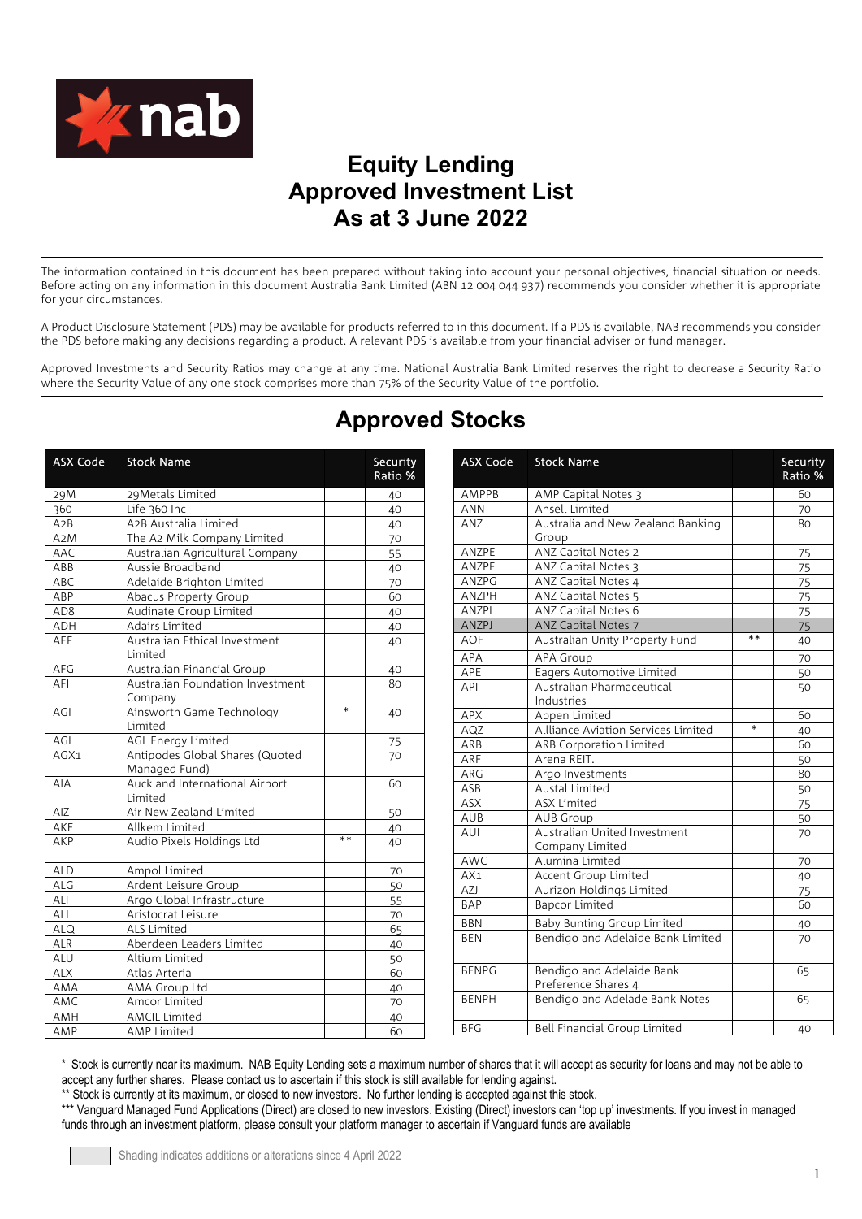

## **Equity Lending Approved Investment List As at 3 June 2022**

 The information contained in this document has been prepared without taking into account your personal objectives, financial situation or needs. Before acting on any information in this document Australia Bank Limited (ABN 12 004 044 937) recommends you consider whether it is appropriate for your circumstances.

A Product Disclosure Statement (PDS) may be available for products referred to in this document. If a PDS is available, NAB recommends you consider the PDS before making any decisions regarding a product. A relevant PDS is available from your financial adviser or fund manager.

Approved Investments and Security Ratios may change at any time. National Australia Bank Limited reserves the right to decrease a Security Ratio where the Security Value of any one stock comprises more than 75% of the Security Value of the portfolio.

| <b>ASX Code</b> | <b>Stock Name</b>                |        | Security<br>Ratio % | <b>ASX Code</b> | <b>Stock Name</b>                   |        | Security<br>Ratio % |
|-----------------|----------------------------------|--------|---------------------|-----------------|-------------------------------------|--------|---------------------|
| 29M             | 29Metals Limited                 |        | 40                  | AMPPB           | AMP Capital Notes 3                 |        | 60                  |
| 360             | Life 360 Inc                     |        | 40                  | <b>ANN</b>      | Ansell Limited                      |        | 70                  |
| A2B             | A2B Australia Limited            |        | 40                  | <b>ANZ</b>      | Australia and New Zealand Banking   |        | 80                  |
| A2M             | The A2 Milk Company Limited      |        | 70                  |                 | Group                               |        |                     |
| AAC             | Australian Agricultural Company  |        | 55                  | ANZPE           | <b>ANZ Capital Notes 2</b>          |        | 75                  |
| ABB             | Aussie Broadband                 |        | 40                  | <b>ANZPF</b>    | ANZ Capital Notes 3                 |        | 75                  |
| ABC             | Adelaide Brighton Limited        |        | 70                  | ANZPG           | ANZ Capital Notes 4                 |        | 75                  |
| ABP             | Abacus Property Group            |        | 60                  | ANZPH           | ANZ Capital Notes 5                 |        | 75                  |
| AD <sub>8</sub> | Audinate Group Limited           |        | 40                  | <b>ANZPI</b>    | ANZ Capital Notes 6                 |        | 75                  |
| ADH             | Adairs Limited                   |        | 40                  | ANZPJ           | ANZ Capital Notes 7                 |        | 75                  |
| AEF             | Australian Ethical Investment    |        | 40                  | <b>AOF</b>      | Australian Unity Property Fund      | $**$   | 40                  |
|                 | Limited                          |        |                     | APA             | <b>APA Group</b>                    |        | 70                  |
| ${\sf AFG}$     | Australian Financial Group       |        | 40                  | APE             | Eagers Automotive Limited           |        | 50                  |
| AFI             | Australian Foundation Investment |        | 80                  | API             | Australian Pharmaceutical           |        | 50                  |
|                 | Company                          |        |                     |                 | Industries                          |        |                     |
| AGI             | Ainsworth Game Technology        | $\ast$ | 40                  | <b>APX</b>      | Appen Limited                       |        | 60                  |
|                 | Limited                          |        |                     | AGZ             | Allliance Aviation Services Limited | $\ast$ | 40                  |
| AGL             | <b>AGL Energy Limited</b>        |        | 75                  | ARB             | <b>ARB Corporation Limited</b>      |        | 60                  |
| AGX1            | Antipodes Global Shares (Quoted  |        | 70                  | ARF             | Arena REIT.                         |        | 50                  |
|                 | Managed Fund)                    |        |                     | ARG             | Argo Investments                    |        | 80                  |
| AIA             | Auckland International Airport   |        | 60                  | ASB             | <b>Austal Limited</b>               |        | 50                  |
|                 | Limited                          |        |                     | ASX             | <b>ASX Limited</b>                  |        | 75                  |
| AIZ             | Air New Zealand Limited          |        | 50                  | AUB             | <b>AUB Group</b>                    |        | 50                  |
| AKE             | Allkem Limited                   |        | 40                  | AUI             | Australian United Investment        |        | 70                  |
| AKP             | Audio Pixels Holdings Ltd        | $**$   | 40                  |                 | Company Limited                     |        |                     |
|                 |                                  |        |                     | AWC             | Alumina Limited                     |        | 70                  |
| <b>ALD</b>      | Ampol Limited                    |        | 70                  | AX1             | Accent Group Limited                |        | 40                  |
| ALG             | Ardent Leisure Group             |        | 50                  | AZJ             | Aurizon Holdings Limited            |        | 75                  |
| ALI             | Argo Global Infrastructure       |        | 55                  | <b>BAP</b>      | <b>Bapcor Limited</b>               |        | 60                  |
| <b>ALL</b>      | Aristocrat Leisure               |        | 70                  | <b>BBN</b>      | Baby Bunting Group Limited          |        | 40                  |
| ALQ             | ALS Limited                      |        | 65                  | <b>BEN</b>      | Bendigo and Adelaide Bank Limited   |        | 70                  |
| <b>ALR</b>      | Aberdeen Leaders Limited         |        | 40                  |                 |                                     |        |                     |
| ALU             | Altium Limited                   |        | 50                  |                 |                                     |        |                     |
| <b>ALX</b>      | Atlas Arteria                    |        | 60                  | <b>BENPG</b>    | Bendigo and Adelaide Bank           |        | 65                  |
| AMA             | AMA Group Ltd                    |        | 40                  |                 | Preference Shares 4                 |        |                     |
| AMC             | Amcor Limited                    |        | 70                  | <b>BENPH</b>    | Bendigo and Adelade Bank Notes      |        | 65                  |
| AMH             | <b>AMCIL Limited</b>             |        | 40                  |                 |                                     |        |                     |
| AMP             | <b>AMP Limited</b>               |        | 60                  | <b>BFG</b>      | Bell Financial Group Limited        |        | 40                  |

# **Approved Stocks**

\* Stock is currently near its maximum. NAB Equity Lending sets a maximum number of shares that it will accept as security for loans and may not be able to accept any further shares. Please contact us to ascertain if this stock is still available for lending against.

\*\* Stock is currently at its maximum, or closed to new investors. No further lending is accepted against this stock.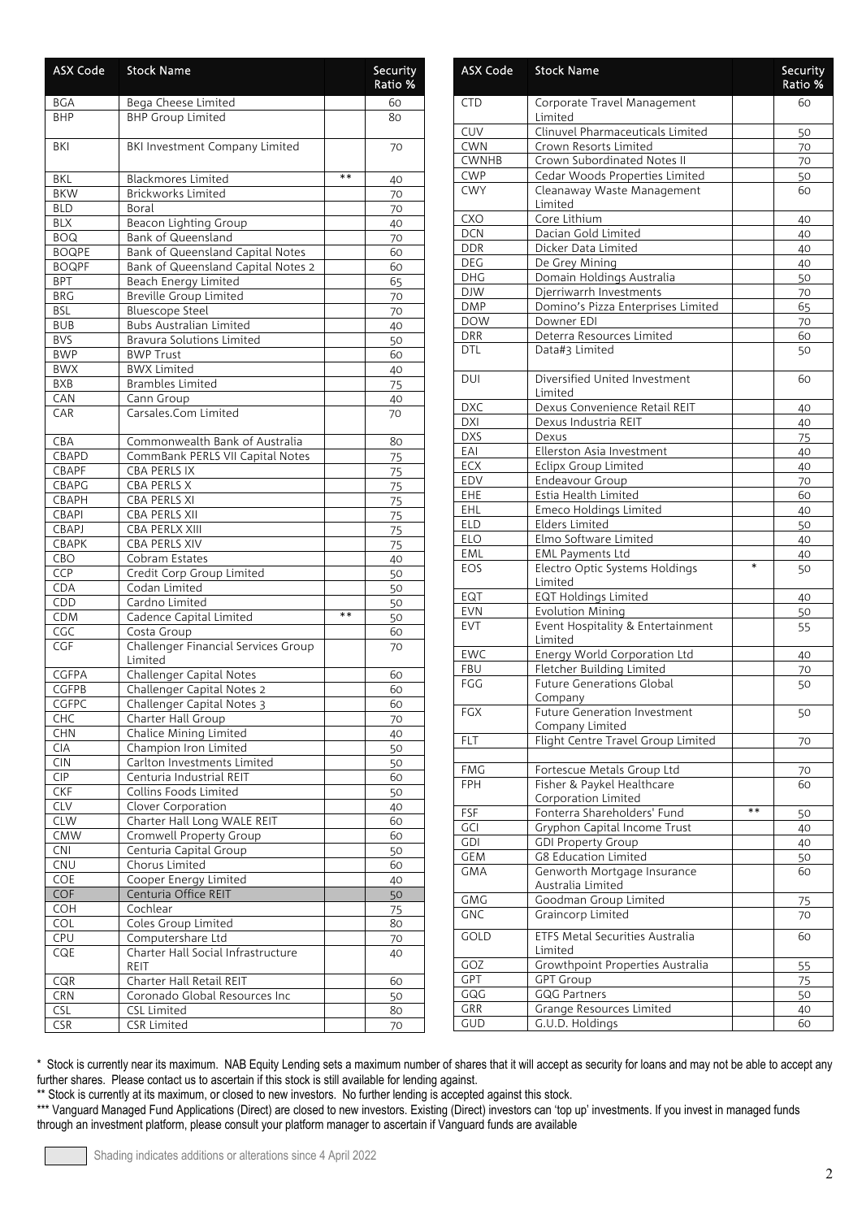| <b>ASX Code</b> | <b>Stock Name</b>                              |      | Security<br>Ratio % |
|-----------------|------------------------------------------------|------|---------------------|
| BGA             | Bega Cheese Limited                            |      | 60                  |
| <b>BHP</b>      | <b>BHP Group Limited</b>                       |      | 80                  |
| BKI             | BKI Investment Company Limited                 |      | 70                  |
| BKL             | <b>Blackmores Limited</b>                      | $**$ | 40                  |
| <b>BKW</b>      | Brickworks Limited                             |      | 70                  |
| BLD             | Boral                                          |      | 70                  |
| <b>BLX</b>      | <b>Beacon Lighting Group</b>                   |      | 40                  |
| <b>BOQ</b>      | Bank of Queensland                             |      | 70                  |
| <b>BOQPE</b>    | <b>Bank of Queensland Capital Notes</b>        |      | 60                  |
| <b>BOQPF</b>    | Bank of Queensland Capital Notes 2             |      | 60                  |
| <b>BPT</b>      | Beach Energy Limited                           |      | 65                  |
| <b>BRG</b>      | <b>Breville Group Limited</b>                  |      | 70                  |
| <b>BSL</b>      | <b>Bluescope Steel</b>                         |      | 70                  |
| <b>BUB</b>      | <b>Bubs Australian Limited</b>                 |      | 40                  |
| <b>BVS</b>      | <b>Bravura Solutions Limited</b>               |      | 50                  |
| <b>BWP</b>      | <b>BWP Trust</b>                               |      | 60                  |
| <b>BWX</b>      | <b>BWX Limited</b>                             |      | 40                  |
| <b>BXB</b>      | <b>Brambles Limited</b>                        |      | 75                  |
| CAN             | Cann Group                                     |      | 40                  |
| CAR             | Carsales.Com Limited                           |      | 70                  |
| CBA             | Commonwealth Bank of Australia                 |      | 80                  |
| CBAPD           | CommBank PERLS VII Capital Notes               |      | 75                  |
| CBAPF           | <b>CBA PERLS IX</b>                            |      | 75                  |
| CBAPG           | CBA PERLS X                                    |      | 75                  |
| CBAPH           | CBA PERLS XI                                   |      | 75                  |
| CBAPI           | CBA PERLS XII                                  |      | 75                  |
| CBAPJ           | CBA PERLX XIII                                 |      | 75                  |
| CBAPK           | CBA PERLS XIV                                  |      | 75                  |
| CBO             | Cobram Estates                                 |      | 40                  |
| CCP             | Credit Corp Group Limited                      |      | 50                  |
| CDA<br>CDD      | Codan Limited<br>Cardno Limited                |      | 50                  |
| <b>CDM</b>      | Cadence Capital Limited                        | $**$ | 50<br>50            |
| CGC             | Costa Group                                    |      | 60                  |
| CGF             | Challenger Financial Services Group<br>Limited |      | 70                  |
| CGFPA           | Challenger Capital Notes                       |      | 60                  |
| <b>CGFPB</b>    | Challenger Capital Notes 2                     |      | 60                  |
| CGFPC           | Challenger Capital Notes 3                     |      | 60                  |
| CHC             | Charter Hall Group                             |      | 70                  |
| CHN             | Chalice Mining Limited                         |      | 40                  |
| <b>CIA</b>      | Champion Iron Limited                          |      | 50                  |
| <b>CIN</b>      | Carlton Investments Limited                    |      | 50                  |
| <b>CIP</b>      | Centuria Industrial REIT                       |      | 60                  |
| <b>CKF</b>      | Collins Foods Limited                          |      | 50                  |
| <b>CLV</b>      | Clover Corporation                             |      | 40                  |
| <b>CLW</b>      | Charter Hall Long WALE REIT                    |      | 60                  |
| <b>CMW</b>      | Cromwell Property Group                        |      | 60                  |
| <b>CNI</b>      | Centuria Capital Group                         |      | 50                  |
| CNU             | Chorus Limited                                 |      | 60                  |
| COE             | Cooper Energy Limited                          |      | 40                  |
| COF             | Centuria Office REIT                           |      | 50                  |
| <b>COH</b>      | Cochlear                                       |      | 75                  |
| COL             | Coles Group Limited                            |      | 80                  |
| <b>CPU</b>      | Computershare Ltd                              |      | 70                  |
| CQE             | Charter Hall Social Infrastructure<br>REIT     |      | 40                  |
| CQR             | Charter Hall Retail REIT                       |      | 60                  |
| <b>CRN</b>      | Coronado Global Resources Inc                  |      | 50                  |
| CSL             | <b>CSL Limited</b>                             |      | 80                  |
| <b>CSR</b>      | <b>CSR Limited</b>                             |      | 70                  |

| <b>ASX Code</b> | <b>Stock Name</b>                                      |        | <b>Security</b><br>Ratio % |
|-----------------|--------------------------------------------------------|--------|----------------------------|
| <b>CTD</b>      | Corporate Travel Management<br>Limited                 |        | 60                         |
| CUV             | Clinuvel Pharmaceuticals Limited                       |        | 50                         |
| <b>CWN</b>      | Crown Resorts Limited                                  |        | 70                         |
| <b>CWNHB</b>    | Crown Subordinated Notes II                            |        | 70                         |
| <b>CWP</b>      | Cedar Woods Properties Limited                         |        | 50                         |
| <b>CWY</b>      | Cleanaway Waste Management                             |        | 60                         |
| <b>CXO</b>      | Limited<br>Core Lithium                                |        | 40                         |
| <b>DCN</b>      | Dacian Gold Limited                                    |        | 40                         |
| <b>DDR</b>      | Dicker Data Limited                                    |        | 40                         |
| <b>DEG</b>      | De Grey Mining                                         |        | 40                         |
| <b>DHG</b>      | Domain Holdings Australia                              |        | 50                         |
| <b>DJW</b>      | Djerriwarrh Investments                                |        | 70                         |
| <b>DMP</b>      | Domino's Pizza Enterprises Limited                     |        | 65                         |
| <b>DOW</b>      | Downer EDI                                             |        | 70                         |
| <b>DRR</b>      | Deterra Resources Limited                              |        | 60                         |
| DTL             | Data#3 Limited                                         |        | 50                         |
| DUI             | Diversified United Investment<br>Limited               |        | 60                         |
| <b>DXC</b>      | Dexus Convenience Retail REIT                          |        | 40                         |
| <b>DXI</b>      | Dexus Industria REIT                                   |        | 40                         |
| <b>DXS</b>      | Dexus                                                  |        | 75                         |
| EAI             | Ellerston Asia Investment                              |        | 40                         |
| ECX             | Eclipx Group Limited                                   |        | 40                         |
| EDV             | Endeavour Group                                        |        | 70                         |
| EHE             | Estia Health Limited                                   |        | 60                         |
| EHL             | Emeco Holdings Limited                                 |        | 40                         |
| <b>ELD</b>      | Elders Limited                                         |        | 50                         |
| ELO             | Elmo Software Limited                                  |        | 40                         |
| EML             | <b>EML Payments Ltd</b>                                |        | 40                         |
| EOS             | Electro Optic Systems Holdings<br>Limited              | $\ast$ | 50                         |
| EQT             | <b>EQT Holdings Limited</b>                            |        | 40                         |
| <b>EVN</b>      | <b>Evolution Mining</b>                                |        | 50                         |
| <b>EVT</b>      | Event Hospitality & Entertainment<br>Limited           |        | 55                         |
| <b>EWC</b>      | Energy World Corporation Ltd                           |        | 40                         |
| <b>FBU</b>      | Fletcher Building Limited                              |        | 70                         |
| FGG             | <b>Future Generations Global</b><br>Company            |        | 50                         |
| FGX             | <b>Future Generation Investment</b><br>Company Limited |        | 50                         |
| <b>FLT</b>      | Flight Centre Travel Group Limited                     |        | 70                         |
| <b>FMG</b>      | Fortescue Metals Group Ltd                             |        |                            |
| <b>FPH</b>      | Fisher & Paykel Healthcare                             |        | 70<br>60                   |
|                 | Corporation Limited                                    |        |                            |
| <b>FSF</b>      | Fonterra Shareholders' Fund                            | $**$   | 50                         |
| <b>GCI</b>      | Gryphon Capital Income Trust                           |        | 40                         |
| <b>GDI</b>      | <b>GDI Property Group</b>                              |        | 40                         |
| GEM             | G8 Education Limited                                   |        | 50                         |
| GMA             | Genworth Mortgage Insurance                            |        | 60                         |
|                 | Australia Limited                                      |        |                            |
| <b>GMG</b>      | Goodman Group Limited                                  |        | 75                         |
| <b>GNC</b>      | Graincorp Limited                                      |        | 70                         |
| GOLD            | ETFS Metal Securities Australia<br>Limited             |        | 60                         |
| GOZ             | Growthpoint Properties Australia                       |        | 55                         |
| <b>GPT</b>      | <b>GPT Group</b>                                       |        | 75                         |
| GQG             | <b>GQG Partners</b>                                    |        | 50                         |
| <b>GRR</b>      | Grange Resources Limited                               |        | 40                         |
| GUD             | G.U.D. Holdings                                        |        | 60                         |

\*\* Stock is currently at its maximum, or closed to new investors. No further lending is accepted against this stock.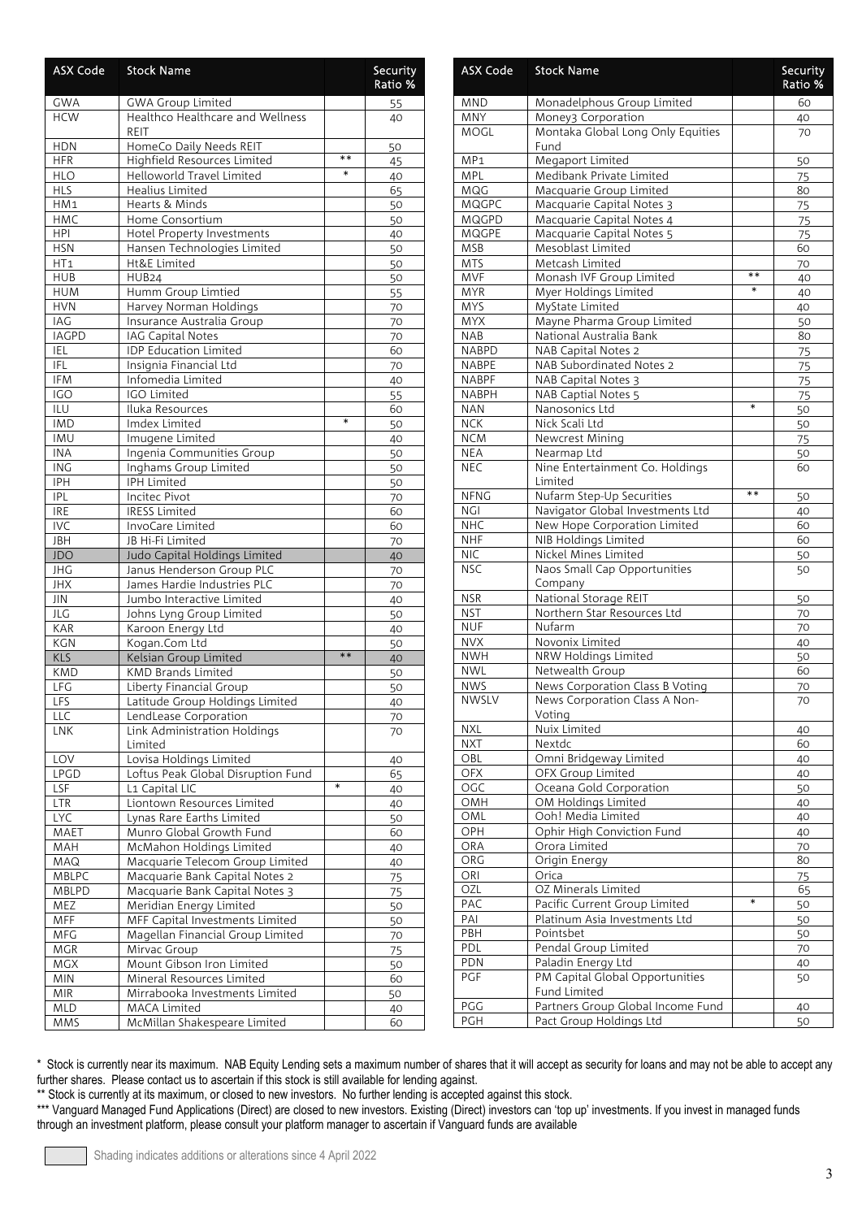| <b>ASX Code</b>          | <b>Stock Name</b>                            |        | Security<br>Ratio % | Α                       |
|--------------------------|----------------------------------------------|--------|---------------------|-------------------------|
| <b>GWA</b>               | GWA Group Limited                            |        | 55                  | N                       |
| <b>HCW</b>               | Healthco Healthcare and Wellness<br>REIT     |        | 40                  | N<br>N                  |
| <b>HDN</b>               | HomeCo Daily Needs REIT                      |        | 50                  |                         |
| <b>HFR</b>               | Highfield Resources Limited                  | **     | 45                  | N                       |
| <b>HLO</b>               | Helloworld Travel Limited                    | $\ast$ | 40                  | N                       |
| <b>HLS</b>               | Healius Limited                              |        | 65                  | N                       |
| HM1                      | Hearts & Minds                               |        | 50                  | N                       |
| <b>HMC</b>               | Home Consortium                              |        | 50                  | N                       |
| <b>HPI</b>               | Hotel Property Investments                   |        | 40                  | N                       |
| <b>HSN</b>               | Hansen Technologies Limited                  |        | 50                  | N                       |
| HT <sub>1</sub>          | Ht&E Limited                                 |        | 50                  | N                       |
| <b>HUB</b>               | HUB <sub>24</sub>                            |        | 50                  | N                       |
| <b>HUM</b><br><b>HVN</b> | Humm Group Limtied<br>Harvey Norman Holdings |        | 55                  | N<br>N                  |
| IAG                      | Insurance Australia Group                    |        | 70<br>70            | N                       |
| <b>IAGPD</b>             | IAG Capital Notes                            |        | 70                  | N                       |
| IEL                      | <b>IDP Education Limited</b>                 |        | 60                  | N                       |
| <b>IFL</b>               | Insignia Financial Ltd                       |        | 70                  | N                       |
| IFM                      | Infomedia Limited                            |        | 40                  | N                       |
| IGO                      | IGO Limited                                  |        | 55                  | $\mathsf{N}$            |
| ILU                      | Iluka Resources                              |        | 60                  | N                       |
| <b>IMD</b>               | Imdex Limited                                | $\ast$ | 50                  | $\mathsf{N}$            |
| <b>IMU</b>               | Imugene Limited                              |        | 40                  | N                       |
| <b>INA</b>               | Ingenia Communities Group                    |        | 50                  | N                       |
| <b>ING</b>               | Inghams Group Limited                        |        | 50                  | N                       |
| IPH                      | <b>IPH Limited</b>                           |        | 50                  |                         |
| <b>IPL</b>               | Incitec Pivot                                |        | 70                  | Ν                       |
| <b>IRE</b>               | <b>IRESS Limited</b>                         |        | 60                  | N                       |
| <b>IVC</b>               | InvoCare Limited                             |        | 60                  | N                       |
| <b>JBH</b>               | JB Hi-Fi Limited                             |        | 70                  | N                       |
| <b>JDO</b>               | Judo Capital Holdings Limited                |        | 40                  | N                       |
| JHG                      | Janus Henderson Group PLC                    |        | 70                  | N                       |
| <b>JHX</b>               | James Hardie Industries PLC                  |        | 70                  |                         |
| <b>JIN</b>               | Jumbo Interactive Limited                    |        | 40                  | N<br>N                  |
| JLG<br><b>KAR</b>        | Johns Lyng Group Limited                     |        | 50                  | $\mathsf{N}$            |
| <b>KGN</b>               | Karoon Energy Ltd<br>Kogan.Com Ltd           |        | 40                  | $\mathsf{N}$            |
| KLS                      | Kelsian Group Limited                        | $**$   | 50                  | $\mathsf{N}$            |
| <b>KMD</b>               | <b>KMD Brands Limited</b>                    |        | 40<br>50            | $\mathsf{N}$            |
| <b>LFG</b>               | Liberty Financial Group                      |        | 50                  | $\overline{\mathsf{N}}$ |
| <b>LFS</b>               | Latitude Group Holdings Limited              |        | 40                  | N                       |
| LLC                      | LendLease Corporation                        |        | 70                  |                         |
| <b>LNK</b>               | Link Administration Holdings                 |        | 70                  | N                       |
|                          | Limited                                      |        |                     | Ν                       |
| LOV                      | Lovisa Holdings Limited                      |        | 40                  | $\circ$                 |
| <b>LPGD</b>              | Loftus Peak Global Disruption Fund           |        | 65                  | 0                       |
| LSF                      | L1 Capital LIC                               | $\ast$ | 40                  | 0                       |
| <b>LTR</b>               | Liontown Resources Limited                   |        | 40                  | $\circ$                 |
| <b>LYC</b>               | Lynas Rare Earths Limited                    |        | 50                  | $\circ$                 |
| MAET                     | Munro Global Growth Fund                     |        | 60                  | $\circ$                 |
| MAH                      | McMahon Holdings Limited                     |        | 40                  | $\circ$                 |
| MAQ                      | Macquarie Telecom Group Limited              |        | 40                  | $\circ$                 |
| MBLPC                    | Macquarie Bank Capital Notes 2               |        | 75                  | 0                       |
| MBLPD                    | Macquarie Bank Capital Notes 3               |        | 75                  | 0                       |
| MEZ                      | Meridian Energy Limited                      |        | 50                  | P                       |
| MFF                      | MFF Capital Investments Limited              |        | 50                  | P <sub>1</sub>          |
| MFG                      | Magellan Financial Group Limited             |        | 70                  | $\mathsf{P}$            |
| <b>MGR</b>               | Mirvac Group                                 |        | 75                  | P                       |
| <b>MGX</b>               | Mount Gibson Iron Limited                    |        | 50                  | $\mathsf{P}$<br>P(      |
| $\overline{M}$ IN        | Mineral Resources Limited                    |        | 60                  |                         |
| <b>MIR</b>               | Mirrabooka Investments Limited               |        | 50                  | P                       |
| MLD<br>MMS               | MACA Limited<br>McMillan Shakespeare Limited |        | 40<br>60            | P                       |
|                          |                                              |        |                     |                         |

| <b>ASX Code</b>          | <b>Stock Name</b>                                     |         | Security<br>Ratio % |
|--------------------------|-------------------------------------------------------|---------|---------------------|
| MND                      | Monadelphous Group Limited                            |         | 60                  |
| MNY                      | Money3 Corporation                                    |         | 40                  |
| MOGL                     | Montaka Global Long Only Equities<br>Fund             |         | 70                  |
| MP <sub>1</sub>          | <b>Megaport Limited</b>                               |         | 50                  |
| <b>MPL</b>               | Medibank Private Limited                              |         | 75                  |
| MQG                      | Macquarie Group Limited                               |         | 80                  |
| <b>MQGPC</b>             | Macquarie Capital Notes 3                             |         | 75                  |
| MQGPD                    | Macquarie Capital Notes 4                             |         | 75                  |
| <b>MQGPE</b>             | Macquarie Capital Notes 5                             |         | 75                  |
| <b>MSB</b>               | Mesoblast Limited                                     |         | 60                  |
| <b>MTS</b>               | Metcash Limited                                       |         | 70                  |
| <b>MVF</b>               | Monash IVF Group Limited                              | **<br>* | 40                  |
| <b>MYR</b>               | Myer Holdings Limited                                 |         | 40                  |
| <b>MYS</b><br><b>MYX</b> | MyState Limited                                       |         | 40                  |
| <b>NAB</b>               | Mayne Pharma Group Limited<br>National Australia Bank |         | 50<br>80            |
| <b>NABPD</b>             | NAB Capital Notes 2                                   |         | 75                  |
| <b>NABPE</b>             | NAB Subordinated Notes 2                              |         | 75                  |
| <b>NABPF</b>             | NAB Capital Notes 3                                   |         | 75                  |
| <b>NABPH</b>             | NAB Captial Notes 5                                   |         | 75                  |
| <b>NAN</b>               | Nanosonics Ltd                                        | $\ast$  | 50                  |
| NCK                      | Nick Scali Ltd                                        |         | 50                  |
| <b>NCM</b>               | Newcrest Mining                                       |         | 75                  |
| <b>NEA</b>               | Nearmap Ltd                                           |         | 50                  |
| <b>NEC</b>               | Nine Entertainment Co. Holdings                       |         | 60                  |
|                          | Limited                                               |         |                     |
| <b>NFNG</b>              | Nufarm Step-Up Securities                             | **      | 50                  |
| NGI                      | Navigator Global Investments Ltd                      |         | 40                  |
| <b>NHC</b>               | New Hope Corporation Limited                          |         | 60                  |
| <b>NHF</b>               | NIB Holdings Limited                                  |         | 60                  |
| <b>NIC</b>               | Nickel Mines Limited                                  |         | 50                  |
| <b>NSC</b>               | Naos Small Cap Opportunities<br>Company               |         | 50                  |
| <b>NSR</b>               | National Storage REIT                                 |         | 50                  |
| <b>NST</b>               | Northern Star Resources Ltd                           |         | 70                  |
| <b>NUF</b>               | Nufarm                                                |         | 70                  |
| <b>NVX</b>               | Novonix Limited                                       |         | 40                  |
| <b>NWH</b>               | NRW Holdings Limited                                  |         | 50                  |
| <b>NWL</b>               | Netwealth Group                                       |         | 60                  |
| <b>NWS</b>               | News Corporation Class B Voting                       |         | 70                  |
| <b>NWSLV</b>             | News Corporation Class A Non-                         |         | 70                  |
|                          | Voting                                                |         |                     |
| NXL                      | Nuix Limited                                          |         | 40                  |
| <b>NXT</b><br>OBL        | Nextdc<br>Omni Bridgeway Limited                      |         | 60                  |
| <b>OFX</b>               | OFX Group Limited                                     |         | 40<br>40            |
| OGC                      | Oceana Gold Corporation                               |         | 50                  |
| OMH                      | OM Holdings Limited                                   |         | 40                  |
| OML                      | Ooh! Media Limited                                    |         | 40                  |
| OPH                      | Ophir High Conviction Fund                            |         | 40                  |
| ORA                      | Orora Limited                                         |         | 70                  |
| ORG                      | Origin Energy                                         |         | 80                  |
| ORI                      | Orica                                                 |         | 75                  |
| OZL                      | OZ Minerals Limited                                   |         | 65                  |
| PAC                      | Pacific Current Group Limited                         | $\ast$  | 50                  |
| PAI                      | Platinum Asia Investments Ltd                         |         | 50                  |
| PBH                      | Pointsbet                                             |         | 50                  |
| PDL                      | Pendal Group Limited                                  |         | 70                  |
| PDN                      | Paladin Energy Ltd                                    |         | 40                  |
| PGF                      | PM Capital Global Opportunities<br>Fund Limited       |         | 50                  |
| PGG                      | Partners Group Global Income Fund                     |         | 40                  |
| <b>PGH</b>               | Pact Group Holdings Ltd                               |         | 50                  |

\*\* Stock is currently at its maximum, or closed to new investors. No further lending is accepted against this stock.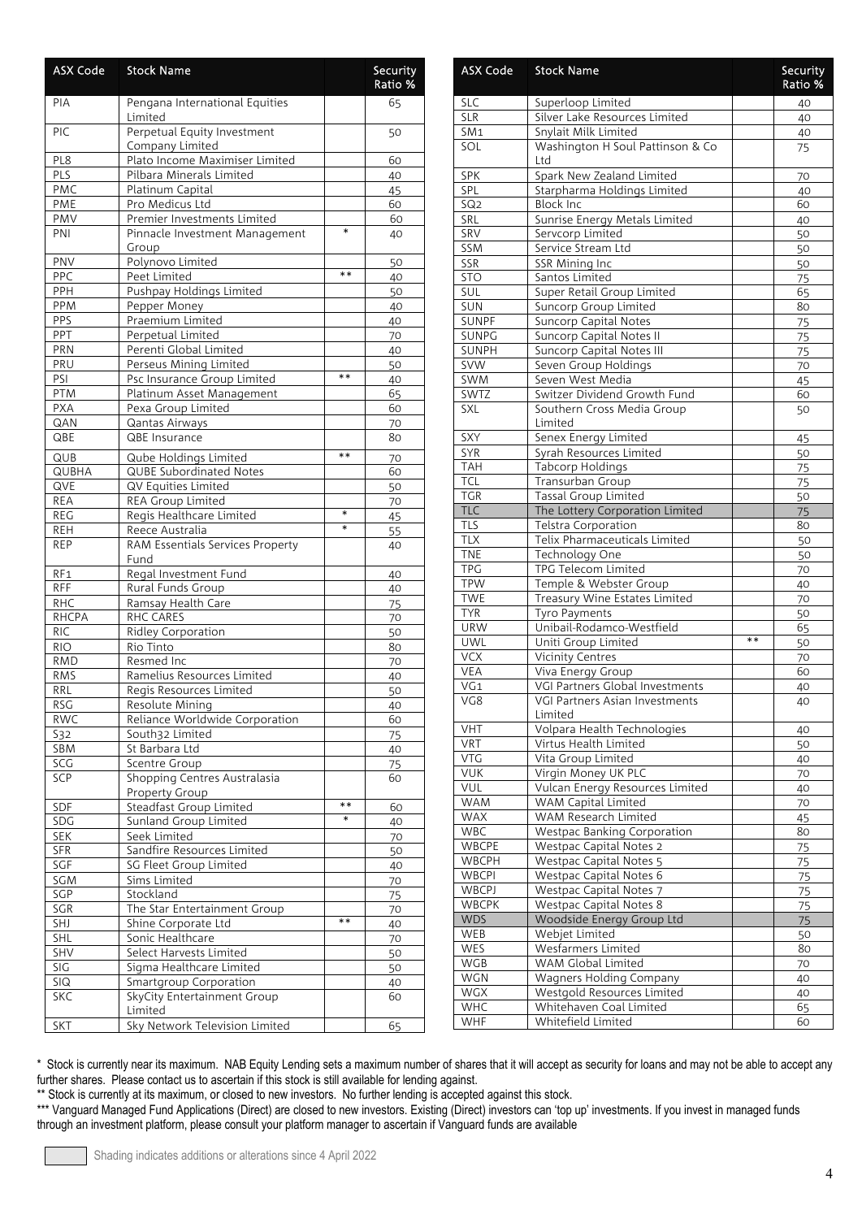| <b>ASX Code</b>   | <b>Stock Name</b>                               |        | Security<br>Ratio % |
|-------------------|-------------------------------------------------|--------|---------------------|
| PIA               | Pengana International Equities<br>Limited       |        | 65                  |
| PIC               | Perpetual Equity Investment<br>Company Limited  |        | 50                  |
| PL8               | Plato Income Maximiser Limited                  |        | 60                  |
| PLS               | Pilbara Minerals Limited                        |        | 40                  |
| PMC               | Platinum Capital                                |        | 45                  |
| PME               | Pro Medicus Ltd                                 |        | 60                  |
| PMV               | Premier Investments Limited                     |        | 60                  |
| PNI               | Pinnacle Investment Management<br>Group         | $\ast$ | 40                  |
| PNV               | Polynovo Limited                                |        | 50                  |
| PPC               | Peet Limited                                    | $* *$  | 40                  |
| PPH               | Pushpay Holdings Limited                        |        | 50                  |
| PPM               | Pepper Money                                    |        | 40                  |
| PPS               | Praemium Limited                                |        | 40                  |
| PPT               | Perpetual Limited                               |        | 70                  |
| PRN               | Perenti Global Limited                          |        | 40                  |
| PRU               | Perseus Mining Limited                          |        | 50                  |
| PSI               | Psc Insurance Group Limited                     | $**$   | 40                  |
| <b>PTM</b>        | Platinum Asset Management                       |        | 65                  |
| <b>PXA</b>        | Pexa Group Limited                              |        | 60                  |
| QAN               | Qantas Airways                                  |        | 70                  |
| QBE               | QBE Insurance                                   |        | 80                  |
|                   |                                                 |        |                     |
| QUB               | Qube Holdings Limited                           | **     | 70                  |
| <b>QUBHA</b>      | <b>QUBE Subordinated Notes</b>                  |        | 60                  |
| QVE               | QV Equities Limited                             |        | 50                  |
| <b>REA</b>        | REA Group Limited                               |        | 70                  |
| <b>REG</b>        | Regis Healthcare Limited                        | *      | 45                  |
| <b>REH</b>        | Reece Australia                                 | $\ast$ | 55                  |
| <b>REP</b>        | <b>RAM Essentials Services Property</b><br>Fund |        | 40                  |
| RF <sub>1</sub>   | Regal Investment Fund                           |        | 40                  |
| <b>RFF</b>        | Rural Funds Group                               |        | 40                  |
| <b>RHC</b>        | Ramsay Health Care                              |        | 75                  |
| <b>RHCPA</b>      | RHC CARES                                       |        | 70                  |
| <b>RIC</b>        | Ridley Corporation                              |        | 50                  |
| <b>RIO</b>        | Rio Tinto                                       |        | 80                  |
| <b>RMD</b>        | Resmed Inc                                      |        | 70                  |
| <b>RMS</b>        | Ramelius Resources Limited                      |        | 40                  |
| RRL               | Regis Resources Limited                         |        | 50                  |
| <b>RSG</b>        | Resolute Mining                                 |        | 40                  |
| <b>RWC</b>        | Reliance Worldwide Corporation                  |        | 60                  |
| S32               | South32 Limited                                 |        |                     |
| SBM               | St Barbara Ltd                                  |        | 75                  |
| $SC\overline{G}$  | Scentre Group                                   |        | 40                  |
| SCP               | Shopping Centres Australasia                    |        | 75                  |
|                   |                                                 |        | 60                  |
| SDF               | Property Group<br>Steadfast Group Limited       | **     | 60                  |
|                   |                                                 | $\ast$ |                     |
| SDG<br><b>SEK</b> | Sunland Group Limited<br>Seek Limited           |        | 40                  |
| <b>SFR</b>        | Sandfire Resources Limited                      |        | 70                  |
|                   |                                                 |        | 50                  |
| SGF               | SG Fleet Group Limited                          |        | 40                  |
| SGM               | Sims Limited                                    |        | 70                  |
| SGP               | Stockland                                       |        | 75                  |
| SGR               | The Star Entertainment Group                    |        | 70                  |
| SHJ               | Shine Corporate Ltd                             | $**$   | 40                  |
| SHL               | Sonic Healthcare                                |        | 70                  |
| SHV               | Select Harvests Limited                         |        | 50                  |
| SIG               | Sigma Healthcare Limited                        |        | 50                  |
| <b>SIQ</b>        | <b>Smartgroup Corporation</b>                   |        | 40                  |
| <b>SKC</b>        | SkyCity Entertainment Group                     |        | 60                  |
|                   | Limited                                         |        |                     |
| <b>SKT</b>        | Sky Network Television Limited                  |        | 65                  |

| <b>ASX Code</b>          | <b>Stock Name</b>                                      |      | Security<br>Ratio % |
|--------------------------|--------------------------------------------------------|------|---------------------|
| <b>SLC</b>               | Superloop Limited                                      |      | 40                  |
| <b>SLR</b>               | Silver Lake Resources Limited                          |      | 40                  |
| SM <sub>1</sub>          | Snylait Milk Limited                                   |      | 40                  |
| SOL                      | Washington H Soul Pattinson & Co<br>Ltd                |      | 75                  |
| SPK                      | Spark New Zealand Limited                              |      | 70                  |
| SPL                      | Starpharma Holdings Limited                            |      | 40                  |
| SQ <sub>2</sub>          | <b>Block Inc</b>                                       |      | 60                  |
| SRL                      | Sunrise Energy Metals Limited                          |      | 40                  |
| SRV                      | Servcorp Limited                                       |      | 50                  |
| SSM<br><b>SSR</b>        | Service Stream Ltd<br>SSR Mining Inc                   |      | 50<br>50            |
| <b>STO</b>               | Santos Limited                                         |      | 75                  |
| SUL                      | Super Retail Group Limited                             |      | 65                  |
| SUN                      | Suncorp Group Limited                                  |      | 80                  |
| <b>SUNPF</b>             | Suncorp Capital Notes                                  |      | 75                  |
| SUNPG                    | Suncorp Capital Notes II                               |      | 75                  |
| <b>SUNPH</b>             | <b>Suncorp Capital Notes III</b>                       |      | 75                  |
| <b>SVW</b>               | Seven Group Holdings                                   |      | 70                  |
| SWM                      | Seven West Media                                       |      | 45                  |
| SWTZ                     | Switzer Dividend Growth Fund                           |      | 60                  |
| SXL                      | Southern Cross Media Group<br>Limited                  |      | 50                  |
| SXY                      | Senex Energy Limited                                   |      | 45                  |
| <b>SYR</b>               | Syrah Resources Limited                                |      | 50                  |
| <b>TAH</b>               | Tabcorp Holdings                                       |      | 75                  |
| <b>TCL</b>               | Transurban Group                                       |      | 75                  |
| <b>TGR</b>               | <b>Tassal Group Limited</b>                            |      | 50                  |
| <b>TLC</b>               | The Lottery Corporation Limited                        |      | 75                  |
| <b>TLS</b>               | Telstra Corporation                                    |      | 80                  |
| <b>TLX</b>               | Telix Pharmaceuticals Limited                          |      | 50                  |
| <b>TNE</b>               | Technology One                                         |      | 50                  |
| <b>TPG</b>               | TPG Telecom Limited                                    |      | 70                  |
| <b>TPW</b>               | Temple & Webster Group                                 |      | 40                  |
| <b>TWE</b>               | Treasury Wine Estates Limited                          |      | 70                  |
| <b>TYR</b><br><b>URW</b> | Tyro Payments<br>Unibail-Rodamco-Westfield             |      | 50<br>65            |
| UWL                      | Uniti Group Limited                                    | $**$ | 50                  |
| <b>VCX</b>               | <b>Vicinity Centres</b>                                |      | 70                  |
| <b>VEA</b>               | Viva Energy Group                                      |      | 60                  |
| VG1                      | VGI Partners Global Investments                        |      | 40                  |
| VG8                      | VGI Partners Asian Investments                         |      | 40                  |
|                          | Limited                                                |      |                     |
| <b>VHT</b>               | Volpara Health Technologies                            |      | 40                  |
| VRT                      | Virtus Health Limited                                  |      | 50                  |
| <b>VTG</b>               | Vita Group Limited                                     |      | 40                  |
| <b>VUK</b>               | Virgin Money UK PLC                                    |      | 70                  |
| VUL<br><b>WAM</b>        | Vulcan Energy Resources Limited<br>WAM Capital Limited |      | 40                  |
| <b>WAX</b>               | WAM Research Limited                                   |      | 70<br>45            |
| <b>WBC</b>               | Westpac Banking Corporation                            |      | 80                  |
| WBCPE                    | Westpac Capital Notes 2                                |      | 75                  |
| <b>WBCPH</b>             | Westpac Capital Notes 5                                |      | 75                  |
| <b>WBCPI</b>             | Westpac Capital Notes 6                                |      | 75                  |
| WBCPJ                    | Westpac Capital Notes 7                                |      | 75                  |
| <b>WBCPK</b>             | Westpac Capital Notes 8                                |      | 75                  |
| <b>WDS</b>               | Woodside Energy Group Ltd                              |      | 75                  |
| WEB                      | Webjet Limited                                         |      | 50                  |
| WES                      | Wesfarmers Limited                                     |      | 80                  |
| WGB                      | WAM Global Limited                                     |      | 70                  |
| WGN                      | Wagners Holding Company                                |      | 40                  |
| <b>WGX</b>               | Westgold Resources Limited                             |      | 40                  |
| <b>WHC</b>               | Whitehaven Coal Limited                                |      | 65                  |
| WHF                      | Whitefield Limited                                     |      | 60                  |

\*\* Stock is currently at its maximum, or closed to new investors. No further lending is accepted against this stock.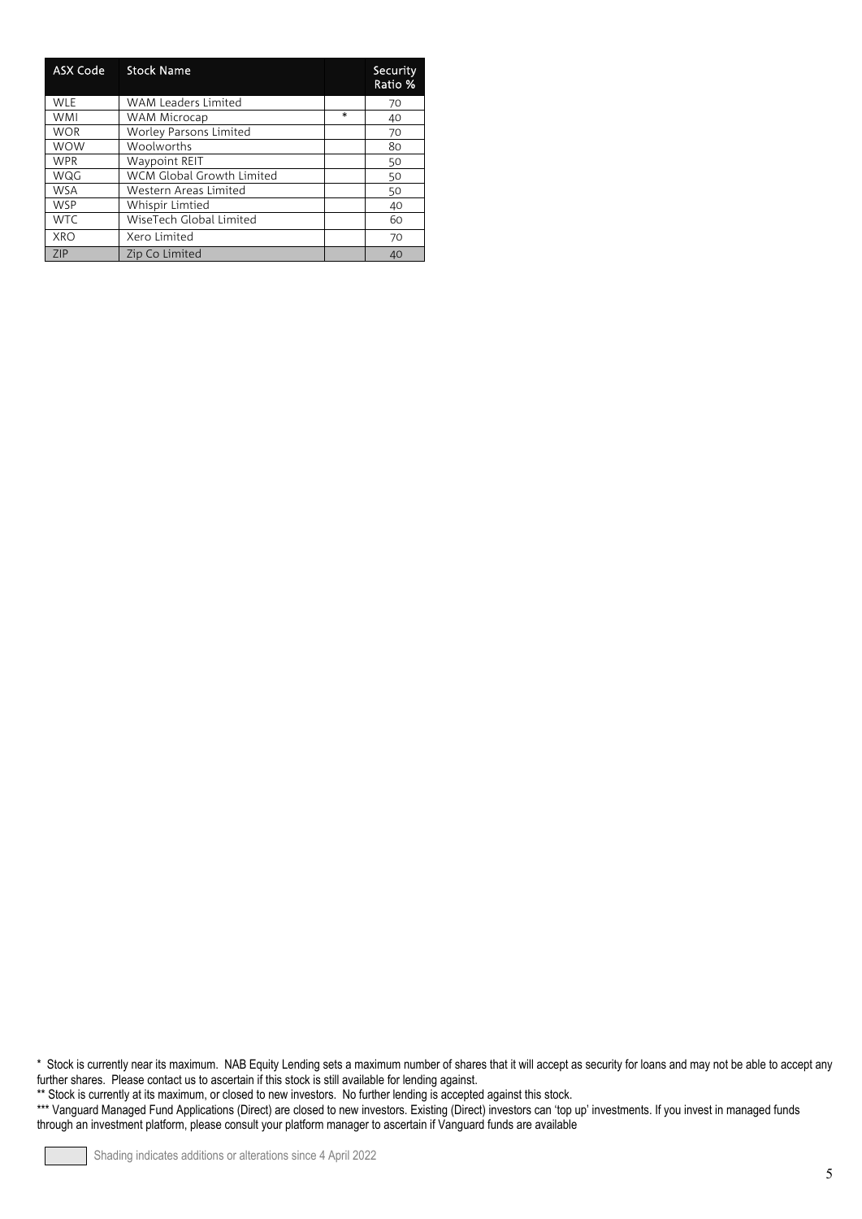| <b>ASX Code</b> | <b>Stock Name</b>                |         | Security<br>Ratio % |
|-----------------|----------------------------------|---------|---------------------|
| <b>WLE</b>      | <b>WAM Leaders Limited</b>       |         | 70                  |
| <b>WMI</b>      | WAM Microcap                     | $\star$ | 40                  |
| <b>WOR</b>      | Worley Parsons Limited           |         | 70                  |
| <b>WOW</b>      | <b>Woolworths</b>                |         | 80                  |
| <b>WPR</b>      | <b>Waypoint REIT</b>             |         | 50                  |
| WQG             | <b>WCM Global Growth Limited</b> |         | 50                  |
| <b>WSA</b>      | Western Areas Limited            |         | 50                  |
| <b>WSP</b>      | Whispir Limtied                  |         | 40                  |
| <b>WTC</b>      | WiseTech Global Limited          |         | 60                  |
| XRO             | Xero Limited                     |         | 70                  |
| 7IP             | Zip Co Limited                   |         | 40                  |

\*\* Stock is currently at its maximum, or closed to new investors. No further lending is accepted against this stock.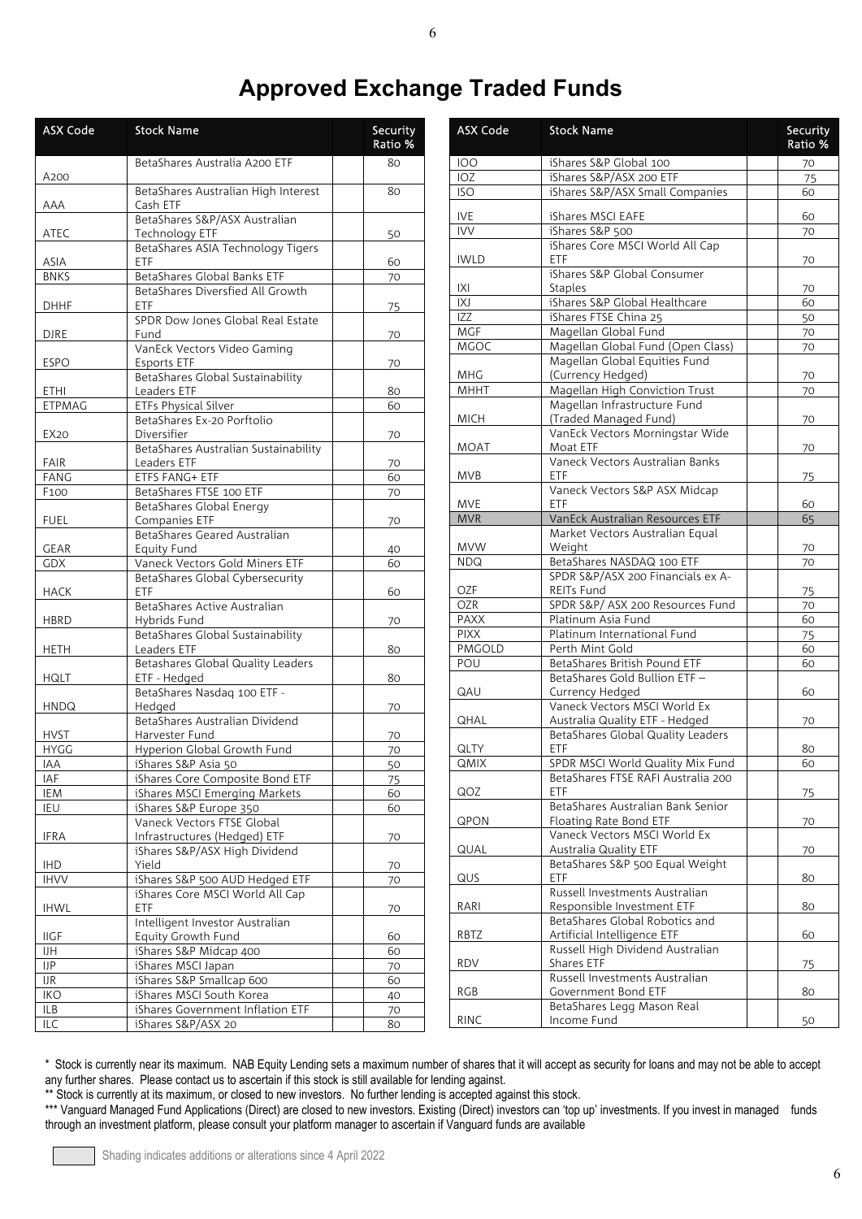## **Approved Exchange Traded Funds**

| <b>ASX Code</b>    | <b>Stock Name</b>                                     | Security<br>Ratio % |
|--------------------|-------------------------------------------------------|---------------------|
| A200               | BetaShares Australia A200 ETF                         | 80                  |
| AAA                | BetaShares Australian High Interest<br>Cash ETF       | 80                  |
| ATEC               | BetaShares S&P/ASX Australian<br>Technology ETF       | 50                  |
| ASIA               | BetaShares ASIA Technology Tigers<br>ETF              | 60                  |
| <b>BNKS</b>        | BetaShares Global Banks ETF                           | 70                  |
| <b>DHHF</b>        | BetaShares Diversfied All Growth<br>ETF               | 75                  |
| <b>DJRE</b>        | SPDR Dow Jones Global Real Estate<br>Fund             | 70                  |
| <b>ESPO</b>        | VanEck Vectors Video Gaming<br>Esports ETF            | 70                  |
|                    | BetaShares Global Sustainability                      |                     |
| ETHI               | Leaders ETF                                           | 80                  |
| <b>ETPMAG</b>      | <b>ETFs Physical Silver</b>                           | 60                  |
| EX20               | BetaShares Ex-20 Porftolio<br>Diversifier             | 70                  |
|                    | BetaShares Australian Sustainability                  |                     |
| FAIR               | Leaders ETF                                           | 70                  |
| <b>FANG</b>        | ETFS FANG+ ETF                                        | 60                  |
| F <sub>100</sub>   | BetaShares FTSE 100 ETF                               | 70                  |
| <b>FUEL</b>        | BetaShares Global Energy<br>Companies ETF             | 70                  |
| <b>GEAR</b>        | BetaShares Geared Australian<br>Equity Fund           | 40                  |
| <b>GDX</b>         | Vaneck Vectors Gold Miners ETF                        | 60                  |
| HACK               | BetaShares Global Cybersecurity<br>ETF.               | 60                  |
|                    | BetaShares Active Australian                          |                     |
| <b>HBRD</b>        | Hybrids Fund<br>BetaShares Global Sustainability      | 70                  |
| <b>HETH</b>        | Leaders ETF                                           | 80                  |
| HQLT               | Betashares Global Quality Leaders<br>ETF - Hedged     | 80                  |
| <b>HNDQ</b>        | BetaShares Nasdaq 100 ETF -<br>Hedged                 | 70                  |
|                    | BetaShares Australian Dividend                        |                     |
| <b>HVST</b>        | Harvester Fund                                        | 70                  |
| <b>HYGG</b><br>IAA | Hyperion Global Growth Fund<br>iShares S&P Asia 50    | 70<br>50            |
| IAF                | iShares Core Composite Bond ETF                       | 75                  |
| IEM                | iShares MSCI Emerging Markets                         | 60                  |
| IEU                | iShares S&P Europe 350                                | 60                  |
|                    | Vaneck Vectors FTSE Global                            |                     |
| IFRA               | Infrastructures (Hedged) ETF                          | 70                  |
| IHD                | iShares S&P/ASX High Dividend<br>Yield                | 70                  |
| <b>IHVV</b>        | iShares S&P 500 AUD Hedged ETF                        | 70                  |
|                    | iShares Core MSCI World All Cap                       |                     |
| <b>IHWL</b>        | ETF                                                   | 70                  |
| <b>IIGF</b>        | Intelligent Investor Australian<br>Equity Growth Fund | 60                  |
| IJH                | iShares S&P Midcap 400                                | 60                  |
| <b>IJP</b>         | iShares MSCI Japan                                    | 70                  |
| IJR                | iShares S&P Smallcap 600                              | 60                  |
| <b>IKO</b>         | iShares MSCI South Korea                              | 40                  |
| ILB                | iShares Government Inflation ETF                      | 70                  |
| ILC                | iShares S&P/ASX 20                                    | 80                  |

| <b>ASX Code</b> | <b>Stock Name</b>                                     | Security<br>Ratio % |
|-----------------|-------------------------------------------------------|---------------------|
| <b>IOO</b>      | iShares S&P Global 100                                | 70                  |
| IOZ             | iShares S&P/ASX 200 ETF                               | 75                  |
| <b>ISO</b>      | iShares S&P/ASX Small Companies                       | 60                  |
| <b>IVE</b>      | iShares MSCI EAFE                                     | 60                  |
| <b>IVV</b>      | iShares S&P 500                                       | 70                  |
|                 | iShares Core MSCI World All Cap                       |                     |
| <b>IWLD</b>     | <b>ETF</b>                                            | 70                  |
| X               | iShares S&P Global Consumer<br><b>Staples</b>         | 70                  |
| IXJ             | iShares S&P Global Healthcare                         | 60                  |
| IZZ             | iShares FTSE China 25                                 | 50                  |
| MGF             | Magellan Global Fund                                  | 70                  |
| MGOC            | Magellan Global Fund (Open Class)                     | 70                  |
|                 | Magellan Global Equities Fund                         |                     |
| MHG             | (Currency Hedged)                                     | 70                  |
| MHHT            | Magellan High Conviction Trust                        | 70                  |
|                 | Magellan Infrastructure Fund                          |                     |
| <b>MICH</b>     | (Traded Managed Fund)                                 | 70                  |
|                 | VanEck Vectors Morningstar Wide                       |                     |
| <b>MOAT</b>     | Moat ETF<br>Vaneck Vectors Australian Banks           | 70                  |
| <b>MVB</b>      | ETF                                                   | 75                  |
|                 | Vaneck Vectors S&P ASX Midcap                         |                     |
| MVE             | FTF                                                   | 60                  |
| <b>MVR</b>      | VanEck Australian Resources ETF                       | 65                  |
|                 | Market Vectors Australian Equal                       |                     |
| <b>MVW</b>      | Weight                                                | 70                  |
| <b>NDQ</b>      | BetaShares NASDAQ 100 ETF                             | 70                  |
|                 | SPDR S&P/ASX 200 Financials ex A-                     |                     |
| OZF             | REITs Fund                                            | 75                  |
| <b>OZR</b>      | SPDR S&P/ ASX 200 Resources Fund                      | 70                  |
| <b>PAXX</b>     | Platinum Asia Fund                                    | 60                  |
| <b>PIXX</b>     | Platinum International Fund                           | 75                  |
| PMGOLD<br>POU   | Perth Mint Gold<br>BetaShares British Pound ETF       | 60                  |
|                 | BetaShares Gold Bullion ETF -                         | 60                  |
| QAU             | Currency Hedged                                       | 60                  |
|                 | Vaneck Vectors MSCI World Ex                          |                     |
| QHAL            | Australia Quality ETF - Hedged                        | 70                  |
|                 | BetaShares Global Quality Leaders                     |                     |
| QLTY            | ETF                                                   | 80                  |
| <b>QMIX</b>     | SPDR MSCI World Quality Mix Fund                      | 60                  |
|                 | BetaShares FTSE RAFI Australia 200                    |                     |
| QOZ             | <b>ETF</b>                                            | 75                  |
|                 | BetaShares Australian Bank Senior                     |                     |
| QPON            | Floating Rate Bond ETF                                | 70                  |
| QUAL            | Vaneck Vectors MSCI World Ex<br>Australia Quality ETF |                     |
|                 | BetaShares S&P 500 Equal Weight                       | 70                  |
| QUS             | <b>ETF</b>                                            | 80                  |
|                 | Russell Investments Australian                        |                     |
| RARI            | Responsible Investment ETF                            | 80                  |
|                 | BetaShares Global Robotics and                        |                     |
| RBTZ            | Artificial Intelligence ETF                           | 60                  |
|                 | Russell High Dividend Australian                      |                     |
| RDV             | Shares ETF                                            | 75                  |
|                 | Russell Investments Australian                        |                     |
| RGB             | Government Bond ETF                                   | 80                  |
|                 | BetaShares Legg Mason Real                            |                     |
| <b>RINC</b>     | Income Fund                                           | 50                  |

\* Stock is currently near its maximum. NAB Equity Lending sets a maximum number of shares that it will accept as security for loans and may not be able to accept any further shares. Please contact us to ascertain if this stock is still available for lending against.

\*\* Stock is currently at its maximum, or closed to new investors. No further lending is accepted against this stock.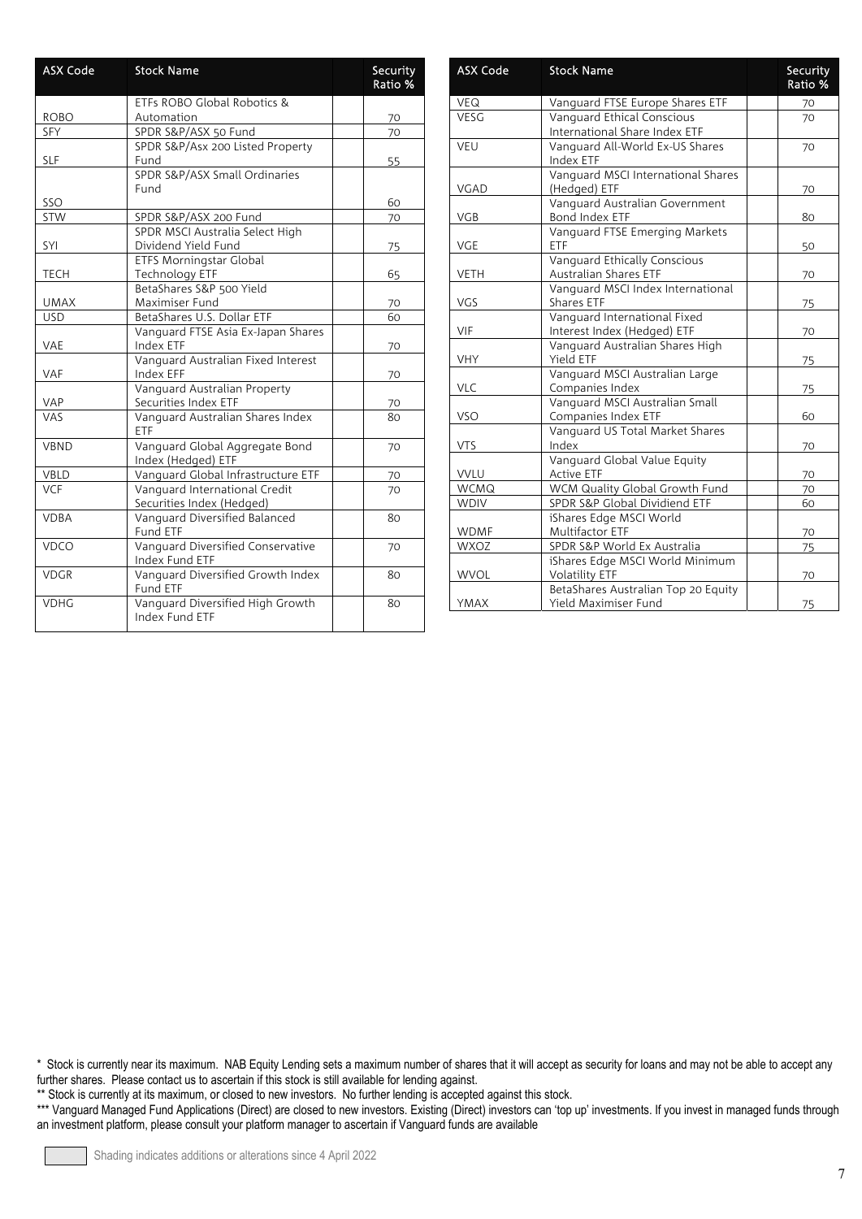| <b>ASX Code</b> | <b>Stock Name</b>                                          | Security<br>Ratio % |
|-----------------|------------------------------------------------------------|---------------------|
|                 | ETFs ROBO Global Robotics &                                |                     |
| <b>ROBO</b>     | Automation                                                 | 70                  |
| <b>SFY</b>      | SPDR S&P/ASX 50 Fund                                       | 70                  |
|                 | SPDR S&P/Asx 200 Listed Property                           |                     |
| <b>SLF</b>      | Fund                                                       | 55                  |
|                 | SPDR S&P/ASX Small Ordinaries                              |                     |
|                 | Fund                                                       |                     |
| SSO             |                                                            | 60                  |
| STW             | SPDR S&P/ASX 200 Fund                                      | 70                  |
|                 | SPDR MSCI Australia Select High                            |                     |
| SYI             | Dividend Yield Fund                                        | 75                  |
|                 | <b>ETFS Morningstar Global</b>                             |                     |
| <b>TECH</b>     | <b>Technology ETF</b>                                      | 65                  |
|                 | BetaShares S&P 500 Yield                                   |                     |
| <b>UMAX</b>     | Maximiser Fund                                             | 70                  |
| <b>USD</b>      | BetaShares U.S. Dollar ETF                                 | 60                  |
| VAE             | Vanguard FTSE Asia Ex-Japan Shares<br>Index ETF            | 70                  |
| <b>VAF</b>      | Vanguard Australian Fixed Interest<br>Index EFF            | 70                  |
|                 | Vanguard Australian Property                               |                     |
| VAP             | Securities Index ETF                                       | 70                  |
| <b>VAS</b>      | Vanguard Australian Shares Index<br>ETF                    | 80                  |
| <b>VBND</b>     | Vanguard Global Aggregate Bond<br>Index (Hedged) ETF       | 70                  |
| VBLD            | Vanguard Global Infrastructure ETF                         | 70                  |
| <b>VCF</b>      | Vanguard International Credit<br>Securities Index (Hedged) | 70                  |
| <b>VDBA</b>     | Vanguard Diversified Balanced<br>Fund ETF                  | 80                  |
| VDCO            | Vanguard Diversified Conservative<br>Index Fund ETF        | 70                  |
| <b>VDGR</b>     | Vanguard Diversified Growth Index<br>Fund ETF              | 80                  |
| <b>VDHG</b>     | Vanguard Diversified High Growth<br>Index Fund ETF         | 80                  |

| <b>ASX Code</b> | <b>Stock Name</b>                                            | <b>Security</b><br>Ratio % |
|-----------------|--------------------------------------------------------------|----------------------------|
| <b>VEQ</b>      | Vanguard FTSE Europe Shares ETF                              | 70                         |
| VESG            | Vanguard Ethical Conscious<br>International Share Index ETF  | 70                         |
| VEU             | Vanguard All-World Ex-US Shares<br>Index ETF                 | 70                         |
| VGAD            | Vanguard MSCI International Shares<br>(Hedged) ETF           | 70                         |
| <b>VGB</b>      | Vanguard Australian Government<br>Bond Index ETF             | 80                         |
| <b>VGE</b>      | Vanguard FTSE Emerging Markets<br>ETF                        | 50                         |
| <b>VETH</b>     | Vanguard Ethically Conscious<br><b>Australian Shares ETF</b> | 70                         |
| VGS             | Vanguard MSCI Index International<br>Shares ETF              | 75                         |
| VIF             | Vanguard International Fixed<br>Interest Index (Hedged) ETF  | 70                         |
| <b>VHY</b>      | Vanguard Australian Shares High<br>Yield ETF                 | 75                         |
| <b>VLC</b>      | Vanguard MSCI Australian Large<br>Companies Index            | 75                         |
| <b>VSO</b>      | Vanguard MSCI Australian Small<br>Companies Index ETF        | 60                         |
| <b>VTS</b>      | Vanguard US Total Market Shares<br>Index                     | 70                         |
| VVLU            | Vanguard Global Value Equity<br><b>Active ETF</b>            | 70                         |
| <b>WCMQ</b>     | WCM Quality Global Growth Fund                               | 70                         |
| <b>WDIV</b>     | SPDR S&P Global Dividiend ETF                                | 60                         |
| <b>WDMF</b>     | iShares Edge MSCI World<br>Multifactor ETF                   | 70                         |
| <b>WXOZ</b>     | SPDR S&P World Ex Australia                                  | 75                         |
| <b>WVOL</b>     | iShares Edge MSCI World Minimum<br><b>Volatility ETF</b>     | 70                         |
| YMAX            | BetaShares Australian Top 20 Equity<br>Yield Maximiser Fund  | 75                         |

\*\* Stock is currently at its maximum, or closed to new investors. No further lending is accepted against this stock.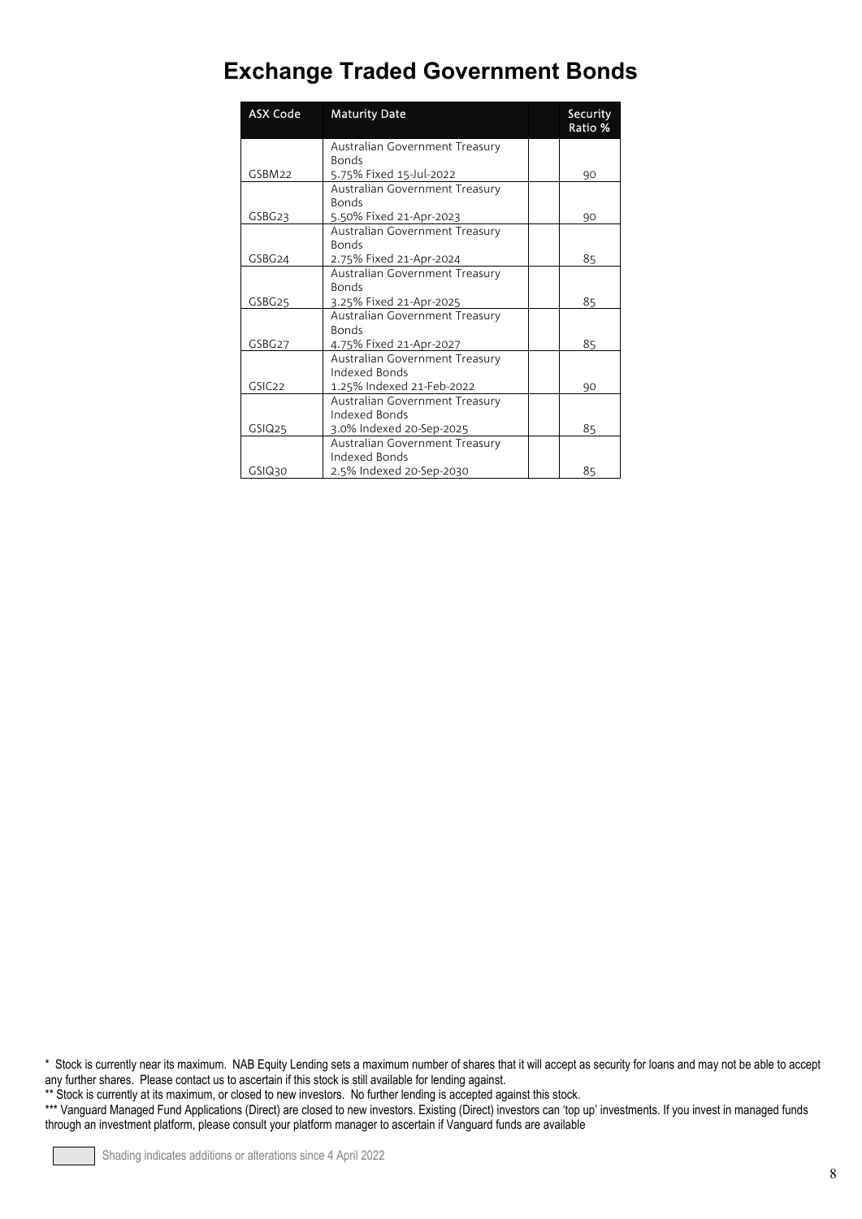## **Exchange Traded Government Bonds**

| <b>ASX Code</b>    | <b>Maturity Date</b>                                      | Security<br>Ratio % |
|--------------------|-----------------------------------------------------------|---------------------|
|                    | Australian Government Treasury                            |                     |
|                    | <b>Bonds</b>                                              |                     |
| GSBM22             | 5.75% Fixed 15-Jul-2022<br>Australian Government Treasury | 90                  |
|                    | <b>Bonds</b>                                              |                     |
| GSBG23             | 5.50% Fixed 21-Apr-2023                                   | 90                  |
|                    | Australian Government Treasury                            |                     |
|                    | <b>Bonds</b>                                              |                     |
| GSBG24             | 2.75% Fixed 21-Apr-2024                                   | 85                  |
|                    | Australian Government Treasury                            |                     |
|                    | <b>Bonds</b>                                              |                     |
| GSBG25             | 3.25% Fixed 21-Apr-2025                                   | 85                  |
|                    | Australian Government Treasury                            |                     |
|                    | <b>Bonds</b>                                              |                     |
| GSBG27             | 4.75% Fixed 21-Apr-2027                                   | 85                  |
|                    | Australian Government Treasury                            |                     |
|                    | Indexed Bonds                                             |                     |
| GSIC <sub>22</sub> | 1.25% Indexed 21-Feb-2022                                 | 90                  |
|                    | Australian Government Treasury                            |                     |
|                    | Indexed Bonds                                             |                     |
| GSIQ <sub>25</sub> | 3.0% Indexed 20-Sep-2025                                  | 85                  |
|                    | Australian Government Treasury                            |                     |
|                    | Indexed Bonds                                             |                     |
| GSIQ30             | 2.5% Indexed 20-Sep-2030                                  | 85                  |

\* Stock is currently near its maximum. NAB Equity Lending sets a maximum number of shares that it will accept as security for loans and may not be able to accept any further shares. Please contact us to ascertain if this stock is still available for lending against.

\*\* Stock is currently at its maximum, or closed to new investors. No further lending is accepted against this stock.

<sup>\*\*\*</sup> Vanguard Managed Fund Applications (Direct) are closed to new investors. Existing (Direct) investors can 'top up' investments. If you invest in managed funds through an investment platform, please consult your platform manager to ascertain if Vanguard funds are available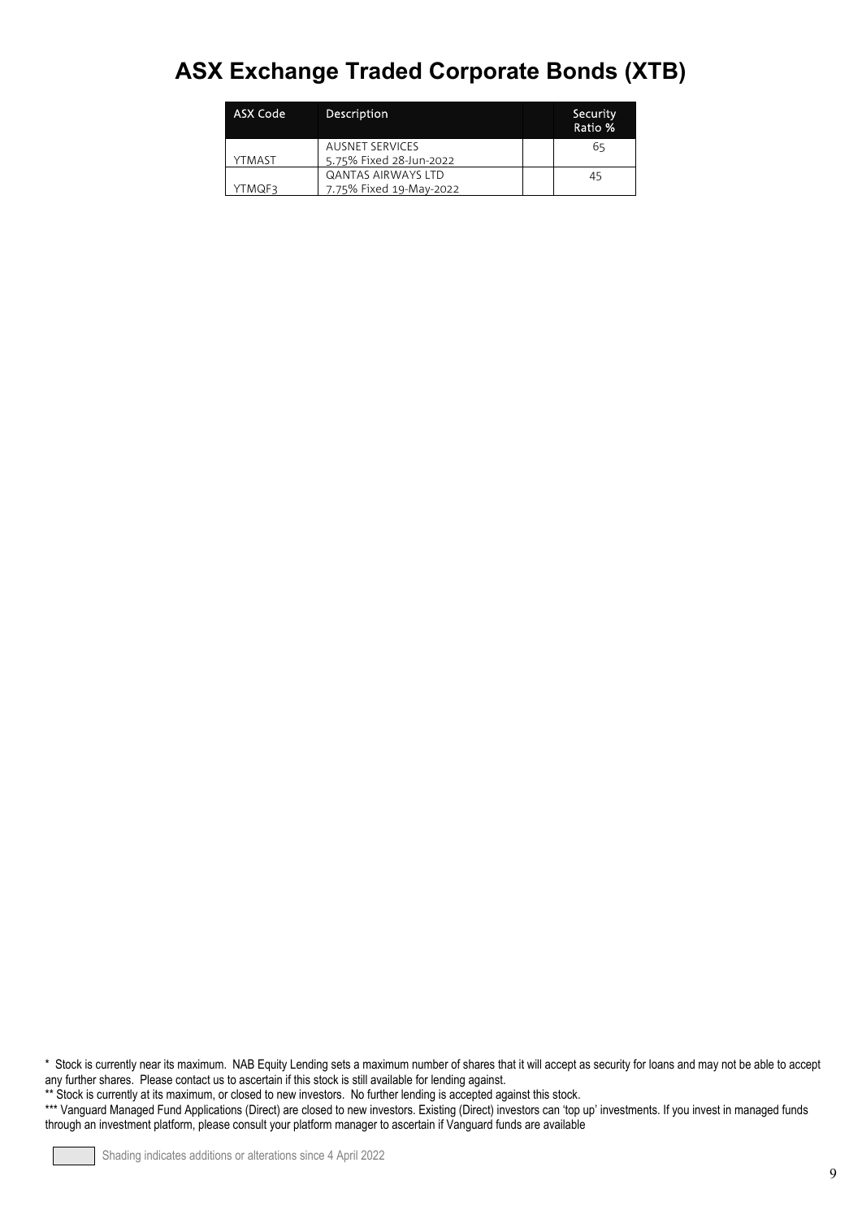## **ASX Exchange Traded Corporate Bonds (XTB)**

| ASX Code | Description               | Security<br>Ratio % |
|----------|---------------------------|---------------------|
|          | <b>AUSNET SERVICES</b>    | 65                  |
| YTMAST   | 5.75% Fixed 28-Jun-2022   |                     |
|          | <b>QANTAS AIRWAYS LTD</b> | 45                  |
| YTMQF3   | 7.75% Fixed 19-May-2022   |                     |

\* Stock is currently near its maximum. NAB Equity Lending sets a maximum number of shares that it will accept as security for loans and may not be able to accept any further shares. Please contact us to ascertain if this stock is still available for lending against.

\*\* Stock is currently at its maximum, or closed to new investors. No further lending is accepted against this stock.

<sup>\*\*\*</sup> Vanguard Managed Fund Applications (Direct) are closed to new investors. Existing (Direct) investors can 'top up' investments. If you invest in managed funds through an investment platform, please consult your platform manager to ascertain if Vanguard funds are available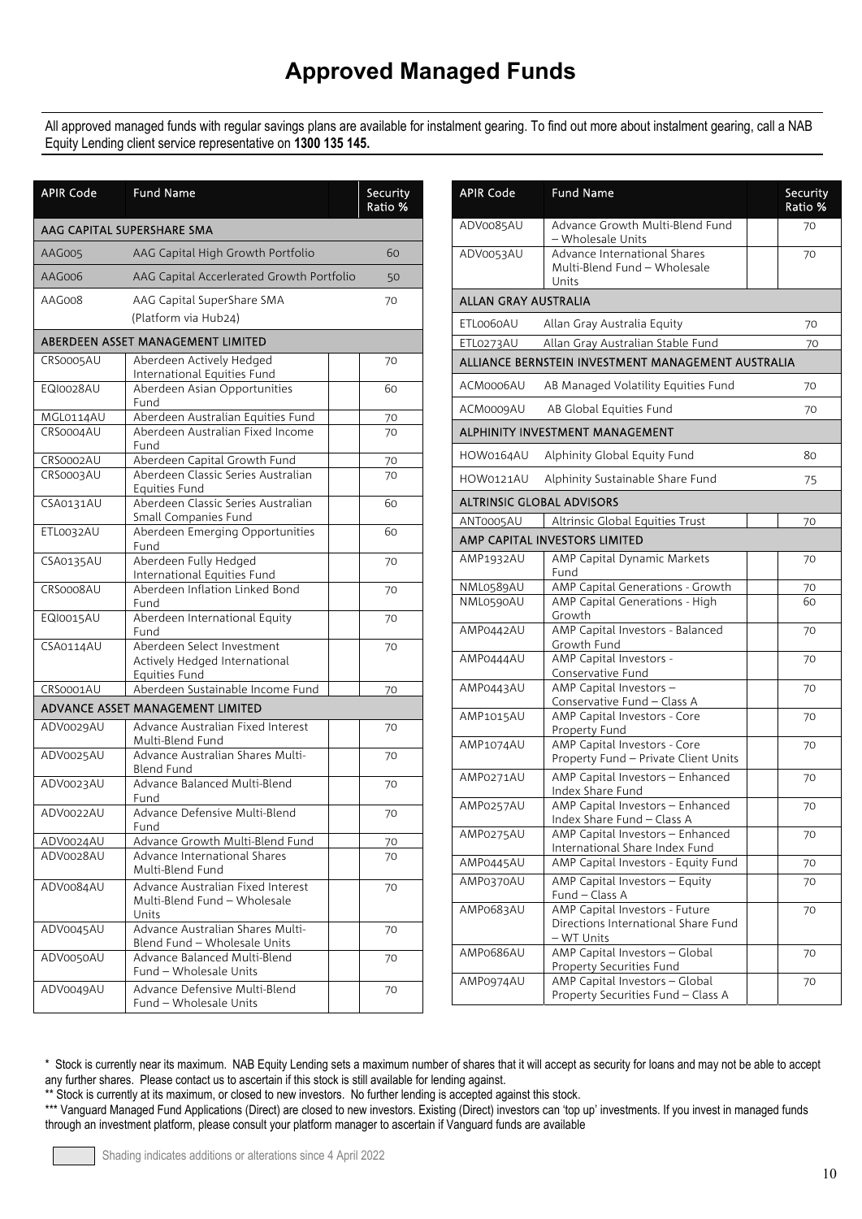All approved managed funds with regular savings plans are available for instalment gearing. To find out more about instalment gearing, call a NAB Equity Lending client service representative on **1300 135 145.**

| <b>APIR Code</b> | <b>Fund Name</b>                                                             | Security<br>Ratio % |
|------------------|------------------------------------------------------------------------------|---------------------|
|                  | AAG CAPITAL SUPERSHARE SMA                                                   |                     |
| AAG005           | AAG Capital High Growth Portfolio                                            | 60                  |
| AAG006           | AAG Capital Accerlerated Growth Portfolio                                    | 50                  |
| AAG008           | AAG Capital SuperShare SMA                                                   | 70                  |
|                  | (Platform via Hub24)                                                         |                     |
|                  | ABERDEEN ASSET MANAGEMENT LIMITED                                            |                     |
| CRS0005AU        | Aberdeen Actively Hedged<br>International Equities Fund                      | 70                  |
| EQI0028AU        | Aberdeen Asian Opportunities<br>Fund                                         | 60                  |
| MGL0114AU        | Aberdeen Australian Equities Fund                                            | 70                  |
| CRS0004AU        | Aberdeen Australian Fixed Income<br>Fund                                     | 70                  |
| CRS0002AU        | Aberdeen Capital Growth Fund                                                 | 70                  |
| CRS0003AU        | Aberdeen Classic Series Australian<br>Equities Fund                          | 70                  |
| CSA0131AU        | Aberdeen Classic Series Australian<br>Small Companies Fund                   | 60                  |
| ETL0032AU        | Aberdeen Emerging Opportunities<br>Fund                                      | 60                  |
| CSA0135AU        | Aberdeen Fully Hedged<br>International Equities Fund                         | 70                  |
| CRS0008AU        | Aberdeen Inflation Linked Bond<br>Fund                                       | 70                  |
| EQI0015AU        | Aberdeen International Equity<br>Fund                                        | 70                  |
| CSA0114AU        | Aberdeen Select Investment<br>Actively Hedged International<br>Equities Fund | 70                  |
| CRS0001AU        | Aberdeen Sustainable Income Fund                                             | 70                  |
|                  | ADVANCE ASSET MANAGEMENT LIMITED                                             |                     |
| ADV0029AU        | Advance Australian Fixed Interest<br>Multi-Blend Fund                        | 70                  |
| ADV0025AU        | Advance Australian Shares Multi-<br><b>Blend Fund</b>                        | 70                  |
| ADV0023AU        | Advance Balanced Multi-Blend<br>Fund                                         | 70                  |
| ADV0022AU        | Advance Defensive Multi-Blend<br>Fund                                        | 70                  |
| ADV0024AU        | Advance Growth Multi-Blend Fund                                              | 70                  |
| ADV0028AU        | Advance International Shares<br>Multi-Blend Fund                             | 70                  |
| ADV0084AU        | Advance Australian Fixed Interest<br>Multi-Blend Fund - Wholesale<br>Units   | 70                  |
| ADV0045AU        | Advance Australian Shares Multi-<br>Blend Fund - Wholesale Units             | 70                  |
| ADV0050AU        | Advance Balanced Multi-Blend<br>Fund - Wholesale Units                       | 70                  |
| ADV0049AU        | Advance Defensive Multi-Blend<br>Fund - Wholesale Units                      | 70                  |

| <b>APIR Code</b>     | <b>Fund Name</b>                                                                    | Security<br>Ratio % |
|----------------------|-------------------------------------------------------------------------------------|---------------------|
| ADV0085AU            | Advance Growth Multi-Blend Fund<br>- Wholesale Units                                | 70                  |
| ADV0053AU            | Advance International Shares<br>Multi-Blend Fund - Wholesale<br>Units               | 70                  |
| ALLAN GRAY AUSTRALIA |                                                                                     |                     |
| ETL0060AU            | Allan Gray Australia Equity                                                         | 70                  |
| ETL0273AU            | Allan Gray Australian Stable Fund                                                   | 70                  |
|                      | ALLIANCE BERNSTEIN INVESTMENT MANAGEMENT AUSTRALIA                                  |                     |
| ACM0006AU            | AB Managed Volatility Equities Fund                                                 | 70                  |
| ACM0009AU            | AB Global Equities Fund                                                             | 70                  |
|                      | ALPHINITY INVESTMENT MANAGEMENT                                                     |                     |
| HOW0164AU            | Alphinity Global Equity Fund                                                        | 80                  |
|                      |                                                                                     |                     |
| HOW0121AU            | Alphinity Sustainable Share Fund                                                    | 75                  |
|                      | <b>ALTRINSIC GLOBAL ADVISORS</b>                                                    |                     |
| ANT0005AU            | Altrinsic Global Equities Trust                                                     | 70                  |
|                      | AMP CAPITAL INVESTORS LIMITED                                                       |                     |
| AMP1932AU            | AMP Capital Dynamic Markets<br>Fund                                                 | 70                  |
| NML0589AU            | AMP Capital Generations - Growth                                                    | 70                  |
| NML0590AU            | AMP Capital Generations - High<br>Growth                                            | 60                  |
| AMP0442AU            | AMP Capital Investors - Balanced<br>Growth Fund                                     | 70                  |
| AMP0444AU            | AMP Capital Investors -                                                             | 70                  |
| AMP0443AU            | Conservative Fund<br>AMP Capital Investors -                                        | 70                  |
| AMP1015AU            | Conservative Fund - Class A<br>AMP Capital Investors - Core                         | 70                  |
|                      | Property Fund                                                                       |                     |
| AMP1074AU            | AMP Capital Investors - Core<br>Property Fund - Private Client Units                | 70                  |
| AMP0271AU            | AMP Capital Investors - Enhanced<br>Index Share Fund                                | 70                  |
| AMP0257AU            | AMP Capital Investors - Enhanced<br>Index Share Fund - Class A                      | 70                  |
| AMP0275AU            | AMP Capital Investors - Enhanced<br>International Share Index Fund                  | 70                  |
| AMP0445AU            | AMP Capital Investors - Equity Fund                                                 | 70                  |
| AMP0370AU            | AMP Capital Investors - Equity<br>Fund - Class A                                    | 70                  |
| AMP0683AU            | AMP Capital Investors - Future<br>Directions International Share Fund<br>- WT Units | 70                  |
| AMP0686AU            | AMP Capital Investors - Global<br>Property Securities Fund                          | 70                  |
| AMP0974AU            | AMP Capital Investors - Global<br>Property Securities Fund - Class A                | 70                  |

<sup>\*</sup> Stock is currently near its maximum. NAB Equity Lending sets a maximum number of shares that it will accept as security for loans and may not be able to accept any further shares. Please contact us to ascertain if this stock is still available for lending against.

\*\* Stock is currently at its maximum, or closed to new investors. No further lending is accepted against this stock.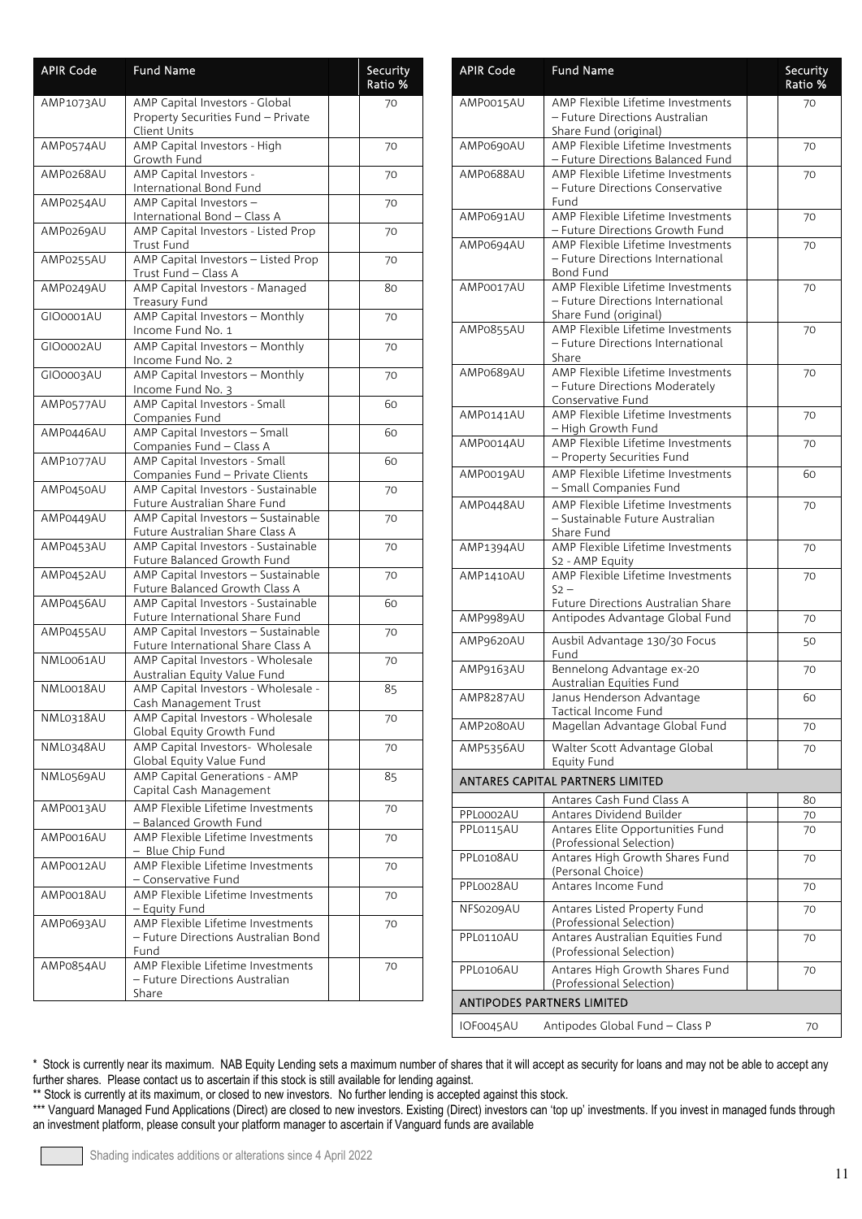| <b>APIR Code</b> | <b>Fund Name</b>                                                                     | Security<br>Ratio % |
|------------------|--------------------------------------------------------------------------------------|---------------------|
| AMP1073AU        | AMP Capital Investors - Global<br>Property Securities Fund - Private<br>Client Units | 70                  |
| AMP0574AU        | AMP Capital Investors - High<br>Growth Fund                                          | 70                  |
| AMP0268AU        | AMP Capital Investors -<br>International Bond Fund                                   | 70                  |
| AMP0254AU        | AMP Capital Investors -<br>International Bond - Class A                              | 70                  |
| AMP0269AU        | AMP Capital Investors - Listed Prop<br>Trust Fund                                    | 70                  |
| AMP0255AU        | AMP Capital Investors - Listed Prop<br>Trust Fund - Class A                          | 70                  |
| AMP0249AU        | AMP Capital Investors - Managed<br>Treasury Fund                                     | 80                  |
| GIO0001AU        | AMP Capital Investors - Monthly<br>Income Fund No. 1                                 | 70                  |
| GIO0002AU        | AMP Capital Investors - Monthly<br>Income Fund No. 2                                 | 70                  |
| GIO0003AU        | AMP Capital Investors - Monthly<br>Income Fund No. 3                                 | 70                  |
| AMP0577AU        | AMP Capital Investors - Small<br>Companies Fund                                      | 60                  |
| AMP0446AU        | AMP Capital Investors - Small<br>Companies Fund - Class A                            | 60                  |
| AMP1077AU        | AMP Capital Investors - Small<br>Companies Fund - Private Clients                    | 60                  |
| AMP0450AU        | AMP Capital Investors - Sustainable<br>Future Australian Share Fund                  | 70                  |
| AMP0449AU        | AMP Capital Investors - Sustainable<br>Future Australian Share Class A               | 70                  |
| AMP0453AU        | AMP Capital Investors - Sustainable<br>Future Balanced Growth Fund                   | 70                  |
| AMP0452AU        | AMP Capital Investors - Sustainable<br>Future Balanced Growth Class A                | 70                  |
| AMP0456AU        | AMP Capital Investors - Sustainable<br>Future International Share Fund               | 60                  |
| AMP0455AU        | AMP Capital Investors - Sustainable<br>Future International Share Class A            | 70                  |
| NML0061AU        | AMP Capital Investors - Wholesale<br>Australian Equity Value Fund                    | 70                  |
| NML0018AU        | AMP Capital Investors - Wholesale -<br>Cash Management Trust                         | 85                  |
| NML0318AU        | AMP Capital Investors - Wholesale<br>Global Equity Growth Fund                       | 70                  |
| NML0348AU        | AMP Capital Investors- Wholesale<br>Global Equity Value Fund                         | 70                  |
| NML0569AU        | <b>AMP Capital Generations - AMP</b><br>Capital Cash Management                      | 85                  |
| AMP0013AU        | AMP Flexible Lifetime Investments<br>- Balanced Growth Fund                          | 70                  |
| AMP0016AU        | AMP Flexible Lifetime Investments<br>- Blue Chip Fund                                | 70                  |
| AMP0012AU        | AMP Flexible Lifetime Investments<br>- Conservative Fund                             | 70                  |
| AMP0018AU        | AMP Flexible Lifetime Investments<br>- Equity Fund                                   | 70                  |
| AMP0693AU        | AMP Flexible Lifetime Investments<br>- Future Directions Australian Bond<br>Fund     | 70                  |
| AMP0854AU        | AMP Flexible Lifetime Investments<br>- Future Directions Australian<br>Share         | 70                  |

| <b>APIR Code</b> | <b>Fund Name</b>                                                       | Security<br>Ratio % |
|------------------|------------------------------------------------------------------------|---------------------|
| AMP0015AU        | AMP Flexible Lifetime Investments<br>- Future Directions Australian    | 70                  |
|                  | Share Fund (original)                                                  |                     |
| AMP0690AU        | AMP Flexible Lifetime Investments<br>- Future Directions Balanced Fund | 70                  |
| AMP0688AU        | AMP Flexible Lifetime Investments                                      | 70                  |
|                  | - Future Directions Conservative<br>Fund                               |                     |
| AMP0691AU        | AMP Flexible Lifetime Investments<br>- Future Directions Growth Fund   | 70                  |
| AMP0694AU        | AMP Flexible Lifetime Investments                                      | 70                  |
|                  | - Future Directions International<br>Bond Fund                         |                     |
| AMP0017AU        | AMP Flexible Lifetime Investments                                      | 70                  |
|                  | - Future Directions International                                      |                     |
| AMP0855AU        | Share Fund (original)<br>AMP Flexible Lifetime Investments             | 70                  |
|                  | - Future Directions International                                      |                     |
| AMP0689AU        | Share<br>AMP Flexible Lifetime Investments                             |                     |
|                  | - Future Directions Moderately                                         | 70                  |
|                  | Conservative Fund                                                      |                     |
| AMP0141AU        | AMP Flexible Lifetime Investments                                      | 70                  |
| AMP0014AU        | - High Growth Fund<br>AMP Flexible Lifetime Investments                | 70                  |
|                  | - Property Securities Fund                                             |                     |
| AMP0019AU        | AMP Flexible Lifetime Investments                                      | 60                  |
| AMP0448AU        | - Small Companies Fund<br>AMP Flexible Lifetime Investments            |                     |
|                  | - Sustainable Future Australian                                        | 70                  |
|                  | Share Fund                                                             |                     |
| AMP1394AU        | AMP Flexible Lifetime Investments<br>S2 - AMP Equity                   | 70                  |
| <b>AMP1410AU</b> | AMP Flexible Lifetime Investments                                      | 70                  |
|                  | $52 -$                                                                 |                     |
| AMP9989AU        | Future Directions Australian Share<br>Antipodes Advantage Global Fund  | 70                  |
| AMP9620AU        | Ausbil Advantage 130/30 Focus                                          | 50                  |
|                  | Fund                                                                   |                     |
| AMP9163AU        | Bennelong Advantage ex-20                                              | 70                  |
| <b>AMP8287AU</b> | Australian Equities Fund<br>Janus Henderson Advantage                  | 60                  |
|                  | Tactical Income Fund                                                   |                     |
| AMP2080AU        | Magellan Advantage Global Fund                                         | 70                  |
| AMP5356AU        | Walter Scott Advantage Global<br><b>Equity Fund</b>                    | 70                  |
|                  | <b>ANTARES CAPITAL PARTNERS LIMITED</b>                                |                     |
|                  | Antares Cash Fund Class A                                              | 80                  |
| PPL0002AU        | Antares Dividend Builder                                               | 70                  |
| PPL0115AU        | Antares Elite Opportunities Fund                                       | 70                  |
| PPL0108AU        | (Professional Selection)<br>Antares High Growth Shares Fund            | 70                  |
|                  | (Personal Choice)                                                      |                     |
| PPL0028AU        | Antares Income Fund                                                    | 70                  |
| NFS0209AU        | Antares Listed Property Fund                                           | 70                  |
| PPL0110AU        | (Professional Selection)<br>Antares Australian Equities Fund           | 70                  |
|                  | (Professional Selection)                                               |                     |
| PPL0106AU        | Antares High Growth Shares Fund<br>(Professional Selection)            | 70                  |
|                  | <b>ANTIPODES PARTNERS LIMITED</b>                                      |                     |
| IOF0045AU        | Antipodes Global Fund - Class P                                        | 70                  |
|                  |                                                                        |                     |

\*\* Stock is currently at its maximum, or closed to new investors. No further lending is accepted against this stock.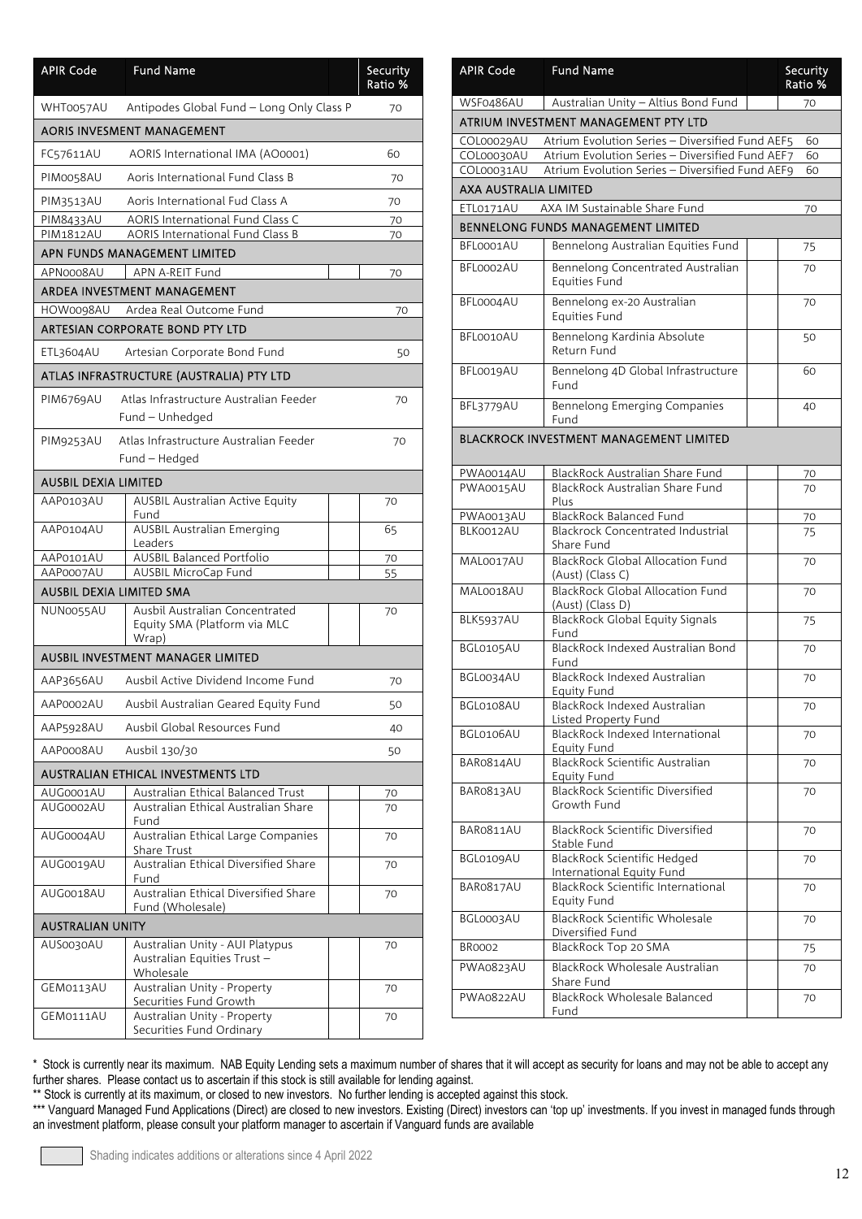| <b>APIR Code</b>                | <b>Fund Name</b>                                                           |  | Security<br>Ratio % |
|---------------------------------|----------------------------------------------------------------------------|--|---------------------|
| WHT0057AU                       | Antipodes Global Fund - Long Only Class P                                  |  | 70                  |
|                                 | <b>AORIS INVESMENT MANAGEMENT</b>                                          |  |                     |
| FC57611AU                       | AORIS International IMA (AO0001)                                           |  | 60                  |
| PIM0058AU                       | Aoris International Fund Class B                                           |  | 70                  |
| PIM3513AU                       | Aoris International Fud Class A                                            |  | 70                  |
| PIM8433AU                       | <b>AORIS International Fund Class C</b>                                    |  | 70                  |
| <b>PIM1812AU</b>                | <b>AORIS International Fund Class B</b>                                    |  | 70                  |
|                                 | APN FUNDS MANAGEMENT LIMITED                                               |  |                     |
| APN0008AU                       | APN A-REIT Fund                                                            |  | 70                  |
|                                 | ARDEA INVESTMENT MANAGEMENT                                                |  |                     |
| HOW0098AU                       | Ardea Real Outcome Fund<br>ARTESIAN CORPORATE BOND PTY LTD                 |  | 70                  |
|                                 |                                                                            |  |                     |
| ETL3604AU                       | Artesian Corporate Bond Fund                                               |  | 50                  |
|                                 | ATLAS INFRASTRUCTURE (AUSTRALIA) PTY LTD                                   |  |                     |
| PIM6769AU                       | Atlas Infrastructure Australian Feeder<br>Fund - Unhedged                  |  | 70                  |
| PIM9253AU                       | Atlas Infrastructure Australian Feeder<br>Fund - Hedged                    |  | 70                  |
| <b>AUSBIL DEXIA LIMITED</b>     |                                                                            |  |                     |
| AAP0103AU                       | <b>AUSBIL Australian Active Equity</b><br>Fund                             |  | 70                  |
| AAP0104AU                       | <b>AUSBIL Australian Emerging</b><br>Leaders                               |  | 65                  |
| AAP0101AU<br>AAP0007AU          | AUSBIL Balanced Portfolio<br>AUSBIL MicroCap Fund                          |  | 70<br>55            |
| <b>AUSBIL DEXIA LIMITED SMA</b> |                                                                            |  |                     |
| NUN0055AU                       | Ausbil Australian Concentrated<br>Equity SMA (Platform via MLC<br>Wrap)    |  | 70                  |
|                                 | <b>AUSBIL INVESTMENT MANAGER LIMITED</b>                                   |  |                     |
| AAP3656AU                       | Ausbil Active Dividend Income Fund                                         |  | 70                  |
| AAP0002AU                       | Ausbil Australian Geared Equity Fund                                       |  | 50                  |
| AAP5928AU                       | Ausbil Global Resources Fund                                               |  | 40                  |
| AAP0008AU                       | Ausbil 130/30                                                              |  | 50                  |
|                                 | <b>AUSTRALIAN ETHICAL INVESTMENTS LTD</b>                                  |  |                     |
| AUG0001AU                       | Australian Ethical Balanced Trust                                          |  | 70                  |
| AUG0002AU                       | Australian Ethical Australian Share<br>Fund                                |  | 70                  |
| AUG0004AU                       | Australian Ethical Large Companies<br>Share Trust                          |  | 70                  |
| AUG0019AU                       | Australian Ethical Diversified Share<br>Fund                               |  | 70                  |
| AUG0018AU                       | Australian Ethical Diversified Share<br>Fund (Wholesale)                   |  | 70                  |
| <b>AUSTRALIAN UNITY</b>         |                                                                            |  |                     |
| AUS0030AU                       | Australian Unity - AUI Platypus<br>Australian Equities Trust-<br>Wholesale |  | 70                  |
| GEM0113AU                       | Australian Unity - Property<br>Securities Fund Growth                      |  | 70                  |
| GEM0111AU                       | Australian Unity - Property<br>Securities Fund Ordinary                    |  | 70                  |

| <b>APIR Code</b>      | <b>Fund Name</b>                                                | Security<br>Ratio % |
|-----------------------|-----------------------------------------------------------------|---------------------|
| WSF0486AU             | Australian Unity - Altius Bond Fund                             | 70                  |
|                       | ATRIUM INVESTMENT MANAGEMENT PTY LTD                            |                     |
| COL00029AU            | Atrium Evolution Series - Diversified Fund AEF5                 | 60                  |
| COL00030AU            | Atrium Evolution Series - Diversified Fund AEF7                 | 60                  |
| COL00031AU            | Atrium Evolution Series - Diversified Fund AEF9                 | 60                  |
| AXA AUSTRALIA LIMITED |                                                                 |                     |
| ETL0171AU             | AXA IM Sustainable Share Fund                                   | 70                  |
|                       | BENNELONG FUNDS MANAGEMENT LIMITED                              |                     |
| BFL0001AU             | Bennelong Australian Equities Fund                              | 75                  |
| BFL0002AU             | Bennelong Concentrated Australian<br>Equities Fund              | 70                  |
| BFL0004AU             | Bennelong ex-20 Australian<br>Equities Fund                     | 70                  |
| BFL0010AU             | Bennelong Kardinia Absolute<br>Return Fund                      | 50                  |
| BFL0019AU             | Bennelong 4D Global Infrastructure<br>Fund                      | 60                  |
| BFL3779AU             | <b>Bennelong Emerging Companies</b><br>Fund                     | 40                  |
|                       | <b>BLACKROCK INVESTMENT MANAGEMENT LIMITED</b>                  |                     |
| PWA0014AU             | BlackRock Australian Share Fund                                 | 70                  |
| PWA0015AU             | BlackRock Australian Share Fund<br>Plus                         | 70                  |
| PWA0013AU             | BlackRock Balanced Fund                                         | 70                  |
| BLK0012AU             | <b>Blackrock Concentrated Industrial</b><br>Share Fund          | 75                  |
| MAL0017AU             | <b>BlackRock Global Allocation Fund</b><br>(Aust) (Class C)     | 70                  |
| MAL0018AU             | <b>BlackRock Global Allocation Fund</b><br>(Aust) (Class D)     | 70                  |
| <b>BLK5937AU</b>      | <b>BlackRock Global Equity Signals</b><br>Fund                  | 75                  |
| BGL0105AU             | BlackRock Indexed Australian Bond<br>Fund                       | 70                  |
| BGL0034AU             | BlackRock Indexed Australian<br>Equity Fund                     | 70                  |
| BGL0108AU             | BlackRock Indexed Australian<br>Listed Property Fund            | 70                  |
| BGL0106AU             | BlackRock Indexed International<br>Equity Fund                  | 70                  |
| BAR0814AU             | <b>BlackRock Scientific Australian</b><br>Equity Fund           | 70                  |
| BAR0813AU             | <b>BlackRock Scientific Diversified</b><br>Growth Fund          | 70                  |
| BAR0811AU             | BlackRock Scientific Diversified<br>Stable Fund                 | 70                  |
| BGL0109AU             | <b>BlackRock Scientific Hedged</b><br>International Equity Fund | 70                  |
| BAR0817AU             | BlackRock Scientific International<br>Equity Fund               | 70                  |
| BGL0003AU             | BlackRock Scientific Wholesale<br>Diversified Fund              | 70                  |
| <b>BR0002</b>         | BlackRock Top 20 SMA                                            | 75                  |
| PWA0823AU             | BlackRock Wholesale Australian<br>Share Fund                    | 70                  |
| PWA0822AU             | BlackRock Wholesale Balanced<br>Fund                            | 70                  |

\*\* Stock is currently at its maximum, or closed to new investors. No further lending is accepted against this stock.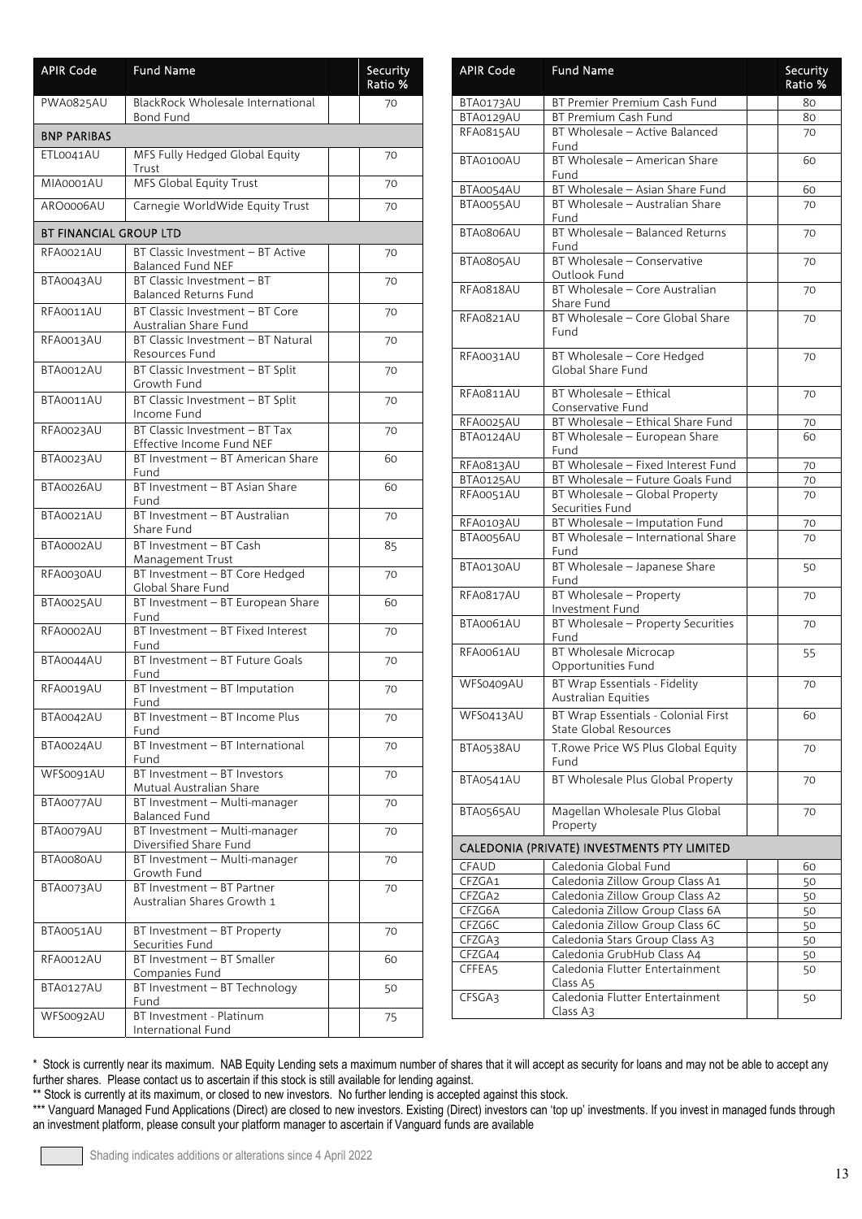| <b>APIR Code</b>       | <b>Fund Name</b>                                              | Security<br>Ratio % |
|------------------------|---------------------------------------------------------------|---------------------|
| PWA0825AU              | BlackRock Wholesale International<br><b>Bond Fund</b>         | 70                  |
| <b>BNP PARIBAS</b>     |                                                               |                     |
| ETL0041AU              | MFS Fully Hedged Global Equity<br>Trust                       | 70                  |
| MIA0001AU              | <b>MFS Global Equity Trust</b>                                | 70                  |
| ARO0006AU              | Carnegie WorldWide Equity Trust                               | 70                  |
| BT FINANCIAL GROUP LTD |                                                               |                     |
| RFA0021AU              | BT Classic Investment - BT Active<br><b>Balanced Fund NEF</b> | 70                  |
| BTA0043AU              | BT Classic Investment - BT<br><b>Balanced Returns Fund</b>    | 70                  |
| RFA0011AU              | BT Classic Investment - BT Core<br>Australian Share Fund      | 70                  |
| <b>RFA0013AU</b>       | BT Classic Investment - BT Natural<br>Resources Fund          | 70                  |
| BTA0012AU              | BT Classic Investment - BT Split<br>Growth Fund               | 70                  |
| BTA0011AU              | BT Classic Investment - BT Split<br>Income Fund               | 70                  |
| RFA0023AU              | BT Classic Investment - BT Tax<br>Effective Income Fund NEF   | 70                  |
| BTA0023AU              | BT Investment - BT American Share<br>Fund                     | 60                  |
| BTA0026AU              | BT Investment - BT Asian Share<br>Fund                        | 60                  |
| BTA0021AU              | BT Investment - BT Australian<br>Share Fund                   | 70                  |
| BTA0002AU              | BT Investment - BT Cash<br>Management Trust                   | 85                  |
| RFA0030AU              | BT Investment - BT Core Hedged<br>Global Share Fund           | 70                  |
| <b>BTA0025AU</b>       | BT Investment - BT European Share<br>Fund                     | 60                  |
| RFA0002AU              | BT Investment - BT Fixed Interest<br>Fund                     | 70                  |
| BTA0044AU              | BT Investment - BT Future Goals<br>Fund                       | 70                  |
| RFA0019AU              | BT Investment - BT Imputation<br>Fund                         | 70                  |
| BTA0042AU              | BT Investment - BT Income Plus<br>Fund                        | 70                  |
| BTA0024AU              | BT Investment - BT International<br>Fund                      | 70                  |
| WFS0091AU              | BT Investment - BT Investors<br>Mutual Australian Share       | 70                  |
| BTA0077AU              | BT Investment - Multi-manager<br><b>Balanced Fund</b>         | 70                  |
| BTA0079AU              | BT Investment - Multi-manager<br>Diversified Share Fund       | 70                  |
| BTA0080AU              | BT Investment - Multi-manager<br>Growth Fund                  | 70                  |
| BTA0073AU              | BT Investment - BT Partner<br>Australian Shares Growth 1      | 70                  |
| BTA0051AU              | BT Investment - BT Property<br>Securities Fund                | 70                  |
| RFA0012AU              | BT Investment - BT Smaller<br>Companies Fund                  | 60                  |
| BTA0127AU              | BT Investment - BT Technology<br>Fund                         | 50                  |
| WFS0092AU              | BT Investment - Platinum<br>International Fund                | 75                  |

| <b>APIR Code</b> | <b>Fund Name</b>                                                       | Security<br>Ratio % |
|------------------|------------------------------------------------------------------------|---------------------|
| BTA0173AU        | BT Premier Premium Cash Fund                                           | 80                  |
| BTA0129AU        | BT Premium Cash Fund                                                   | 80                  |
| RFA0815AU        | BT Wholesale - Active Balanced<br>Fund                                 | 70                  |
| BTA0100AU        | BT Wholesale - American Share<br>Fund                                  | 60                  |
| BTA0054AU        | BT Wholesale - Asian Share Fund                                        | 60                  |
| BTA0055AU        | BT Wholesale - Australian Share<br>Fund                                | 70                  |
| BTA0806AU        | BT Wholesale - Balanced Returns<br>Fund                                | 70                  |
| BTA0805AU        | BT Wholesale - Conservative<br>Outlook Fund                            | 70                  |
| RFA0818AU        | BT Wholesale - Core Australian<br>Share Fund                           | 70                  |
| RFA0821AU        | BT Wholesale - Core Global Share<br>Fund                               | 70                  |
| <b>RFA0031AU</b> | BT Wholesale - Core Hedged<br>Global Share Fund                        | 70                  |
| RFA0811AU        | BT Wholesale - Ethical<br>Conservative Fund                            | 70                  |
| <b>RFA0025AU</b> | BT Wholesale - Ethical Share Fund                                      | 70                  |
| BTA0124AU        | BT Wholesale - European Share<br>Fund                                  | 60                  |
| RFA0813AU        | BT Wholesale - Fixed Interest Fund<br>BT Wholesale - Future Goals Fund | 70                  |
| BTA0125AU        |                                                                        | 70                  |
| RFA0051AU        | BT Wholesale - Global Property<br>Securities Fund                      | 70                  |
| RFA0103AU        | BT Wholesale - Imputation Fund                                         | 70                  |
| BTA0056AU        | BT Wholesale - International Share<br>Fund                             | 70                  |
| BTA0130AU        | BT Wholesale - Japanese Share<br>Fund                                  | 50                  |
| RFA0817AU        | BT Wholesale - Property<br>Investment Fund                             | 70                  |
| BTA0061AU        | BT Wholesale - Property Securities<br>Fund                             | 70                  |
| RFA0061AU        | <b>BT Wholesale Microcap</b><br>Opportunities Fund                     | 55                  |
| WFS0409AU        | BT Wrap Essentials - Fidelity<br><b>Australian Equities</b>            | 70                  |
| WFS0413AU        | BT Wrap Essentials - Colonial First<br>State Global Resources          | 60                  |
| BTA0538AU        | T. Rowe Price WS Plus Global Equity<br>Fund                            | 70                  |
| BTA0541AU        | BT Wholesale Plus Global Property                                      | 70                  |
| BTA0565AU        | Magellan Wholesale Plus Global<br>Property                             | 70                  |
|                  | CALEDONIA (PRIVATE) INVESTMENTS PTY LIMITED                            |                     |
| CFAUD            | Caledonia Global Fund                                                  | 60                  |
| CFZGA1           | Caledonia Zillow Group Class A1                                        | 50                  |
| CFZGA2           | Caledonia Zillow Group Class A2                                        | 50                  |
| CFZG6A           | Caledonia Zillow Group Class 6A                                        | 50                  |
| CFZG6C<br>CFZGA3 | Caledonia Zillow Group Class 6C                                        | 50                  |
| CFZGA4           | Caledonia Stars Group Class A3<br>Caledonia GrubHub Class A4           | 50                  |
| CFFEA5           | Caledonia Flutter Entertainment<br>Class A5                            | 50<br>50            |
| CFSGA3           | Caledonia Flutter Entertainment<br>Class A3                            | 50                  |

\*\* Stock is currently at its maximum, or closed to new investors. No further lending is accepted against this stock.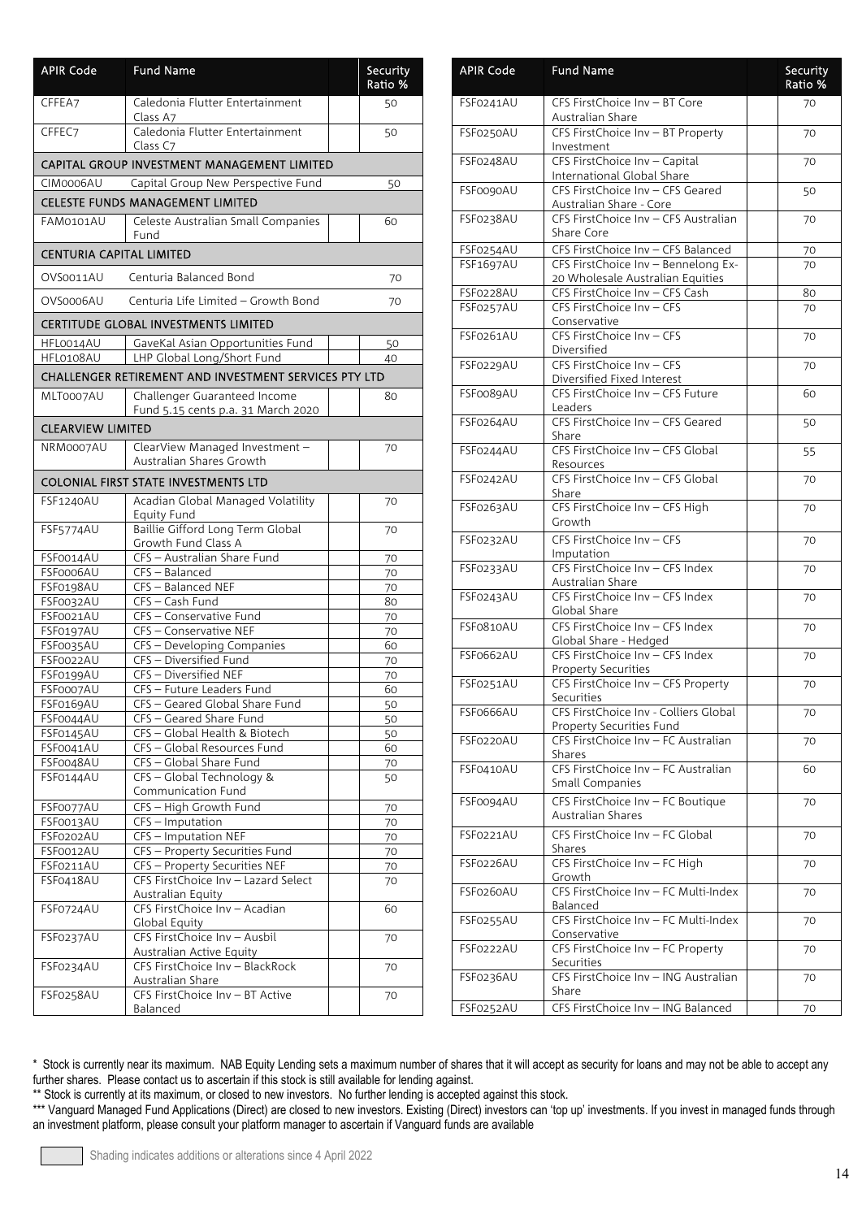| <b>APIR Code</b>                | <b>Fund Name</b>                                            | Security<br>Ratio % |  |
|---------------------------------|-------------------------------------------------------------|---------------------|--|
| CFFEA7                          | Caledonia Flutter Entertainment<br>Class A7                 | 50                  |  |
| CFFEC7                          | Caledonia Flutter Entertainment<br>Class C7                 | 50                  |  |
|                                 | CAPITAL GROUP INVESTMENT MANAGEMENT LIMITED                 |                     |  |
| CIM0006AU                       | Capital Group New Perspective Fund                          | 50                  |  |
|                                 | <b>CELESTE FUNDS MANAGEMENT LIMITED</b>                     |                     |  |
| FAM0101AU                       | Celeste Australian Small Companies<br>Fund                  | 60                  |  |
| <b>CENTURIA CAPITAL LIMITED</b> |                                                             |                     |  |
| OVS0011AU                       | Centuria Balanced Bond                                      | 70                  |  |
| OVS0006AU                       | Centuria Life Limited - Growth Bond                         | 70                  |  |
|                                 | <b>CERTITUDE GLOBAL INVESTMENTS LIMITED</b>                 |                     |  |
| HFL0014AU                       | GaveKal Asian Opportunities Fund                            | 50                  |  |
| HFL0108AU                       | LHP Global Long/Short Fund                                  | 40                  |  |
|                                 | CHALLENGER RETIREMENT AND INVESTMENT SERVICES PTY LTD       |                     |  |
| MLT0007AU                       | Challenger Guaranteed Income                                | 80                  |  |
|                                 | Fund 5.15 cents p.a. 31 March 2020                          |                     |  |
| <b>CLEARVIEW LIMITED</b>        |                                                             |                     |  |
| NRM0007AU                       | ClearView Managed Investment -                              | 70                  |  |
|                                 | Australian Shares Growth                                    |                     |  |
|                                 | <b>COLONIAL FIRST STATE INVESTMENTS LTD</b>                 |                     |  |
| FSF1240AU                       | Acadian Global Managed Volatility<br><b>Equity Fund</b>     | 70                  |  |
| FSF5774AU                       | Baillie Gifford Long Term Global<br>Growth Fund Class A     | 70                  |  |
| FSF0014AU                       | CFS - Australian Share Fund                                 | 70                  |  |
| FSF0006AU                       | CFS-Balanced                                                | 70                  |  |
| FSF0198AU                       | CFS - Balanced NEF                                          | 70                  |  |
| FSF0032AU                       | CFS - Cash Fund                                             | 80                  |  |
| FSF0021AU<br>FSF0197AU          | CFS - Conservative Fund<br>CFS - Conservative NEF           | 70<br>70            |  |
| FSF0035AU                       | CFS - Developing Companies                                  | 60                  |  |
| FSF0022AU                       | CFS - Diversified Fund                                      | 70                  |  |
| FSF0199AU                       | CFS - Diversified NEF                                       | 70                  |  |
| FSF0007AU                       | CFS - Future Leaders Fund                                   | 60                  |  |
| FSF0169AU                       | CFS - Geared Global Share Fund                              | 50                  |  |
| FSF0044AU                       | CFS - Geared Share Fund                                     | 50                  |  |
| FSF0145AU                       | CFS - Global Health & Biotech                               | 50                  |  |
| FSF0041AU<br>FSF0048AU          | CFS - Global Resources Fund<br>CFS - Global Share Fund      | 60                  |  |
| FSF0144AU                       | CFS - Global Technology &                                   | 70<br>50            |  |
|                                 | Communication Fund                                          |                     |  |
| FSF0077AU                       | CFS - High Growth Fund                                      | 70                  |  |
| FSF0013AU                       | $CFS - Imputation$                                          | 70                  |  |
| FSF0202AU                       | CFS - Imputation NEF                                        | 70                  |  |
| FSF0012AU                       | CFS - Property Securities Fund                              | 70                  |  |
| FSF0211AU                       | CFS - Property Securities NEF                               | 70                  |  |
| FSF0418AU                       | CFS FirstChoice Inv - Lazard Select<br>Australian Equity    | 70                  |  |
| FSF0724AU                       | CFS FirstChoice Inv - Acadian<br>Global Equity              | 60                  |  |
| FSF0237AU                       | CFS FirstChoice Inv - Ausbil                                | 70                  |  |
| FSF0234AU                       | Australian Active Equity<br>CFS FirstChoice Inv - BlackRock | 70                  |  |
|                                 | Australian Share                                            |                     |  |
| FSF0258AU                       | CFS FirstChoice Inv - BT Active<br>Balanced                 | 70                  |  |

| <b>APIR Code</b> | <b>Fund Name</b>                                                  | Security<br>Ratio % |
|------------------|-------------------------------------------------------------------|---------------------|
| FSF0241AU        | CFS FirstChoice Inv - BT Core<br>Australian Share                 | 70                  |
|                  |                                                                   |                     |
| FSF0250AU        | CFS FirstChoice Inv - BT Property<br>Investment                   | 70                  |
| FSF0248AU        | CFS FirstChoice Inv - Capital<br>International Global Share       | 70                  |
| FSF0090AU        | CFS FirstChoice Inv - CFS Geared<br>Australian Share - Core       | 50                  |
| FSF0238AU        | CFS FirstChoice Inv - CFS Australian<br>Share Core                | 70                  |
| FSF0254AU        | CFS FirstChoice Inv - CFS Balanced                                |                     |
| <b>FSF1697AU</b> | CFS FirstChoice Inv - Bennelong Ex-                               | 70<br>70            |
|                  | 20 Wholesale Australian Equities                                  |                     |
| FSF0228AU        | CFS FirstChoice Inv - CFS Cash                                    | 80                  |
| FSF0257AU        | CFS FirstChoice Inv - CFS                                         | 70                  |
| FSF0261AU        | Conservative<br>CFS FirstChoice Inv - CFS                         |                     |
|                  | Diversified                                                       | 70                  |
| FSF0229AU        | CFS FirstChoice Inv - CFS                                         | 70                  |
|                  | Diversified Fixed Interest                                        |                     |
| FSF0089AU        | CFS FirstChoice Inv - CFS Future<br>Leaders                       | 60                  |
| FSF0264AU        | CFS FirstChoice Inv - CFS Geared                                  | 50                  |
|                  | Share                                                             |                     |
| FSF0244AU        | CFS FirstChoice Inv - CFS Global<br>Resources                     | 55                  |
| FSF0242AU        | CFS FirstChoice Inv - CFS Global<br>Share                         | 70                  |
| FSF0263AU        | CFS FirstChoice Inv - CFS High                                    | 70                  |
|                  | Growth                                                            |                     |
| <b>FSF0232AU</b> | CFS FirstChoice Inv - CFS<br>Imputation                           | 70                  |
| FSF0233AU        | CFS FirstChoice Inv - CFS Index<br>Australian Share               | 70                  |
| FSF0243AU        | CFS FirstChoice Inv - CFS Index                                   | 70                  |
|                  | Global Share                                                      |                     |
| FSF0810AU        | CFS FirstChoice Inv - CFS Index<br>Global Share - Hedged          | 70                  |
| FSF0662AU        | CFS FirstChoice Inv - CFS Index<br><b>Property Securities</b>     | 70                  |
| FSF0251AU        | CFS FirstChoice Inv - CFS Property                                | 70                  |
|                  | Securities                                                        |                     |
| FSF0666AU        | CFS FirstChoice Inv - Colliers Global<br>Property Securities Fund | 70                  |
| FSF0220AU        | CFS FirstChoice Inv - FC Australian<br>Shares                     | 70                  |
| FSF0410AU        | CFS FirstChoice Inv - FC Australian<br>Small Companies            | 60                  |
| FSF0094AU        | CFS FirstChoice Inv - FC Boutique                                 | 70                  |
|                  | <b>Australian Shares</b>                                          |                     |
| FSF0221AU        | CFS FirstChoice Inv - FC Global<br>Shares                         | 70                  |
| FSF0226AU        | CFS FirstChoice Inv - FC High<br>Growth                           | 70                  |
| FSF0260AU        | CFS FirstChoice Inv - FC Multi-Index<br>Balanced                  | 70                  |
| FSF0255AU        | CFS FirstChoice Inv - FC Multi-Index                              | 70                  |
| FSF0222AU        | Conservative<br>CFS FirstChoice Inv - FC Property                 |                     |
|                  | Securities                                                        | 70                  |
| FSF0236AU        | CFS FirstChoice Inv - ING Australian<br>Share                     | 70                  |
| FSF0252AU        | CFS FirstChoice Inv - ING Balanced                                | 70                  |

\*\* Stock is currently at its maximum, or closed to new investors. No further lending is accepted against this stock.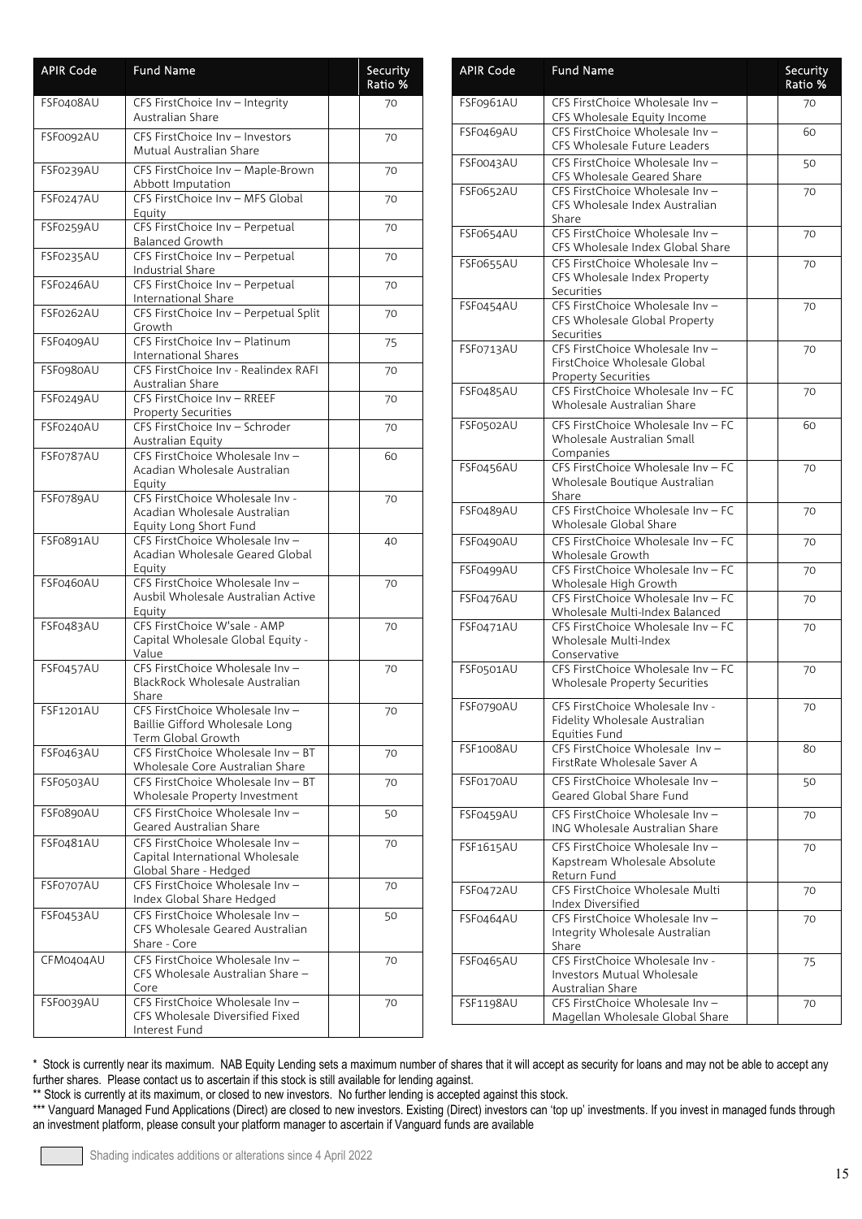| <b>APIR Code</b> | <b>Fund Name</b>                                                                            | Security<br>Ratio % |
|------------------|---------------------------------------------------------------------------------------------|---------------------|
| FSF0408AU        | CFS FirstChoice Inv - Integrity<br>Australian Share                                         | 70                  |
| FSF0092AU        | CFS FirstChoice Inv - Investors<br>Mutual Australian Share                                  | 70                  |
| FSF0239AU        | CFS FirstChoice Inv - Maple-Brown<br>Abbott Imputation                                      | 70                  |
| FSF0247AU        | CFS FirstChoice Inv - MFS Global<br>Equity                                                  | 70                  |
| FSF0259AU        | CFS FirstChoice Inv - Perpetual<br><b>Balanced Growth</b>                                   | 70                  |
| FSF0235AU        | CFS FirstChoice Inv - Perpetual<br>Industrial Share                                         | 70                  |
| FSF0246AU        | CFS FirstChoice Inv - Perpetual<br>International Share                                      | 70                  |
| FSF0262AU        | CFS FirstChoice Inv - Perpetual Split<br>Growth                                             | 70                  |
| FSF0409AU        | CFS FirstChoice Inv - Platinum<br>International Shares                                      | 75                  |
| FSF0980AU        | CFS FirstChoice Inv - Realindex RAFI<br>Australian Share                                    | 70                  |
| FSF0249AU        | CFS FirstChoice Inv - RREEF<br><b>Property Securities</b>                                   | 70                  |
| FSF0240AU        | CFS FirstChoice Inv - Schroder<br>Australian Equity                                         | 70                  |
| FSF0787AU        | CFS FirstChoice Wholesale Inv-<br>Acadian Wholesale Australian<br>Equity                    | 60                  |
| FSF0789AU        | CFS FirstChoice Wholesale Inv -<br>Acadian Wholesale Australian<br>Equity Long Short Fund   | 70                  |
| FSF0891AU        | CFS FirstChoice Wholesale Inv -<br>Acadian Wholesale Geared Global<br>Equity                | 40                  |
| FSF0460AU        | CFS FirstChoice Wholesale Inv-<br>Ausbil Wholesale Australian Active<br>Equity              | 70                  |
| FSF0483AU        | CFS FirstChoice W'sale - AMP<br>Capital Wholesale Global Equity -<br>Value                  | 70                  |
| FSF0457AU        | CFS FirstChoice Wholesale Inv-<br>BlackRock Wholesale Australian<br>Share                   | 70                  |
| FSF1201AU        | CFS FirstChoice Wholesale Inv-<br>Baillie Gifford Wholesale Long<br>Term Global Growth      | 70                  |
| FSF0463AU        | CFS FirstChoice Wholesale Inv - BT<br>Wholesale Core Australian Share                       | 70                  |
| FSF0503AU        | CFS FirstChoice Wholesale Inv - BT<br>Wholesale Property Investment                         | 70                  |
| FSF0890AU        | CFS FirstChoice Wholesale Inv -<br>Geared Australian Share                                  | 50                  |
| FSF0481AU        | CFS FirstChoice Wholesale Inv -<br>Capital International Wholesale<br>Global Share - Hedged | 70                  |
| FSF0707AU        | CFS FirstChoice Wholesale Inv -<br>Index Global Share Hedged                                | 70                  |
| FSF0453AU        | CFS FirstChoice Wholesale Inv -<br>CFS Wholesale Geared Australian<br>Share - Core          | 50                  |
| CFM0404AU        | CFS FirstChoice Wholesale Inv-<br>CFS Wholesale Australian Share -<br>Core                  | 70                  |
| FSF0039AU        | CFS FirstChoice Wholesale Inv-<br>CFS Wholesale Diversified Fixed<br>Interest Fund          | 70                  |

| <b>APIR Code</b> | <b>Fund Name</b>                                                                              | Security<br>Ratio % |
|------------------|-----------------------------------------------------------------------------------------------|---------------------|
| FSF0961AU        | CFS FirstChoice Wholesale Inv -<br>CFS Wholesale Equity Income                                | 70                  |
| FSF0469AU        | CFS FirstChoice Wholesale Inv -<br>CFS Wholesale Future Leaders                               | 60                  |
| FSF0043AU        | CFS FirstChoice Wholesale Inv -<br>CFS Wholesale Geared Share                                 | 50                  |
| <b>FSF0652AU</b> | CFS FirstChoice Wholesale Inv-<br>CFS Wholesale Index Australian<br>Share                     | 70                  |
| FSF0654AU        | CFS FirstChoice Wholesale Inv-<br>CFS Wholesale Index Global Share                            | 70                  |
| <b>FSF0655AU</b> | CFS FirstChoice Wholesale Inv -<br>CFS Wholesale Index Property<br>Securities                 | 70                  |
| FSF0454AU        | CFS FirstChoice Wholesale Inv-<br>CFS Wholesale Global Property<br>Securities                 | 70                  |
| FSF0713AU        | CFS FirstChoice Wholesale Inv -<br>FirstChoice Wholesale Global<br><b>Property Securities</b> | 70                  |
| FSF0485AU        | CFS FirstChoice Wholesale Inv - FC<br>Wholesale Australian Share                              | 70                  |
| FSF0502AU        | CFS FirstChoice Wholesale Inv - FC<br>Wholesale Australian Small<br>Companies                 | 60                  |
| FSF0456AU        | CFS FirstChoice Wholesale Inv - FC<br>Wholesale Boutique Australian<br>Share                  | 70                  |
| FSF0489AU        | CFS FirstChoice Wholesale Inv - FC<br>Wholesale Global Share                                  | 70                  |
| FSF0490AU        | CFS FirstChoice Wholesale Inv - FC<br>Wholesale Growth                                        | 70                  |
| FSF0499AU        | CFS FirstChoice Wholesale Inv - FC<br>Wholesale High Growth                                   | 70                  |
| FSF0476AU        | CFS FirstChoice Wholesale Inv - FC<br>Wholesale Multi-Index Balanced                          | 70                  |
| FSF0471AU        | CFS FirstChoice Wholesale Inv - FC<br>Wholesale Multi-Index<br>Conservative                   | 70                  |
| FSF0501AU        | CFS FirstChoice Wholesale Inv - FC<br>Wholesale Property Securities                           | 70                  |
| FSF0790AU        | CFS FirstChoice Wholesale Inv<br>Fidelity Wholesale Australian<br>Equities Fund               | 70                  |
| FSF1008AU        | CFS FirstChoice Wholesale Inv-<br>FirstRate Wholesale Saver A                                 | 80                  |
| FSF0170AU        | CFS FirstChoice Wholesale Inv -<br>Geared Global Share Fund                                   | 50                  |
| FSF0459AU        | CFS FirstChoice Wholesale Inv-<br>ING Wholesale Australian Share                              | 70                  |
| FSF1615AU        | CFS FirstChoice Wholesale Inv-<br>Kapstream Wholesale Absolute<br>Return Fund                 | 70                  |
| FSF0472AU        | CFS FirstChoice Wholesale Multi<br>Index Diversified                                          | 70                  |
| FSF0464AU        | CFS FirstChoice Wholesale Inv-<br>Integrity Wholesale Australian<br>Share                     | 70                  |
| FSF0465AU        | CFS FirstChoice Wholesale Inv -<br><b>Investors Mutual Wholesale</b><br>Australian Share      | 75                  |
| FSF1198AU        | CFS FirstChoice Wholesale Inv-<br>Magellan Wholesale Global Share                             | 70                  |

\*\* Stock is currently at its maximum, or closed to new investors. No further lending is accepted against this stock.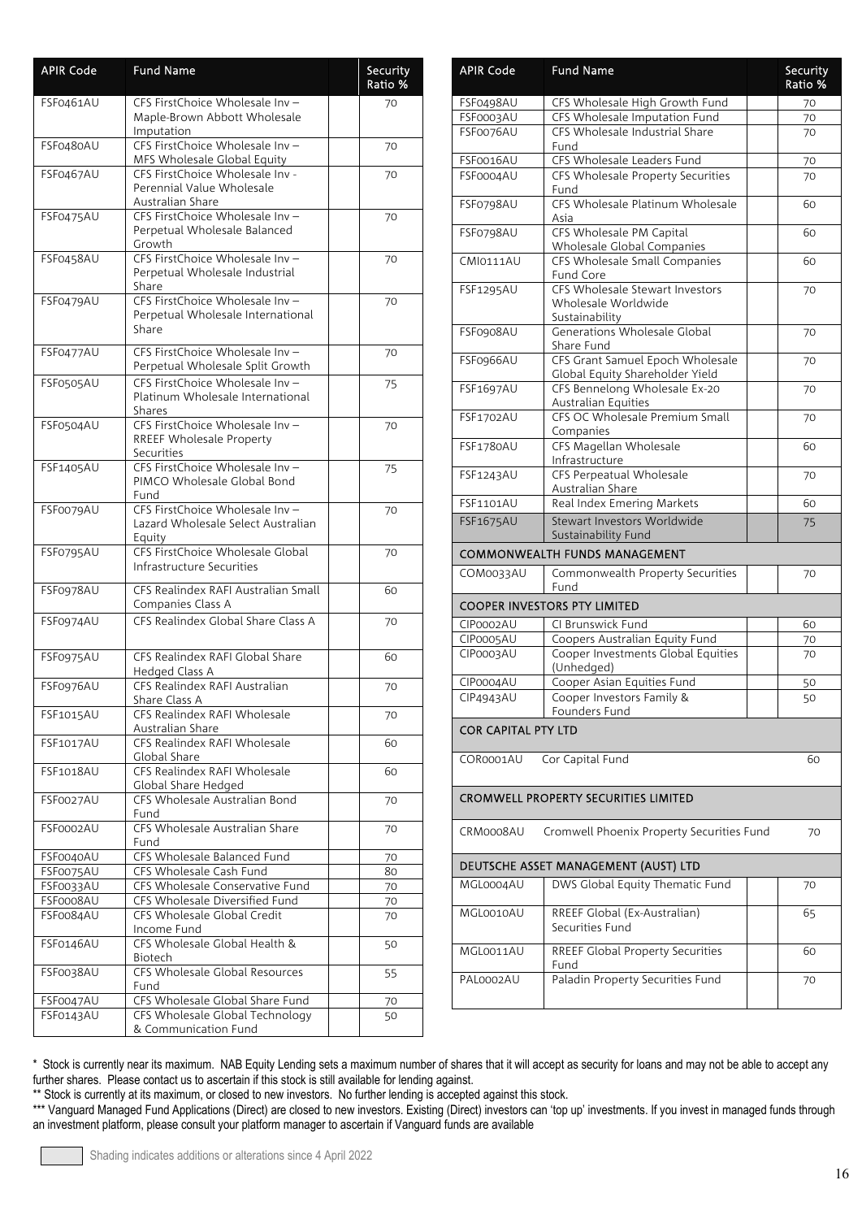| <b>APIR Code</b>       | <b>Fund Name</b>                                                                             | Security<br>Ratio % |
|------------------------|----------------------------------------------------------------------------------------------|---------------------|
| FSF0461AU              | CFS FirstChoice Wholesale Inv-<br>Maple-Brown Abbott Wholesale<br>Imputation                 | 70                  |
| FSF0480AU              | CFS FirstChoice Wholesale Inv-<br>MFS Wholesale Global Equity                                | 70                  |
| <b>FSF0467AU</b>       | CFS FirstChoice Wholesale Inv -<br>Perennial Value Wholesale                                 | 70                  |
| FSF0475AU              | Australian Share<br>CFS FirstChoice Wholesale Inv-<br>Perpetual Wholesale Balanced<br>Growth | 70                  |
| FSF0458AU              | CFS FirstChoice Wholesale Inv-<br>Perpetual Wholesale Industrial<br>Share                    | 70                  |
| FSF0479AU              | CFS FirstChoice Wholesale Inv-<br>Perpetual Wholesale International<br>Share                 | 70                  |
| FSF0477AU              | CFS FirstChoice Wholesale Inv-<br>Perpetual Wholesale Split Growth                           | 70                  |
| FSF0505AU              | CFS FirstChoice Wholesale Inv-<br>Platinum Wholesale International<br>Shares                 | 75                  |
| FSF0504AU              | CFS FirstChoice Wholesale Inv-<br>RREEF Wholesale Property<br>Securities                     | 70                  |
| FSF1405AU              | CFS FirstChoice Wholesale Inv-<br>PIMCO Wholesale Global Bond<br>Fund                        | 75                  |
| FSF0079AU              | CFS FirstChoice Wholesale Inv-<br>Lazard Wholesale Select Australian<br>Equity               | 70                  |
| FSF0795AU              | CFS FirstChoice Wholesale Global<br>Infrastructure Securities                                | 70                  |
| FSF0978AU              | CFS Realindex RAFI Australian Small<br>Companies Class A                                     | 60                  |
| FSF0974AU              | CFS Realindex Global Share Class A                                                           | 70                  |
| FSF0975AU              | CFS Realindex RAFI Global Share<br>Hedged Class A                                            | 60                  |
| FSF0976AU              | CFS Realindex RAFI Australian<br>Share Class A                                               | 70                  |
| FSF1015AU              | CFS Realindex RAFI Wholesale<br>Australian Share                                             | 70                  |
| FSF1017AU              | CFS Realindex RAFI Wholesale<br>Global Share                                                 | 60                  |
| <b>FSF1018AU</b>       | CFS Realindex RAFI Wholesale<br>Global Share Hedged<br>CFS Wholesale Australian Bond         | 60                  |
| FSF0027AU<br>FSF0002AU | Fund<br>CFS Wholesale Australian Share                                                       | 70                  |
| FSF0040AU              | Fund<br>CFS Wholesale Balanced Fund                                                          | 70<br>70            |
| FSF0075AU              | CFS Wholesale Cash Fund                                                                      | 80                  |
| FSF0033AU              | CFS Wholesale Conservative Fund                                                              | 70                  |
| FSF0008AU              | CFS Wholesale Diversified Fund                                                               | 70                  |
| FSF0084AU              | CFS Wholesale Global Credit<br>Income Fund                                                   | 70                  |
| FSF0146AU              | CFS Wholesale Global Health &<br>Biotech                                                     | 50                  |
| FSF0038AU              | CFS Wholesale Global Resources<br>Fund                                                       | 55                  |
| FSF0047AU              | CFS Wholesale Global Share Fund                                                              | 70                  |
| FSF0143AU              | CFS Wholesale Global Technology<br>& Communication Fund                                      | 50                  |

| <b>APIR Code</b>                     | <b>Fund Name</b>                                                         | Security<br>Ratio % |  |
|--------------------------------------|--------------------------------------------------------------------------|---------------------|--|
| FSF0498AU                            | CFS Wholesale High Growth Fund                                           | 70                  |  |
| FSF0003AU                            | CFS Wholesale Imputation Fund                                            | 70                  |  |
| FSF0076AU                            | CFS Wholesale Industrial Share<br>Fund                                   | 70                  |  |
| FSF0016AU                            | CFS Wholesale Leaders Fund                                               | 70                  |  |
| FSF0004AU                            | CFS Wholesale Property Securities<br>Fund                                | 70                  |  |
| FSF0798AU                            | CFS Wholesale Platinum Wholesale<br>Asia                                 | 60                  |  |
| FSF0798AU                            | CFS Wholesale PM Capital<br>Wholesale Global Companies                   | 60                  |  |
| <b>CMI0111AU</b>                     | CFS Wholesale Small Companies<br>Fund Core                               | 60                  |  |
| <b>FSF1295AU</b>                     | CFS Wholesale Stewart Investors<br>Wholesale Worldwide<br>Sustainability | 70                  |  |
| FSF0908AU                            | Generations Wholesale Global<br>Share Fund                               | 70                  |  |
| FSF0966AU                            | CFS Grant Samuel Epoch Wholesale<br>Global Equity Shareholder Yield      | 70                  |  |
| FSF1697AU                            | CFS Bennelong Wholesale Ex-20<br>Australian Equities                     | 70                  |  |
| FSF1702AU                            | CFS OC Wholesale Premium Small<br>Companies                              | 70                  |  |
| FSF1780AU                            | CFS Magellan Wholesale<br>Infrastructure                                 | 60                  |  |
| FSF1243AU                            | CFS Perpeatual Wholesale<br>Australian Share                             | 70                  |  |
| FSF1101AU                            | Real Index Emering Markets                                               | 60                  |  |
| <b>FSF1675AU</b>                     | Stewart Investors Worldwide<br>Sustainability Fund                       | 75                  |  |
|                                      | <b>COMMONWEALTH FUNDS MANAGEMENT</b>                                     |                     |  |
| COM0033AU                            | Commonwealth Property Securities<br>Fund                                 | 70                  |  |
|                                      | <b>COOPER INVESTORS PTY LIMITED</b>                                      |                     |  |
| CIP0002AU                            | CI Brunswick Fund                                                        | 60                  |  |
| CIP0005AU                            | Coopers Australian Equity Fund                                           | 70                  |  |
| CIP0003AU                            | Cooper Investments Global Equities<br>(Unhedged)                         | 70                  |  |
| CIP0004AU                            | Cooper Asian Equities Fund                                               | 50                  |  |
| <b>CIP4943AU</b>                     | Cooper Investors Family &<br>Founders Fund                               | 50                  |  |
| <b>COR CAPITAL PTY LTD</b>           |                                                                          |                     |  |
| COR0001AU                            | Cor Capital Fund                                                         | 60                  |  |
|                                      | <b>CROMWELL PROPERTY SECURITIES LIMITED</b>                              |                     |  |
| CRM0008AU                            | Cromwell Phoenix Property Securities Fund                                | 70                  |  |
| DEUTSCHE ASSET MANAGEMENT (AUST) LTD |                                                                          |                     |  |
| MGL0004AU                            | DWS Global Equity Thematic Fund                                          | 70                  |  |
| MGL0010AU                            | RREEF Global (Ex-Australian)<br>Securities Fund                          | 65                  |  |
| MGL0011AU                            | <b>RREEF Global Property Securities</b>                                  | 60                  |  |
| PAL0002AU                            | Fund<br>Paladin Property Securities Fund                                 | 70                  |  |
|                                      |                                                                          |                     |  |

\*\* Stock is currently at its maximum, or closed to new investors. No further lending is accepted against this stock.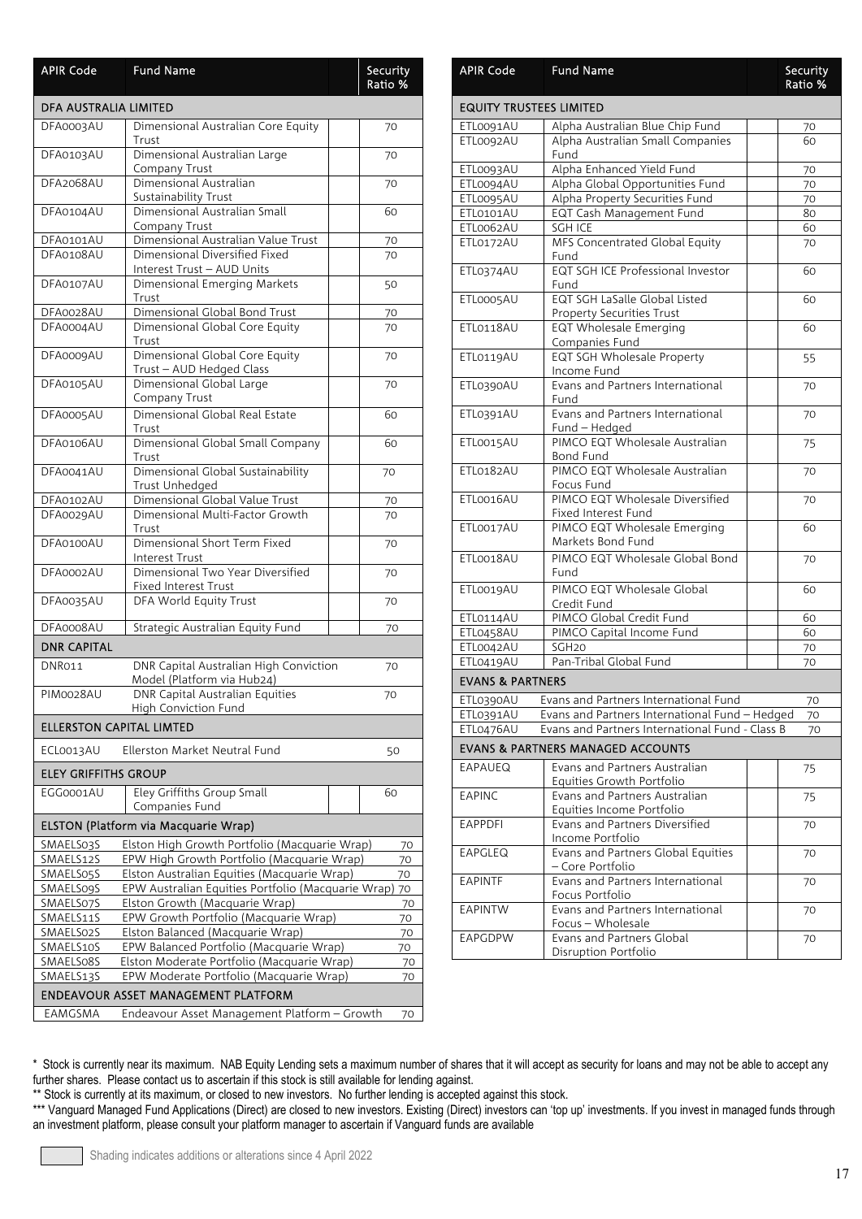| <b>APIR Code</b>                           | <b>Fund Name</b>                                                            |  | Security<br>Ratio % |
|--------------------------------------------|-----------------------------------------------------------------------------|--|---------------------|
| DFA AUSTRALIA LIMITED                      |                                                                             |  |                     |
| DFA0003AU                                  | Dimensional Australian Core Equity<br>Trust                                 |  | 70                  |
| DFA0103AU                                  | Dimensional Australian Large<br><b>Company Trust</b>                        |  | 70                  |
| DFA2068AU                                  | Dimensional Australian<br><b>Sustainability Trust</b>                       |  | 70                  |
| DFA0104AU                                  | Dimensional Australian Small<br>Company Trust                               |  | 60                  |
| DFA0101AU                                  | Dimensional Australian Value Trust                                          |  | 70                  |
| DFA0108AU                                  | Dimensional Diversified Fixed                                               |  | 70                  |
|                                            | Interest Trust - AUD Units                                                  |  |                     |
| DFA0107AU                                  | Dimensional Emerging Markets<br>Trust                                       |  | 50                  |
| DFA0028AU                                  | Dimensional Global Bond Trust                                               |  | 70                  |
| DFA0004AU                                  | Dimensional Global Core Equity<br>Trust                                     |  | 70                  |
| DFA0009AU                                  | Dimensional Global Core Equity<br>Trust - AUD Hedged Class                  |  | 70                  |
| DFA0105AU                                  | Dimensional Global Large<br>Company Trust                                   |  | 70                  |
| DFA0005AU                                  | Dimensional Global Real Estate<br>Trust                                     |  | 60                  |
| DFA0106AU                                  | Dimensional Global Small Company<br>Trust                                   |  | 60                  |
| DFA0041AU                                  | Dimensional Global Sustainability<br>Trust Unhedged                         |  | 70                  |
| DFA0102AU                                  | Dimensional Global Value Trust                                              |  | 70                  |
| DFA0029AU                                  | Dimensional Multi-Factor Growth<br>Trust                                    |  | 70                  |
| DFA0100AU                                  | Dimensional Short Term Fixed<br><b>Interest Trust</b>                       |  | 70                  |
| DFA0002AU                                  | Dimensional Two Year Diversified<br>Fixed Interest Trust                    |  | 70                  |
| DFA0035AU                                  | DFA World Equity Trust                                                      |  | 70                  |
| DFA0008AU                                  | Strategic Australian Equity Fund                                            |  | 70                  |
| <b>DNR CAPITAL</b>                         |                                                                             |  |                     |
| DNR011                                     | DNR Capital Australian High Conviction<br>Model (Platform via Hub24)        |  | 70                  |
| PIM0028AU                                  | <b>DNR Capital Australian Equities</b><br>High Conviction Fund              |  | 70                  |
| <b>ELLERSTON CAPITAL LIMTED</b>            |                                                                             |  |                     |
| ECLO013AU                                  | Ellerston Market Neutral Fund                                               |  | 50                  |
| <b>ELEY GRIFFITHS GROUP</b>                |                                                                             |  |                     |
| EGG0001AU                                  | Eley Griffiths Group Small<br>Companies Fund                                |  | 60                  |
|                                            | <b>ELSTON (Platform via Macquarie Wrap)</b>                                 |  |                     |
| SMAELS03S                                  | Elston High Growth Portfolio (Macquarie Wrap)                               |  | 70                  |
| SMAELS12S                                  | EPW High Growth Portfolio (Macquarie Wrap)                                  |  | 70                  |
| SMAELS05S                                  | Elston Australian Equities (Macquarie Wrap)                                 |  | 70                  |
| <b>SMAELS09S</b>                           | EPW Australian Equities Portfolio (Macquarie Wrap)                          |  | 70                  |
| SMAELS07S                                  | Elston Growth (Macquarie Wrap)                                              |  | 70                  |
| SMAELS11S                                  | EPW Growth Portfolio (Macquarie Wrap)                                       |  | 70                  |
| SMAELS02S<br>SMAELS10S                     | Elston Balanced (Macquarie Wrap)<br>EPW Balanced Portfolio (Macquarie Wrap) |  | 70                  |
| SMAELS08S                                  | Elston Moderate Portfolio (Macquarie Wrap)                                  |  | 70<br>70            |
| SMAELS13S                                  | EPW Moderate Portfolio (Macquarie Wrap)                                     |  | 70                  |
| <b>ENDEAVOUR ASSET MANAGEMENT PLATFORM</b> |                                                                             |  |                     |
| EAMGSMA                                    | Endeavour Asset Management Platform - Growth                                |  | 70                  |

| <b>APIR Code</b>               | <b>Fund Name</b>                                                  | Security<br>Ratio % |
|--------------------------------|-------------------------------------------------------------------|---------------------|
| <b>EQUITY TRUSTEES LIMITED</b> |                                                                   |                     |
| ETL0091AU                      | Alpha Australian Blue Chip Fund                                   | 70                  |
| ETL0092AU                      | Alpha Australian Small Companies<br>Fund                          | 60                  |
| ETL0093AU                      | Alpha Enhanced Yield Fund                                         | 70                  |
| ETL0094AU                      | Alpha Global Opportunities Fund                                   | 70                  |
| ETL0095AU                      | Alpha Property Securities Fund                                    | 70                  |
| ETL0101AU                      | EQT Cash Management Fund                                          | 80                  |
| ETL0062AU                      | SGH ICE                                                           | 60                  |
| ETL0172AU                      | MFS Concentrated Global Equity<br>Fund                            | 70                  |
| ETL0374AU                      | EQT SGH ICE Professional Investor<br>Fund                         | 60                  |
| ETL0005AU                      | EQT SGH LaSalle Global Listed<br><b>Property Securities Trust</b> | 60                  |
| ETL0118AU                      | EQT Wholesale Emerging<br>Companies Fund                          | 60                  |
| ETL0119AU                      | <b>EQT SGH Wholesale Property</b><br>Income Fund                  | 55                  |
| ETL0390AU                      | Evans and Partners International<br>Fund                          | 70                  |
| ETL0391AU                      | Evans and Partners International<br>Fund - Hedged                 | 70                  |
| ETL0015AU                      | PIMCO EQT Wholesale Australian<br>Bond Fund                       | 75                  |
| ETL0182AU                      | PIMCO EQT Wholesale Australian<br>Focus Fund                      | 70                  |
| ETLO016AU                      | PIMCO EQT Wholesale Diversified<br>Fixed Interest Fund            | 70                  |
| ETL0017AU                      | PIMCO EQT Wholesale Emerging<br>Markets Bond Fund                 | 60                  |
| ETLO018AU                      | PIMCO EQT Wholesale Global Bond<br>Fund                           | 70                  |
| ETL0019AU                      | PIMCO EQT Wholesale Global<br>Credit Fund                         | 60                  |
| ETL0114AU                      | PIMCO Global Credit Fund                                          | 60                  |
| ETL0458AU                      | PIMCO Capital Income Fund                                         | 60                  |
| ETL0042AU                      | SGH <sub>20</sub>                                                 | 70                  |
| ETL0419AU                      | Pan-Tribal Global Fund                                            | 70                  |
| <b>EVANS &amp; PARTNERS</b>    |                                                                   |                     |
| ETL0390AU                      | Evans and Partners International Fund                             | 70                  |
| ETL0391AU                      | Evans and Partners International Fund - Hedged                    | 70                  |
| ETL0476AU                      | Evans and Partners International Fund - Class B                   | 70                  |
|                                | <b>EVANS &amp; PARTNERS MANAGED ACCOUNTS</b>                      |                     |
| EAPAUEQ                        | Evans and Partners Australian<br>Equities Growth Portfolio        | 75                  |
| <b>EAPINC</b>                  | Evans and Partners Australian<br>Equities Income Portfolio        | 75                  |
| <b>EAPPDFI</b>                 | Evans and Partners Diversified<br>Income Portfolio                | 70                  |
| EAPGLEQ                        | Evans and Partners Global Equities<br>- Core Portfolio            | 70                  |
| <b>EAPINTF</b>                 | Evans and Partners International<br>Focus Portfolio               | 70                  |
| EAPINTW                        | Evans and Partners International<br>Focus - Wholesale             | 70                  |
| EAPGDPW                        | Evans and Partners Global<br>Disruption Portfolio                 | 70                  |

\*\* Stock is currently at its maximum, or closed to new investors. No further lending is accepted against this stock.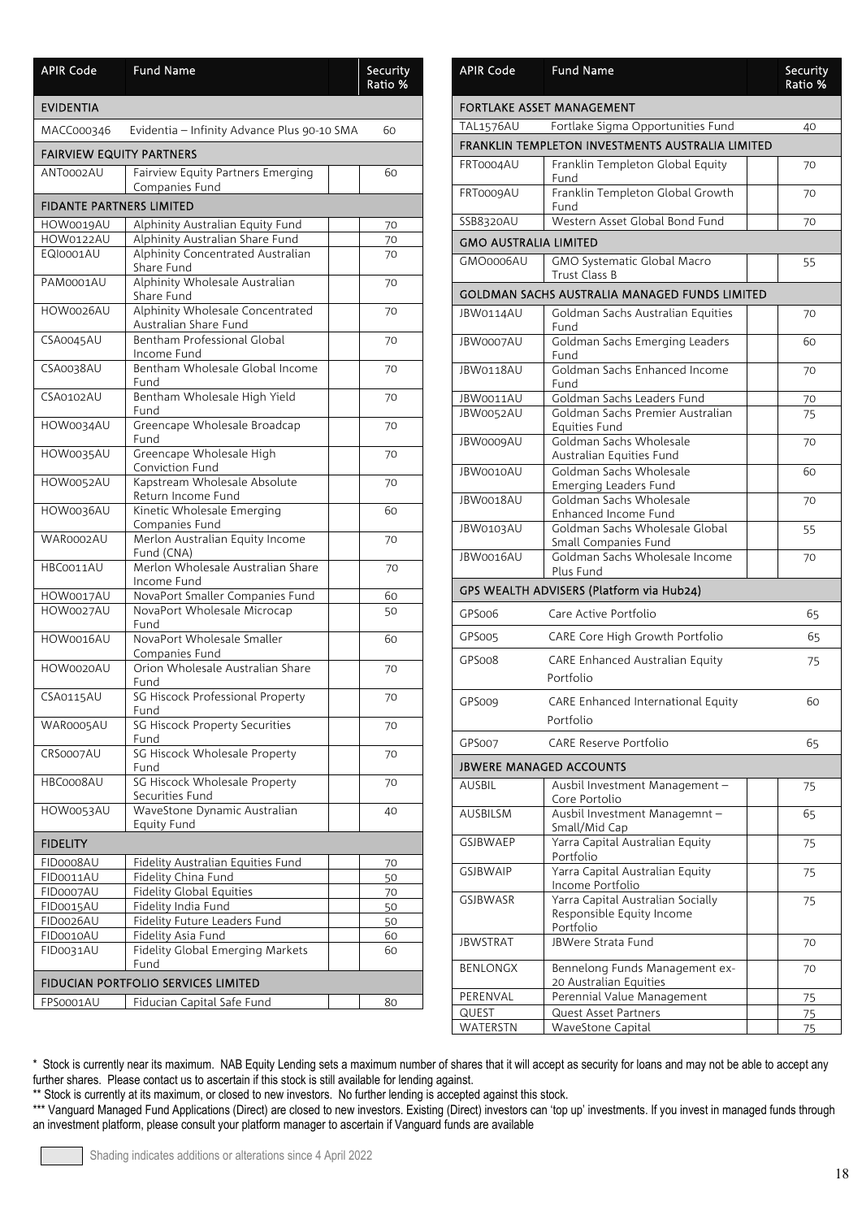| <b>APIR Code</b>                    | <b>Fund Name</b>                                          | Security<br>Ratio % |  |  |
|-------------------------------------|-----------------------------------------------------------|---------------------|--|--|
| <b>EVIDENTIA</b>                    |                                                           |                     |  |  |
| MACC000346                          | Evidentia - Infinity Advance Plus 90-10 SMA               | 60                  |  |  |
| <b>FAIRVIEW EQUITY PARTNERS</b>     |                                                           |                     |  |  |
| ANT0002AU                           | Fairview Equity Partners Emerging<br>Companies Fund       | 60                  |  |  |
| <b>FIDANTE PARTNERS LIMITED</b>     |                                                           |                     |  |  |
| HOW0019AU                           | Alphinity Australian Equity Fund                          | 70                  |  |  |
| HOW0122AU                           | Alphinity Australian Share Fund                           | 70                  |  |  |
| EQI0001AU                           | Alphinity Concentrated Australian<br>Share Fund           | 70                  |  |  |
| PAM0001AU                           | Alphinity Wholesale Australian<br>Share Fund              | 70                  |  |  |
| HOW0026AU                           | Alphinity Wholesale Concentrated<br>Australian Share Fund | 70                  |  |  |
| <b>CSA0045AU</b>                    | Bentham Professional Global<br>Income Fund                | 70                  |  |  |
| CSA0038AU                           | Bentham Wholesale Global Income<br>Fund                   | 70                  |  |  |
| CSA0102AU                           | Bentham Wholesale High Yield<br>Fund                      | 70                  |  |  |
| HOW0034AU                           | Greencape Wholesale Broadcap<br>Fund                      | 70                  |  |  |
| HOW0035AU                           | Greencape Wholesale High<br>Conviction Fund               | 70                  |  |  |
| HOW0052AU                           | Kapstream Wholesale Absolute<br>Return Income Fund        | 70                  |  |  |
| HOW0036AU                           | Kinetic Wholesale Emerging<br>Companies Fund              | 60                  |  |  |
| WAR0002AU                           | Merlon Australian Equity Income<br>Fund (CNA)             | 70                  |  |  |
| HBC0011AU                           | Merlon Wholesale Australian Share<br>Income Fund          | 70                  |  |  |
| HOW0017AU                           | NovaPort Smaller Companies Fund                           | 60                  |  |  |
| HOW0027AU                           | NovaPort Wholesale Microcap<br>Fund                       | 50                  |  |  |
| HOW0016AU                           | NovaPort Wholesale Smaller<br>Companies Fund              | 60                  |  |  |
| HOW0020AU                           | Orion Wholesale Australian Share<br>Fund                  | 70                  |  |  |
| CSA0115AU                           | SG Hiscock Professional Property<br>Fund                  | 70                  |  |  |
| WAR0005AU                           | SG Hiscock Property Securities<br>Fund                    | 70                  |  |  |
| CRS0007AU                           | SG Hiscock Wholesale Property<br>Fund                     | 70                  |  |  |
| HBC0008AU                           | SG Hiscock Wholesale Property<br>Securities Fund          | 70                  |  |  |
| HOW0053AU                           | WaveStone Dynamic Australian<br>Equity Fund               | 40                  |  |  |
| <b>FIDELITY</b>                     |                                                           |                     |  |  |
| FID0008AU                           | Fidelity Australian Equities Fund                         | 70                  |  |  |
| FID0011AU                           | Fidelity China Fund                                       | 50                  |  |  |
| FID0007AU                           | <b>Fidelity Global Equities</b>                           | 70                  |  |  |
| FID0015AU                           | Fidelity India Fund                                       | 50                  |  |  |
| FID0026AU                           | Fidelity Future Leaders Fund                              | 50                  |  |  |
| FID0010AU                           | Fidelity Asia Fund                                        | 60                  |  |  |
| FID0031AU                           | Fidelity Global Emerging Markets<br>Fund                  | 60                  |  |  |
| FIDUCIAN PORTFOLIO SERVICES LIMITED |                                                           |                     |  |  |
| FPS0001AU                           | Fiducian Capital Safe Fund                                | 80                  |  |  |

| <b>APIR Code</b>             | <b>Fund Name</b>                                                            | Security<br>Ratio % |
|------------------------------|-----------------------------------------------------------------------------|---------------------|
|                              | FORTLAKE ASSET MANAGEMENT                                                   |                     |
| TAL1576AU                    | Fortlake Sigma Opportunities Fund                                           | 40                  |
|                              | FRANKLIN TEMPLETON INVESTMENTS AUSTRALIA LIMITED                            |                     |
| FRT0004AU                    | Franklin Templeton Global Equity<br>Fund                                    | 70                  |
| FRT0009AU                    | Franklin Templeton Global Growth<br>Fund                                    | 70                  |
| SSB8320AU                    | Western Asset Global Bond Fund                                              | 70                  |
| <b>GMO AUSTRALIA LIMITED</b> |                                                                             |                     |
| GMO0006AU                    | <b>GMO Systematic Global Macro</b><br>Trust Class B                         | 55                  |
|                              | GOLDMAN SACHS AUSTRALIA MANAGED FUNDS LIMITED                               |                     |
| JBW0114AU                    | Goldman Sachs Australian Equities<br>Fund                                   | 70                  |
| JBW0007AU                    | Goldman Sachs Emerging Leaders<br>Fund                                      | 60                  |
| IBW0118AU                    | Goldman Sachs Enhanced Income<br>Fund                                       | 70                  |
| JBW0011AU                    | Goldman Sachs Leaders Fund                                                  | 70                  |
| JBW0052AU                    | Goldman Sachs Premier Australian<br>Equities Fund                           | 75                  |
| JBW0009AU                    | Goldman Sachs Wholesale<br>Australian Equities Fund                         | 70                  |
| IBW0010AU                    | Goldman Sachs Wholesale<br>Emerging Leaders Fund                            | 60                  |
| JBW0018AU                    | Goldman Sachs Wholesale<br>Enhanced Income Fund                             | 70                  |
| <b>JBW0103AU</b>             | Goldman Sachs Wholesale Global<br>Small Companies Fund                      | 55                  |
| JBW0016AU                    | Goldman Sachs Wholesale Income<br>Plus Fund                                 | 70                  |
|                              | GPS WEALTH ADVISERS (Platform via Hub24)                                    |                     |
| GPS006                       | Care Active Portfolio                                                       | 65                  |
| GPS005                       | CARE Core High Growth Portfolio                                             | 65                  |
| GPS008                       | CARE Enhanced Australian Equity<br>Portfolio                                | 75                  |
| GPS009                       | CARE Enhanced International Equity<br>Portfolio                             | 60                  |
| GPS007                       | <b>CARE Reserve Portfolio</b>                                               | 65                  |
|                              | <b>JBWERE MANAGED ACCOUNTS</b>                                              |                     |
| AUSBIL                       | Ausbil Investment Management -<br>Core Portolio                             | 75                  |
| <b>AUSBILSM</b>              | Ausbil Investment Managemnt-<br>Small/Mid Cap                               | 65                  |
| GSIBWAEP                     | Yarra Capital Australian Equity<br>Portfolio                                | 75                  |
| <b>GSIBWAIP</b>              | Yarra Capital Australian Equity<br>Income Portfolio                         | 75                  |
| <b>GSJBWASR</b>              | Yarra Capital Australian Socially<br>Responsible Equity Income<br>Portfolio | 75                  |
| <b>JBWSTRAT</b>              | JBWere Strata Fund                                                          | 70                  |
| <b>BENLONGX</b>              | Bennelong Funds Management ex-<br>20 Australian Equities                    | 70                  |
| PERENVAL                     | Perennial Value Management                                                  | 75                  |
| QUEST                        | Quest Asset Partners                                                        | 75                  |
| WATERSTN                     | WaveStone Capital                                                           | 75                  |

\*\* Stock is currently at its maximum, or closed to new investors. No further lending is accepted against this stock.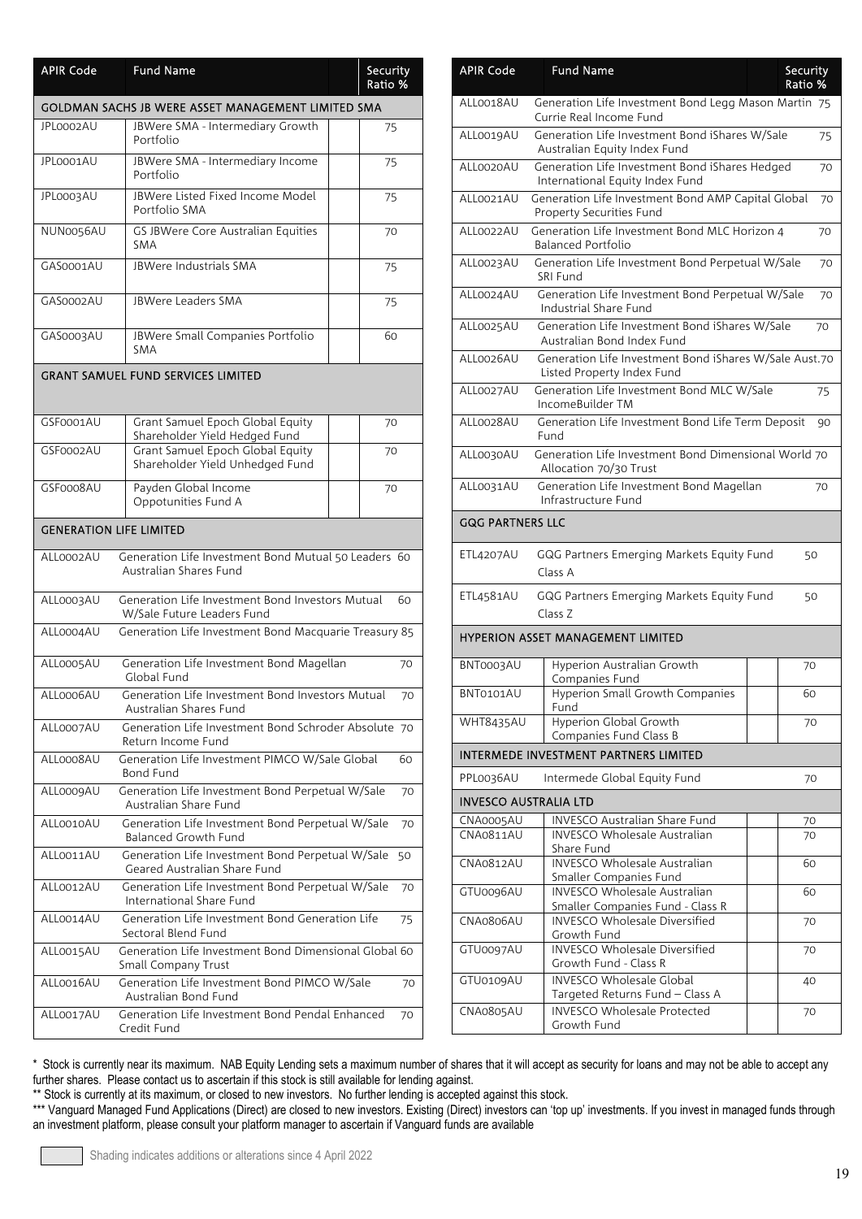| <b>APIR Code</b>               | <b>Fund Name</b>                                                                 | Security<br>Ratio % |
|--------------------------------|----------------------------------------------------------------------------------|---------------------|
|                                | GOLDMAN SACHS JB WERE ASSET MANAGEMENT LIMITED SMA                               |                     |
| JPL0002AU                      | JBWere SMA - Intermediary Growth<br>Portfolio                                    | 75                  |
| JPL0001AU                      | JBWere SMA - Intermediary Income<br>Portfolio                                    | 75                  |
| JPL0003AU                      | JBWere Listed Fixed Income Model<br>Portfolio SMA                                | 75                  |
| NUN0056AU                      | GS JBWere Core Australian Equities<br><b>SMA</b>                                 | 70                  |
| GAS0001AU                      | <b>IBWere Industrials SMA</b>                                                    | 75                  |
| GAS0002AU                      | <b>JBWere Leaders SMA</b>                                                        | 75                  |
| GAS0003AU                      | JBWere Small Companies Portfolio<br><b>SMA</b>                                   | 60                  |
|                                | <b>GRANT SAMUEL FUND SERVICES LIMITED</b>                                        |                     |
|                                |                                                                                  |                     |
| GSF0001AU                      | Grant Samuel Epoch Global Equity                                                 | 70                  |
| GSF0002AU                      | Shareholder Yield Hedged Fund<br>Grant Samuel Epoch Global Equity                | 70                  |
|                                | Shareholder Yield Unhedged Fund                                                  |                     |
| GSF0008AU                      | Payden Global Income<br>Oppotunities Fund A                                      | 70                  |
| <b>GENERATION LIFE LIMITED</b> |                                                                                  |                     |
| ALL0002AU                      | Generation Life Investment Bond Mutual 50 Leaders 60                             |                     |
|                                | Australian Shares Fund                                                           |                     |
| ALL0003AU                      | Generation Life Investment Bond Investors Mutual<br>W/Sale Future Leaders Fund   | 60                  |
| ALL0004AU                      | Generation Life Investment Bond Macquarie Treasury 85                            |                     |
| ALL0005AU                      | Generation Life Investment Bond Magellan<br>Global Fund                          | 70                  |
| ALL0006AU                      | Generation Life Investment Bond Investors Mutual<br>Australian Shares Fund       | 70                  |
| ALL0007AU                      | Generation Life Investment Bond Schroder Absolute 70<br>Return Income Fund       |                     |
| ALLooo8AU                      | Generation Life Investment PIMCO W/Sale Global<br>Bond Fund                      | 60                  |
| ALLooogAU                      | Generation Life Investment Bond Perpetual W/Sale<br>Australian Share Fund        | 70                  |
| ALL0010AU                      | Generation Life Investment Bond Perpetual W/Sale<br>Balanced Growth Fund         | 70                  |
| ALL0011AU                      | Generation Life Investment Bond Perpetual W/Sale<br>Geared Australian Share Fund | 50                  |
| ALL0012AU                      | Generation Life Investment Bond Perpetual W/Sale<br>International Share Fund     | 70                  |
| ALL0014AU                      | Generation Life Investment Bond Generation Life<br>Sectoral Blend Fund           | 75                  |
| ALL0015AU                      | Generation Life Investment Bond Dimensional Global 60<br>Small Company Trust     |                     |
| ALLO016AU                      | Generation Life Investment Bond PIMCO W/Sale<br>Australian Bond Fund             | 70                  |
| ALL0017AU                      | Generation Life Investment Bond Pendal Enhanced<br>Credit Fund                   | 70                  |

| <b>APIR Code</b>             | <b>Fund Name</b>                                                                     | Security<br>Ratio % |    |
|------------------------------|--------------------------------------------------------------------------------------|---------------------|----|
| ALLO018AU                    | Generation Life Investment Bond Legg Mason Martin 75<br>Currie Real Income Fund      |                     |    |
| ALL0019AU                    | Generation Life Investment Bond iShares W/Sale<br>Australian Equity Index Fund       |                     | 75 |
| ALL0020AU                    | Generation Life Investment Bond iShares Hedged<br>International Equity Index Fund    |                     | 70 |
| ALL0021AU                    | Generation Life Investment Bond AMP Capital Global<br>Property Securities Fund       |                     | 70 |
| ALL0022AU                    | Generation Life Investment Bond MLC Horizon 4<br><b>Balanced Portfolio</b>           |                     | 70 |
| ALL0023AU                    | Generation Life Investment Bond Perpetual W/Sale<br>SRI Fund                         |                     | 70 |
| ALL0024AU                    | Generation Life Investment Bond Perpetual W/Sale<br>Industrial Share Fund            |                     | 70 |
| ALL0025AU                    | Generation Life Investment Bond iShares W/Sale<br>Australian Bond Index Fund         |                     | 70 |
| ALL0026AU                    | Generation Life Investment Bond iShares W/Sale Aust.70<br>Listed Property Index Fund |                     |    |
| ALL0027AU                    | Generation Life Investment Bond MLC W/Sale<br>IncomeBuilder TM                       |                     | 75 |
| ALL0028AU                    | Generation Life Investment Bond Life Term Deposit<br>Fund                            |                     | 90 |
| ALL0030AU                    | Generation Life Investment Bond Dimensional World 70<br>Allocation 70/30 Trust       |                     |    |
| ALL0031AU                    | Generation Life Investment Bond Magellan<br>Infrastructure Fund                      |                     | 70 |
| <b>GQG PARTNERS LLC</b>      |                                                                                      |                     |    |
| ETL4207AU                    | GQG Partners Emerging Markets Equity Fund<br>Class A                                 |                     | 50 |
| ETL4581AU                    | GQG Partners Emerging Markets Equity Fund<br>Class Z                                 |                     | 50 |
|                              | <b>HYPERION ASSET MANAGEMENT LIMITED</b>                                             |                     |    |
| BNT0003AU                    | Hyperion Australian Growth<br>Companies Fund                                         |                     | 70 |
| BNT0101AU                    | Hyperion Small Growth Companies<br>Fund                                              |                     | 60 |
| <b>WHT8435AU</b>             | Hyperion Global Growth<br>Companies Fund Class B                                     |                     | 70 |
|                              | INTERMEDE INVESTMENT PARTNERS LIMITED                                                |                     |    |
| PPL0036AU                    | Intermede Global Equity Fund                                                         |                     | 70 |
| <b>INVESCO AUSTRALIA LTD</b> |                                                                                      |                     |    |
| CNA0005AU                    | <b>INVESCO Australian Share Fund</b>                                                 |                     | 70 |
| CNA0811AU                    | <b>INVESCO Wholesale Australian</b><br>Share Fund                                    |                     | 70 |
| <b>CNA0812AU</b>             | <b>INVESCO Wholesale Australian</b><br>Smaller Companies Fund                        |                     | 60 |
| GTU0096AU                    | <b>INVESCO Wholesale Australian</b><br>Smaller Companies Fund - Class R              |                     | 60 |
| CNA0806AU                    | <b>INVESCO Wholesale Diversified</b><br>Growth Fund                                  |                     | 70 |
| GTU0097AU                    | <b>INVESCO Wholesale Diversified</b><br>Growth Fund - Class R                        |                     | 70 |
| GTU0109AU                    | <b>INVESCO Wholesale Global</b><br>Targeted Returns Fund - Class A                   |                     | 40 |
| <b>CNA0805AU</b>             | <b>INVESCO Wholesale Protected</b><br>Growth Fund                                    |                     | 70 |

\*\* Stock is currently at its maximum, or closed to new investors. No further lending is accepted against this stock.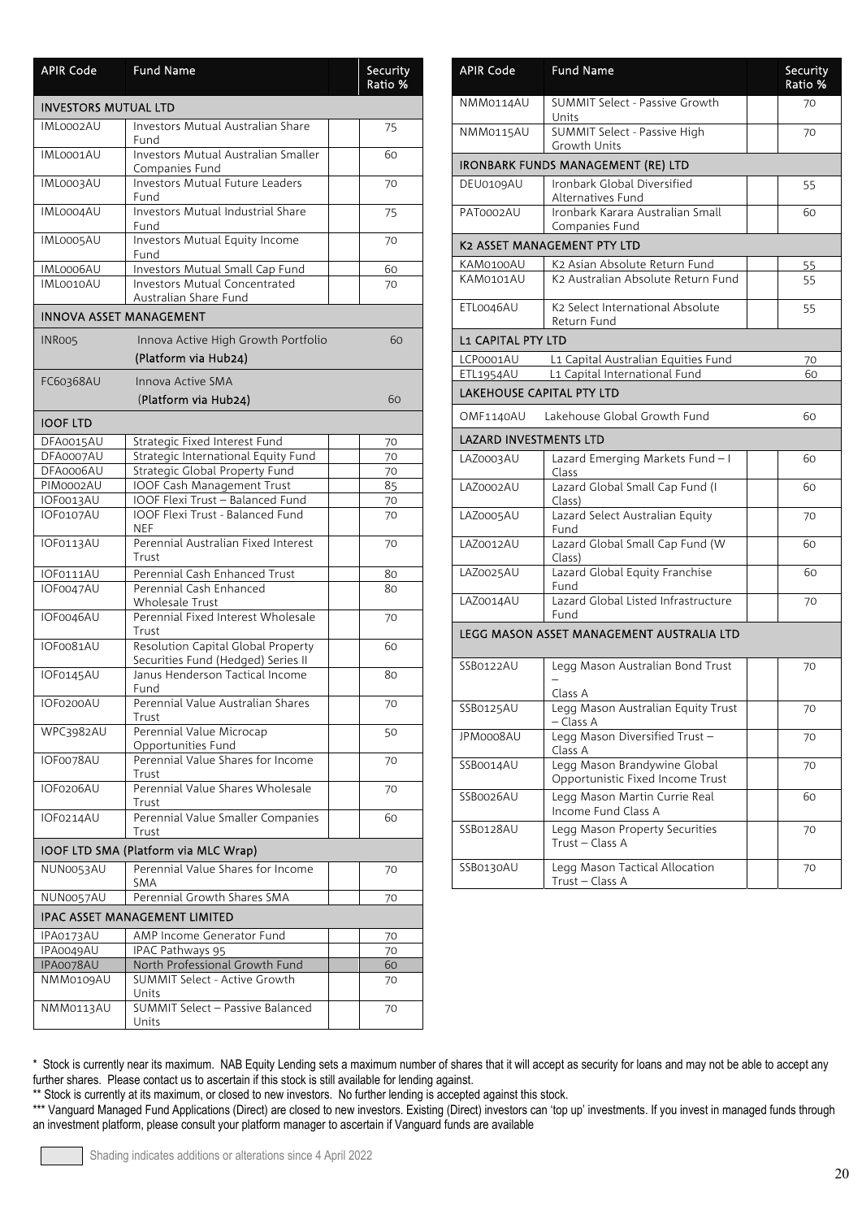| <b>APIR Code</b>            | <b>Fund Name</b>                                                         | <b>Security</b><br>Ratio % |
|-----------------------------|--------------------------------------------------------------------------|----------------------------|
| <b>INVESTORS MUTUAL LTD</b> |                                                                          |                            |
| IML0002AU                   | <b>Investors Mutual Australian Share</b><br>Fund                         | 75                         |
| IML0001AU                   | Investors Mutual Australian Smaller<br>Companies Fund                    | 60                         |
| IML0003AU                   | <b>Investors Mutual Future Leaders</b><br>Fund                           | 70                         |
| IML0004AU                   | Investors Mutual Industrial Share<br>Fund                                | 75                         |
| IML0005AU                   | Investors Mutual Equity Income<br>Fund                                   | 70                         |
| IML0006AU                   | Investors Mutual Small Cap Fund                                          | 60                         |
| IML0010AU                   | Investors Mutual Concentrated<br>Australian Share Fund                   | 70                         |
| INNOVA ASSET MANAGEMENT     |                                                                          |                            |
| INROO5                      | Innova Active High Growth Portfolio                                      | 60                         |
|                             | (Platform via Hub24)                                                     |                            |
| FC60368AU                   | Innova Active SMA                                                        |                            |
|                             | (Platform via Hub24)                                                     | 60                         |
| <b>IOOF LTD</b>             |                                                                          |                            |
| DFA0015AU                   | Strategic Fixed Interest Fund                                            | 70                         |
| DFA0007AU                   | Strategic International Equity Fund                                      | 70                         |
| DFA0006AU                   | Strategic Global Property Fund                                           | 70                         |
| PIM0002AU                   | IOOF Cash Management Trust                                               | 85                         |
| IOF0013AU                   | <b>IOOF Flexi Trust - Balanced Fund</b>                                  | 70                         |
| IOF0107AU                   | <b>IOOF Flexi Trust - Balanced Fund</b><br>NEF.                          | 70                         |
| IOF0113AU                   | Perennial Australian Fixed Interest<br>Trust                             | 70                         |
| IOF0111AU                   | Perennial Cash Enhanced Trust                                            | 80                         |
| IOF0047AU                   | Perennial Cash Enhanced<br><b>Wholesale Trust</b>                        | 80                         |
| IOF0046AU                   | Perennial Fixed Interest Wholesale<br>Trust                              | 70                         |
| IOF0081AU                   | Resolution Capital Global Property<br>Securities Fund (Hedged) Series II | 60                         |
| IOF0145AU                   | Janus Henderson Tactical Income<br>Fund                                  | 80                         |
| IOF0200AU                   | Perennial Value Australian Shares<br>Trust                               | 70                         |
| WPC3982AU                   | Perennial Value Microcap<br>Opportunities Fund                           | 50                         |
| IOF0078AU                   | Perennial Value Shares for Income<br>Trust                               | 70                         |
| IOF0206AU                   | Perennial Value Shares Wholesale<br>Trust                                | 70                         |
| IOF0214AU                   | Perennial Value Smaller Companies<br>Trust                               | 60                         |
|                             | IOOF LTD SMA (Platform via MLC Wrap)                                     |                            |
| NUN0053AU                   | Perennial Value Shares for Income<br>SMA                                 | 70                         |
| NUN0057AU                   | Perennial Growth Shares SMA                                              | 70                         |
|                             | <b>IPAC ASSET MANAGEMENT LIMITED</b>                                     |                            |
| IPA0173AU                   | AMP Income Generator Fund                                                | 70                         |
| IPA0049AU                   | IPAC Pathways 95                                                         | 70                         |
| IPA0078AU                   | North Professional Growth Fund                                           | 60                         |
| NMM0109AU                   | SUMMIT Select - Active Growth<br>Units                                   | 70                         |
| NMM0113AU                   | SUMMIT Select - Passive Balanced<br>Units                                | 70                         |

| <b>APIR Code</b>                 | <b>Fund Name</b>                                                 | Security<br>Ratio % |
|----------------------------------|------------------------------------------------------------------|---------------------|
| NMM0114AU                        | <b>SUMMIT Select - Passive Growth</b><br>Units                   | 70                  |
| NMM0115AU                        | SUMMIT Select - Passive High<br>Growth Units                     | 70                  |
|                                  | <b>IRONBARK FUNDS MANAGEMENT (RE) LTD</b>                        |                     |
| DEU0109AU                        | Ironbark Global Diversified<br>Alternatives Fund                 | 55                  |
| PAT0002AU                        | Ironbark Karara Australian Small<br>Companies Fund               | 60                  |
|                                  | K2 ASSET MANAGEMENT PTY LTD                                      |                     |
| KAM0100AU                        | K2 Asian Absolute Return Fund                                    | 55                  |
| KAM0101AU                        | K2 Australian Absolute Return Fund                               | 55                  |
| ETL0046AU                        | K <sub>2</sub> Select International Absolute<br>Return Fund      | 55                  |
| <b>L1 CAPITAL PTY LTD</b>        |                                                                  |                     |
| LCP0001AU                        | L1 Capital Australian Equities Fund                              | 70                  |
| ETL1954AU                        | L1 Capital International Fund                                    | 60                  |
| <b>LAKEHOUSE CAPITAL PTY LTD</b> |                                                                  |                     |
| OMF1140AU                        | Lakehouse Global Growth Fund                                     | 60                  |
| <b>LAZARD INVESTMENTS LTD</b>    |                                                                  |                     |
| LAZ0003AU                        | Lazard Emerging Markets Fund-I<br>Class                          | 60                  |
| LAZ0002AU                        | Lazard Global Small Cap Fund (I<br>Class)                        | 60                  |
| LAZ0005AU                        | Lazard Select Australian Equity<br>Fund                          | 70                  |
| LAZ0012AU                        | Lazard Global Small Cap Fund (W<br>Class)                        | 60                  |
| LAZ0025AU                        | Lazard Global Equity Franchise<br>Fund                           | 60                  |
| LAZ0014AU                        | Lazard Global Listed Infrastructure<br>Fund                      | 70                  |
|                                  | LEGG MASON ASSET MANAGEMENT AUSTRALIA LTD                        |                     |
| SSB0122AU                        | Legg Mason Australian Bond Trust                                 | 70                  |
|                                  | Class A                                                          |                     |
| SSB0125AU                        | Legg Mason Australian Equity Trust<br>– Class A                  | 70                  |
| <b>IPM0008AU</b>                 | Legg Mason Diversified Trust-<br>Class A                         | 70                  |
| SSB0014AU                        | Legg Mason Brandywine Global<br>Opportunistic Fixed Income Trust | 70                  |
| SSB0026AU                        | Legg Mason Martin Currie Real<br>Income Fund Class A             | 60                  |
| SSB0128AU                        | Legg Mason Property Securities<br>Trust - Class A                | 70                  |
| SSB0130AU                        | Legg Mason Tactical Allocation<br>Trust - Class A                | 70                  |

\*\* Stock is currently at its maximum, or closed to new investors. No further lending is accepted against this stock.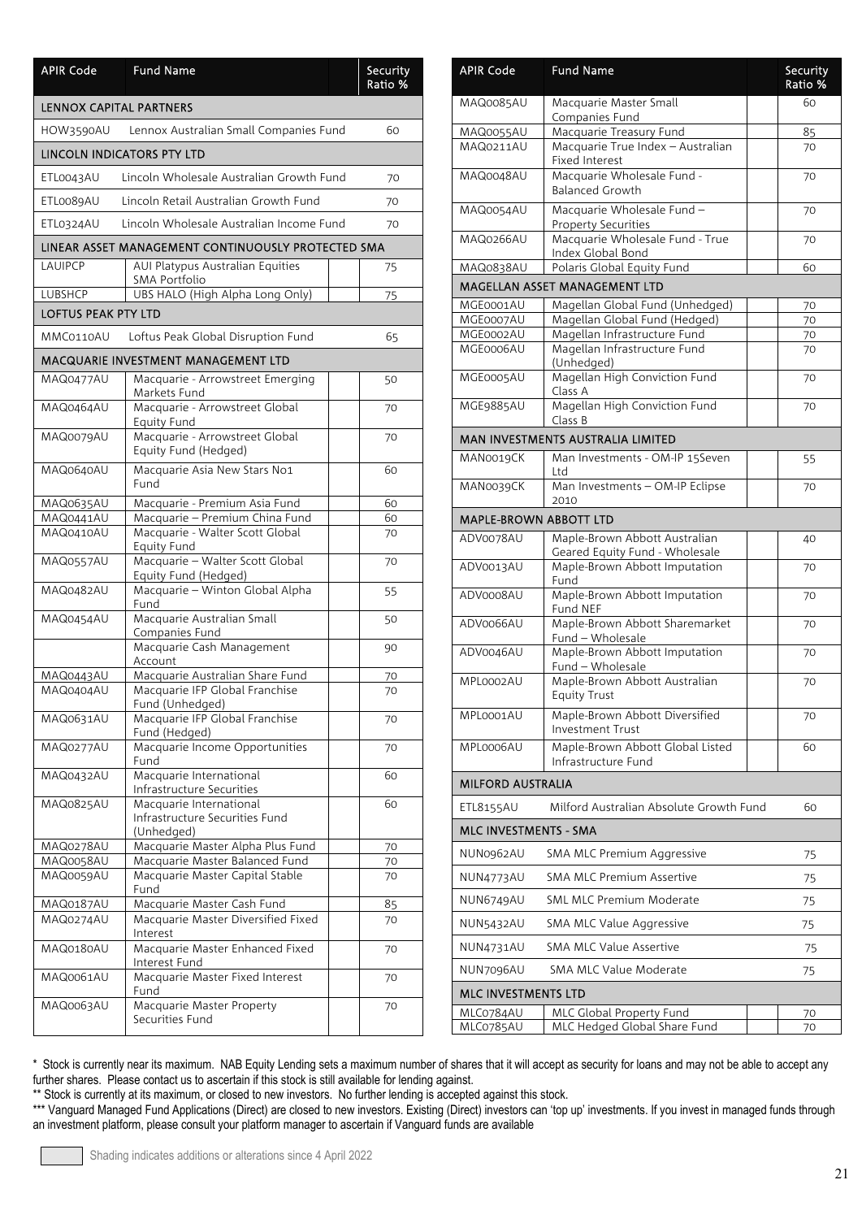| <b>APIR Code</b>           | <b>Fund Name</b>                                                  |  | Security<br>Ratio % |
|----------------------------|-------------------------------------------------------------------|--|---------------------|
| LENNOX CAPITAL PARTNERS    |                                                                   |  |                     |
| HOW3590AU                  | Lennox Australian Small Companies Fund                            |  | 60                  |
| LINCOLN INDICATORS PTY LTD |                                                                   |  |                     |
| ETL0043AU                  | Lincoln Wholesale Australian Growth Fund                          |  | 70                  |
| ETL0089AU                  | Lincoln Retail Australian Growth Fund                             |  | 70                  |
| ETL0324AU                  | Lincoln Wholesale Australian Income Fund                          |  | 70                  |
|                            | LINEAR ASSET MANAGEMENT CONTINUOUSLY PROTECTED SMA                |  |                     |
| <b>LAUIPCP</b>             | AUI Platypus Australian Equities                                  |  | 75                  |
| LUBSHCP                    | SMA Portfolio<br>UBS HALO (High Alpha Long Only)                  |  | 75                  |
| <b>LOFTUS PEAK PTY LTD</b> |                                                                   |  |                     |
| MMC0110AU                  | Loftus Peak Global Disruption Fund                                |  | 65                  |
|                            | MACQUARIE INVESTMENT MANAGEMENT LTD                               |  |                     |
| MAQ0477AU                  | Macquarie - Arrowstreet Emerging                                  |  | 50                  |
| MAQ0464AU                  | Markets Fund<br>Macquarie - Arrowstreet Global                    |  | 70                  |
|                            | <b>Equity Fund</b>                                                |  |                     |
| MAQ0079AU                  | Macquarie - Arrowstreet Global<br>Equity Fund (Hedged)            |  | 70                  |
| MAQ0640AU                  | Macquarie Asia New Stars No1<br>Fund                              |  | 60                  |
| MAQ0635AU                  | Macquarie - Premium Asia Fund                                     |  | 60                  |
| MAQ0441AU<br>MAQ0410AU     | Macquarie - Premium China Fund<br>Macquarie - Walter Scott Global |  | 60<br>70            |
|                            | <b>Equity Fund</b>                                                |  |                     |
| MAQ0557AU                  | Macquarie - Walter Scott Global<br>Equity Fund (Hedged)           |  | 70                  |
| MAQ0482AU                  | Macquarie - Winton Global Alpha<br>Fund                           |  | 55                  |
| MAQ0454AU                  | Macquarie Australian Small<br>Companies Fund                      |  | 50                  |
|                            | Macquarie Cash Management<br>Account                              |  | 90                  |
| MAQ0443AU                  | Macquarie Australian Share Fund                                   |  | 70                  |
| MAQ0404AU                  | Macquarie IFP Global Franchise<br>Fund (Unhedged)                 |  | 70                  |
| MAQ0631AU                  | Macquarie IFP Global Franchise                                    |  | 70                  |
| MAQ0277AU                  | Fund (Hedged)<br>Macquarie Income Opportunities                   |  | 70                  |
|                            | Fund                                                              |  |                     |
| MAQ0432AU                  | Macquarie International<br>Infrastructure Securities              |  | 60                  |
| MAQ0825AU                  | Macquarie International                                           |  | 60                  |
|                            | Infrastructure Securities Fund<br>(Unhedged)                      |  |                     |
| MAQ0278AU                  | Macquarie Master Alpha Plus Fund                                  |  | 70                  |
| MAQ0058AU                  | Macquarie Master Balanced Fund                                    |  | 70                  |
| MAQ0059AU                  | Macquarie Master Capital Stable<br>Fund                           |  | 70                  |
| MAQ0187AU                  | Macquarie Master Cash Fund                                        |  | 85                  |
| MAQ0274AU                  | Macquarie Master Diversified Fixed<br>Interest                    |  | 70                  |
| MAQ0180AU                  | Macquarie Master Enhanced Fixed                                   |  | 70                  |
| MAQ0061AU                  | Interest Fund<br>Macquarie Master Fixed Interest                  |  | 70                  |
| MAQ0063AU                  | Fund<br>Macquarie Master Property                                 |  | 70                  |
|                            | Securities Fund                                                   |  |                     |

| <b>APIR Code</b>             | <b>Fund Name</b>                                                |  | Security<br>Ratio % |
|------------------------------|-----------------------------------------------------------------|--|---------------------|
| MAQ0085AU                    | Macquarie Master Small<br>Companies Fund                        |  | 60                  |
| <b>MAQ0055AU</b>             | Macquarie Treasury Fund                                         |  | 85                  |
| MAQ0211AU                    | Macquarie True Index - Australian<br><b>Fixed Interest</b>      |  | 70                  |
| MAQ0048AU                    | Macquarie Wholesale Fund -<br><b>Balanced Growth</b>            |  | 70                  |
| MAQ0054AU                    | Macquarie Wholesale Fund -<br><b>Property Securities</b>        |  | 70                  |
| MAQ0266AU                    | Macquarie Wholesale Fund - True<br>Index Global Bond            |  | 70                  |
| MAQ0838AU                    | Polaris Global Equity Fund                                      |  | 60                  |
|                              | MAGELLAN ASSET MANAGEMENT LTD                                   |  |                     |
| MGE0001AU                    | Magellan Global Fund (Unhedged)                                 |  | 70                  |
| MGE0007AU<br>MGE0002AU       | Magellan Global Fund (Hedged)<br>Magellan Infrastructure Fund   |  | 70                  |
| MGE0006AU                    | Magellan Infrastructure Fund<br>(Unhedged)                      |  | 70<br>70            |
| MGE0005AU                    | Magellan High Conviction Fund<br>Class A                        |  | 70                  |
| MGE9885AU                    | Magellan High Conviction Fund<br>Class B                        |  | 70                  |
|                              | MAN INVESTMENTS AUSTRALIA LIMITED                               |  |                     |
| MAN0019CK                    | Man Investments - OM-IP 15Seven<br>Ltd                          |  | 55                  |
| MAN0039CK                    | Man Investments - OM-IP Eclipse<br>2010                         |  | 70                  |
| MAPLE-BROWN ABBOTT LTD       |                                                                 |  |                     |
| ADV0078AU                    | Maple-Brown Abbott Australian<br>Geared Equity Fund - Wholesale |  | 40                  |
| ADV0013AU                    | Maple-Brown Abbott Imputation<br>Fund                           |  | 70                  |
| ADV0008AU                    | Maple-Brown Abbott Imputation<br>Fund NEF                       |  | 70                  |
| ADV0066AU                    | Maple-Brown Abbott Sharemarket<br>Fund - Wholesale              |  | 70                  |
| ADV0046AU                    | Maple-Brown Abbott Imputation<br>Fund - Wholesale               |  | 70                  |
| MPL0002AU                    | Maple-Brown Abbott Australian<br><b>Equity Trust</b>            |  | 70                  |
| MPL0001AU                    | Maple-Brown Abbott Diversified<br><b>Investment Trust</b>       |  | 70                  |
| MPL0006AU                    | Maple-Brown Abbott Global Listed<br>Infrastructure Fund         |  | 60                  |
| <b>MILFORD AUSTRALIA</b>     |                                                                 |  |                     |
| ETL8155AU                    | Milford Australian Absolute Growth Fund                         |  | 60                  |
| <b>MLC INVESTMENTS - SMA</b> |                                                                 |  |                     |
| NUN0962AU                    | <b>SMA MLC Premium Aggressive</b>                               |  | 75                  |
| NUN4773AU                    | <b>SMA MLC Premium Assertive</b>                                |  | 75                  |
| NUN6749AU                    | <b>SML MLC Premium Moderate</b>                                 |  | 75                  |
| <b>NUN5432AU</b>             | SMA MLC Value Aggressive                                        |  | 75                  |
| NUN4731AU                    | <b>SMA MLC Value Assertive</b>                                  |  | 75                  |
| NUN7096AU                    | SMA MLC Value Moderate                                          |  | 75                  |
| MLC INVESTMENTS LTD          |                                                                 |  |                     |
| MLC0784AU<br>MLC0785AU       | <b>MLC Global Property Fund</b><br>MLC Hedged Global Share Fund |  | 70<br>70            |

\*\* Stock is currently at its maximum, or closed to new investors. No further lending is accepted against this stock.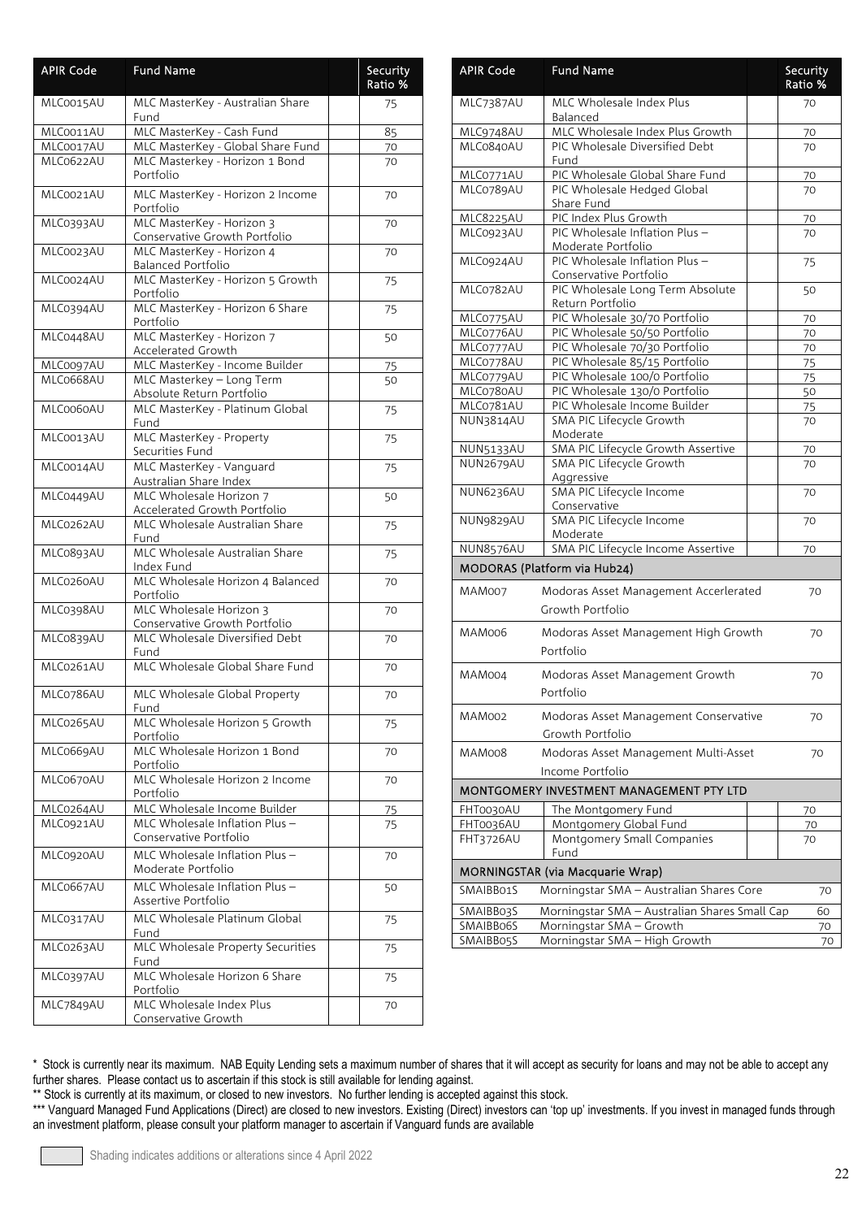| <b>APIR Code</b> | <b>Fund Name</b>                                           | Security<br>Ratio % |
|------------------|------------------------------------------------------------|---------------------|
| MLC0015AU        | MLC MasterKey - Australian Share<br>Fund                   | 75                  |
| MLC0011AU        | MLC MasterKey - Cash Fund                                  | 85                  |
| MLC0017AU        | MLC MasterKey - Global Share Fund                          | 70                  |
| MLC0622AU        | MLC Masterkey - Horizon 1 Bond<br>Portfolio                | 70                  |
| MLC0021AU        | MLC MasterKey - Horizon 2 Income<br>Portfolio              | 70                  |
| MLC0393AU        | MLC MasterKey - Horizon 3<br>Conservative Growth Portfolio | 70                  |
| MLC0023AU        | MLC MasterKey - Horizon 4<br><b>Balanced Portfolio</b>     | 70                  |
| MLC0024AU        | MLC MasterKey - Horizon 5 Growth<br>Portfolio              | 75                  |
| MLC0394AU        | MLC MasterKey - Horizon 6 Share<br>Portfolio               | 75                  |
| MLC0448AU        | MLC MasterKey - Horizon 7<br>Accelerated Growth            | 50                  |
| MLC0097AU        | MLC MasterKey - Income Builder                             | 75                  |
| MLC0668AU        | MLC Masterkey - Long Term                                  | 50                  |
| MLC0060AU        | Absolute Return Portfolio                                  |                     |
|                  | MLC MasterKey - Platinum Global<br>Fund                    | 75                  |
| MLC0013AU        | MLC MasterKey - Property<br>Securities Fund                | 75                  |
| MLC0014AU        | MLC MasterKey - Vanguard<br>Australian Share Index         | 75                  |
| MLC0449AU        | MLC Wholesale Horizon 7<br>Accelerated Growth Portfolio    | 50                  |
| MLC0262AU        | MLC Wholesale Australian Share<br>Fund                     | 75                  |
| MLC0893AU        | MLC Wholesale Australian Share<br>Index Fund               | 75                  |
| MLC0260AU        | MLC Wholesale Horizon 4 Balanced<br>Portfolio              | 70                  |
| MLC0398AU        | MLC Wholesale Horizon 3<br>Conservative Growth Portfolio   | 70                  |
| MLC0839AU        | MLC Wholesale Diversified Debt<br>Fund                     | 70                  |
| MLC0261AU        | MLC Wholesale Global Share Fund                            | 70                  |
| MLC0786AU        | MLC Wholesale Global Property<br>Fund                      | 70                  |
| MLC0265AU        | MLC Wholesale Horizon 5 Growth<br>Portfolio                | 75                  |
| MLC0669AU        | MLC Wholesale Horizon 1 Bond<br>Portfolio                  | 70                  |
| MLC0670AU        | MLC Wholesale Horizon 2 Income<br>Portfolio                | 70                  |
| MLC0264AU        | MLC Wholesale Income Builder                               | 75                  |
| MLC0921AU        | MLC Wholesale Inflation Plus -<br>Conservative Portfolio   | 75                  |
| MLC0920AU        | MLC Wholesale Inflation Plus -<br>Moderate Portfolio       | 70                  |
| MLC0667AU        | MLC Wholesale Inflation Plus -<br>Assertive Portfolio      | 50                  |
| MLC0317AU        | MLC Wholesale Platinum Global<br>Fund                      | 75                  |
| MLC0263AU        | MLC Wholesale Property Securities<br>Fund                  | 75                  |
| MLC0397AU        | MLC Wholesale Horizon 6 Share<br>Portfolio                 | 75                  |
| MLC7849AU        | MLC Wholesale Index Plus<br>Conservative Growth            | 70                  |

| <b>APIR Code</b>                                             | <b>Fund Name</b>                                               |  | Security<br>Ratio % |  |
|--------------------------------------------------------------|----------------------------------------------------------------|--|---------------------|--|
| MLC7387AU                                                    | MLC Wholesale Index Plus<br>Balanced                           |  | 70                  |  |
| MLC9748AU                                                    | MLC Wholesale Index Plus Growth                                |  | 70                  |  |
| MLC0840AU                                                    | PIC Wholesale Diversified Debt<br>Fund                         |  | 70                  |  |
| MLC0771AU                                                    | PIC Wholesale Global Share Fund                                |  | 70                  |  |
| MLC0789AU                                                    | PIC Wholesale Hedged Global<br>Share Fund                      |  | 70                  |  |
| MLC8225AU                                                    | PIC Index Plus Growth                                          |  | 70                  |  |
| MLC0923AU                                                    | PIC Wholesale Inflation Plus -<br>Moderate Portfolio           |  | 70                  |  |
| MLC0924AU                                                    | PIC Wholesale Inflation Plus -<br>Conservative Portfolio       |  | 75                  |  |
| MLC0782AU                                                    | PIC Wholesale Long Term Absolute<br>Return Portfolio           |  | 50                  |  |
| MLC0775AU                                                    | PIC Wholesale 30/70 Portfolio                                  |  | 70                  |  |
| MLC0776AU                                                    | PIC Wholesale 50/50 Portfolio                                  |  | 70                  |  |
| MLC0777AU                                                    | PIC Wholesale 70/30 Portfolio                                  |  | 70                  |  |
| MLC0778AU                                                    | PIC Wholesale 85/15 Portfolio                                  |  | 75                  |  |
| MLC0779AU<br>MLC0780AU                                       | PIC Wholesale 100/0 Portfolio<br>PIC Wholesale 130/0 Portfolio |  | 75                  |  |
| MLC0781AU                                                    | PIC Wholesale Income Builder                                   |  | 50                  |  |
| NUN3814AU                                                    | SMA PIC Lifecycle Growth                                       |  | 75<br>70            |  |
|                                                              | Moderate                                                       |  |                     |  |
| <b>NUN5133AU</b>                                             | SMA PIC Lifecycle Growth Assertive                             |  | 70                  |  |
| NUN2679AU                                                    | SMA PIC Lifecycle Growth                                       |  | 70                  |  |
| NUN6236AU                                                    | Aggressive<br>SMA PIC Lifecycle Income                         |  | 70                  |  |
|                                                              | Conservative                                                   |  |                     |  |
| NUN9829AU                                                    | SMA PIC Lifecycle Income<br>Moderate                           |  | 70                  |  |
| <b>NUN8576AU</b>                                             | SMA PIC Lifecycle Income Assertive                             |  | 70                  |  |
|                                                              | MODORAS (Platform via Hub24)                                   |  |                     |  |
| MAM007                                                       | Modoras Asset Management Accerlerated<br>Growth Portfolio      |  | 70                  |  |
| MAM006                                                       | Modoras Asset Management High Growth<br>Portfolio              |  | 70                  |  |
| MAM004                                                       | Modoras Asset Management Growth<br>Portfolio                   |  | 70                  |  |
| MAM002                                                       | Modoras Asset Management Conservative                          |  | 70                  |  |
|                                                              | Growth Portfolio                                               |  |                     |  |
| MAM008                                                       | Modoras Asset Management Multi-Asset                           |  | 70                  |  |
| Income Portfolio<br>MONTGOMERY INVESTMENT MANAGEMENT PTY LTD |                                                                |  |                     |  |
| FHT0030AU                                                    | The Montgomery Fund                                            |  | 70                  |  |
| FHT0036AU                                                    | Montgomery Global Fund                                         |  | 70                  |  |
| FHT3726AU                                                    | Montgomery Small Companies<br>Fund                             |  | 70                  |  |
| MORNINGSTAR (via Macquarie Wrap)                             |                                                                |  |                     |  |
| SMAIBB01S                                                    | Morningstar SMA - Australian Shares Core                       |  | 70                  |  |
| SMAIBB03S                                                    | Morningstar SMA - Australian Shares Small Cap                  |  | 60                  |  |
| SMAIBB06S                                                    | Morningstar SMA - Growth                                       |  | 70                  |  |
| <b>SMAIBB05S</b>                                             | Morningstar SMA - High Growth                                  |  | 70                  |  |

\*\* Stock is currently at its maximum, or closed to new investors. No further lending is accepted against this stock.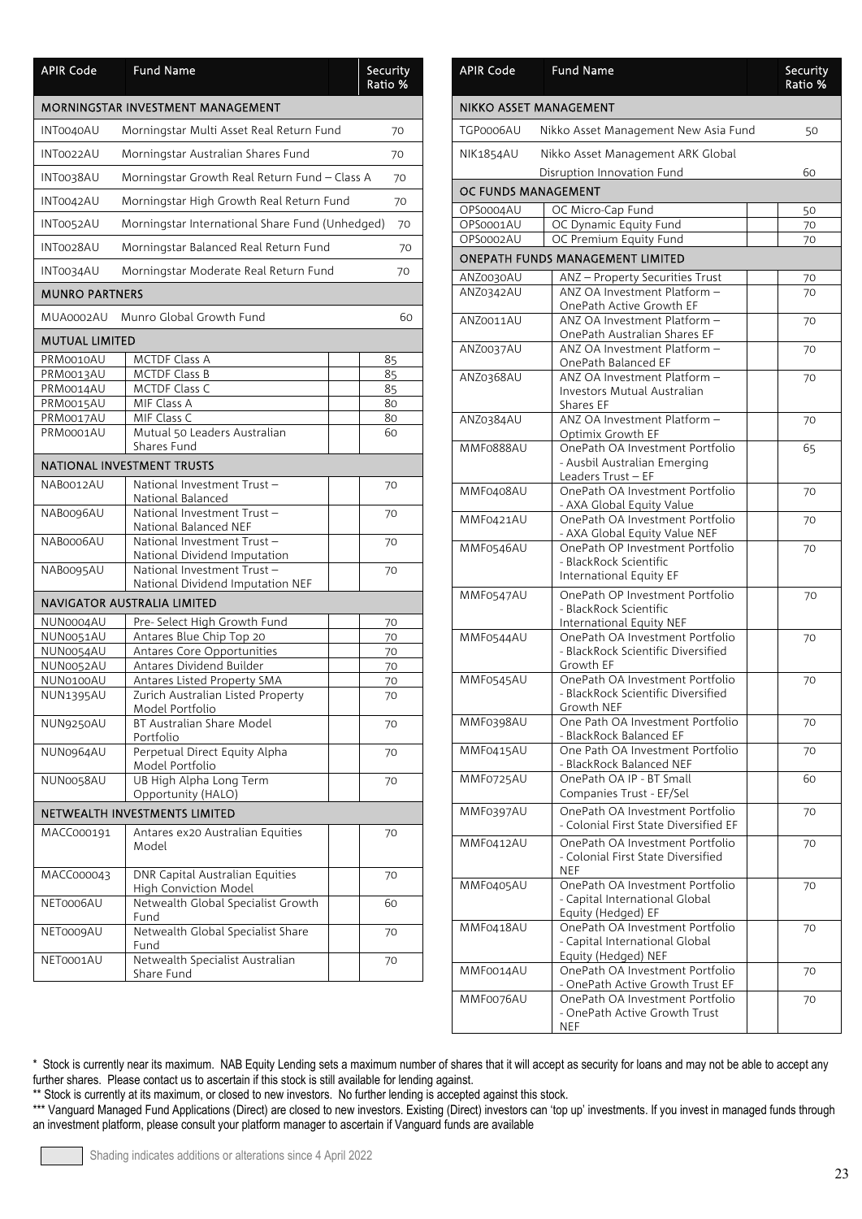| <b>APIR Code</b>                  | <b>Fund Name</b>                                                |  | Security<br>Ratio % |  |
|-----------------------------------|-----------------------------------------------------------------|--|---------------------|--|
| MORNINGSTAR INVESTMENT MANAGEMENT |                                                                 |  |                     |  |
| INT0040AU                         | Morningstar Multi Asset Real Return Fund                        |  | 70                  |  |
| INT0022AU                         | Morningstar Australian Shares Fund                              |  | 70                  |  |
| INT0038AU                         | Morningstar Growth Real Return Fund - Class A                   |  | 70                  |  |
| INT0042AU                         | Morningstar High Growth Real Return Fund                        |  | 70                  |  |
| INT0052AU                         | Morningstar International Share Fund (Unhedged)                 |  | 70                  |  |
| INT0028AU                         | Morningstar Balanced Real Return Fund                           |  | 70                  |  |
| INT0034AU                         | Morningstar Moderate Real Return Fund                           |  | 70                  |  |
| <b>MUNRO PARTNERS</b>             |                                                                 |  |                     |  |
| MUA0002AU                         | Munro Global Growth Fund                                        |  | 60                  |  |
| <b>MUTUAL LIMITED</b>             |                                                                 |  |                     |  |
| PRM0010AU                         | MCTDF Class A                                                   |  | 85                  |  |
| PRM0013AU                         | <b>MCTDF Class B</b>                                            |  | 85                  |  |
| PRM0014AU                         | MCTDF Class C                                                   |  | 85                  |  |
| PRM0015AU                         | MIF Class A<br>MIF Class C                                      |  | 80                  |  |
| PRM0017AU<br>PRM0001AU            | Mutual 50 Leaders Australian                                    |  | 80<br>60            |  |
|                                   | Shares Fund                                                     |  |                     |  |
|                                   | NATIONAL INVESTMENT TRUSTS                                      |  |                     |  |
| NAB0012AU                         | National Investment Trust -<br>National Balanced                |  | 70                  |  |
| NAB0096AU                         | National Investment Trust -<br>National Balanced NEF            |  | 70                  |  |
| NAB0006AU                         | National Investment Trust -<br>National Dividend Imputation     |  | 70                  |  |
| NAB0095AU                         | National Investment Trust-<br>National Dividend Imputation NEF  |  | 70                  |  |
|                                   | <b>NAVIGATOR AUSTRALIA LIMITED</b>                              |  |                     |  |
| NUN0004AU                         | Pre- Select High Growth Fund                                    |  | 70                  |  |
| NUN0051AU                         | Antares Blue Chip Top 20                                        |  | 70                  |  |
| NUN0054AU                         | Antares Core Opportunities                                      |  | 70                  |  |
| NUN0052AU                         | Antares Dividend Builder                                        |  | 70                  |  |
| NUN0100AU                         | Antares Listed Property SMA                                     |  | 70                  |  |
| <b>NUN1395AU</b>                  | Zurich Australian Listed Property<br>Model Portfolio            |  | 70                  |  |
| NUN9250AU                         | BT Australian Share Model<br>Portfolio                          |  | 70                  |  |
| NUN0964AU                         | Perpetual Direct Equity Alpha<br>Model Portfolio                |  | 70                  |  |
| NUN0058AU                         | UB High Alpha Long Term<br>Opportunity (HALO)                   |  | 70                  |  |
| NETWEALTH INVESTMENTS LIMITED     |                                                                 |  |                     |  |
| MACC000191                        | Antares ex20 Australian Equities<br>Model                       |  | 70                  |  |
| MACC000043                        | DNR Capital Australian Equities<br><b>High Conviction Model</b> |  | 70                  |  |
| NET0006AU                         | Netwealth Global Specialist Growth<br>Fund                      |  | 60                  |  |
| NET0009AU                         | Netwealth Global Specialist Share<br>Fund                       |  | 70                  |  |
| NET0001AU                         | Netwealth Specialist Australian<br>Share Fund                   |  | 70                  |  |

| <b>APIR Code</b>       | <b>Fund Name</b>                                                    | Security<br>Ratio % |
|------------------------|---------------------------------------------------------------------|---------------------|
| NIKKO ASSET MANAGEMENT |                                                                     |                     |
| TGP0006AU              | Nikko Asset Management New Asia Fund                                | 50                  |
| NIK1854AU              | Nikko Asset Management ARK Global                                   |                     |
|                        | Disruption Innovation Fund                                          | 60                  |
| OC FUNDS MANAGEMENT    |                                                                     |                     |
| OPS0004AU              | OC Micro-Cap Fund                                                   | 50                  |
| OPS0001AU              | OC Dynamic Equity Fund                                              | 70                  |
| OPS0002AU              | OC Premium Equity Fund                                              | 70                  |
|                        | ONEPATH FUNDS MANAGEMENT LIMITED                                    |                     |
| ANZ0030AU              | ANZ - Property Securities Trust                                     | 70                  |
| ANZ0342AU              | ANZ OA Investment Platform -<br>OnePath Active Growth EF            | 70                  |
| ANZ0011AU              | ANZ OA Investment Platform -                                        | 70                  |
| <b>ANZ0037AU</b>       | OnePath Australian Shares EF<br>ANZ OA Investment Platform -        |                     |
|                        | OnePath Balanced EF                                                 | 70                  |
| ANZ0368AU              | ANZ OA Investment Platform -                                        | 70                  |
|                        | <b>Investors Mutual Australian</b>                                  |                     |
| ANZ0384AU              | Shares EF<br>ANZ OA Investment Platform -                           | 70                  |
|                        | Optimix Growth EF                                                   |                     |
| MMF0888AU              | OnePath OA Investment Portfolio                                     | 65                  |
|                        | - Ausbil Australian Emerging<br>Leaders Trust - EF                  |                     |
| MMF0408AU              | OnePath OA Investment Portfolio                                     | 70                  |
|                        | - AXA Global Equity Value                                           |                     |
| MMF0421AU              | OnePath OA Investment Portfolio<br>- AXA Global Equity Value NEF    | 70                  |
| MMF0546AU              | OnePath OP Investment Portfolio                                     | 70                  |
|                        | - BlackRock Scientific                                              |                     |
|                        | International Equity EF                                             |                     |
| MMF0547AU              | OnePath OP Investment Portfolio<br>- BlackRock Scientific           | 70                  |
|                        | International Equity NEF                                            |                     |
| MMF0544AU              | OnePath OA Investment Portfolio                                     | 70                  |
|                        | - BlackRock Scientific Diversified                                  |                     |
| MMF0545AU              | Growth EF<br>OnePath OA Investment Portfolio                        | 70                  |
|                        | - BlackRock Scientific Diversified                                  |                     |
|                        | Growth NEF                                                          |                     |
| MMF0398AU              | One Path OA Investment Portfolio<br>- BlackRock Balanced EF         | 70                  |
| MMF0415AU              | One Path OA Investment Portfolio                                    | 70                  |
|                        | - BlackRock Balanced NEF                                            |                     |
| MMF0725AU              | OnePath OA IP - BT Small<br>Companies Trust - EF/Sel                | 60                  |
| MMF0397AU              | OnePath OA Investment Portfolio                                     | 70                  |
|                        | - Colonial First State Diversified EF                               |                     |
| MMF0412AU              | OnePath OA Investment Portfolio                                     | 70                  |
|                        | - Colonial First State Diversified<br>NEF                           |                     |
| MMF0405AU              | OnePath OA Investment Portfolio                                     | 70                  |
|                        | - Capital International Global                                      |                     |
| MMF0418AU              | Equity (Hedged) EF<br>OnePath OA Investment Portfolio               | 70                  |
|                        | - Capital International Global                                      |                     |
|                        | Equity (Hedged) NEF                                                 |                     |
| MMF0014AU              | OnePath OA Investment Portfolio<br>- OnePath Active Growth Trust EF | 70                  |
| MMF0076AU              | OnePath OA Investment Portfolio                                     | 70                  |
|                        | - OnePath Active Growth Trust                                       |                     |
|                        | NEF                                                                 |                     |

\*\* Stock is currently at its maximum, or closed to new investors. No further lending is accepted against this stock.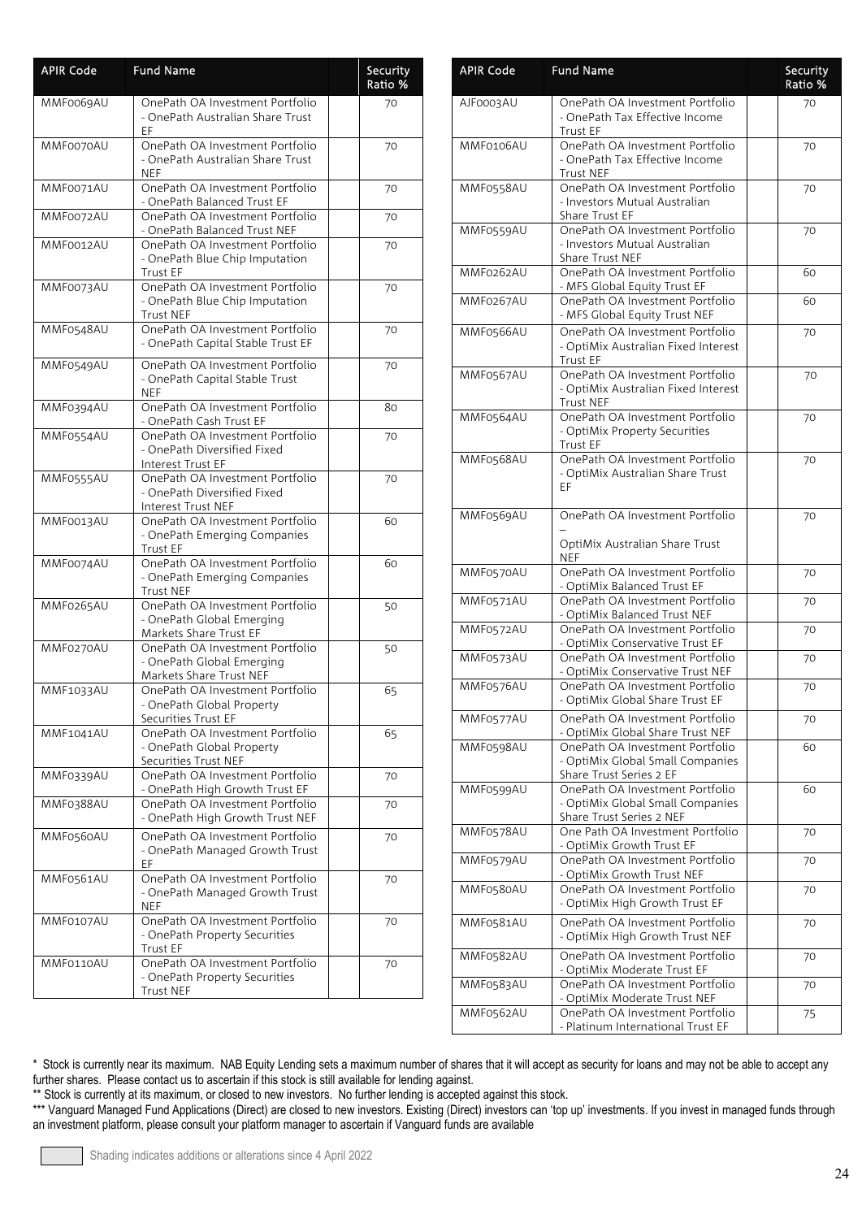| <b>APIR Code</b> | <b>Fund Name</b>                                                                        | Security<br>Ratio % |
|------------------|-----------------------------------------------------------------------------------------|---------------------|
| MMF0069AU        | OnePath OA Investment Portfolio<br>- OnePath Australian Share Trust<br>EF               | 70                  |
| MMF0070AU        | OnePath OA Investment Portfolio<br>- OnePath Australian Share Trust<br>NEF              | 70                  |
| MMF0071AU        | OnePath OA Investment Portfolio<br>- OnePath Balanced Trust EF                          | 70                  |
| MMF0072AU        | OnePath OA Investment Portfolio<br>- OnePath Balanced Trust NEF                         | 70                  |
| MMF0012AU        | OnePath OA Investment Portfolio<br>- OnePath Blue Chip Imputation<br><b>Trust EF</b>    | 70                  |
| MMF0073AU        | OnePath OA Investment Portfolio<br>- OnePath Blue Chip Imputation<br>Trust NEF          | 70                  |
| MMF0548AU        | OnePath OA Investment Portfolio<br>- OnePath Capital Stable Trust EF                    | 70                  |
| MMF0549AU        | OnePath OA Investment Portfolio<br>- OnePath Capital Stable Trust<br><b>NEF</b>         | 70                  |
| MMF0394AU        | OnePath OA Investment Portfolio<br>- OnePath Cash Trust EF                              | 80                  |
| MMF0554AU        | OnePath OA Investment Portfolio<br>- OnePath Diversified Fixed<br>Interest Trust EF     | 70                  |
| MMF0555AU        | OnePath OA Investment Portfolio<br>- OnePath Diversified Fixed<br>Interest Trust NEF    | 70                  |
| MMF0013AU        | OnePath OA Investment Portfolio<br>- OnePath Emerging Companies<br>Trust EF             | 60                  |
| MMF0074AU        | OnePath OA Investment Portfolio<br>- OnePath Emerging Companies<br><b>Trust NEF</b>     | 60                  |
| MMF0265AU        | OnePath OA Investment Portfolio<br>- OnePath Global Emerging<br>Markets Share Trust EF  | 50                  |
| MMF0270AU        | OnePath OA Investment Portfolio<br>- OnePath Global Emerging<br>Markets Share Trust NEF | 50                  |
| <b>MMF1033AU</b> | OnePath OA Investment Portfolio<br>OnePath Global Property<br>Securities Trust EF       | 65                  |
| MMF1041AU        | OnePath OA Investment Portfolio<br>- OnePath Global Property<br>Securities Trust NEF    | 65                  |
| MMF0339AU        | OnePath OA Investment Portfolio<br>- OnePath High Growth Trust EF                       | 70                  |
| MMF0388AU        | OnePath OA Investment Portfolio<br>- OnePath High Growth Trust NEF                      | 70                  |
| MMF0560AU        | OnePath OA Investment Portfolio<br>- OnePath Managed Growth Trust<br>EF                 | 70                  |
| MMF0561AU        | OnePath OA Investment Portfolio<br>- OnePath Managed Growth Trust<br>NEF                | 70                  |
| MMF0107AU        | OnePath OA Investment Portfolio<br>- OnePath Property Securities<br>Trust EF            | 70                  |
| MMF0110AU        | OnePath OA Investment Portfolio<br>- OnePath Property Securities<br>Trust NEF           | 70                  |

| <b>APIR Code</b> | <b>Fund Name</b>                                                                                | Security<br>Ratio % |
|------------------|-------------------------------------------------------------------------------------------------|---------------------|
| AJF0003AU        | OnePath OA Investment Portfolio<br>- OnePath Tax Effective Income<br>Trust EF                   | 70                  |
| MMF0106AU        | OnePath OA Investment Portfolio<br>- OnePath Tax Effective Income<br><b>Trust NEF</b>           | 70                  |
| MMF0558AU        | OnePath OA Investment Portfolio<br>- Investors Mutual Australian<br>Share Trust EF              | 70                  |
| MMF0559AU        | OnePath OA Investment Portfolio<br>- Investors Mutual Australian<br>Share Trust NEF             | 70                  |
| MMF0262AU        | OnePath OA Investment Portfolio<br>- MFS Global Equity Trust EF                                 | 60                  |
| MMF0267AU        | OnePath OA Investment Portfolio<br>- MFS Global Equity Trust NEF                                | 60                  |
| MMF0566AU        | OnePath OA Investment Portfolio<br>- OptiMix Australian Fixed Interest<br><b>Trust EF</b>       | 70                  |
| MMF0567AU        | OnePath OA Investment Portfolio<br>- OptiMix Australian Fixed Interest<br><b>Trust NEF</b>      | 70                  |
| MMF0564AU        | OnePath OA Investment Portfolio<br>- OptiMix Property Securities<br>Trust EF                    | 70                  |
| MMF0568AU        | OnePath OA Investment Portfolio<br>- OptiMix Australian Share Trust<br>ΕF                       | 70                  |
| MMF0569AU        | OnePath OA Investment Portfolio<br>OptiMix Australian Share Trust<br><b>NEF</b>                 | 70                  |
| MMF0570AU        | OnePath OA Investment Portfolio<br>- OptiMix Balanced Trust EF                                  | 70                  |
| MMF0571AU        | OnePath OA Investment Portfolio<br>- OptiMix Balanced Trust NEF                                 | 70                  |
| MMF0572AU        | OnePath OA Investment Portfolio<br>- OptiMix Conservative Trust EF                              | 70                  |
| MMF0573AU        | OnePath OA Investment Portfolio<br>- OptiMix Conservative Trust NEF                             | 70                  |
| MMF0576AU        | OnePath OA Investment Portfolio<br>- OptiMix Global Share Trust EF                              | 70                  |
| MMF0577AU        | OnePath OA Investment Portfolio<br>- OptiMix Global Share Trust NEF                             | 70                  |
| MMF0598AU        | OnePath OA Investment Portfolio<br>- OptiMix Global Small Companies<br>Share Trust Series 2 EF  | 60                  |
| MMF0599AU        | OnePath OA Investment Portfolio<br>- OptiMix Global Small Companies<br>Share Trust Series 2 NEF | 60                  |
| MMF0578AU        | One Path OA Investment Portfolio<br>- OptiMix Growth Trust EF                                   | 70                  |
| MMF0579AU        | OnePath OA Investment Portfolio<br>- OptiMix Growth Trust NEF                                   | 70                  |
| MMF0580AU        | OnePath OA Investment Portfolio<br>- OptiMix High Growth Trust EF                               | 70                  |
| MMF0581AU        | OnePath OA Investment Portfolio<br>- OptiMix High Growth Trust NEF                              | 70                  |
| MMF0582AU        | OnePath OA Investment Portfolio<br>- OptiMix Moderate Trust EF                                  | 70                  |
| MMF0583AU        | OnePath OA Investment Portfolio<br>- OptiMix Moderate Trust NEF                                 | 70                  |
| MMF0562AU        | OnePath OA Investment Portfolio<br>- Platinum International Trust EF                            | 75                  |

\*\* Stock is currently at its maximum, or closed to new investors. No further lending is accepted against this stock.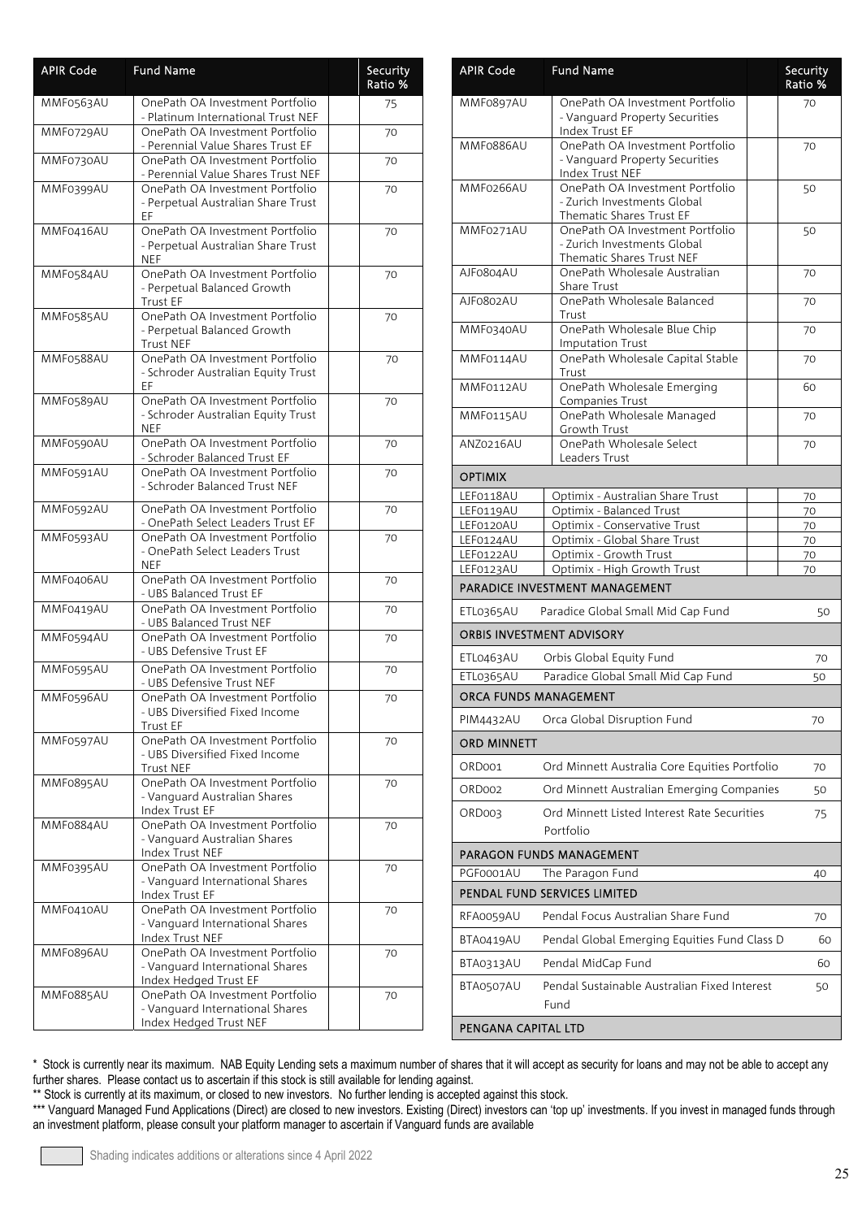| <b>APIR Code</b> | <b>Fund Name</b>                                                                             | Security<br>Ratio % |
|------------------|----------------------------------------------------------------------------------------------|---------------------|
| MMF0563AU        | OnePath OA Investment Portfolio<br>- Platinum International Trust NEF                        | 75                  |
| MMF0729AU        | OnePath OA Investment Portfolio<br>- Perennial Value Shares Trust EF                         | 70                  |
| MMF0730AU        | OnePath OA Investment Portfolio<br>- Perennial Value Shares Trust NEF                        | 70                  |
| MMF0399AU        | OnePath OA Investment Portfolio<br>- Perpetual Australian Share Trust<br>EF                  | 70                  |
| MMF0416AU        | OnePath OA Investment Portfolio<br>- Perpetual Australian Share Trust<br><b>NEF</b>          | 70                  |
| MMF0584AU        | OnePath OA Investment Portfolio<br>- Perpetual Balanced Growth<br><b>Trust EF</b>            | 70                  |
| MMF0585AU        | OnePath OA Investment Portfolio<br>- Perpetual Balanced Growth<br><b>Trust NEF</b>           | 70                  |
| MMF0588AU        | OnePath OA Investment Portfolio<br>- Schroder Australian Equity Trust<br>EF.                 | 70                  |
| MMF0589AU        | OnePath OA Investment Portfolio<br>- Schroder Australian Equity Trust<br>NEF                 | 70                  |
| MMF0590AU        | OnePath OA Investment Portfolio<br>- Schroder Balanced Trust EF                              | 70                  |
| MMF0591AU        | OnePath OA Investment Portfolio<br>- Schroder Balanced Trust NEF                             | 70                  |
| MMF0592AU        | OnePath OA Investment Portfolio<br>- OnePath Select Leaders Trust EF                         | 70                  |
| MMF0593AU        | OnePath OA Investment Portfolio<br>- OnePath Select Leaders Trust<br><b>NEF</b>              | 70                  |
| MMF0406AU        | OnePath OA Investment Portfolio<br>- UBS Balanced Trust EF                                   | 70                  |
| MMF0419AU        | OnePath OA Investment Portfolio<br>- UBS Balanced Trust NEF                                  | 70                  |
| MMF0594AU        | OnePath OA Investment Portfolio<br>- UBS Defensive Trust EF                                  | 70                  |
| MMF0595AU        | OnePath OA Investment Portfolio<br>- UBS Defensive Trust NEF                                 | 70                  |
| MMF0596AU        | OnePath OA Investment Portfolio<br>- UBS Diversified Fixed Income<br><b>Trust EF</b>         | 70                  |
| MMF0597AU        | OnePath OA Investment Portfolio<br>- UBS Diversified Fixed Income<br>Trust NEF               | 70                  |
| MMF0895AU        | OnePath OA Investment Portfolio<br>- Vanguard Australian Shares<br>Index Trust EF            | 70                  |
| MMF0884AU        | OnePath OA Investment Portfolio<br>- Vanguard Australian Shares<br>Index Trust NEF           | 70                  |
| MMF0395AU        | OnePath OA Investment Portfolio<br>- Vanguard International Shares<br>Index Trust EF         | 70                  |
| MMF0410AU        | OnePath OA Investment Portfolio<br>- Vanguard International Shares<br>Index Trust NEF        | 70                  |
| MMF0896AU        | OnePath OA Investment Portfolio<br>- Vanguard International Shares<br>Index Hedged Trust EF  | 70                  |
| MMF0885AU        | OnePath OA Investment Portfolio<br>- Vanguard International Shares<br>Index Hedged Trust NEF | 70                  |

| <b>APIR Code</b>                 | <b>Fund Name</b>                                                                                       | Security<br>Ratio % |  |
|----------------------------------|--------------------------------------------------------------------------------------------------------|---------------------|--|
| MMF0897AU                        | OnePath OA Investment Portfolio<br>- Vanguard Property Securities                                      | 70                  |  |
| MMF0886AU                        | Index Trust EF<br>OnePath OA Investment Portfolio<br>- Vanguard Property Securities<br>Index Trust NEF | 70                  |  |
| MMF0266AU                        | OnePath OA Investment Portfolio<br>- Zurich Investments Global<br>Thematic Shares Trust EF             | 50                  |  |
| MMF0271AU                        | OnePath OA Investment Portfolio<br>- Zurich Investments Global<br>Thematic Shares Trust NEF            | 50                  |  |
| AJF0804AU                        | OnePath Wholesale Australian<br>Share Trust                                                            | 70                  |  |
| AJF0802AU                        | OnePath Wholesale Balanced<br>Trust                                                                    | 70                  |  |
| MMF0340AU                        | OnePath Wholesale Blue Chip<br><b>Imputation Trust</b>                                                 | 70                  |  |
| MMF0114AU                        | OnePath Wholesale Capital Stable<br>Trust                                                              | 70                  |  |
| MMF0112AU                        | OnePath Wholesale Emerging<br>Companies Trust                                                          | 60                  |  |
| MMF0115AU                        | OnePath Wholesale Managed<br>Growth Trust<br>OnePath Wholesale Select                                  | 70                  |  |
| ANZ0216AU                        | Leaders Trust                                                                                          | 70                  |  |
| <b>OPTIMIX</b>                   |                                                                                                        |                     |  |
| LEF0118AU                        | Optimix - Australian Share Trust                                                                       | 70                  |  |
| LEF0119AU                        | Optimix - Balanced Trust                                                                               | 70                  |  |
| LEF0120AU<br>LEF0124AU           | Optimix - Conservative Trust<br>Optimix - Global Share Trust                                           | 70<br>70            |  |
| LEF0122AU                        | Optimix - Growth Trust                                                                                 | 70                  |  |
| LEF0123AU                        | Optimix - High Growth Trust                                                                            | 70                  |  |
|                                  | PARADICE INVESTMENT MANAGEMENT                                                                         |                     |  |
| ETL0365AU                        | Paradice Global Small Mid Cap Fund                                                                     | 50                  |  |
| <b>ORBIS INVESTMENT ADVISORY</b> |                                                                                                        |                     |  |
| ETL0463AU                        | Orbis Global Equity Fund<br>Paradice Global Small Mid Cap Fund                                         | 70                  |  |
| ETL0365AU                        |                                                                                                        | 50                  |  |
| ORCA FUNDS MANAGEMENT            |                                                                                                        |                     |  |
| PIM4432AU                        | Orca Global Disruption Fund                                                                            | 70                  |  |
| ORD MINNETT                      |                                                                                                        |                     |  |
| ORD001                           | Ord Minnett Australia Core Equities Portfolio                                                          | 70                  |  |
| ORD002                           | Ord Minnett Australian Emerging Companies                                                              | 50                  |  |
| ORD003                           | Ord Minnett Listed Interest Rate Securities<br>Portfolio                                               | 75                  |  |
|                                  | PARAGON FUNDS MANAGEMENT                                                                               |                     |  |
| PGF0001AU                        | The Paragon Fund<br>PENDAL FUND SERVICES LIMITED                                                       | 40                  |  |
| RFA0059AU                        | Pendal Focus Australian Share Fund                                                                     | 70                  |  |
| BTA0419AU                        | Pendal Global Emerging Equities Fund Class D                                                           | 60                  |  |
| BTA0313AU                        | Pendal MidCap Fund                                                                                     | 60                  |  |
| BTA0507AU                        | Pendal Sustainable Australian Fixed Interest<br>Fund                                                   | 50                  |  |
| PENGANA CAPITAL LTD              |                                                                                                        |                     |  |

\*\* Stock is currently at its maximum, or closed to new investors. No further lending is accepted against this stock.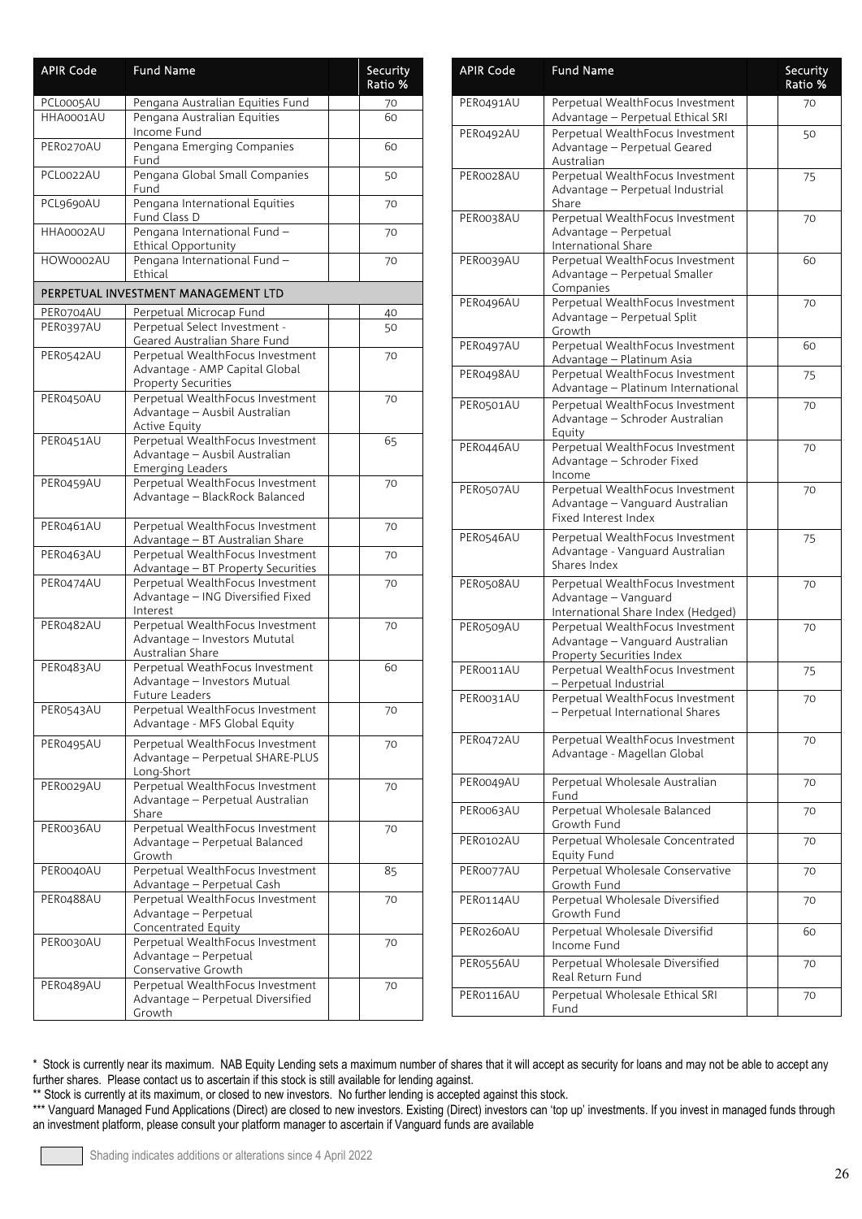| <b>APIR Code</b> | <b>Fund Name</b>                                                                                 | Security<br>Ratio % |
|------------------|--------------------------------------------------------------------------------------------------|---------------------|
| PCL0005AU        | Pengana Australian Equities Fund                                                                 | 70                  |
| HHA0001AU        | Pengana Australian Equities<br>Income Fund                                                       | 60                  |
| PER0270AU        | Pengana Emerging Companies<br>Fund                                                               | 60                  |
| PCL0022AU        | Pengana Global Small Companies<br>Fund                                                           | 50                  |
| PCL9690AU        | Pengana International Equities<br>Fund Class D                                                   | 70                  |
| HHA0002AU        | Pengana International Fund -<br><b>Ethical Opportunity</b>                                       | 70                  |
| HOW0002AU        | Pengana International Fund-<br>Ethical                                                           | 70                  |
|                  | PERPETUAL INVESTMENT MANAGEMENT LTD                                                              |                     |
| PER0704AU        | Perpetual Microcap Fund                                                                          | 40                  |
| PER0397AU        | Perpetual Select Investment -<br>Geared Australian Share Fund                                    | 50                  |
| PER0542AU        | Perpetual WealthFocus Investment<br>Advantage - AMP Capital Global<br><b>Property Securities</b> | 70                  |
| PER0450AU        | Perpetual WealthFocus Investment<br>Advantage - Ausbil Australian<br><b>Active Equity</b>        | 70                  |
| PER0451AU        | Perpetual WealthFocus Investment<br>Advantage - Ausbil Australian<br><b>Emerging Leaders</b>     | 65                  |
| PER0459AU        | Perpetual WealthFocus Investment<br>Advantage - BlackRock Balanced                               | 70                  |
| PER0461AU        | Perpetual WealthFocus Investment<br>Advantage - BT Australian Share                              | 70                  |
| PER0463AU        | Perpetual WealthFocus Investment<br>Advantage - BT Property Securities                           | 70                  |
| PER0474AU        | Perpetual WealthFocus Investment<br>Advantage - ING Diversified Fixed<br>Interest                | 70                  |
| PER0482AU        | Perpetual WealthFocus Investment<br>Advantage - Investors Mututal<br>Australian Share            | 70                  |
| PER0483AU        | Perpetual WeathFocus Investment<br>Advantage - Investors Mutual<br>Future Leaders                | 60                  |
| PER0543AU        | Perpetual WealthFocus Investment<br>Advantage - MFS Global Equity                                | 70                  |
| PER0495AU        | Perpetual WealthFocus Investment<br>Advantage - Perpetual SHARE-PLUS<br>Long-Short               | 70                  |
| PER0029AU        | Perpetual WealthFocus Investment<br>Advantage - Perpetual Australian<br>Share                    | 70                  |
| PER0036AU        | Perpetual WealthFocus Investment<br>Advantage - Perpetual Balanced<br>Growth                     | 70                  |
| PER0040AU        | Perpetual WealthFocus Investment<br>Advantage - Perpetual Cash                                   | 85                  |
| PER0488AU        | Perpetual WealthFocus Investment<br>Advantage - Perpetual<br>Concentrated Equity                 | 70                  |
| PER0030AU        | Perpetual WealthFocus Investment<br>Advantage - Perpetual<br>Conservative Growth                 | 70                  |
| PER0489AU        | Perpetual WealthFocus Investment<br>Advantage - Perpetual Diversified<br>Growth                  | 70                  |

| <b>APIR Code</b> | <b>Fund Name</b>                                                                                 | Security<br>Ratio % |
|------------------|--------------------------------------------------------------------------------------------------|---------------------|
| PER0491AU        | Perpetual WealthFocus Investment<br>Advantage - Perpetual Ethical SRI                            | 70                  |
| PER0492AU        | Perpetual WealthFocus Investment<br>Advantage - Perpetual Geared<br>Australian                   | 50                  |
| PER0028AU        | Perpetual WealthFocus Investment<br>Advantage - Perpetual Industrial<br>Share                    | 75                  |
| PER0038AU        | Perpetual WealthFocus Investment<br>Advantage - Perpetual<br>International Share                 | 70                  |
| PER0039AU        | Perpetual WealthFocus Investment<br>Advantage - Perpetual Smaller<br>Companies                   | 60                  |
| PER0496AU        | Perpetual WealthFocus Investment<br>Advantage - Perpetual Split<br>Growth                        | 70                  |
| PER0497AU        | Perpetual WealthFocus Investment<br>Advantage - Platinum Asia                                    | 60                  |
| PER0498AU        | Perpetual WealthFocus Investment<br>Advantage - Platinum International                           | 75                  |
| PER0501AU        | Perpetual WealthFocus Investment<br>Advantage - Schroder Australian<br>Equity                    | 70                  |
| PER0446AU        | Perpetual WealthFocus Investment<br>Advantage - Schroder Fixed<br>Income                         | 70                  |
| PER0507AU        | Perpetual WealthFocus Investment<br>Advantage - Vanguard Australian<br>Fixed Interest Index      | 70                  |
| PER0546AU        | Perpetual WealthFocus Investment<br>Advantage - Vanguard Australian<br>Shares Index              | 75                  |
| PER0508AU        | Perpetual WealthFocus Investment<br>Advantage - Vanguard<br>International Share Index (Hedged)   | 70                  |
| PER0509AU        | Perpetual WealthFocus Investment<br>Advantage - Vanguard Australian<br>Property Securities Index | 70                  |
| PER0011AU        | Perpetual WealthFocus Investment<br>- Perpetual Industrial                                       | 75                  |
| PER0031AU        | Perpetual WealthFocus Investment<br>- Perpetual International Shares                             | 70                  |
| PER0472AU        | Perpetual WealthFocus Investment<br>Advantage - Magellan Global                                  | 70                  |
| PER0049AU        | Perpetual Wholesale Australian<br>Fund                                                           | 70                  |
| PER0063AU        | Perpetual Wholesale Balanced<br>Growth Fund                                                      | 70                  |
| PER0102AU        | Perpetual Wholesale Concentrated<br><b>Equity Fund</b>                                           | 70                  |
| PER0077AU        | Perpetual Wholesale Conservative<br>Growth Fund                                                  | 70                  |
| PER0114AU        | Perpetual Wholesale Diversified<br>Growth Fund                                                   | 70                  |
| PER0260AU        | Perpetual Wholesale Diversifid<br>Income Fund                                                    | 60                  |
| PER0556AU        | Perpetual Wholesale Diversified<br>Real Return Fund                                              | 70                  |
| PER0116AU        | Perpetual Wholesale Ethical SRI<br>Fund                                                          | 70                  |

\*\* Stock is currently at its maximum, or closed to new investors. No further lending is accepted against this stock.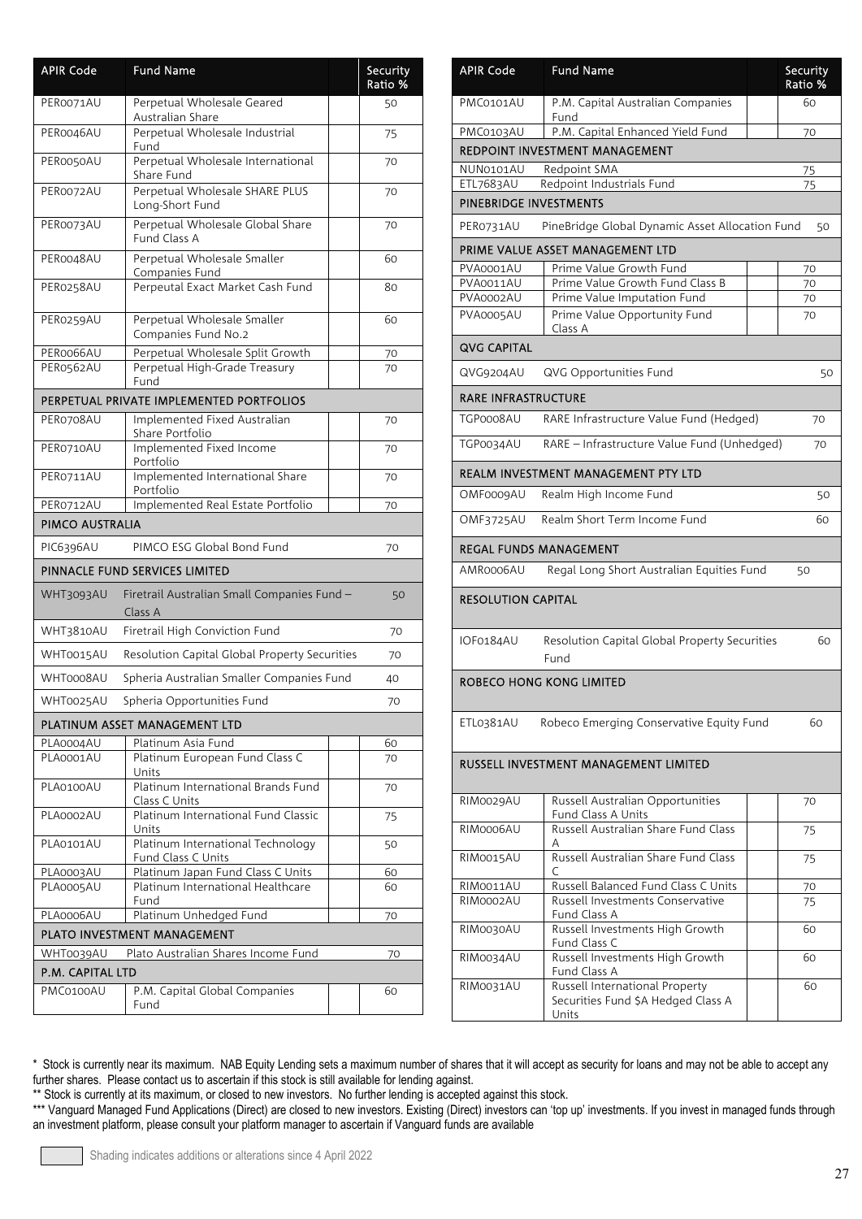| <b>APIR Code</b> | <b>Fund Name</b>                                        |    | Security<br>Ratio % |
|------------------|---------------------------------------------------------|----|---------------------|
| PER0071AU        | Perpetual Wholesale Geared<br>Australian Share          |    | 50                  |
| PER0046AU        | Perpetual Wholesale Industrial<br>Fund                  | 75 |                     |
| PER0050AU        | Perpetual Wholesale International<br>Share Fund         | 70 |                     |
| PER0072AU        | Perpetual Wholesale SHARE PLUS<br>Long-Short Fund       |    | 70                  |
| PER0073AU        | Perpetual Wholesale Global Share<br>Fund Class A        |    | 70                  |
| PER0048AU        | Perpetual Wholesale Smaller<br>Companies Fund           |    | 60                  |
| PER0258AU        | Perpeutal Exact Market Cash Fund                        |    | 80                  |
| PER0259AU        | Perpetual Wholesale Smaller<br>Companies Fund No.2      |    | 60                  |
| PER0066AU        | Perpetual Wholesale Split Growth                        |    | 70                  |
| PER0562AU        | Perpetual High-Grade Treasury                           |    | 70                  |
|                  | Fund                                                    |    |                     |
|                  | PERPETUAL PRIVATE IMPLEMENTED PORTFOLIOS                |    |                     |
| PER0708AU        | Implemented Fixed Australian<br>Share Portfolio         |    | 70                  |
| PER0710AU        | Implemented Fixed Income<br>Portfolio                   |    | 70                  |
| PER0711AU        | Implemented International Share<br>Portfolio            |    | 70                  |
| PER0712AU        | Implemented Real Estate Portfolio                       |    | 70                  |
| PIMCO AUSTRALIA  |                                                         |    |                     |
| PIC6396AU        | PIMCO ESG Global Bond Fund                              |    | 70                  |
|                  | PINNACLE FUND SERVICES LIMITED                          |    |                     |
| WHT3093AU        | Firetrail Australian Small Companies Fund -<br>Class A  |    | 50                  |
| WHT3810AU        | Firetrail High Conviction Fund                          |    | 70                  |
| WHT0015AU        | Resolution Capital Global Property Securities           |    | 70                  |
| WHT0008AU        | Spheria Australian Smaller Companies Fund               |    | 40                  |
| WHT0025AU        | Spheria Opportunities Fund                              |    | 70                  |
|                  | PLATINUM ASSET MANAGEMENT LTD                           |    |                     |
| PLA0004AU        | Platinum Asia Fund                                      |    | 60                  |
| PLA0001AU        | Platinum European Fund Class C<br>Units                 |    | 70                  |
| PLA0100AU        | Platinum International Brands Fund<br>Class C Units     |    | 70                  |
| PLA0002AU        | Platinum International Fund Classic<br>Units            |    | 75                  |
| PLA0101AU        | Platinum International Technology<br>Fund Class C Units |    | 50                  |
| PLA0003AU        | Platinum Japan Fund Class C Units                       |    | 60                  |
| PLA0005AU        | Platinum International Healthcare<br>Fund               |    | 60                  |
| PLA0006AU        | Platinum Unhedged Fund                                  |    | 70                  |
|                  | PLATO INVESTMENT MANAGEMENT                             |    |                     |
| WHT0039AU        | Plato Australian Shares Income Fund                     |    | 70                  |
| P.M. CAPITAL LTD |                                                         |    |                     |
| PMC0100AU        | P.M. Capital Global Companies<br>Fund                   |    | 60                  |

| <b>APIR Code</b>           | <b>Fund Name</b>                                       | Security<br>Ratio % |
|----------------------------|--------------------------------------------------------|---------------------|
| PMC0101AU                  | P.M. Capital Australian Companies<br>Fund              | 60                  |
| PMC0103AU                  | P.M. Capital Enhanced Yield Fund                       | 70                  |
|                            | REDPOINT INVESTMENT MANAGEMENT                         |                     |
| NUN0101AU<br>ETL7683AU     | Redpoint SMA<br>Redpoint Industrials Fund              | 75<br>75            |
| PINEBRIDGE INVESTMENTS     |                                                        |                     |
| PER0731AU                  | PineBridge Global Dynamic Asset Allocation Fund        | 50                  |
|                            | PRIME VALUE ASSET MANAGEMENT LTD                       |                     |
| PVA0001AU                  | Prime Value Growth Fund                                | 70                  |
| PVA0011AU                  | Prime Value Growth Fund Class B                        | 70                  |
| PVA0002AU                  | Prime Value Imputation Fund                            | 70                  |
| PVA0005AU                  | Prime Value Opportunity Fund<br>Class A                | 70                  |
| QVG CAPITAL                |                                                        |                     |
| QVG9204AU                  | QVG Opportunities Fund                                 | 50                  |
| <b>RARE INFRASTRUCTURE</b> |                                                        |                     |
| TGP0008AU                  | RARE Infrastructure Value Fund (Hedged)                | 70                  |
| TGP0034AU                  | RARE - Infrastructure Value Fund (Unhedged)            | 70                  |
|                            | REALM INVESTMENT MANAGEMENT PTY LTD                    |                     |
| OMF0009AU                  | Realm High Income Fund                                 | 50                  |
| OMF3725AU                  | Realm Short Term Income Fund                           | 60                  |
|                            | <b>REGAL FUNDS MANAGEMENT</b>                          |                     |
| AMR0006AU                  | Regal Long Short Australian Equities Fund              | 50                  |
| <b>RESOLUTION CAPITAL</b>  |                                                        |                     |
| IOF0184AU                  | Resolution Capital Global Property Securities<br>Fund  | 60                  |
|                            | ROBECO HONG KONG LIMITED                               |                     |
| ETL0381AU                  | Robeco Emerging Conservative Equity Fund               | 60                  |
|                            | RUSSELL INVESTMENT MANAGEMENT LIMITED                  |                     |
| RIM0029AU                  | Russell Australian Opportunities<br>Fund Class A Units | 70                  |
| RIM0006AU                  | Russell Australian Share Fund Class                    | 75                  |
| RIM0015AU                  | Russell Australian Share Fund Class<br>C               | 75                  |
| RIM0011AU                  | Russell Balanced Fund Class C Units                    | 70                  |
| RIM0002AU                  | Russell Investments Conservative<br>Fund Class A       | 75                  |
| RIM0030AU                  | Russell Investments High Growth<br>Fund Class C        | 60                  |
| RIM0034AU                  | Russell Investments High Growth<br>Fund Class A        | 60                  |
| RIM0031AU                  | Russell International Property                         | 60                  |
|                            | Securities Fund \$A Hedged Class A<br>Units            |                     |
|                            |                                                        |                     |

<sup>\*</sup> Stock is currently near its maximum. NAB Equity Lending sets a maximum number of shares that it will accept as security for loans and may not be able to accept any further shares. Please contact us to ascertain if this stock is still available for lending against.

<sup>\*\*</sup> Stock is currently at its maximum, or closed to new investors. No further lending is accepted against this stock.

<sup>\*\*\*</sup> Vanguard Managed Fund Applications (Direct) are closed to new investors. Existing (Direct) investors can 'top up' investments. If you invest in managed funds through an investment platform, please consult your platform manager to ascertain if Vanguard funds are available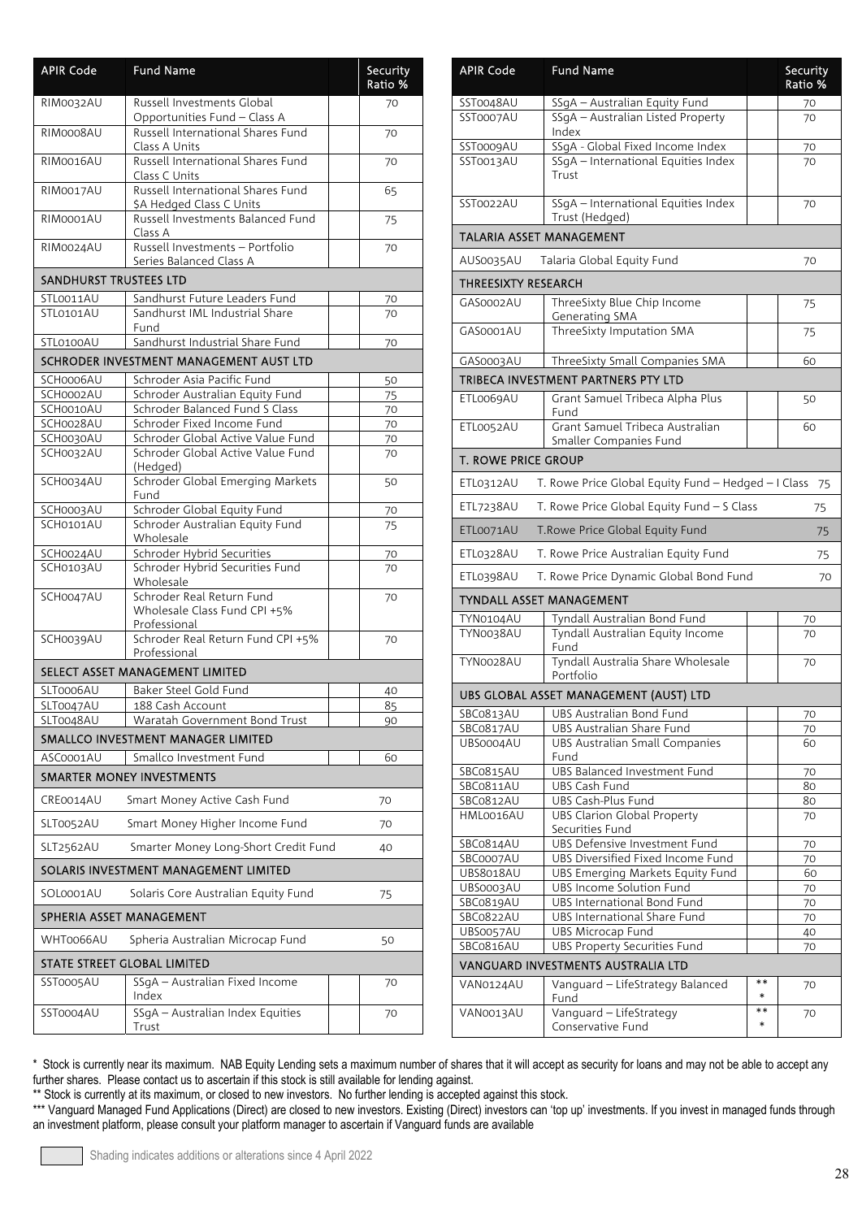| <b>APIR Code</b>              | <b>Fund Name</b>                                                                   |    | Security<br>Ratio % |
|-------------------------------|------------------------------------------------------------------------------------|----|---------------------|
| RIM0032AU                     | Russell Investments Global                                                         |    | 70                  |
| RIM0008AU                     | Opportunities Fund - Class A<br>Russell International Shares Fund<br>Class A Units | 70 |                     |
| RIM0016AU                     | Russell International Shares Fund<br>Class C Units                                 |    | 70                  |
| RIM0017AU                     | Russell International Shares Fund<br>\$A Hedged Class C Units                      |    | 65                  |
| RIM0001AU                     | Russell Investments Balanced Fund<br>Class A                                       |    | 75                  |
| RIM0024AU                     | Russell Investments - Portfolio<br>Series Balanced Class A                         |    | 70                  |
| <b>SANDHURST TRUSTEES LTD</b> |                                                                                    |    |                     |
| STL0011AU                     | Sandhurst Future Leaders Fund                                                      |    | 70                  |
| STL0101AU                     | Sandhurst IML Industrial Share<br>Fund                                             |    | 70                  |
| STL0100AU                     | Sandhurst Industrial Share Fund                                                    |    | 70                  |
|                               | SCHRODER INVESTMENT MANAGEMENT AUST LTD                                            |    |                     |
| SCH0006AU                     | Schroder Asia Pacific Fund                                                         |    | 50                  |
| SCH0002AU                     | Schroder Australian Equity Fund                                                    |    | 75                  |
| SCH0010AU                     | Schroder Balanced Fund S Class                                                     |    | 70                  |
| SCH0028AU                     | Schroder Fixed Income Fund                                                         |    | 70                  |
| SCH0030AU                     | Schroder Global Active Value Fund                                                  |    | 70                  |
| SCH0032AU                     | Schroder Global Active Value Fund<br>(Hedged)                                      |    | 70                  |
| SCH0034AU                     | Schroder Global Emerging Markets<br>Fund                                           |    | 50                  |
| SCH0003AU                     | Schroder Global Equity Fund                                                        |    | 70                  |
| SCH0101AU                     | Schroder Australian Equity Fund<br>Wholesale                                       |    | 75                  |
| SCH0024AU                     | Schroder Hybrid Securities                                                         |    | 70                  |
| SCH0103AU                     | Schroder Hybrid Securities Fund<br>Wholesale                                       |    | 70                  |
| SCH0047AU                     | Schroder Real Return Fund<br>Wholesale Class Fund CPI +5%<br>Professional          |    | 70                  |
| SCH0039AU                     | Schroder Real Return Fund CPI +5%<br>Professional                                  |    | 70                  |
|                               | SELECT ASSET MANAGEMENT LIMITED                                                    |    |                     |
| SLT0006AU                     | Baker Steel Gold Fund                                                              |    | 40                  |
| SLT0047AU                     | 188 Cash Account                                                                   |    | 85                  |
| SLT0048AU                     | Waratah Government Bond Trust                                                      |    | 90                  |
|                               | SMALLCO INVESTMENT MANAGER LIMITED                                                 |    |                     |
| ASC0001AU                     | Smallco Investment Fund                                                            |    | 60                  |
|                               | <b>SMARTER MONEY INVESTMENTS</b>                                                   |    |                     |
| CRE0014AU                     | Smart Money Active Cash Fund                                                       |    | 70                  |
| SLT0052AU                     | Smart Money Higher Income Fund                                                     |    | 70                  |
| SLT2562AU                     | Smarter Money Long-Short Credit Fund                                               |    | 40                  |
|                               | SOLARIS INVESTMENT MANAGEMENT LIMITED                                              |    |                     |
| SOL0001AU                     | Solaris Core Australian Equity Fund                                                |    | 75                  |
| SPHERIA ASSET MANAGEMENT      |                                                                                    |    |                     |
| WHT0066AU                     | Spheria Australian Microcap Fund                                                   |    | 50                  |
|                               | STATE STREET GLOBAL LIMITED                                                        |    |                     |
| SST0005AU                     | SSgA - Australian Fixed Income<br>Index                                            |    | 70                  |
| SST0004AU                     | SSgA - Australian Index Equities<br>Trust                                          |    | 70                  |

| <b>APIR Code</b>           | <b>Fund Name</b>                                                 |                | Security<br>Ratio % |
|----------------------------|------------------------------------------------------------------|----------------|---------------------|
| SST0048AU                  | SSgA - Australian Equity Fund                                    |                | 70                  |
| SST0007AU                  | SSgA - Australian Listed Property<br>Index                       | 70             |                     |
| SST0009AU                  | SSgA - Global Fixed Income Index                                 |                | 70                  |
| SST0013AU                  | SSgA - International Equities Index<br>Trust                     |                | 70                  |
| SST0022AU                  | SSgA - International Equities Index<br>Trust (Hedged)            |                | 70                  |
| TALARIA ASSET MANAGEMENT   |                                                                  |                |                     |
| AUS0035AU                  | Talaria Global Equity Fund                                       |                | 70                  |
| THREESIXTY RESEARCH        |                                                                  |                |                     |
| GAS0002AU                  | ThreeSixty Blue Chip Income<br>Generating SMA                    |                | 75                  |
| GAS0001AU                  | ThreeSixty Imputation SMA                                        |                | 75                  |
| GAS0003AU                  | ThreeSixty Small Companies SMA                                   |                | 60                  |
|                            | TRIBECA INVESTMENT PARTNERS PTY LTD                              |                |                     |
| ETL0069AU                  | Grant Samuel Tribeca Alpha Plus<br>Fund                          |                | 50                  |
| ETL0052AU                  | Grant Samuel Tribeca Australian<br>Smaller Companies Fund        |                | 60                  |
| <b>T. ROWE PRICE GROUP</b> |                                                                  |                |                     |
| ETL0312AU                  | T. Rowe Price Global Equity Fund - Hedged - I Class              |                | 75                  |
| ETL7238AU                  | T. Rowe Price Global Equity Fund - S Class                       |                | 75                  |
| ETL0071AU                  | T.Rowe Price Global Equity Fund                                  |                | 75                  |
| ETL0328AU                  | T. Rowe Price Australian Equity Fund                             |                | 75                  |
| ETL0398AU                  | T. Rowe Price Dynamic Global Bond Fund                           |                | 70                  |
|                            | TYNDALL ASSET MANAGEMENT                                         |                |                     |
| TYN0104AU                  | Tyndall Australian Bond Fund<br>Tyndall Australian Equity Income |                | 70                  |
| TYN0038AU                  | Fund                                                             |                | 70                  |
| TYN0028AU                  | Tyndall Australia Share Wholesale<br>Portfolio                   |                | 70                  |
|                            | UBS GLOBAL ASSET MANAGEMENT (AUST) LTD                           |                |                     |
| SBC0813AU                  | UBS Australian Bond Fund                                         |                | 70                  |
| SBC0817AU                  | UBS Australian Share Fund                                        |                | 70                  |
| UBS0004AU                  | UBS Australian Small Companies<br>Fund                           |                | 60                  |
| SBC0815AU                  | <b>UBS Balanced Investment Fund</b>                              |                | 70                  |
| <b>SBC0811AU</b>           | UBS Cash Fund                                                    |                | 80                  |
| SBC0812AU<br>HML0016AU     | UBS Cash-Plus Fund<br><b>UBS Clarion Global Property</b>         |                | 80<br>70            |
|                            | Securities Fund                                                  |                |                     |
| SBC0814AU                  | UBS Defensive Investment Fund                                    |                | 70                  |
| SBC0007AU                  | UBS Diversified Fixed Income Fund                                |                | 70                  |
| UBS8018AU<br>UBS0003AU     | UBS Emerging Markets Equity Fund<br>UBS Income Solution Fund     |                | 60<br>70            |
| SBCo819AU                  | UBS International Bond Fund                                      |                | 70                  |
| SBC0822AU                  | UBS International Share Fund                                     |                | 70                  |
| UBS0057AU                  | UBS Microcap Fund                                                |                | 40                  |
| SBCo816AU                  | <b>UBS Property Securities Fund</b>                              |                | 70                  |
|                            | VANGUARD INVESTMENTS AUSTRALIA LTD                               |                |                     |
| VAN0124AU                  | Vanguard - LifeStrategy Balanced<br>Fund                         | **<br>$\ast$   | 70                  |
| VAN0013AU                  | Vanguard - LifeStrategy<br>Conservative Fund                     | $**$<br>$\ast$ | 70                  |
|                            |                                                                  |                |                     |

\*\* Stock is currently at its maximum, or closed to new investors. No further lending is accepted against this stock.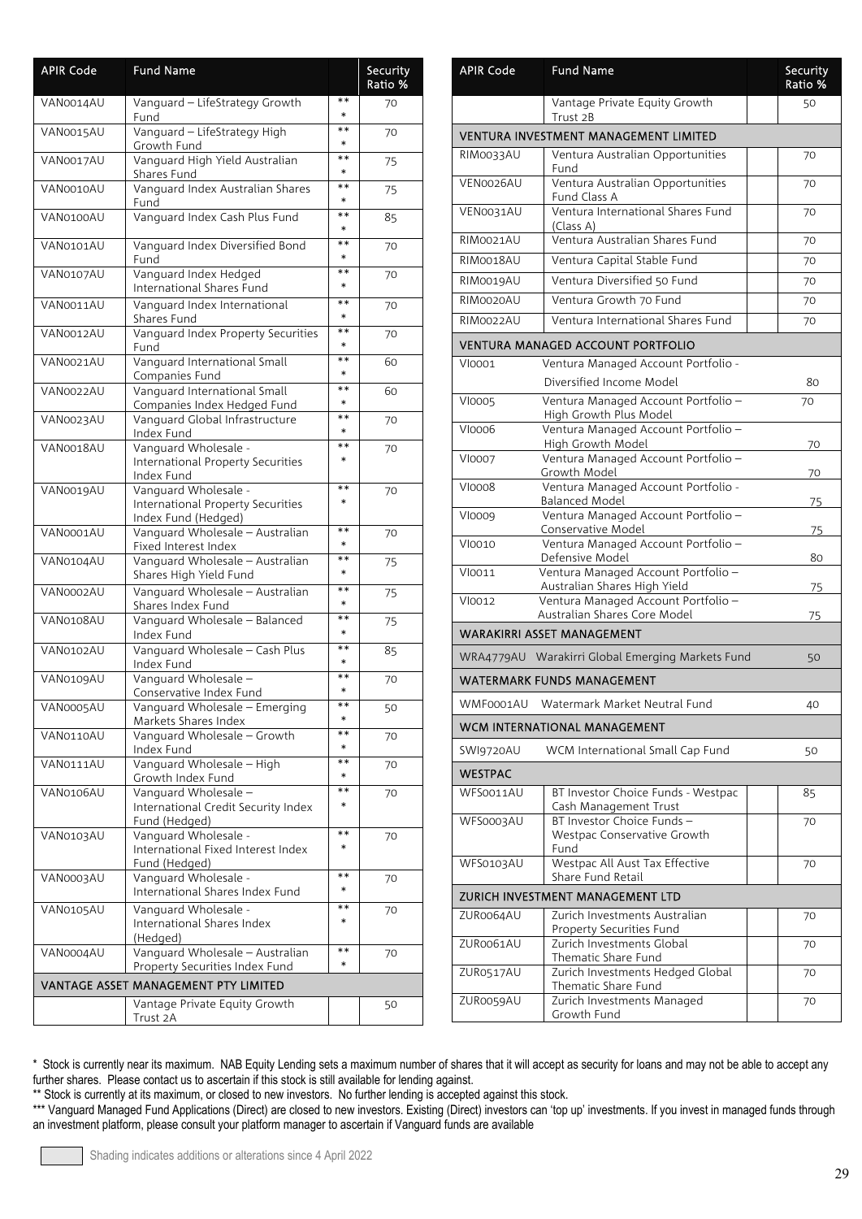| <b>APIR Code</b> | <b>Fund Name</b>                                                                 |                 | Security<br>Ratio % |
|------------------|----------------------------------------------------------------------------------|-----------------|---------------------|
| VAN0014AU        | Vanguard - LifeStrategy Growth<br>Fund                                           | $* *$<br>$\ast$ | 70                  |
| VAN0015AU        | Vanguard - LifeStrategy High<br>Growth Fund                                      | **<br>$\ast$    | 70                  |
| VAN0017AU        | Vanguard High Yield Australian<br>Shares Fund                                    | **<br>$\ast$    | 75                  |
| VAN0010AU        | Vanguard Index Australian Shares<br>Fund                                         | **<br>$\ast$    | 75                  |
| VAN0100AU        | Vanguard Index Cash Plus Fund                                                    | $**$<br>$\ast$  | 85                  |
| VAN0101AU        | Vanguard Index Diversified Bond<br>Fund                                          | **<br>$\ast$    | 70                  |
| VAN0107AU        | Vanguard Index Hedged<br>International Shares Fund                               | $**$<br>$\ast$  | 70                  |
| VAN0011AU        | Vanguard Index International<br>Shares Fund                                      | **<br>$\ast$    | 70                  |
| VAN0012AU        | Vanguard Index Property Securities<br>Fund                                       | **<br>$\ast$    | 70                  |
| VAN0021AU        | Vanguard International Small<br>Companies Fund                                   | $* *$<br>$\ast$ | 60                  |
| VAN0022AU        | Vanguard International Small<br>Companies Index Hedged Fund                      | **<br>$\ast$    | 60                  |
| VAN0023AU        | Vanguard Global Infrastructure<br>Index Fund                                     | $**$<br>$\ast$  | 70                  |
| VAN0018AU        | Vanguard Wholesale -<br>International Property Securities<br>Index Fund          | **<br>$\ast$    | 70                  |
| VAN0019AU        | Vanguard Wholesale -<br>International Property Securities<br>Index Fund (Hedged) | $**$<br>$\ast$  | 70                  |
| VAN0001AU        | Vanguard Wholesale - Australian<br>Fixed Interest Index                          | $**$<br>$\ast$  | 70                  |
| VAN0104AU        | Vanguard Wholesale - Australian<br>Shares High Yield Fund                        | $**$<br>$\ast$  | 75                  |
| VAN0002AU        | Vanguard Wholesale - Australian<br>Shares Index Fund                             | **<br>$\ast$    | 75                  |
| VAN0108AU        | Vanguard Wholesale - Balanced<br>Index Fund                                      | $**$<br>$\ast$  | 75                  |
| VAN0102AU        | Vanguard Wholesale - Cash Plus<br>Index Fund                                     | $**$<br>$\ast$  | 85                  |
| VAN0109AU        | Vanguard Wholesale -<br>Conservative Index Fund                                  | $* *$<br>$\ast$ | 70                  |
| VAN0005AU        | Vanguard Wholesale – Emerging<br>Markets Shares Index                            | $\ast$          | 50                  |
| VAN0110AU        | Vanguard Wholesale - Growth<br>Index Fund                                        | **<br>$\ast$    | 70                  |
| VAN0111AU        | Vanguard Wholesale - High<br>Growth Index Fund                                   | **<br>$\ast$    | 70                  |
| VAN0106AU        | Vanguard Wholesale -<br>International Credit Security Index<br>Fund (Hedged)     | $**$<br>$\ast$  | 70                  |
| VAN0103AU        | Vanguard Wholesale -<br>International Fixed Interest Index<br>Fund (Hedged)      | $* *$<br>$\ast$ | 70                  |
| VAN0003AU        | Vanguard Wholesale -<br>International Shares Index Fund                          | $**$<br>$\ast$  | 70                  |
| VAN0105AU        | Vanguard Wholesale -<br>International Shares Index<br>(Hedged)                   | **<br>$\ast$    | 70                  |
| VAN0004AU        | Vanguard Wholesale - Australian<br>Property Securities Index Fund                | $**$<br>$\ast$  | 70                  |
|                  | VANTAGE ASSET MANAGEMENT PTY LIMITED                                             |                 |                     |
|                  | Vantage Private Equity Growth<br>Trust 2A                                        |                 | 50                  |

| <b>APIR Code</b>                 | <b>Fund Name</b>                                                    |    | Security<br>Ratio % |  |
|----------------------------------|---------------------------------------------------------------------|----|---------------------|--|
|                                  | Vantage Private Equity Growth<br>Trust 2B                           |    | 50                  |  |
|                                  | VENTURA INVESTMENT MANAGEMENT LIMITED                               |    |                     |  |
| RIM0033AU                        | Ventura Australian Opportunities<br>Fund                            | 70 |                     |  |
| VEN0026AU                        | Ventura Australian Opportunities<br>Fund Class A                    |    | 70                  |  |
| VEN0031AU                        | Ventura International Shares Fund<br>(Class A)                      |    | 70                  |  |
| RIM0021AU                        | Ventura Australian Shares Fund                                      |    | 70                  |  |
| RIM0018AU                        | Ventura Capital Stable Fund                                         |    | 70                  |  |
| RIM0019AU                        | Ventura Diversified 50 Fund                                         |    | 70                  |  |
| RIM0020AU                        | Ventura Growth 70 Fund                                              |    | 70                  |  |
| RIM0022AU                        | Ventura International Shares Fund                                   |    | 70                  |  |
|                                  | VENTURA MANAGED ACCOUNT PORTFOLIO                                   |    |                     |  |
| VI0001                           | Ventura Managed Account Portfolio -<br>Diversified Income Model     |    | 80                  |  |
| <b>VI0005</b>                    | Ventura Managed Account Portfolio -<br>High Growth Plus Model       |    | 70                  |  |
| <b>VI0006</b>                    | Ventura Managed Account Portfolio -<br><b>High Growth Model</b>     |    | 70                  |  |
| <b>VI0007</b>                    | Ventura Managed Account Portfolio -<br>Growth Model                 |    | 70                  |  |
| <b>VI0008</b>                    | Ventura Managed Account Portfolio -<br><b>Balanced Model</b>        |    | 75                  |  |
| <b>VI0009</b>                    | Ventura Managed Account Portfolio -<br>Conservative Model           |    | 75                  |  |
| VI0010                           | Ventura Managed Account Portfolio -<br>Defensive Model              |    | 80                  |  |
| VI0011                           | Ventura Managed Account Portfolio -<br>Australian Shares High Yield |    | 75                  |  |
| VI0012                           | Ventura Managed Account Portfolio -<br>Australian Shares Core Model |    | 75                  |  |
|                                  | WARAKIRRI ASSET MANAGEMENT                                          |    |                     |  |
|                                  | WRA4779AU Warakirri Global Emerging Markets Fund                    |    | 50                  |  |
|                                  | <b>WATERMARK FUNDS MANAGEMENT</b>                                   |    |                     |  |
|                                  | WMF0001AU Watermark Market Neutral Fund                             |    | 40                  |  |
|                                  | WCM INTERNATIONAL MANAGEMENT                                        |    |                     |  |
| SWI9720AU                        | WCM International Small Cap Fund                                    |    | 50                  |  |
| WESTPAC                          |                                                                     |    |                     |  |
| WFS0011AU                        | BT Investor Choice Funds - Westpac<br>Cash Management Trust         |    | 85                  |  |
| WFS0003AU                        | BT Investor Choice Funds -<br>Westpac Conservative Growth<br>Fund   |    | 70                  |  |
| WFS0103AU                        | Westpac All Aust Tax Effective<br>Share Fund Retail                 |    | 70                  |  |
| ZURICH INVESTMENT MANAGEMENT LTD |                                                                     |    |                     |  |
| ZUR0064AU                        | Zurich Investments Australian<br>Property Securities Fund           |    | 70                  |  |
| ZUR0061AU                        | Zurich Investments Global<br>Thematic Share Fund                    |    | 70                  |  |
| ZUR0517AU                        | Zurich Investments Hedged Global<br>Thematic Share Fund             |    | 70                  |  |
| ZUR0059AU                        | Zurich Investments Managed<br>Growth Fund                           |    | 70                  |  |

\*\* Stock is currently at its maximum, or closed to new investors. No further lending is accepted against this stock.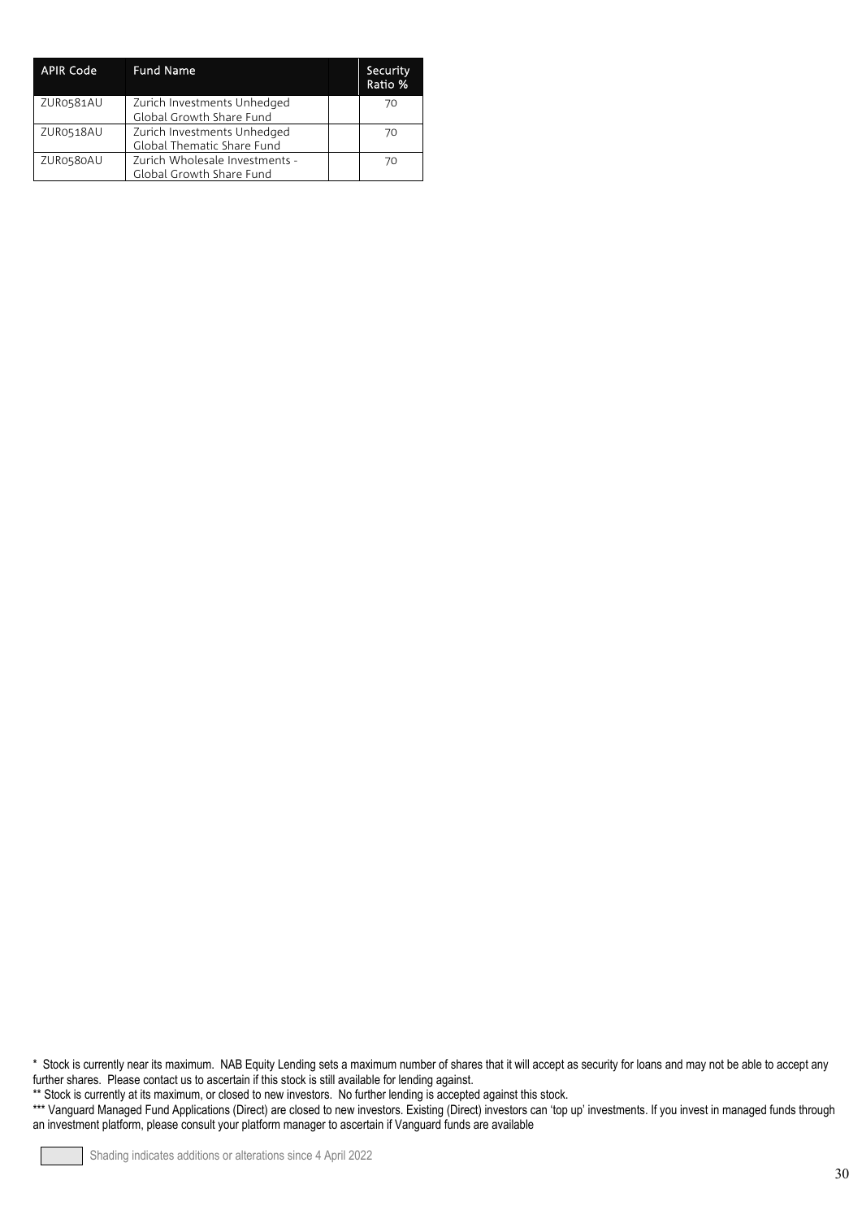| <b>APIR Code</b> | <b>Fund Name</b>                                           | Security<br>Ratio % |
|------------------|------------------------------------------------------------|---------------------|
| ZUR0581AU        | Zurich Investments Unhedged<br>Global Growth Share Fund    | 70                  |
| ZUR0518AU        | Zurich Investments Unhedged<br>Global Thematic Share Fund  | 70                  |
| ZUR0580AU        | Zurich Wholesale Investments -<br>Global Growth Share Fund | 70                  |

\*\* Stock is currently at its maximum, or closed to new investors. No further lending is accepted against this stock.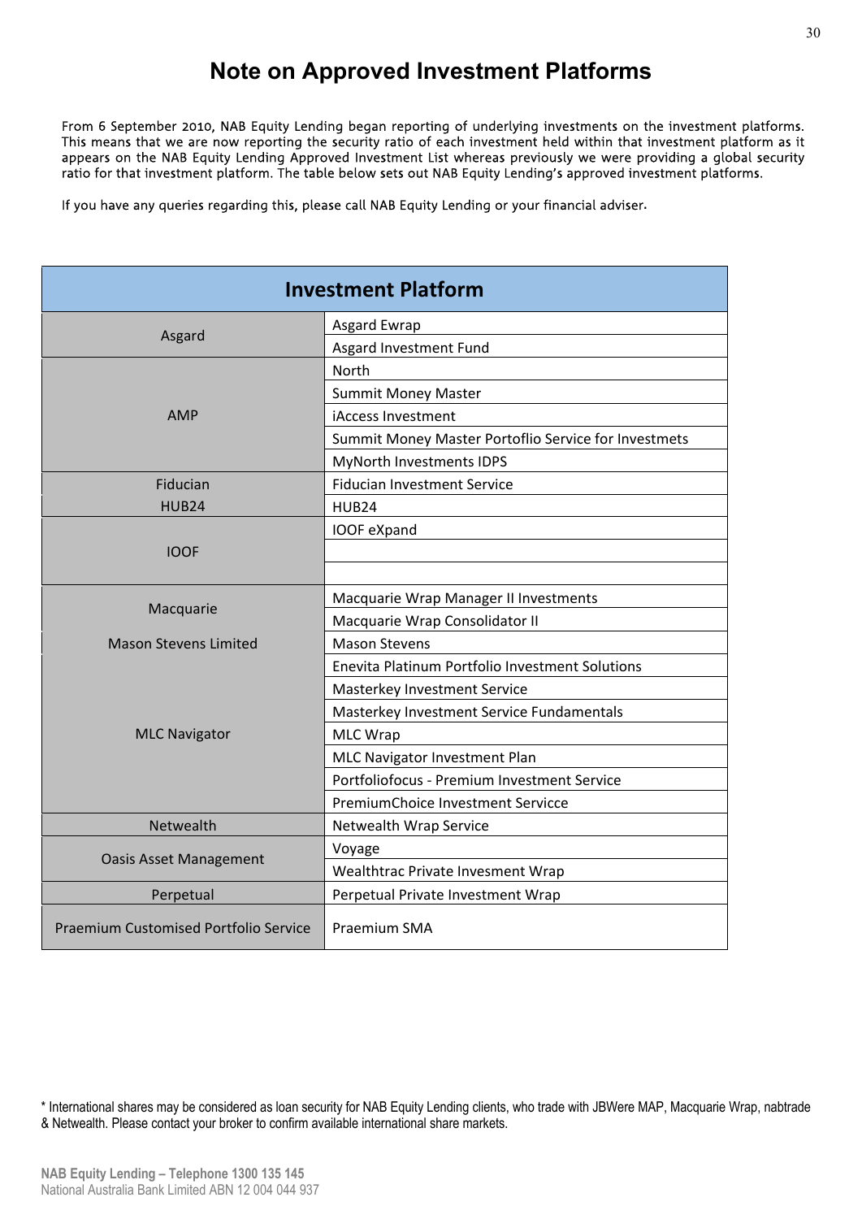## **Note on Approved Investment Platforms**

From 6 September 2010, NAB Equity Lending began reporting of underlying investments on the investment platforms. This means that we are now reporting the security ratio of each investment held within that investment platform as it appears on the NAB Equity Lending Approved Investment List whereas previously we were providing a global security ratio for that investment platform. The table below sets out NAB Equity Lending's approved investment platforms.

If you have any queries regarding this, please call NAB Equity Lending or your financial adviser**.**

|                                       | <b>Investment Platform</b>                           |
|---------------------------------------|------------------------------------------------------|
|                                       | Asgard Ewrap                                         |
| Asgard                                | Asgard Investment Fund                               |
|                                       | <b>North</b>                                         |
|                                       | <b>Summit Money Master</b>                           |
| <b>AMP</b>                            | iAccess Investment                                   |
|                                       | Summit Money Master Portoflio Service for Investmets |
|                                       | MyNorth Investments IDPS                             |
| Fiducian                              | <b>Fiducian Investment Service</b>                   |
| <b>HUB24</b>                          | <b>HUB24</b>                                         |
|                                       | IOOF eXpand                                          |
| <b>IOOF</b>                           |                                                      |
|                                       |                                                      |
|                                       | Macquarie Wrap Manager II Investments                |
| Macquarie                             | Macquarie Wrap Consolidator II                       |
| <b>Mason Stevens Limited</b>          | <b>Mason Stevens</b>                                 |
|                                       | Enevita Platinum Portfolio Investment Solutions      |
|                                       | Masterkey Investment Service                         |
|                                       | Masterkey Investment Service Fundamentals            |
| <b>MLC Navigator</b>                  | <b>MLC Wrap</b>                                      |
|                                       | MLC Navigator Investment Plan                        |
|                                       | Portfoliofocus - Premium Investment Service          |
|                                       | PremiumChoice Investment Servicce                    |
| Netwealth                             | Netwealth Wrap Service                               |
| <b>Oasis Asset Management</b>         | Voyage                                               |
|                                       | Wealthtrac Private Invesment Wrap                    |
| Perpetual                             | Perpetual Private Investment Wrap                    |
| Praemium Customised Portfolio Service | Praemium SMA                                         |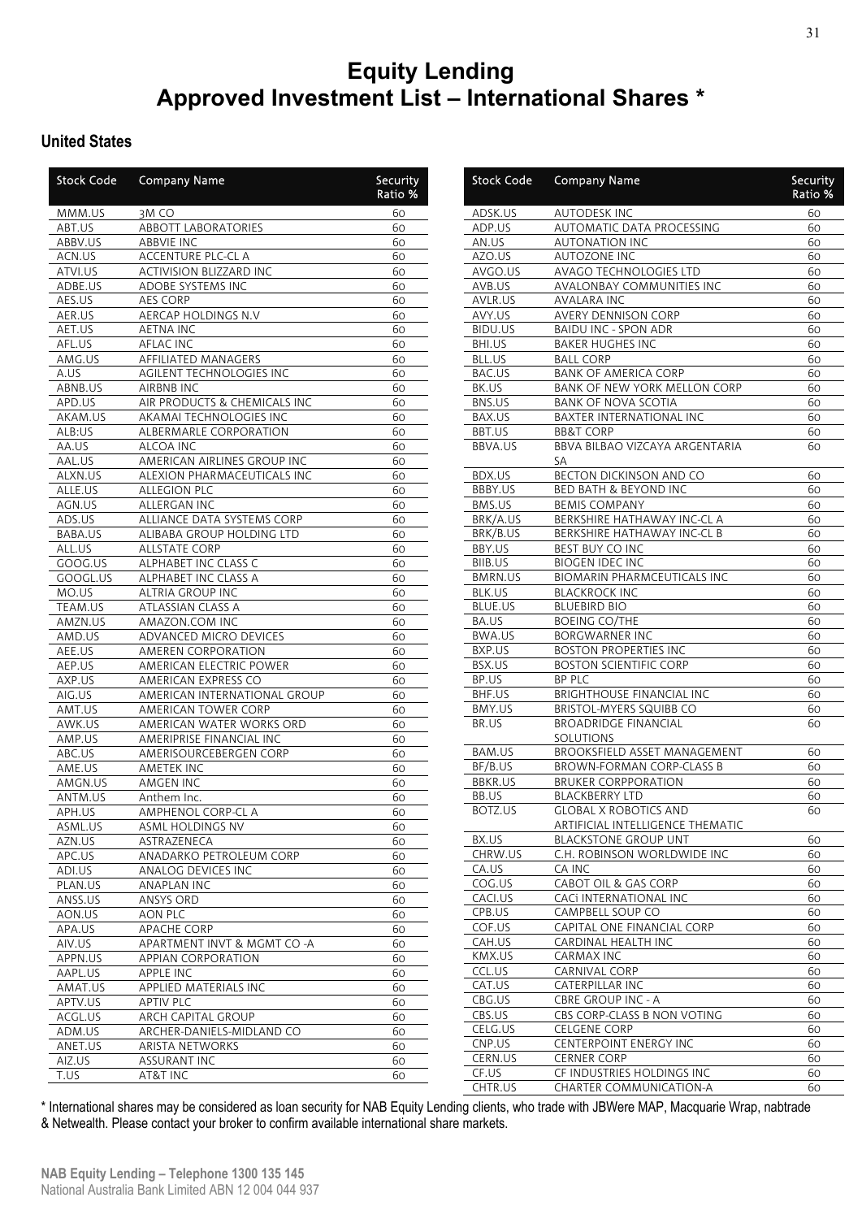## **Equity Lending Approved Investment List – International Shares \***

#### **United States**

| <b>Stock Code</b> | <b>Company Name</b>          | Security<br>Ratio % | Stock Code          | <b>Company Name</b>                | Secur<br>Ratio |
|-------------------|------------------------------|---------------------|---------------------|------------------------------------|----------------|
| MMM.US            | 3MCO                         | 60                  | ADSK.US             | <b>AUTODESK INC</b>                | 60             |
| ABT.US            | <b>ABBOTT LABORATORIES</b>   | 60                  | ADP.US              | AUTOMATIC DATA PROCESSING          | 60             |
| ABBV.US           | <b>ABBVIE INC</b>            | 60                  | AN.US               | <b>AUTONATION INC</b>              | 60             |
| ACN.US            | ACCENTURE PLC-CL A           | 60                  | AZO.US              | AUTOZONE INC                       | 60             |
| ATVI.US           | ACTIVISION BLIZZARD INC      | 60                  | AVGO.US             | AVAGO TECHNOLOGIES LTD             | 60             |
| ADBE.US           | ADOBE SYSTEMS INC            | 60                  | AVB.US              | AVALONBAY COMMUNITIES INC          | 60             |
| AES.US            | AES CORP                     | 60                  | AVLR.US             | <b>AVALARA INC</b>                 | 60             |
| AER.US            | AERCAP HOLDINGS N.V          | 60                  | AVY.US              | <b>AVERY DENNISON CORP</b>         | 60             |
| AET.US            | <b>AETNA INC</b>             | 60                  | <b>BIDU.US</b>      | <b>BAIDU INC - SPON ADR</b>        | 60             |
| AFL.US            | AFLAC INC                    | 60                  | BHI.US              | <b>BAKER HUGHES INC</b>            | 60             |
| AMG.US            | AFFILIATED MANAGERS          | 60                  | BLL.US              | <b>BALL CORP</b>                   | 60             |
| A.US              | AGILENT TECHNOLOGIES INC     | 60                  | BAC.US              | <b>BANK OF AMERICA CORP</b>        | 60             |
| ABNB.US           | <b>AIRBNB INC</b>            | 60                  | BK.US               | BANK OF NEW YORK MELLON CORP       | 60             |
| APD.US            | AIR PRODUCTS & CHEMICALS INC | 60                  | BNS.US              | <b>BANK OF NOVA SCOTIA</b>         | 60             |
| AKAM.US           | AKAMAI TECHNOLOGIES INC      | 60                  | BAX.US              | BAXTER INTERNATIONAL INC           | 60             |
| ALB:US            | ALBERMARLE CORPORATION       | 60                  | BBT.US              | <b>BB&amp;T CORP</b>               | 60             |
| AA.US             | ALCOA INC                    | 60                  | BBVA.US             | BBVA BILBAO VIZCAYA ARGENTARIA     | 60             |
| AAL.US            | AMERICAN AIRLINES GROUP INC  | 60                  |                     | SA                                 |                |
| ALXN.US           | ALEXION PHARMACEUTICALS INC  | 60                  | BDX.US              | BECTON DICKINSON AND CO            | 60             |
| ALLE.US           | <b>ALLEGION PLC</b>          | 60                  | BBBY.US             | <b>BED BATH &amp; BEYOND INC</b>   | 60             |
| AGN.US            | ALLERGAN INC                 | 60                  | BMS.US              | <b>BEMIS COMPANY</b>               | 60             |
| ADS.US            | ALLIANCE DATA SYSTEMS CORP   | 60                  | BRK/A.US            | BERKSHIRE HATHAWAY INC-CL A        | 60             |
| BABA.US           | ALIBABA GROUP HOLDING LTD    | 60                  | BRK/B.US            | BERKSHIRE HATHAWAY INC-CL B        | 60             |
| ALL.US            | ALLSTATE CORP                | 60                  | BBY.US              | BEST BUY CO INC                    | 60             |
| GOOG.US           | ALPHABET INC CLASS C         | 60                  | BIIB.US             | <b>BIOGEN IDEC INC</b>             | 60             |
| GOOGL.US          | ALPHABET INC CLASS A         | 60                  | <b>BMRN.US</b>      | <b>BIOMARIN PHARMCEUTICALS INC</b> | 60             |
| MO.US             | <b>ALTRIA GROUP INC</b>      | 60                  | BLK.US              | <b>BLACKROCK INC</b>               | 60             |
| TEAM.US           | ATLASSIAN CLASS A            | 60                  | <b>BLUE.US</b>      | <b>BLUEBIRD BIO</b>                | 60             |
| AMZN.US           | AMAZON.COM INC               | 60                  | BA.US               | <b>BOEING CO/THE</b>               | 60             |
| AMD.US            | ADVANCED MICRO DEVICES       | 60                  | BWA.US              | <b>BORGWARNER INC</b>              | 60             |
| AEE.US            | AMEREN CORPORATION           | 60                  | BXP.US              | <b>BOSTON PROPERTIES INC</b>       | 60             |
| AEP.US            | AMERICAN ELECTRIC POWER      | 60                  | BSX.US              | <b>BOSTON SCIENTIFIC CORP</b>      | 60             |
| AXP.US            | AMERICAN EXPRESS CO          | 60                  | BP.US               | <b>BP PLC</b>                      | 60             |
| AIG.US            | AMERICAN INTERNATIONAL GROUP | 60                  | BHF.US              | BRIGHTHOUSE FINANCIAL INC          | 60             |
| AMT.US            | AMERICAN TOWER CORP          | 60                  | BMY.US              | BRISTOL-MYERS SQUIBB CO            | 60             |
| AWK.US            | AMERICAN WATER WORKS ORD     | 60                  | BR.US               | <b>BROADRIDGE FINANCIAL</b>        | 60             |
| AMP.US            | AMERIPRISE FINANCIAL INC     | 60                  |                     | SOLUTIONS                          |                |
| ABC.US            | AMERISOURCEBERGEN CORP       | 60                  | BAM.US              | BROOKSFIELD ASSET MANAGEMENT       | 60             |
| AME.US            | AMETEK INC                   | 60                  | BF/B.US             | <b>BROWN-FORMAN CORP-CLASS B</b>   | 60             |
| AMGN.US           | AMGEN INC                    | 60                  | <b>BBKR.US</b>      | <b>BRUKER CORPPORATION</b>         | 60             |
| ANTM.US           | Anthem Inc.                  | 60                  | BB.US               | <b>BLACKBERRY LTD</b>              | 60             |
| APH.US            | AMPHENOL CORP-CL A           | 60                  | BOTZ.US             | <b>GLOBAL X ROBOTICS AND</b>       | 60             |
| ASML.US           | ASML HOLDINGS NV             | 60                  |                     | ARTIFICIAL INTELLIGENCE THEMATIC   |                |
| AZN.US            | ASTRAZENECA                  | 60                  | BX.US               | <b>BLACKSTONE GROUP UNT</b>        | 60             |
| APC.US            | ANADARKO PETROLEUM CORP      | 60                  | CHRW.US             | C.H. ROBINSON WORLDWIDE INC        | 60             |
| ADI.US            | ANALOG DEVICES INC           | 60                  | CA.US               | CA INC                             | 60             |
| PLAN.US           | <b>ANAPLAN INC</b>           | 60                  | $COG.U\overline{S}$ | CABOT OIL & GAS CORP               | 60             |
| ANSS.US           | ANSYS ORD                    | 60                  | CACI.US             | CACI INTERNATIONAL INC             | 60             |
| AON.US            | AON PLC                      | 60                  | CPB.US              | CAMPBELL SOUP CO                   | 60             |
| APA.US            | APACHE CORP                  | 60                  | COF.US              | CAPITAL ONE FINANCIAL CORP         | 60             |
| AIV.US            |                              | 60                  | CAH.US              | CARDINAL HEALTH INC                | 60             |
|                   | APARTMENT INVT & MGMT CO-A   | 60                  | KMX.US              | CARMAX INC                         | 60             |
| APPN.US           | APPIAN CORPORATION           |                     | CCL.US              | <b>CARNIVAL CORP</b>               | 60             |
| AAPL.US           | APPLE INC                    | 60                  | CAT.US              | CATERPILLAR INC                    | 60             |
| AMAT.US           | APPLIED MATERIALS INC        | 60                  | CBG.US              | <b>CBRE GROUP INC - A</b>          | 60             |
| APTV.US           | <b>APTIV PLC</b>             | 60                  | CBS.US              | CBS CORP-CLASS B NON VOTING        | 60             |
| ACGL.US           | ARCH CAPITAL GROUP           | 60                  | CELG.US             | <b>CELGENE CORP</b>                | 60             |
| ADM.US            | ARCHER-DANIELS-MIDLAND CO    | 60                  | CNP.US              | CENTERPOINT ENERGY INC             | 60             |
| ANET.US           | ARISTA NETWORKS              | 60                  | CERN.US             | <b>CERNER CORP</b>                 | 60             |
| AIZ.US            | <b>ASSURANT INC</b>          | 60                  | CF.US               | CF INDUSTRIES HOLDINGS INC         | 60             |
| T.US              | AT&T INC                     | 60                  | CHTR.US             | CHARTER COMMUNICATION-A            | 60             |
|                   |                              |                     |                     |                                    |                |

\* International shares may be considered as loan security for NAB Equity Lending clients, who trade with JBWere MAP, Macquarie Wrap, nabtrade & Netwealth. Please contact your broker to confirm available international share markets.

Security Ratio %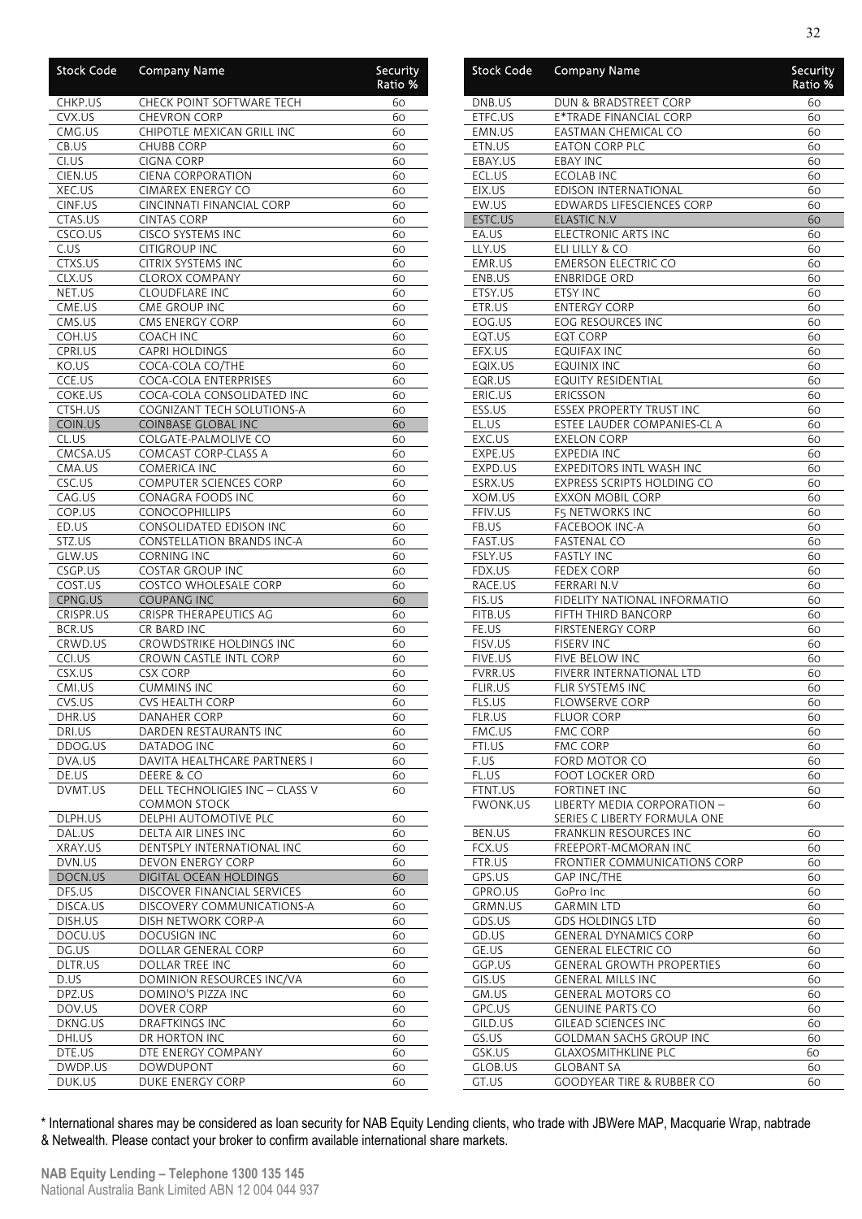| <b>Stock Code</b>   | <b>Company Name</b>                               | Security<br>Ratio % |
|---------------------|---------------------------------------------------|---------------------|
| CHKP.US             | <b>CHECK POINT SOFTWARE TECH</b>                  | 60                  |
| CVX.US              | <b>CHEVRON CORP</b>                               | 60                  |
| CMG.US              | CHIPOTLE MEXICAN GRILL INC                        | 60                  |
| CB.US               | CHUBB CORP                                        | 60                  |
| CI.US<br>CIEN.US    | <b>CIGNA CORP</b><br><b>CIENA CORPORATION</b>     | 60<br>60            |
| XEC.US              | CIMAREX ENERGY CO                                 | 60                  |
| CINF.US             | <b>CINCINNATI FINANCIAL CORP</b>                  | 60                  |
| CTAS.US             | <b>CINTAS CORP</b>                                | 60                  |
| CSCO.US             | CISCO SYSTEMS INC                                 | 60                  |
| C.US                | <b>CITIGROUP INC</b>                              | 60                  |
| CTXS.US             | CITRIX SYSTEMS INC                                | 60                  |
| CLX.US              | <b>CLOROX COMPANY</b>                             | 60                  |
| NET.US              | <b>CLOUDFLARE INC</b>                             | 60                  |
| CME.US              | CME GROUP INC                                     | 60                  |
| CMS.US              | CMS ENERGY CORP                                   | 60                  |
| COH.US<br>CPRI.US   | <b>COACH INC</b><br><b>CAPRI HOLDINGS</b>         | 60<br>60            |
| KO.US               | COCA-COLA CO/THE                                  | 60                  |
| CCE.US              | <b>COCA-COLA ENTERPRISES</b>                      | 60                  |
| COKE.US             | COCA-COLA CONSOLIDATED INC                        | 60                  |
| CTSH.US             | <b>COGNIZANT TECH SOLUTIONS-A</b>                 | 60                  |
| COIN.US             | <b>COINBASE GLOBAL INC</b>                        | 60                  |
| CL.US               | COLGATE-PALMOLIVE CO                              | 60                  |
| CMCSA.US            | <b>COMCAST CORP-CLASS A</b>                       | 60                  |
| CMA.US              | COMERICA INC                                      | 60                  |
| CSC.US              | <b>COMPUTER SCIENCES CORP</b>                     | 60                  |
| CAG.US              | CONAGRA FOODS INC                                 | 60                  |
| COP.US              | <b>CONOCOPHILLIPS</b><br>CONSOLIDATED EDISON INC  | 60                  |
| ED.US<br>STZ.US     | <b>CONSTELLATION BRANDS INC-A</b>                 | 60<br>60            |
| GLW.US              | <b>CORNING INC</b>                                | 60                  |
| CSGP.US             | <b>COSTAR GROUP INC</b>                           | 60                  |
| COST.US             | <b>COSTCO WHOLESALE CORP</b>                      | 60                  |
| CPNG.US             | <b>COUPANG INC</b>                                | 60                  |
| CRISPR.US           | CRISPR THERAPEUTICS AG                            | 60                  |
| BCR.US              | CR BARD INC                                       | 60                  |
| CRWD.US             | CROWDSTRIKE HOLDINGS INC                          | 60                  |
| CCI.US              | CROWN CASTLE INTL CORP                            | 60                  |
| CSX.US<br>CMI.US    | <b>CSX CORP</b><br><b>CUMMINS INC</b>             | 60                  |
| CVS.US              | <b>CVS HEALTH CORP</b>                            | 60<br>60            |
| DHR.US              | DANAHER CORP                                      | 60                  |
| DRI.US              | DARDEN RESTAURANTS INC                            | 60                  |
| DDOG.US             | DATADOG INC                                       | 60                  |
| DVA.US              | DAVITA HEALTHCARE PARTNERS I                      | 60                  |
| DE.US               | DEERE & CO                                        | 60                  |
| DVMT.US             | DELL TECHNOLIGIES INC - CLASS V<br>COMMON STOCK   | 60                  |
| DLPH.US             | DELPHI AUTOMOTIVE PLC                             | 60                  |
| DAL.US              | DELTA AIR LINES INC                               | 60                  |
| XRAY.US             | DENTSPLY INTERNATIONAL INC                        | 60                  |
| DVN.US              | DEVON ENERGY CORP                                 | 60                  |
| DOCN.US             | DIGITAL OCEAN HOLDINGS                            | 60                  |
| DFS.US              | DISCOVER FINANCIAL SERVICES                       | 60                  |
| DISCA.US<br>DISH.US | DISCOVERY COMMUNICATIONS-A<br>DISH NETWORK CORP-A | 60<br>60            |
| DOCU.US             | DOCUSIGN INC                                      | 60                  |
| DG.US               | DOLLAR GENERAL CORP                               | 60                  |
| DLTR.US             | DOLLAR TREE INC                                   | 60                  |
| D.US                | DOMINION RESOURCES INC/VA                         | 60                  |
| DPZ.US              | DOMINO'S PIZZA INC                                | 60                  |
| DOV.US              | DOVER CORP                                        | 60                  |
| DKNG.US             | <b>DRAFTKINGS INC</b>                             | 60                  |
| DHI.US              | DR HORTON INC                                     | 60                  |
| DTE.US              | DTE ENERGY COMPANY                                | 60                  |
| DWDP.US             | DOWDUPONT                                         | 60                  |
| DUK.US              | DUKE ENERGY CORP                                  | 60                  |

| Stock Code        | <b>Company Name</b>                                    | Security<br>Ratio % |
|-------------------|--------------------------------------------------------|---------------------|
| DNB.US            | DUN & BRADSTREET CORP                                  | 60                  |
| ETFC.US           | E*TRADE FINANCIAL CORP                                 | 60                  |
| EMN.US            | EASTMAN CHEMICAL CO                                    | 60                  |
| ETN.US            | <b>EATON CORP PLC</b>                                  | 60                  |
| EBAY.US           | <b>EBAY INC</b>                                        | 60                  |
| ECL.US            | <b>ECOLAB INC</b>                                      | 60                  |
| EIX.US<br>EW.US   | EDISON INTERNATIONAL                                   | 60                  |
| ESTC.US           | EDWARDS LIFESCIENCES CORP<br><b>ELASTIC N.V</b>        | 60<br>60            |
| EA.US             | <b>ELECTRONIC ARTS INC</b>                             | 60                  |
| LLY.US            | ELI LILLY & CO                                         | 60                  |
| EMR.US            | <b>EMERSON ELECTRIC CO</b>                             | 60                  |
| ENB.US            | <b>ENBRIDGE ORD</b>                                    | 60                  |
| ETSY.US           | ETSY INC                                               | 60                  |
| ETR.US            | <b>ENTERGY CORP</b>                                    | 60                  |
| EOG.US            | EOG RESOURCES INC                                      | 60                  |
| EQT.US            | <b>EQT CORP</b>                                        | 60                  |
| EFX.US            | <b>EQUIFAX INC</b>                                     | 60                  |
| EQIX.US           | <b>EQUINIX INC</b>                                     | 60                  |
| EQR.US            | <b>EQUITY RESIDENTIAL</b>                              | 60                  |
| ERIC.US           | <b>ERICSSON</b>                                        | 60                  |
| ESS.US            | <b>ESSEX PROPERTY TRUST INC</b>                        | 60                  |
| EL.US             | ESTEE LAUDER COMPANIES-CL A                            | 60                  |
| EXC.US            | <b>EXELON CORP</b>                                     | 60                  |
| EXPE.US           | <b>EXPEDIA INC</b>                                     | 60                  |
| EXPD.US           | EXPEDITORS INTL WASH INC<br>EXPRESS SCRIPTS HOLDING CO | 60                  |
| ESRX.US<br>XOM.US | <b>EXXON MOBIL CORP</b>                                | 60<br>60            |
| FFIV.US           | F5 NETWORKS INC                                        | 60                  |
| FB.US             | <b>FACEBOOK INC-A</b>                                  | 60                  |
| FAST.US           | <b>FASTENAL CO</b>                                     | 60                  |
| FSLY.US           | <b>FASTLY INC</b>                                      | 60                  |
| FDX.US            | <b>FEDEX CORP</b>                                      | 60                  |
| RACE.US           | FERRARI N.V                                            | 60                  |
| FIS.US            | FIDELITY NATIONAL INFORMATIO                           | 60                  |
| FITB.US           | FIFTH THIRD BANCORP                                    | 60                  |
| FE.US             | <b>FIRSTENERGY CORP</b>                                | 60                  |
| FISV.US           | <b>FISERV INC</b>                                      | 60                  |
| FIVE.US           | FIVE BELOW INC                                         | 60                  |
| <b>FVRR.US</b>    | FIVERR INTERNATIONAL LTD                               | 60                  |
| FLIR.US           | FLIR SYSTEMS INC                                       | 60                  |
| FLS.US            | <b>FLOWSERVE CORP</b><br><b>FLUOR CORP</b>             | 60                  |
| FLR.US<br>FMC.US  | <b>FMC CORP</b>                                        | 60<br>60            |
| FTI.US            | <b>FMC CORP</b>                                        | 60                  |
| F.US              | FORD MOTOR CO                                          | 60                  |
| FL.US             | <b>FOOT LOCKER ORD</b>                                 | 60                  |
| FTNT.US           | FORTINET INC                                           | 60                  |
| <b>FWONK.US</b>   | LIBERTY MEDIA CORPORATION -                            | 60                  |
|                   | SERIES C LIBERTY FORMULA ONE                           |                     |
| BEN.US            | FRANKLIN RESOURCES INC                                 | 60                  |
| FCX.US            | FREEPORT-MCMORAN INC                                   | 60                  |
| FTR.US            | <b>FRONTIER COMMUNICATIONS CORP</b>                    | 60                  |
| GPS.US            | <b>GAP INC/THE</b>                                     | 60                  |
| GPRO.US           | GoPro Inc                                              | 60                  |
| GRMN.US           | <b>GARMIN LTD</b>                                      | 60                  |
| GDS.US            | <b>GDS HOLDINGS LTD</b>                                | 60                  |
| GD.US             | <b>GENERAL DYNAMICS CORP</b>                           | 60                  |
| GE.US             | <b>GENERAL ELECTRIC CO</b>                             | 60                  |
| GGP.US            | <b>GENERAL GROWTH PROPERTIES</b>                       | 60                  |
| GIS.US<br>GM.US   | <b>GENERAL MILLS INC</b><br><b>GENERAL MOTORS CO</b>   | 60<br>60            |
| GPC.US            | <b>GENUINE PARTS CO</b>                                | 60                  |
| GILD.US           | <b>GILEAD SCIENCES INC</b>                             | 60                  |
| GS.US             | <b>GOLDMAN SACHS GROUP INC</b>                         | 60                  |
| GSK.US            | <b>GLAXOSMITHKLINE PLC</b>                             | 60                  |
| GLOB.US           | <b>GLOBANT SA</b>                                      | 60                  |
| GT.US             | <b>GOODYEAR TIRE &amp; RUBBER CO</b>                   | 60                  |
|                   |                                                        |                     |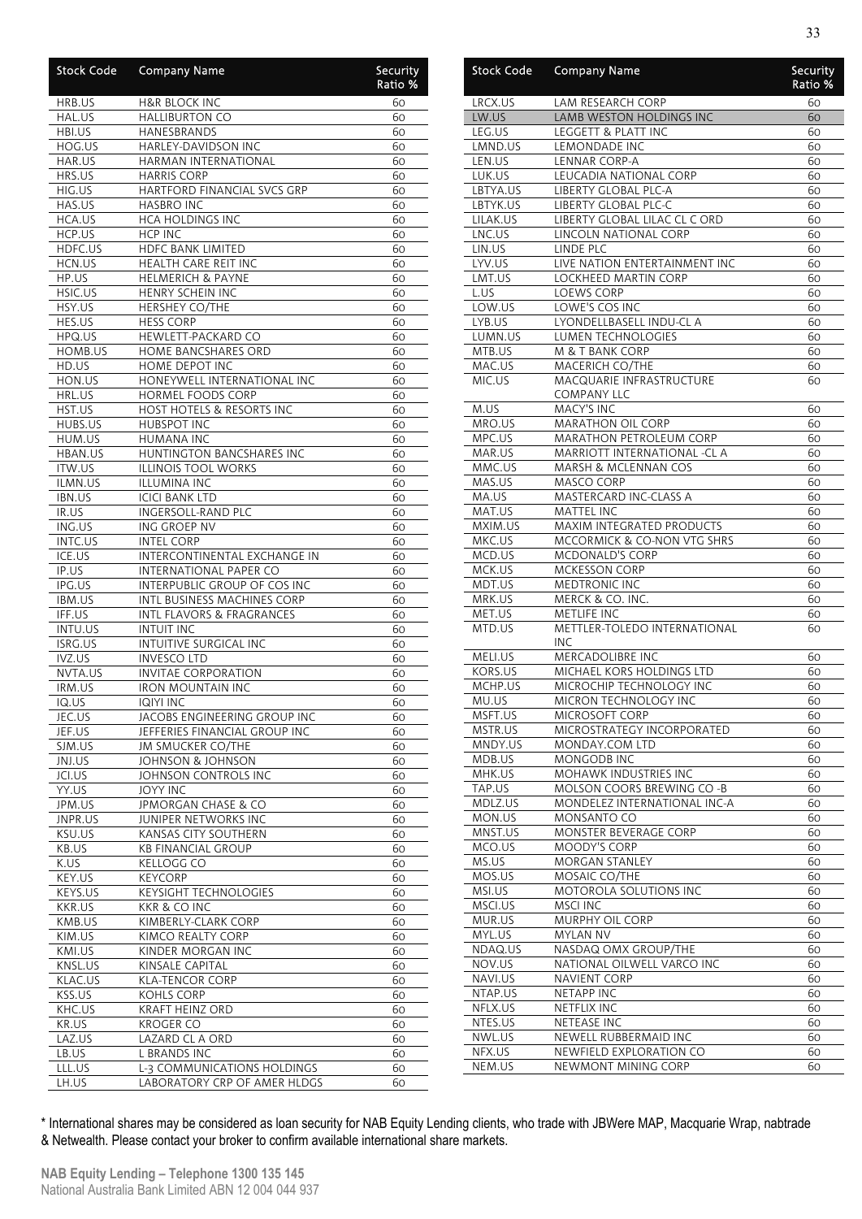| <b>Stock Code</b>        | <b>Company Name</b>                                         | <b>Security</b><br>Ratio <sup>%</sup> |
|--------------------------|-------------------------------------------------------------|---------------------------------------|
| HRB.US                   | <b>H&amp;R BLOCK INC</b>                                    | 60                                    |
| HAL.US                   | <b>HALLIBURTON CO</b>                                       | 60                                    |
| HBI.US<br>HOG.US         | HANESBRANDS<br><b>HARLEY-DAVIDSON INC</b>                   | 60                                    |
| HAR.US                   | HARMAN INTERNATIONAL                                        | 60<br>60                              |
| HRS.US                   | <b>HARRIS CORP</b>                                          | 60                                    |
| HIG.US                   | HARTFORD FINANCIAL SVCS GRP                                 | 60                                    |
| HAS.US                   | <b>HASBRO INC</b>                                           | 60                                    |
| HCA.US                   | <b>HCA HOLDINGS INC</b>                                     | 60                                    |
| HCP.US<br>HDFC.US        | <b>HCP INC</b><br><b>HDFC BANK LIMITED</b>                  | 60<br>60                              |
| HCN.US                   | HEALTH CARE REIT INC                                        | 60                                    |
| HP.US                    | <b>HELMERICH &amp; PAYNE</b>                                | 60                                    |
| HSIC.US                  | HENRY SCHEIN INC                                            | 60                                    |
| HSY.US                   | <b>HERSHEY CO/THE</b>                                       | 60                                    |
| HES.US                   | HESS CORP                                                   | 60                                    |
| HPQ.US                   | HEWLETT-PACKARD CO                                          | 60                                    |
| HOMB.US<br>HD.US         | HOME BANCSHARES ORD<br><b>HOME DEPOT INC</b>                | 60<br>60                              |
| HON.US                   | HONEYWELL INTERNATIONAL INC                                 | 60                                    |
| HRL.US                   | HORMEL FOODS CORP                                           | 60                                    |
| HST.US                   | HOST HOTELS & RESORTS INC                                   | 60                                    |
| HUBS.US                  | <b>HUBSPOT INC</b>                                          | 60                                    |
| HUM.US                   | <b>HUMANA INC</b>                                           | 60                                    |
| HBAN.US                  | HUNTINGTON BANCSHARES INC                                   | 60                                    |
| <b>ITW.US</b><br>ILMN.US | <b>ILLINOIS TOOL WORKS</b><br><b>ILLUMINA INC</b>           | 60<br>60                              |
| IBN.US                   | <b>ICICI BANK LTD</b>                                       | 60                                    |
| IR.US                    | INGERSOLL-RAND PLC                                          | 60                                    |
| ING.US                   | ING GROEP NV                                                | 60                                    |
| INTC.US                  | <b>INTEL CORP</b>                                           | 60                                    |
| ICE.US                   | INTERCONTINENTAL EXCHANGE IN                                | 60                                    |
| IP.US<br>IPG.US          | INTERNATIONAL PAPER CO                                      | 60                                    |
| <b>IBM.US</b>            | INTERPUBLIC GROUP OF COS INC<br>INTL BUSINESS MACHINES CORP | 60<br>60                              |
| IFF.US                   | <b>INTL FLAVORS &amp; FRAGRANCES</b>                        | 60                                    |
| INTU.US                  | <b>INTUIT INC</b>                                           | 60                                    |
| <b>ISRG.US</b>           | INTUITIVE SURGICAL INC                                      | 60                                    |
| IVZ.US                   | <b>INVESCO LTD</b>                                          | 60                                    |
| NVTA.US                  | <b>INVITAE CORPORATION</b>                                  | 60                                    |
| IRM.US<br>IQ.US          | <b>IRON MOUNTAIN INC</b><br><b>IQIYI INC</b>                | 60<br>60                              |
| JEC.US                   | JACOBS ENGINEERING GROUP INC                                | 60                                    |
| JEF.US                   | JEFFERIES FINANCIAL GROUP INC                               | 60                                    |
| SJM.US                   | JM SMUCKER CO/THE                                           | 60                                    |
| JNJ.US                   | JOHNSON & JOHNSON                                           | 60                                    |
| JCI.US                   | JOHNSON CONTROLS INC                                        | 60                                    |
| YY.US                    | <b>JOYY INC</b>                                             | 60                                    |
| JPM.US<br>JNPR.US        | JPMORGAN CHASE & CO<br>JUNIPER NETWORKS INC                 | 60<br>60                              |
| KSU.US                   | KANSAS CITY SOUTHERN                                        | 60                                    |
| KB.US                    | <b>KB FINANCIAL GROUP</b>                                   | 60                                    |
| K.US                     | <b>KELLOGG CO</b>                                           | 60                                    |
| KEY.US                   | KEYCORP                                                     | 60                                    |
| KEYS.US                  | <b>KEYSIGHT TECHNOLOGIES</b>                                | 60                                    |
| KKR.US<br>KMB.US         | KKR & CO INC<br>KIMBERLY-CLARK CORP                         | 60<br>60                              |
| KIM.US                   | KIMCO REALTY CORP                                           | 60                                    |
| KMI.US                   | KINDER MORGAN INC                                           | 60                                    |
| KNSL.US                  | KINSALE CAPITAL                                             | 60                                    |
| KLAC.US                  | KLA-TENCOR CORP                                             | 60                                    |
| KSS.US                   | KOHLS CORP                                                  | 60                                    |
| KHC.US                   | KRAFT HEINZ ORD                                             | 60                                    |
| KR.US<br>LAZ.US          | KROGER CO<br>LAZARD CL A ORD                                | 60<br>60                              |
| LB.US                    | L BRANDS INC                                                | 60                                    |
| LLL.US                   |                                                             |                                       |
|                          | L-3 COMMUNICATIONS HOLDINGS                                 | 60                                    |

| <b>Stock Code</b>    | <b>Company Name</b>                                   | <u>Security</u><br>Ratio % |
|----------------------|-------------------------------------------------------|----------------------------|
| LRCX.US              | LAM RESEARCH CORP                                     | 60                         |
| LW.US                | LAMB WESTON HOLDINGS INC                              | 60                         |
| LEG.US               | LEGGETT & PLATT INC                                   | 60                         |
| LMND.US              | LEMONDADE INC                                         | 60                         |
| LEN.US               | LENNAR CORP-A                                         | 60                         |
| LUK.US               | LEUCADIA NATIONAL CORP                                | 60                         |
| LBTYA.US             | LIBERTY GLOBAL PLC-A                                  | 60                         |
| LBTYK.US<br>LILAK.US | LIBERTY GLOBAL PLC-C<br>LIBERTY GLOBAL LILAC CL C ORD | 60<br>60                   |
| LNC.US               | LINCOLN NATIONAL CORP                                 | 60                         |
| LIN.US               | LINDE PLC                                             | 60                         |
| LYV.US               | LIVE NATION ENTERTAINMENT INC                         | 60                         |
| LMT.US               | LOCKHEED MARTIN CORP                                  | 60                         |
| L.US                 | LOEWS CORP                                            | 60                         |
| LOW.US               | LOWE'S COS INC                                        | 60                         |
| LYB.US               | LYONDELLBASELL INDU-CL A                              | 60                         |
| LUMN.US              | LUMEN TECHNOLOGIES                                    | 60                         |
| MTB.US               | M & T BANK CORP                                       | 60                         |
| MAC.US               | MACERICH CO/THE                                       | 60                         |
| MIC.US               | <b>MACQUARIE INFRASTRUCTURE</b>                       | 60                         |
|                      | COMPANY LLC                                           |                            |
| M.US                 | MACY'S INC                                            | 60                         |
| MRO.US               | MARATHON OIL CORP                                     | 60                         |
| MPC.US               | MARATHON PETROLEUM CORP                               | 60                         |
| MAR.US               | MARRIOTT INTERNATIONAL -CL A                          | 60                         |
| MMC.US               | MARSH & MCLENNAN COS                                  | 60                         |
| MAS.US               | MASCO CORP                                            | 60                         |
| MA.US<br>MAT.US      | MASTERCARD INC-CLASS A<br>MATTEL INC                  | 60                         |
| MXIM.US              | MAXIM INTEGRATED PRODUCTS                             | 60<br>60                   |
| MKC.US               | MCCORMICK & CO-NON VTG SHRS                           | 60                         |
| MCD.US               | MCDONALD'S CORP                                       | 60                         |
| MCK.US               | MCKESSON CORP                                         | 60                         |
| MDT.US               | <b>MEDTRONIC INC</b>                                  | 60                         |
| MRK.US               | MERCK & CO. INC.                                      | 60                         |
| MET.US               | METLIFE INC                                           | 60                         |
| MTD.US               | METTLER-TOLEDO INTERNATIONAL                          | 60                         |
|                      | <b>INC</b>                                            |                            |
| MELI.US              | MERCADOLIBRE INC                                      | 60                         |
| KORS.US              | MICHAEL KORS HOLDINGS LTD                             | 60                         |
| MCHP.US              | MICROCHIP TECHNOLOGY INC                              | 60                         |
| MU.US                | MICRON TECHNOLOGY INC                                 | 60                         |
| MSFT.US              | MICROSOFT CORP                                        | 60                         |
| MSTR.US              | MICROSTRATEGY INCORPORATED                            | 60                         |
| MNDY.US<br>MDB.US    | MONDAY.COM LTD<br><b>MONGODB INC</b>                  | 60                         |
| MHK.US               | MOHAWK INDUSTRIES INC                                 | 60<br>60                   |
| TAP.US               | MOLSON COORS BREWING CO -B                            | 60                         |
| MDLZ.US              | MONDELEZ INTERNATIONAL INC-A                          | 60                         |
| MON.US               | MONSANTO CO                                           | 60                         |
| MNST.US              | MONSTER BEVERAGE CORP                                 | 60                         |
| MCO.US               | MOODY'S CORP                                          | 60                         |
| MS.US                | MORGAN STANLEY                                        | 60                         |
| MOS.US               | MOSAIC CO/THE                                         | 60                         |
| MSI.US               | MOTOROLA SOLUTIONS INC                                | 60                         |
| MSCI.US              | MSCI INC                                              | 60                         |
| MUR.US               | MURPHY OIL CORP                                       | 60                         |
| MYL.US               | MYLAN NV                                              | 60                         |
| NDAQ.US              | NASDAQ OMX GROUP/THE                                  | 60                         |
| NOV.US               | NATIONAL OILWELL VARCO INC                            | 60                         |
| NAVI.US              | <b>NAVIENT CORP</b>                                   | 60                         |
| NTAP.US              | <b>NETAPP INC</b>                                     | 60                         |
| NFLX.US              | NETFLIX INC                                           | 60                         |
| NTES.US              | NETEASE INC                                           | 60                         |
| NWL.US               | NEWELL RUBBERMAID INC                                 | 60                         |
| NFX.US<br>NEM.US     | NEWFIELD EXPLORATION CO<br>NEWMONT MINING CORP        | 60<br>60                   |
|                      |                                                       |                            |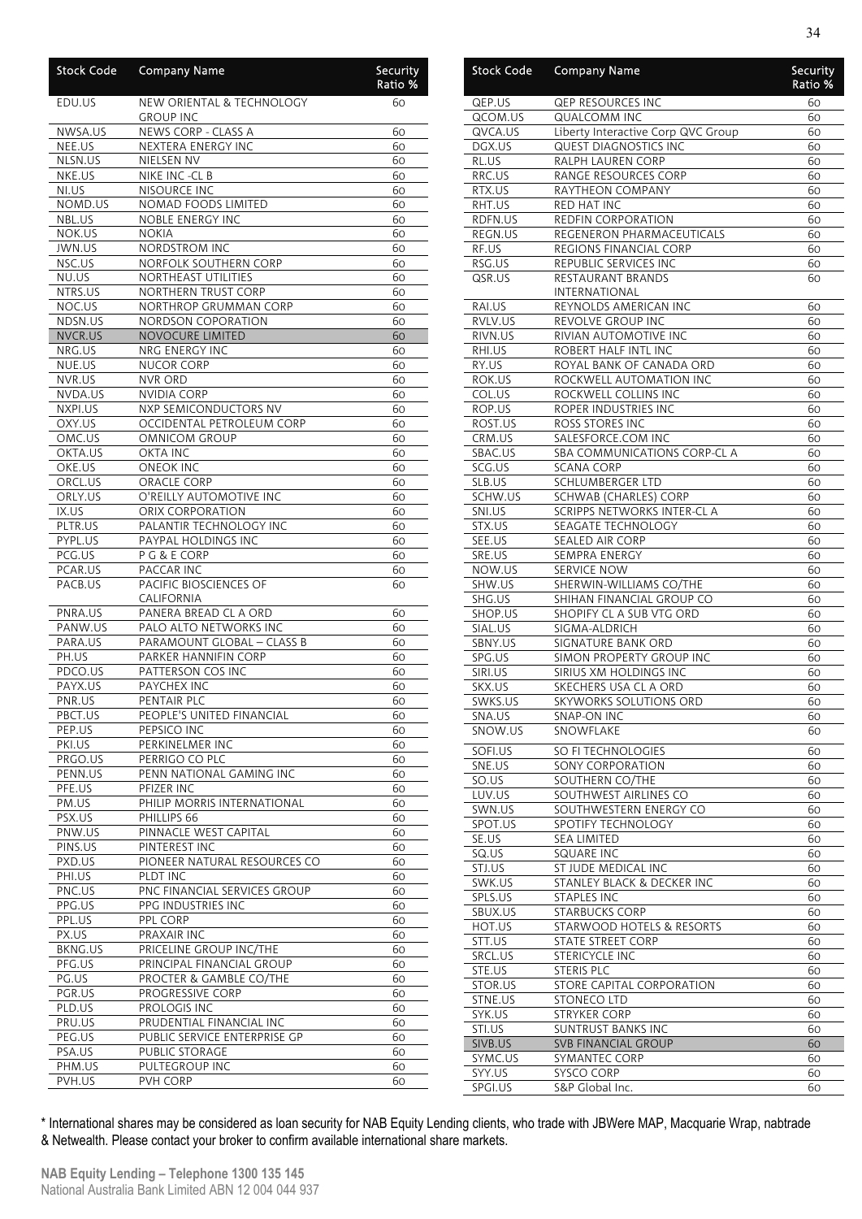| <b>Stock Code</b>  | <b>Company Name</b>                           | Security<br>Ratio % |
|--------------------|-----------------------------------------------|---------------------|
| EDU.US             | NEW ORIENTAL & TECHNOLOGY<br><b>GROUP INC</b> | 60                  |
| NWSA.US            | NEWS CORP - CLASS A                           | 60                  |
| NEE.US             | <b>NEXTERA ENERGY INC</b>                     | 60                  |
| NLSN.US            | NIELSEN NV                                    | 60                  |
| NKE.US             | NIKE INC -CL B                                | 60                  |
| NI.US              | NISOURCE INC                                  | 60                  |
| NOMD.US<br>NBL.US  | NOMAD FOODS LIMITED                           | 60                  |
| NOK.US             | NOBLE ENERGY INC<br>NOKIA                     | 60<br>60            |
| <b>JWN.US</b>      | <b>NORDSTROM INC</b>                          | 60                  |
| NSC.US             | NORFOLK SOUTHERN CORP                         | 60                  |
| NU.US              | NORTHEAST UTILITIES                           | 60                  |
| NTRS.US            | NORTHERN TRUST CORP                           | 60                  |
| NOC.US             | NORTHROP GRUMMAN CORP                         | 60                  |
| NDSN.US            | <b>NORDSON COPORATION</b>                     | 60                  |
| NVCR.US            | <b>NOVOCURE LIMITED</b>                       | 60                  |
| NRG.US             | NRG ENERGY INC                                | 60                  |
| NUE.US             | <b>NUCOR CORP</b>                             | 60                  |
| NVR.US             | <b>NVR ORD</b>                                | 60                  |
| NVDA.US            | <b>NVIDIA CORP</b>                            | 60                  |
| NXPI.US            | NXP SEMICONDUCTORS NV                         | 60                  |
| OXY.US             | OCCIDENTAL PETROLEUM CORP                     | 60                  |
| OMC.US             | OMNICOM GROUP                                 | 60                  |
| OKTA.US            | <b>OKTA INC</b>                               | 60                  |
| OKE.US             | <b>ONEOK INC</b>                              | 60                  |
| ORCL.US            | ORACLE CORP                                   | 60                  |
| ORLY.US            | O'REILLY AUTOMOTIVE INC                       | 60                  |
| IX.US<br>PLTR.US   | ORIX CORPORATION<br>PALANTIR TECHNOLOGY INC   | 60<br>60            |
| PYPL.US            | PAYPAL HOLDINGS INC                           | 60                  |
| PCG.US             | P G & E CORP                                  | 60                  |
| PCAR.US            | PACCAR INC                                    | 60                  |
| PACB.US            | PACIFIC BIOSCIENCES OF<br>CALIFORNIA          | 60                  |
| PNRA.US            | PANERA BREAD CL A ORD                         | 60                  |
| PANW.US            | PALO ALTO NETWORKS INC                        | 60                  |
| PARA.US            | PARAMOUNT GLOBAL - CLASS B                    | 60                  |
| PH.US              | PARKER HANNIFIN CORP                          | 60                  |
| PDCO.US            | PATTERSON COS INC                             | 60                  |
| PAYX.US            | PAYCHEX INC                                   | 60                  |
| PNR.US             | PENTAIR PLC                                   | 60                  |
| PBCT.US            | PEOPLE'S UNITED FINANCIAL                     | 60                  |
| PEP.US             | PEPSICO INC                                   | 60                  |
| PKI.US             | PERKINELMER INC<br>PERRIGO CO PLC             | 60<br>60            |
| PRGO.US<br>PENN.US | PENN NATIONAL GAMING INC                      | 60                  |
| PFE.US             | PFIZER INC                                    | 60                  |
| PM.US              | PHILIP MORRIS INTERNATIONAL                   | 60                  |
| PSX.US             | PHILLIPS 66                                   | 60                  |
| PNW.US             | PINNACLE WEST CAPITAL                         | 60                  |
| PINS.US            | PINTEREST INC                                 | 60                  |
| PXD.US             | PIONEER NATURAL RESOURCES CO                  | 60                  |
| PHI.US             | PLDT INC                                      | 60                  |
| PNC.US             | PNC FINANCIAL SERVICES GROUP                  | 60                  |
| PPG.US             | PPG INDUSTRIES INC                            | 60                  |
| PPL.US             | PPL CORP                                      | 60                  |
| PX.US              | PRAXAIR INC                                   | 60                  |
| BKNG.US            | PRICELINE GROUP INC/THE                       | 60                  |
| PFG.US             | PRINCIPAL FINANCIAL GROUP                     | 60                  |
| PG.US              | PROCTER & GAMBLE CO/THE                       | 60                  |
| PGR.US<br>PLD.US   | PROGRESSIVE CORP<br>PROLOGIS INC              | 60                  |
| PRU.US             | PRUDENTIAL FINANCIAL INC                      | 60<br>60            |
| PEG.US             | PUBLIC SERVICE ENTERPRISE GP                  | 60                  |
| PSA.US             | PUBLIC STORAGE                                | 60                  |
| PHM.US             | PULTEGROUP INC                                | 60                  |
| PVH.US             | PVH CORP                                      | 60                  |
|                    |                                               |                     |

| <b>Stock Code</b> | <b>Company Name</b>                                | <b>Security</b><br>Ratio % |
|-------------------|----------------------------------------------------|----------------------------|
| QEP.US            | QEP RESOURCES INC                                  | 60                         |
| QCOM.US           | <b>QUALCOMM INC</b>                                | 60                         |
| QVCA.US           | Liberty Interactive Corp QVC Group                 | 60                         |
| DGX.US            | <b>QUEST DIAGNOSTICS INC</b>                       | 60                         |
| RL.US             | RALPH LAUREN CORP                                  | 60                         |
| RRC.US<br>RTX.US  | RANGE RESOURCES CORP<br>RAYTHEON COMPANY           | 60<br>60                   |
| RHT.US            | RED HAT INC                                        | 60                         |
| RDFN.US           | REDFIN CORPORATION                                 | 60                         |
| REGN.US           | REGENERON PHARMACEUTICALS                          | 60                         |
| RF.US             | REGIONS FINANCIAL CORP                             | 60                         |
| RSG.US            | REPUBLIC SERVICES INC                              | 60                         |
| QSR.US            | <b>RESTAURANT BRANDS</b>                           | 60                         |
|                   | INTERNATIONAL                                      |                            |
| RAI.US            | REYNOLDS AMERICAN INC                              | 60                         |
| RVLV.US           | REVOLVE GROUP INC                                  | 60                         |
| RIVN.US           | RIVIAN AUTOMOTIVE INC                              | 60                         |
| RHI.US            | ROBERT HALF INTL INC                               | 60                         |
| RY.US             | ROYAL BANK OF CANADA ORD                           | 60                         |
| ROK.US            | ROCKWELL AUTOMATION INC                            | 60                         |
| COL.US            | ROCKWELL COLLINS INC                               | 60                         |
| ROP.US            | ROPER INDUSTRIES INC                               | 60                         |
| ROST.US<br>CRM.US | ROSS STORES INC<br>SALESFORCE.COM INC              | 60<br>60                   |
| SBAC.US           | SBA COMMUNICATIONS CORP-CL A                       | 60                         |
| SCG.US            | <b>SCANA CORP</b>                                  | 60                         |
| SLB.US            | SCHLUMBERGER LTD                                   | 60                         |
| SCHW.US           | SCHWAB (CHARLES) CORP                              | 60                         |
| SNI.US            | SCRIPPS NETWORKS INTER-CL A                        | 60                         |
| STX.US            | SEAGATE TECHNOLOGY                                 | 60                         |
| SEE.US            | SEALED AIR CORP                                    | 60                         |
| SRE.US            | SEMPRA ENERGY                                      | 60                         |
| NOW.US            | SERVICE NOW                                        | 60                         |
| SHW.US            | SHERWIN-WILLIAMS CO/THE                            | 60                         |
| SHG.US            | SHIHAN FINANCIAL GROUP CO                          | 60                         |
| SHOP.US           | SHOPIFY CL A SUB VTG ORD                           | 60                         |
| SIAL.US           | SIGMA-ALDRICH                                      | 60                         |
| SBNY.US           | SIGNATURE BANK ORD                                 | 60                         |
| SPG.US<br>SIRI.US | SIMON PROPERTY GROUP INC<br>SIRIUS XM HOLDINGS INC | 60<br>60                   |
| SKX.US            | SKECHERS USA CL A ORD                              | 60                         |
| SWKS.US           | SKYWORKS SOLUTIONS ORD                             | 60                         |
| SNA.US            | SNAP-ON INC                                        | 60                         |
| SNOW.US           | SNOWFLAKE                                          | 60                         |
|                   |                                                    |                            |
| SOFI.US<br>SNE.US | SO FI TECHNOLOGIES<br>SONY CORPORATION             | 60<br>60                   |
| SO.US             | SOUTHERN CO/THE                                    | 60                         |
| LUV.US            | SOUTHWEST AIRLINES CO                              | 60                         |
| SWN.US            | SOUTHWESTERN ENERGY CO                             | 60                         |
| SPOT.US           | SPOTIFY TECHNOLOGY                                 | 60                         |
| SE.US             | SEA LIMITED                                        | 60                         |
| SQ.US             | <b>SQUARE INC</b>                                  | 60                         |
| STJ.US            | ST JUDE MEDICAL INC                                | 60                         |
| SWK.US            | STANLEY BLACK & DECKER INC                         | 60                         |
| SPLS.US           | <b>STAPLES INC</b>                                 | 60                         |
| SBUX.US           | <b>STARBUCKS CORP</b>                              | 60                         |
| HOT.US            | STARWOOD HOTELS & RESORTS                          | 60                         |
| STT.US            | STATE STREET CORP                                  | 60                         |
| SRCL.US           | STERICYCLE INC                                     | 60                         |
| STE.US            | <b>STERIS PLC</b>                                  | 60                         |
| STOR.US           | STORE CAPITAL CORPORATION                          | 60                         |
| STNE.US<br>SYK.US | STONECO LTD<br><b>STRYKER CORP</b>                 | 60<br>60                   |
| STI.US            | <b>SUNTRUST BANKS INC</b>                          | 60                         |
| SIVB.US           | SVB FINANCIAL GROUP                                | 60                         |
| SYMC.US           | SYMANTEC CORP                                      | 60                         |
| SYY.US            | SYSCO CORP                                         | 60                         |
| SPGI.US           | S&P Global Inc.                                    | 60                         |
|                   |                                                    |                            |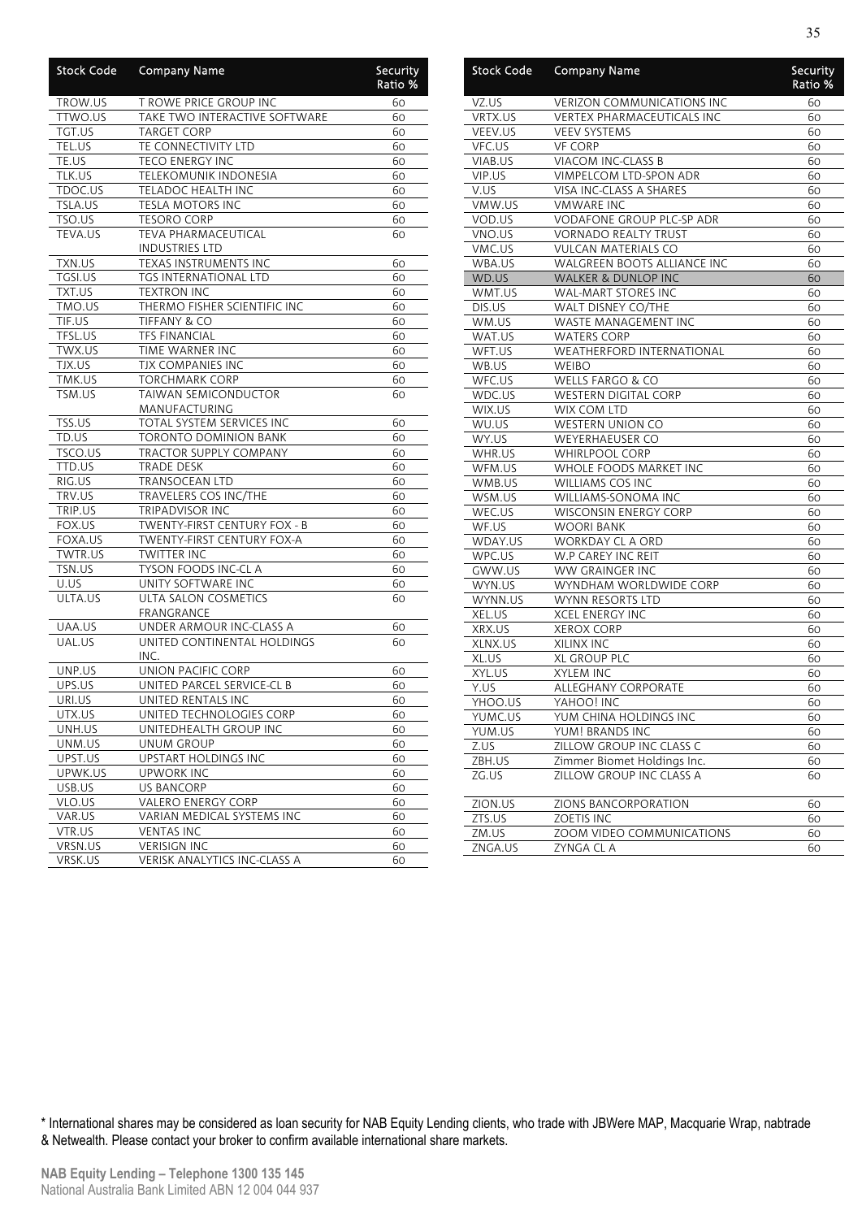| <b>Stock Code</b> | <b>Company Name</b>           | Security<br>Ratio % |
|-------------------|-------------------------------|---------------------|
| TROW.US           | T ROWE PRICE GROUP INC        | 60                  |
| TTWO.US           | TAKE TWO INTERACTIVE SOFTWARE | 60                  |
| TGT.US            | <b>TARGET CORP</b>            | 60                  |
| TEL.US            | TE CONNECTIVITY LTD           | 60                  |
| TE.US             | <b>TECO ENERGY INC</b>        | 60                  |
| TLK.US            | TELEKOMUNIK INDONESIA         | 60                  |
| TDOC.US           | TELADOC HEALTH INC            | 60                  |
| TSLA.US           | TESLA MOTORS INC              | 60                  |
| TSO.US            | <b>TESORO CORP</b>            | 60                  |
| <b>TEVA.US</b>    | <b>TEVA PHARMACEUTICAL</b>    | 60                  |
|                   | <b>INDUSTRIES LTD</b>         |                     |
| TXN.US            | TEXAS INSTRUMENTS INC         | 60                  |
| TGSI.US           | <b>TGS INTERNATIONAL LTD</b>  | 60                  |
| TXT.US            | <b>TEXTRON INC</b>            | 60                  |
| TMO.US            | THERMO FISHER SCIENTIFIC INC  | 60                  |
| TIF.US            | TIFFANY & CO                  | 60                  |
| TFSL.US           | <b>TFS FINANCIAL</b>          | 60                  |
| TWX.US            | TIME WARNER INC               | 60                  |
| TJX.US            | TJX COMPANIES INC             | 60                  |
| TMK.US            | TORCHMARK CORP                | 60                  |
| TSM.US            | TAIWAN SEMICONDUCTOR          | 60                  |
|                   | MANUFACTURING                 |                     |
| TSS.US            | TOTAL SYSTEM SERVICES INC     | 60                  |
| TD.US             | <b>TORONTO DOMINION BANK</b>  | 60                  |
| TSCO.US           | TRACTOR SUPPLY COMPANY        | 60                  |
| TTD.US            | <b>TRADE DESK</b>             | 60                  |
| RIG.US            | <b>TRANSOCEAN LTD</b>         | 60                  |
| TRV.US            | TRAVELERS COS INC/THE         | 60                  |
| TRIP.US           | TRIPADVISOR INC               | 60                  |
| FOX.US            | TWENTY-FIRST CENTURY FOX - B  | 60                  |
| FOXA.US           | TWENTY-FIRST CENTURY FOX-A    | 60                  |
| TWTR.US           | TWITTER INC                   | 60                  |
| TSN.US            | TYSON FOODS INC-CL A          | 60                  |
| U.US              | UNITY SOFTWARE INC            | 60                  |
| ULTA.US           | ULTA SALON COSMETICS          | 60                  |
|                   | FRANGRANCE                    |                     |
| UAA.US            | UNDER ARMOUR INC-CLASS A      | 60                  |
| UAL.US            | UNITED CONTINENTAL HOLDINGS   | 60                  |
|                   | INC.                          |                     |
| UNP.US            | UNION PACIFIC CORP            | 60                  |
| UPS.US            | UNITED PARCEL SERVICE-CL B    | 60                  |
| URI.US            | UNITED RENTALS INC            | 60                  |
| UTX.US            | UNITED TECHNOLOGIES CORP      | 60                  |
| UNH.US            | UNITEDHEALTH GROUP INC        | 60                  |
| UNM.US            | UNUM GROUP                    | 60                  |
| UPST.US           | <b>UPSTART HOLDINGS INC</b>   | 60                  |
| UPWK.US           | <b>UPWORK INC</b>             | 60                  |
| USB.US            | <b>US BANCORP</b>             | 60                  |
| VLO.US            | VALERO ENERGY CORP            | 60                  |
| VAR.US            | VARIAN MEDICAL SYSTEMS INC    | 60                  |
| VTR.US            | <b>VENTAS INC</b>             | 60                  |
| VRSN.US           | <b>VERISIGN INC</b>           | 60                  |
| VRSK.US           | VERISK ANALYTICS INC-CLASS A  | 60                  |

| <b>Stock Code</b> | <b>Company Name</b>                                     | Security<br>Ratio % |
|-------------------|---------------------------------------------------------|---------------------|
| VZ.US             | <b>VERIZON COMMUNICATIONS INC</b>                       | 60                  |
| VRTX.US           | VERTEX PHARMACEUTICALS INC                              | 60                  |
| VEEV.US           | <b>VEEV SYSTEMS</b>                                     | 60                  |
| VFC.US            | <b>VF CORP</b>                                          | 60                  |
| VIAB.US           | VIACOM INC-CLASS B                                      | 60                  |
| VIP.US            | VIMPELCOM LTD-SPON ADR                                  | 60                  |
| V.US              | VISA INC-CLASS A SHARES                                 | 60                  |
| VMW.US            | <b>VMWARE INC</b>                                       | 60                  |
| VOD.US            | VODAFONE GROUP PLC-SP ADR                               | 60                  |
| VNO.US            | <b>VORNADO REALTY TRUST</b>                             | 60                  |
| VMC.US            | <b>VULCAN MATERIALS CO</b>                              | 60                  |
| WBA.US            | WALGREEN BOOTS ALLIANCE INC                             | 60                  |
| WD.US             | WALKER & DUNLOP INC                                     | 60                  |
| WMT.US            | <b>WAL-MART STORES INC</b>                              | 60                  |
| DIS.US            | WALT DISNEY CO/THE                                      | 60                  |
| WM.US             | WASTE MANAGEMENT INC                                    | 60                  |
| WAT.US            | <b>WATERS CORP</b>                                      | 60                  |
| WFT.US            | <b>WEATHERFORD INTERNATIONAL</b>                        | 60                  |
| WB.US             | <b>WEIBO</b>                                            | 60                  |
| WFC.US            | <b>WELLS FARGO &amp; CO</b>                             | 60                  |
| WDC.US            | <b>WESTERN DIGITAL CORP</b>                             | 60                  |
| WIX.US            | WIX COM LTD                                             | 60                  |
| WU.US             | <b>WESTERN UNION CO</b>                                 | 60                  |
| WY.US             | WEYERHAEUSER CO                                         | 60                  |
| WHR.US            | <b>WHIRLPOOL CORP</b>                                   | 60                  |
| WFM.US            | WHOLE FOODS MARKET INC                                  | 60                  |
| WMB.US            | WILLIAMS COS INC                                        | 60                  |
| WSM.US            | WILLIAMS-SONOMA INC                                     | 60                  |
| WEC.US            | <b>WISCONSIN ENERGY CORP</b>                            | 60                  |
| WF.US             | <b>WOORI BANK</b>                                       | 60                  |
| WDAY.US           | WORKDAY CL A ORD                                        | 60                  |
| WPC.US            | W.P CAREY INC REIT                                      | 60                  |
| GWW.US            | WW GRAINGER INC                                         | 60                  |
| WYN.US            | WYNDHAM WORLDWIDE CORP                                  | 60                  |
| WYNN.US           | WYNN RESORTS LTD                                        | 60                  |
| XEL.US            | <b>XCEL ENERGY INC</b>                                  | 60                  |
| XRX.US            | <b>XEROX CORP</b>                                       | 60                  |
| XLNX.US           | XILINX INC                                              | 60                  |
| XL.US             | <b>XL GROUP PLC</b>                                     | 60                  |
| XYL.US            | <b>XYLEM INC</b>                                        | 60                  |
| Y.US              | ALLEGHANY CORPORATE                                     | 60                  |
| YHOO.US           | YAHOO! INC                                              | 60                  |
| YUMC.US           | YUM CHINA HOLDINGS INC                                  | 60                  |
| YUM.US            | YUM! BRANDS INC                                         | 60                  |
| Z.US              | ZILLOW GROUP INC CLASS C                                |                     |
| ZBH.US            |                                                         | 60                  |
|                   | Zimmer Biomet Holdings Inc.<br>ZILLOW GROUP INC CLASS A | 60                  |
| ZG.US             |                                                         | 60                  |
| ZION.US           | ZIONS BANCORPORATION                                    | 60                  |
| ZTS.US            | <b>ZOETIS INC</b>                                       | 60                  |
| ZM.US             | ZOOM VIDEO COMMUNICATIONS                               | 60                  |
| ZNGA.US           | ZYNGA CL A                                              | 60                  |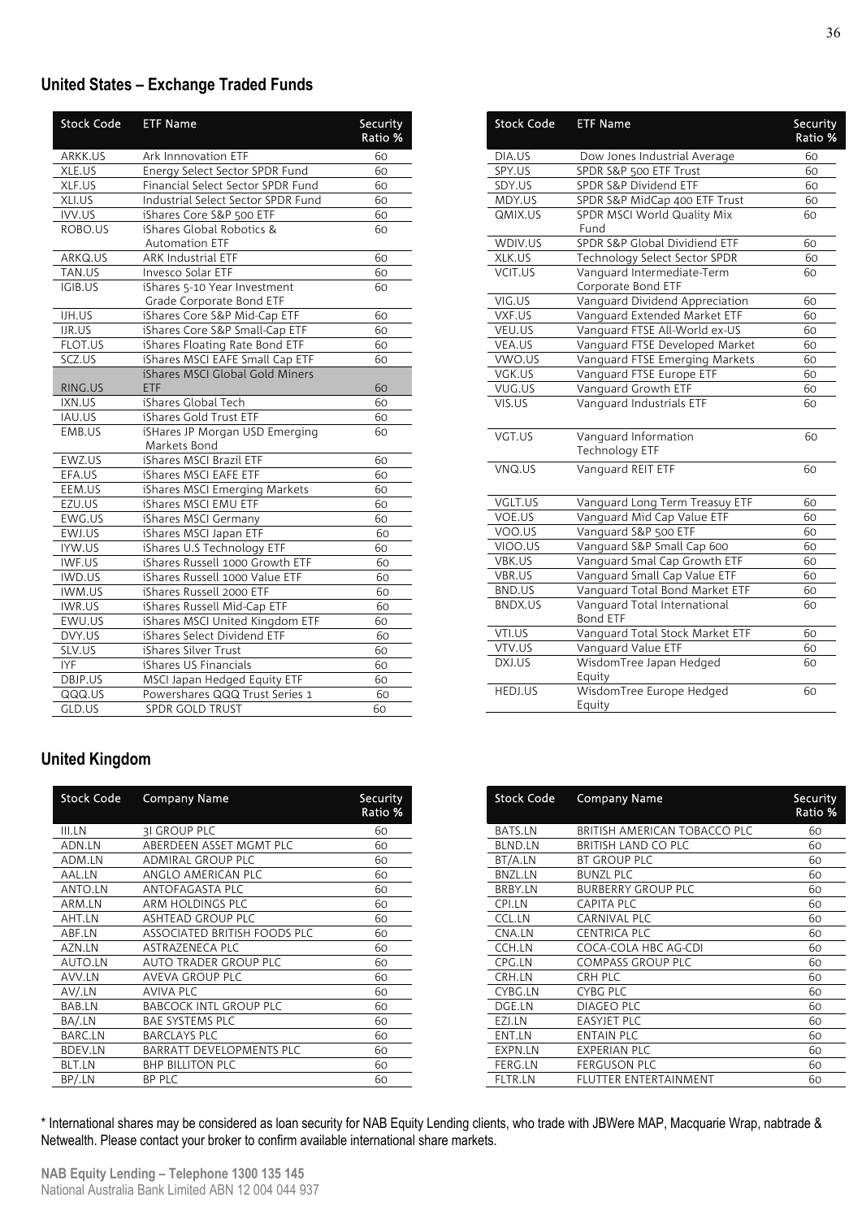### **United States – Exchange Traded Funds**

| <b>Stock Code</b> | <b>ETF Name</b>                    | Security<br>Ratio % |
|-------------------|------------------------------------|---------------------|
| ARKK.US           | Ark Innnovation ETF                | 60                  |
| XLE.US            | Energy Select Sector SPDR Fund     | 60                  |
| XLF.US            | Financial Select Sector SPDR Fund  | 60                  |
| XLI.US            | Industrial Select Sector SPDR Fund | 60                  |
| IVV.US            | iShares Core S&P 500 ETF           | 60                  |
| ROBO.US           | iShares Global Robotics &          | 60                  |
|                   | <b>Automation ETF</b>              |                     |
| ARKQ.US           | <b>ARK Industrial ETF</b>          | 60                  |
| TAN.US            | Invesco Solar ETF                  | 60                  |
| IGIB.US           | iShares 5-10 Year Investment       | 60                  |
|                   | Grade Corporate Bond ETF           |                     |
| IJH.US            | iShares Core S&P Mid-Cap ETF       | 60                  |
| IJR.US            | iShares Core S&P Small-Cap ETF     | 60                  |
| FLOT.US           | iShares Floating Rate Bond ETF     | 60                  |
| SCZ.US            | iShares MSCI EAFE Small Cap ETF    | 60                  |
|                   | iShares MSCI Global Gold Miners    |                     |
| RING.US           | ETF                                | 60                  |
| IXN.US            | iShares Global Tech                | 60                  |
| IAU.US            | iShares Gold Trust ETF             | 60                  |
| EMB.US            | iSHares JP Morgan USD Emerging     | 60                  |
|                   | Markets Bond                       |                     |
| EWZ.US            | iShares MSCI Brazil ETF            | 60                  |
| EFA.US            | iShares MSCI EAFE ETF              | 60                  |
| EEM.US            | iShares MSCI Emerging Markets      | 60                  |
| EZU.US            | iShares MSCI EMU ETF               | 60                  |
| EWG.US            | iShares MSCI Germany               | 60                  |
| EWJ.US            | iShares MSCI Japan ETF             | 60                  |
| IYW.US            | iShares U.S Technology ETF         | 60                  |
| IWF.US            | iShares Russell 1000 Growth ETF    | 60                  |
| IWD.US            | iShares Russell 1000 Value ETF     | 60                  |
| IWM.US            | iShares Russell 2000 ETF           | 60                  |
| IWR.US            | iShares Russell Mid-Cap ETF        | 60                  |
| EWU.US            | iShares MSCI United Kingdom ETF    | 60                  |
| DVY.US            | iShares Select Dividend ETF        | 60                  |
| SLV.US            | iShares Silver Trust               | 60                  |
| <b>IYF</b>        | iShares US Financials              | 60                  |
| DBJP.US           | MSCI Japan Hedged Equity ETF       | 60                  |
| QQQ.US            | Powershares QQQ Trust Series 1     | 60                  |
| GLD.US            | <b>SPDR GOLD TRUST</b>             | 60                  |

| Stock Code | <b>ETF Name</b>                                  | Security<br>Ratio % |
|------------|--------------------------------------------------|---------------------|
| DIA.US     | Dow Jones Industrial Average                     | 60                  |
| SPY.US     | SPDR S&P 500 ETF Trust                           | 60                  |
| SDY.US     | SPDR S&P Dividend ETF                            | 60                  |
| MDY.US     | SPDR S&P MidCap 400 ETF Trust                    | 60                  |
| QMIX.US    | SPDR MSCI World Quality Mix                      | 60                  |
|            | Fund                                             |                     |
| WDIV.US    | SPDR S&P Global Dividiend ETF                    | 60                  |
| XLK.US     | Technology Select Sector SPDR                    | 60                  |
| VCIT.US    | Vanguard Intermediate-Term<br>Corporate Bond ETF | 60                  |
| VIG.US     | Vanguard Dividend Appreciation                   | 60                  |
| VXF.US     | Vanguard Extended Market ETF                     | 60                  |
| VEU.US     | Vanguard FTSE All-World ex-US                    | 60                  |
| VEA.US     | Vanguard FTSE Developed Market                   | 60                  |
| VWO.US     | Vanguard FTSE Emerging Markets                   | 60                  |
| VGK.US     | Vanguard FTSE Europe ETF                         | 60                  |
| VUG.US     | Vanguard Growth ETF                              | 60                  |
| VIS.US     | Vanguard Industrials ETF                         | 60                  |
| VGT.US     | Vanguard Information                             | 60                  |
|            | <b>Technology ETF</b>                            |                     |
| VNQ.US     | Vanguard REIT ETF                                | 60                  |
| VGLT.US    | Vanguard Long Term Treasuy ETF                   | 60                  |
| VOE.US     | Vanguard Mid Cap Value ETF                       | 60                  |
| VOO.US     | Vanguard S&P 500 ETF                             | 60                  |
| VIOO.US    | Vanguard S&P Small Cap 600                       | 60                  |
| VBK.US     | Vanguard Smal Cap Growth ETF                     | 60                  |
| VBR.US     | Vanguard Small Cap Value ETF                     | 60                  |
| BND.US     | Vanguard Total Bond Market ETF                   | 60                  |
| BNDX.US    | Vanguard Total International<br>Bond ETF         | 60                  |
| VTI.US     | Vanguard Total Stock Market ETF                  | 60                  |
| VTV.US     | Vanguard Value ETF                               | 60                  |
| DXJ.US     | WisdomTree Japan Hedged<br>Equity                | 60                  |
| HEDJ.US    | WisdomTree Europe Hedged<br>Equity               | 60                  |

### **United Kingdom**

| <b>Stock Code</b> | <b>Company Name</b>           | Security<br>Ratio % |
|-------------------|-------------------------------|---------------------|
| III.LN            | <b>31 GROUP PLC</b>           | 60                  |
| ADN.LN            | ABERDEEN ASSET MGMT PLC       | 60                  |
| ADM.LN            | ADMIRAL GROUP PLC             | 60                  |
| AAL.LN            | ANGLO AMERICAN PLC            | 60                  |
| ANTO.LN           | ANTOFAGASTA PLC               | 60                  |
| ARM.LN            | ARM HOLDINGS PLC              | 60                  |
| AHT.LN            | ASHTEAD GROUP PLC             | 60                  |
| ABF.LN            | ASSOCIATED BRITISH FOODS PLC  | 60                  |
| AZN.LN            | ASTRAZENECA PLC               | 60                  |
| AUTO.LN           | AUTO TRADER GROUP PLC         | 60                  |
| AVV.LN            | AVEVA GROUP PLC               | 60                  |
| AV/.LN            | AVIVA PLC                     | 60                  |
| BAB.LN            | <b>BABCOCK INTL GROUP PLC</b> | 60                  |
| BA/.LN            | BAE SYSTEMS PLC               | 60                  |
| <b>BARC.LN</b>    | <b>BARCLAYS PLC</b>           | 60                  |
| <b>BDEV.LN</b>    | BARRATT DEVELOPMENTS PLC      | 60                  |
| <b>BLT.LN</b>     | <b>BHP BILLITON PLC</b>       | 60                  |
| BP/.LN            | BP PLC                        | 60                  |

| <b>Stock Code</b> | <b>Company Name</b>          | Security<br>Ratio % |
|-------------------|------------------------------|---------------------|
| <b>BATS.LN</b>    | BRITISH AMERICAN TOBACCO PLC | 60                  |
| <b>BLND.LN</b>    | BRITISH LAND CO PLC          | 60                  |
| BT/A.LN           | BT GROUP PLC                 | 60                  |
| <b>BNZL.LN</b>    | <b>BUNZL PLC</b>             | 60                  |
| BRBY.LN           | <b>BURBERRY GROUP PLC</b>    | 60                  |
| CPI.LN            | <b>CAPITA PLC</b>            | 60                  |
| CCL.LN            | CARNIVAL PLC                 | 60                  |
| CNA.LN            | <b>CENTRICA PLC</b>          | 60                  |
| CCH.LN            | COCA-COLA HBC AG-CDI         | 60                  |
| CPG.LN            | COMPASS GROUP PLC            | 60                  |
| CRH.LN            | CRH PLC                      | 60                  |
| CYBG.LN           | CYBG PLC                     | 60                  |
| DGE.LN            | <b>DIAGEO PLC</b>            | 60                  |
| EZI.LN            | <b>EASYJET PLC</b>           | 60                  |
| ENT.LN            | <b>ENTAIN PLC</b>            | 60                  |
| EXPN.LN           | <b>EXPERIAN PLC</b>          | 60                  |
| FERG.LN           | FERGUSON PLC                 | 60                  |
| <b>FLTR.LN</b>    | FLUTTER ENTERTAINMENT        | 60                  |

\* International shares may be considered as loan security for NAB Equity Lending clients, who trade with JBWere MAP, Macquarie Wrap, nabtrade & Netwealth. Please contact your broker to confirm available international share markets.

36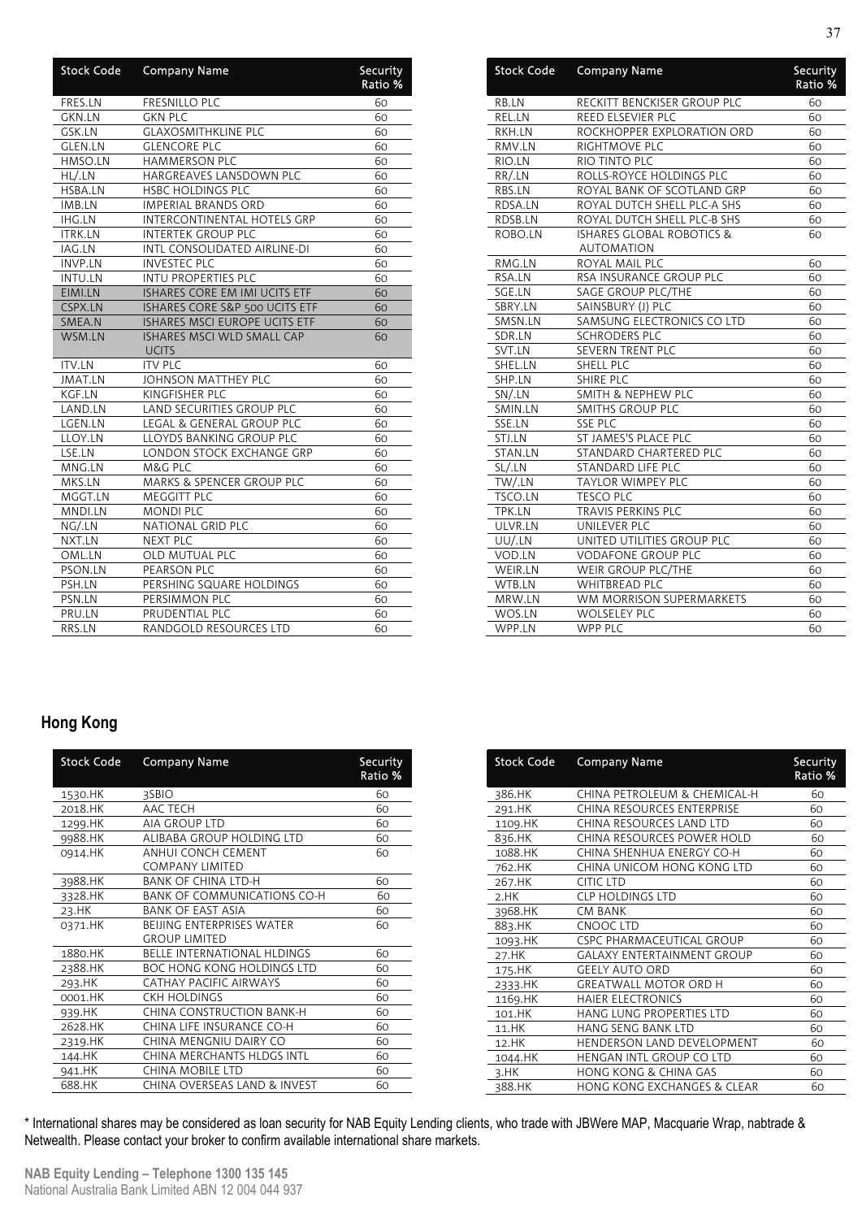| <b>Stock Code</b> | <b>Company Name</b>                               | Security<br>Ratio % |
|-------------------|---------------------------------------------------|---------------------|
| FRES.LN           | <b>FRESNILLO PLC</b>                              | 60                  |
| GKN.LN            | <b>GKN PLC</b>                                    | 60                  |
| GSK.LN            | <b>GLAXOSMITHKLINE PLC</b>                        | 60                  |
| GLEN.LN           | <b>GLENCORE PLC</b>                               | 60                  |
| HMSO.LN           | <b>HAMMERSON PLC</b>                              | 60                  |
| HL/.LN            | HARGREAVES LANSDOWN PLC                           | 60                  |
| HSBA.LN           | <b>HSBC HOLDINGS PLC</b>                          | 60                  |
| IMB.LN            | <b>IMPERIAL BRANDS ORD</b>                        | 60                  |
| <b>IHG.LN</b>     | INTERCONTINENTAL HOTELS GRP                       | 60                  |
| <b>ITRK.LN</b>    | <b>INTERTEK GROUP PLC</b>                         | 60                  |
| IAG.LN            | INTL CONSOLIDATED AIRLINE-DI                      | 60                  |
| <b>INVP.LN</b>    | <b>INVESTEC PLC</b>                               | 60                  |
| INTU.LN           | <b>INTU PROPERTIES PLC</b>                        | 60                  |
| EIMI.LN           | ISHARES CORE EM IMI UCITS ETF                     | 60                  |
| CSPX.LN           | ISHARES CORE S&P 500 UCITS ETF                    | 60                  |
| SMEA.N            | ISHARES MSCI EUROPE UCITS ETF                     | 60                  |
| WSM.LN            | <b>ISHARES MSCI WLD SMALL CAP</b><br><b>UCITS</b> | 60                  |
| <b>ITV.LN</b>     | <b>ITV PLC</b>                                    | 60                  |
| <b>JMAT.LN</b>    | JOHNSON MATTHEY PLC                               | 60                  |
| KGF.LN            | KINGFISHER PLC                                    | 60                  |
| LAND.LN           | LAND SECURITIES GROUP PLC                         | 60                  |
| LGEN.LN           | LEGAL & GENERAL GROUP PLC                         | 60                  |
| LLOY.LN           | LLOYDS BANKING GROUP PLC                          | 60                  |
| LSE.LN            | LONDON STOCK EXCHANGE GRP                         | 60                  |
| MNG.LN            | M&G PLC                                           | 60                  |
| MKS.LN            | <b>MARKS &amp; SPENCER GROUP PLC</b>              | 60                  |
| MGGT.LN           | MEGGITT PLC                                       | 60                  |
| MNDI.LN           | <b>MONDI PLC</b>                                  | 60                  |
| NG/.LN            | NATIONAL GRID PLC                                 | 60                  |
| NXT.LN            | <b>NEXT PLC</b>                                   | 60                  |
| OML.LN            | <b>OLD MUTUAL PLC</b>                             | 60                  |
| PSON.LN           | PEARSON PLC                                       | 60                  |
| PSH.LN            | PERSHING SQUARE HOLDINGS                          | 60                  |
| PSN.LN            | PERSIMMON PLC                                     | 60                  |
| PRU.LN            | PRUDENTIAL PLC                                    | 60                  |
| RRS.LN            | RANDGOLD RESOURCES LTD                            | 60                  |

| <b>Stock Code</b> | <b>Company Name</b>                             | Security<br>Ratio % |
|-------------------|-------------------------------------------------|---------------------|
| RB.LN             | RECKITT BENCKISER GROUP PLC                     | 60                  |
| REL.LN            | REED ELSEVIER PLC                               | 60                  |
| RKH.LN            | ROCKHOPPER EXPLORATION ORD                      | 60                  |
| RMV.LN            | RIGHTMOVE PLC                                   | 60                  |
| RIO.LN            | RIO TINTO PLC                                   | 60                  |
| RR/.LN            | ROLLS-ROYCE HOLDINGS PLC                        | 60                  |
| RBS.LN            | ROYAL BANK OF SCOTLAND GRP                      | 60                  |
| RDSA.LN           | ROYAL DUTCH SHELL PLC-A SHS                     | 60                  |
| RDSB.LN           | ROYAL DUTCH SHELL PLC-B SHS                     | 60                  |
| ROBO.LN           | <b>ISHARES GLOBAL ROBOTICS &amp;</b>            | 60                  |
|                   | <b>AUTOMATION</b>                               |                     |
| RMG.LN            | ROYAL MAIL PLC                                  | 60                  |
| RSA.LN            | RSA INSURANCE GROUP PLC                         | 60                  |
| SGE.LN<br>SBRY.LN | SAGE GROUP PLC/THE                              | 60<br>60            |
|                   | SAINSBURY (J) PLC                               | 60                  |
| SMSN.LN           | SAMSUNG ELECTRONICS CO LTD                      |                     |
| SDR.LN<br>SVT.LN  | <b>SCHRODERS PLC</b><br><b>SEVERN TRENT PLC</b> | 60<br>60            |
| SHEL.LN           |                                                 | 60                  |
| SHP.LN            | SHELL PLC<br><b>SHIRE PLC</b>                   | 60                  |
| SN/.LN            | SMITH & NEPHEW PLC                              | 60                  |
| SMIN.LN           | <b>SMITHS GROUP PLC</b>                         | 60                  |
| SSE.LN            | <b>SSE PLC</b>                                  | 60                  |
| STJ.LN            | ST JAMES'S PLACE PLC                            | 60                  |
| STAN.LN           | STANDARD CHARTERED PLC                          | 60                  |
| SL/.LN            | STANDARD LIFE PLC                               | 60                  |
| TW/.LN            | <b>TAYLOR WIMPEY PLC</b>                        | 60                  |
| TSCO.LN           | <b>TESCO PLC</b>                                | 60                  |
| TPK.LN            | TRAVIS PERKINS PLC                              | 60                  |
| ULVR.LN           | UNILEVER PLC                                    | 60                  |
| UU/.LN            | UNITED UTILITIES GROUP PLC                      | 60                  |
| VOD.LN            | <b>VODAFONE GROUP PLC</b>                       | 60                  |
| WEIR.LN           | WEIR GROUP PLC/THE                              | 60                  |
| WTB.LN            | <b>WHITBREAD PLC</b>                            | 60                  |
| MRW.LN            | WM MORRISON SUPERMARKETS                        | 60                  |
| WOS.LN            | <b>WOLSELEY PLC</b>                             | 60                  |
| WPP.LN            | <b>WPP PLC</b>                                  | 60                  |

### **Hong Kong**

| <b>Stock Code</b> | <b>Company Name</b>                | Security<br>Ratio % |
|-------------------|------------------------------------|---------------------|
| 1530.HK           | 3SBIO                              | 60                  |
| 2018.HK           | AAC TECH                           | 60                  |
| 1299.HK           | <b>AIA GROUP LTD</b>               | 60                  |
| 9988.HK           | ALIBABA GROUP HOLDING LTD          | 60                  |
| 0914.HK           | ANHUI CONCH CEMENT                 | 60                  |
|                   | <b>COMPANY LIMITED</b>             |                     |
| 3988.HK           | <b>BANK OF CHINA LTD-H</b>         | 60                  |
| 3328.HK           | <b>BANK OF COMMUNICATIONS CO-H</b> | 60                  |
| 23.HK             | BANK OF EAST ASIA                  | 60                  |
| 0371.HK           | <b>BEIJING ENTERPRISES WATER</b>   | 60                  |
|                   | <b>GROUP LIMITED</b>               |                     |
| 1880.HK           | <b>BELLE INTERNATIONAL HLDINGS</b> | 60                  |
| 2388.HK           | BOC HONG KONG HOLDINGS LTD         | 60                  |
| 293.HK            | CATHAY PACIFIC AIRWAYS             | 60                  |
| 0001.HK           | <b>CKH HOLDINGS</b>                | 60                  |
| 939.HK            | CHINA CONSTRUCTION BANK-H          | 60                  |
| 2628.HK           | CHINA LIFE INSURANCE CO-H          | 60                  |
| 2319.HK           | CHINA MENGNIU DAIRY CO             | 60                  |
| 144.HK            | CHINA MERCHANTS HLDGS INTL         | 60                  |
| 941.HK            | <b>CHINA MOBILE LTD</b>            | 60                  |
| 688.HK            | CHINA OVERSEAS LAND & INVEST       | 60                  |
|                   |                                    |                     |

| <b>Stock Code</b> | <b>Company Name</b>               | Security<br>Ratio % |
|-------------------|-----------------------------------|---------------------|
| 386.HK            | CHINA PETROLEUM & CHEMICAL-H      | 60                  |
| 291.HK            | CHINA RESOURCES ENTERPRISE        | 60                  |
| 1109.HK           | CHINA RESOURCES LAND LTD          | 60                  |
| 836.HK            | CHINA RESOURCES POWER HOLD        | 60                  |
| 1088.HK           | CHINA SHENHUA ENERGY CO-H         | 60                  |
| 762.HK            | CHINA UNICOM HONG KONG LTD        | 60                  |
| 267.HK            | <b>CITIC LTD</b>                  | 60                  |
| 2.HK              | <b>CLP HOLDINGS LTD</b>           | 60                  |
| 3968.HK           | <b>CM BANK</b>                    | 60                  |
| 883.HK            | CNOOC LTD                         | 60                  |
| 1093.HK           | <b>CSPC PHARMACEUTICAL GROUP</b>  | 60                  |
| 27.HK             | <b>GALAXY ENTERTAINMENT GROUP</b> | 60                  |
| 175.HK            | <b>GEELY AUTO ORD</b>             | 60                  |
| 2333.HK           | <b>GREATWALL MOTOR ORD H</b>      | 60                  |
| 1169.HK           | <b>HAIER ELECTRONICS</b>          | 60                  |
| 101.HK            | HANG LUNG PROPERTIES LTD          | 60                  |
| 11.HK             | <b>HANG SENG BANK LTD</b>         | 60                  |
| 12.HK             | HENDERSON LAND DEVELOPMENT        | 60                  |
| 1044.HK           | HENGAN INTL GROUP CO LTD          | 60                  |
| 3.HK              | HONG KONG & CHINA GAS             | 60                  |
| 388.HK            | HONG KONG EXCHANGES & CLEAR       | 60                  |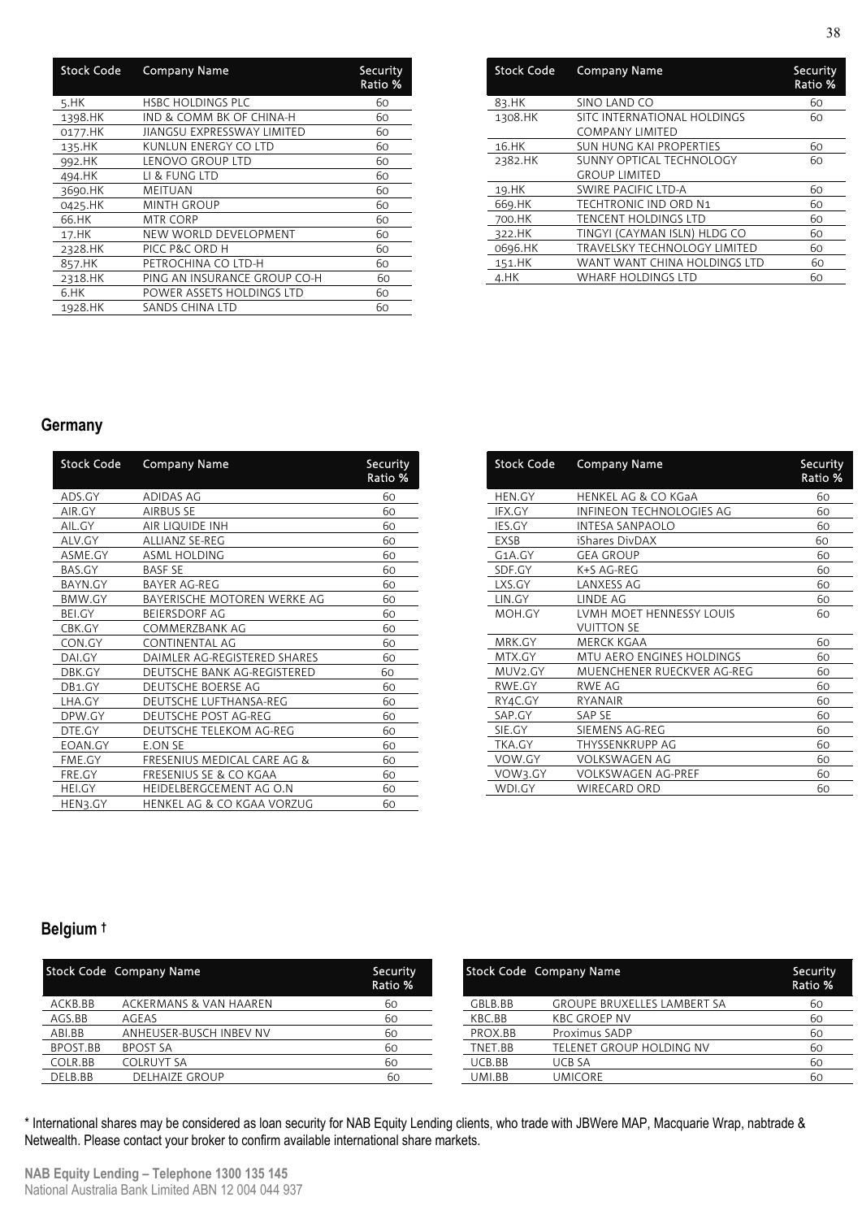| <b>Stock Code</b> | <b>Company Name</b>          | Security<br>Ratio % |
|-------------------|------------------------------|---------------------|
| 5.HK              | <b>HSBC HOLDINGS PLC</b>     | 60                  |
| 1398.HK           | IND & COMM BK OF CHINA-H     | 60                  |
| 0177.HK           | JIANGSU EXPRESSWAY LIMITED   | 60                  |
| 135.HK            | KUNLUN ENERGY CO LTD         | 60                  |
| 992.HK            | LENOVO GROUP LTD             | 60                  |
| 494.HK            | LI & FUNG LTD                | 60                  |
| 3690.HK           | MEITUAN                      | 60                  |
| 0425.HK           | <b>MINTH GROUP</b>           | 60                  |
| 66.HK             | MTR CORP                     | 60                  |
| 17.HK             | NEW WORLD DEVELOPMENT        | 60                  |
| 2328.HK           | PICC P&C ORD H               | 60                  |
| 857.HK            | PETROCHINA CO LTD-H          | 60                  |
| 2318.HK           | PING AN INSURANCE GROUP CO-H | 60                  |
| 6.HK              | POWER ASSETS HOLDINGS LTD    | 60                  |
| 1928.HK           | SANDS CHINA LTD              | 60                  |

| <b>Stock Code</b> | <b>Company Name</b>                              | Security<br>Ratio % |
|-------------------|--------------------------------------------------|---------------------|
| 83.HK             | SINO LAND CO                                     | 60                  |
| 1308.HK           | SITC INTERNATIONAL HOLDINGS<br>COMPANY LIMITED   | 60                  |
| 16.HK             | <b>SUN HUNG KAI PROPERTIES</b>                   | 60                  |
| 2382.HK           | SUNNY OPTICAL TECHNOLOGY<br><b>GROUP LIMITED</b> | 60                  |
| 19.HK             | SWIRE PACIFIC LTD-A                              | 60                  |
| 669.HK            | <b>TECHTRONIC IND ORD N1</b>                     | 60                  |
| 700.HK            | <b>TENCENT HOLDINGS LTD</b>                      | 60                  |
| 322.HK            | TINGYI (CAYMAN ISLN) HLDG CO                     | 60                  |
| 0696.HK           | <b>TRAVELSKY TECHNOLOGY LIMITED</b>              | 60                  |
| 151.HK            | WANT WANT CHINA HOLDINGS LTD                     | 60                  |
| 4.HK              | <b>WHARF HOLDINGS LTD</b>                        | 60                  |

### **Germany**

| <b>Stock Code</b> | <b>Company Name</b>                   | Security<br>Ratio % |
|-------------------|---------------------------------------|---------------------|
| ADS.GY            | ADIDAS AG                             | 60                  |
| AIR.GY            | <b>AIRBUS SE</b>                      | 60                  |
| AIL.GY            | AIR LIQUIDE INH                       | 60                  |
| ALV.GY            | ALLIANZ SE-REG                        | 60                  |
| ASME.GY           | ASML HOLDING                          | 60                  |
| BAS.GY            | <b>BASE SE</b>                        | 60                  |
| BAYN.GY           | BAYER AG-REG                          | 60                  |
| BMW.GY            | BAYERISCHE MOTOREN WERKE AG           | 60                  |
| BEI.GY            | <b>BEIERSDORF AG</b>                  | 60                  |
| CBK.GY            | COMMERZBANK AG                        | 60                  |
| CON.GY            | CONTINENTAL AG                        | 60                  |
| DAI.GY            | DAIMLER AG-REGISTERED SHARES          | 60                  |
| DBK.GY            | DEUTSCHE BANK AG-REGISTERED           | 60                  |
| DB1.GY            | DEUTSCHE BOERSE AG                    | 60                  |
| LHA.GY            | DEUTSCHE LUFTHANSA-REG                | 60                  |
| DPW.GY            | <b>DEUTSCHE POST AG-REG</b>           | 60                  |
| DTE.GY            | DEUTSCHE TELEKOM AG-REG               | 60                  |
| EOAN.GY           | <b>E.ON SE</b>                        | 60                  |
| FME.GY            | FRESENIUS MEDICAL CARE AG &           | 60                  |
| FRE.GY            | <b>FRESENIUS SE &amp; CO KGAA</b>     | 60                  |
| <b>HEI.GY</b>     | <b>HEIDELBERGCEMENT AG O.N</b>        | 60                  |
| HEN3.GY           | <b>HENKEL AG &amp; CO KGAA VORZUG</b> | 60                  |

| <b>Stock Code</b> | <b>Company Name</b>        | Security<br>Ratio % |
|-------------------|----------------------------|---------------------|
| HEN.GY            | HENKEL AG & CO KGaA        | 60                  |
| IFX.GY            | INFINEON TECHNOLOGIES AG   | 60                  |
| IES.GY            | <b>INTESA SANPAOLO</b>     | 60                  |
| EXSB              | iShares DivDAX             | 60                  |
| G1A.GY            | <b>GEA GROUP</b>           | 60                  |
| SDF.GY            | K+S AG-REG                 | 60                  |
| LXS.GY            | LANXESS AG                 | 60                  |
| LIN.GY            | LINDE AG                   | 60                  |
| MOH.GY            | LVMH MOET HENNESSY LOUIS   | 60                  |
|                   | <b>VUITTON SE</b>          |                     |
| MRK.GY            | MERCK KGAA                 | 60                  |
| MTX.GY            | MTU AERO ENGINES HOLDINGS  | 60                  |
| MUV2.GY           | MUENCHENER RUECKVER AG-REG | 60                  |
| RWE.GY            | RWE AG                     | 60                  |
| RY4C.GY           | <b>RYANAIR</b>             | 60                  |
| SAP.GY            | <b>SAP SE</b>              | 60                  |
| SIE.GY            | SIEMENS AG-REG             | 60                  |
| TKA.GY            | THYSSENKRUPP AG            | 60                  |
| VOW.GY            | VOLKSWAGEN AG              | 60                  |
| VOW3.GY           | <b>VOLKSWAGEN AG-PREF</b>  | 60                  |
| WDI.GY            | <b>WIRECARD ORD</b>        | 60                  |

### **Belgium †**

|          | Stock Code Company Name | Security<br>Ratio % |         | Stock Code Company Name            | Security<br>Ratio % |
|----------|-------------------------|---------------------|---------|------------------------------------|---------------------|
| ACKB.BB  | ACKERMANS & VAN HAAREN  | 60                  | GBLB.BB | <b>GROUPE BRUXELLES LAMBERT SA</b> | 60                  |
| AGS.BB   | AGEAS                   | 60                  | KBC.BB  | KBC GROEP NV                       | 60                  |
| ABI.BB   | ANHEUSER-BUSCH INBEV NV | 60                  | PROX.BB | Proximus SADP                      | 60                  |
| BPOST.BB | <b>BPOST SA</b>         | 60                  | TNET.BB | TELENET GROUP HOLDING NV           | 60                  |
| COLR.BB  | <b>COLRUYT SA</b>       | 60                  | UCB.BB  | UCB SA                             | 60                  |
| DELB.BB  | <b>DELHAIZE GROUP</b>   | 60                  | UMI.BB  | <b>UMICORE</b>                     |                     |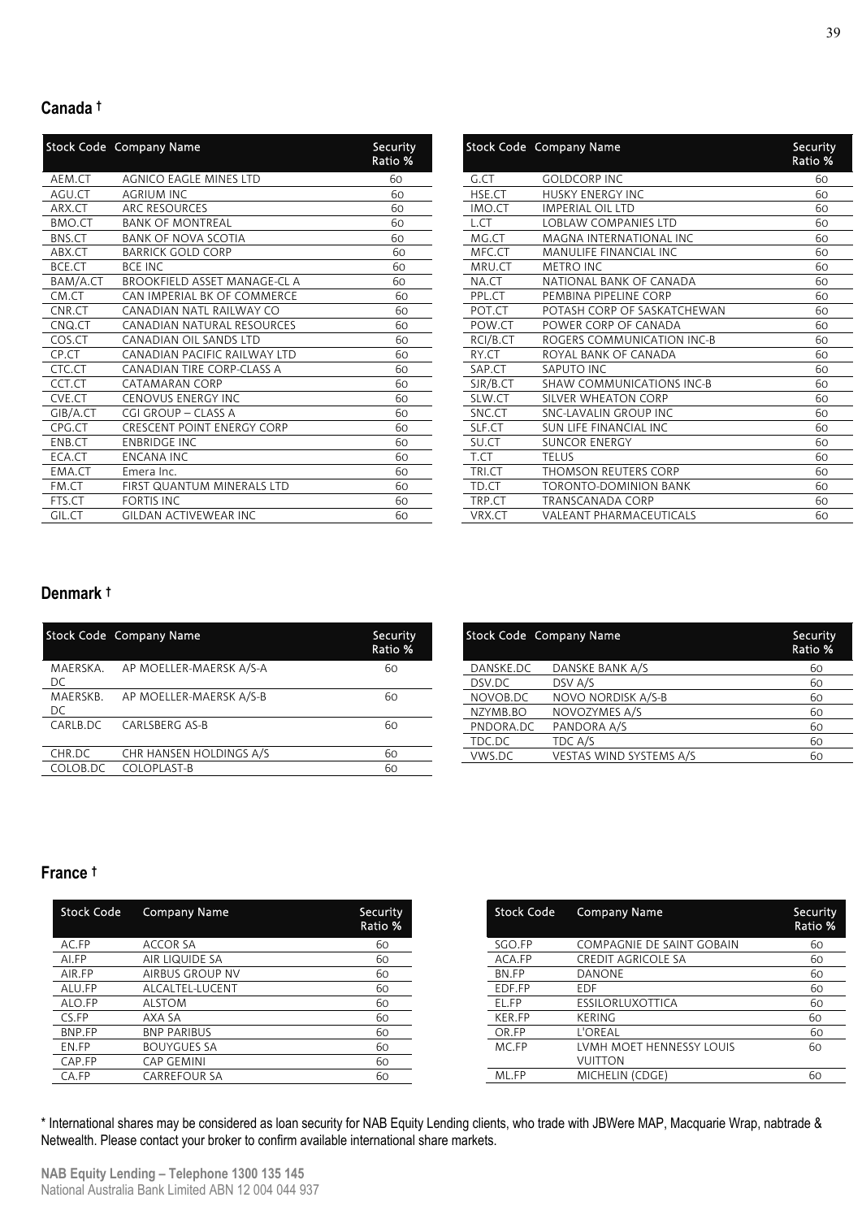#### **Canada †**

|          | <b>Stock Code Company Name</b>    | Security<br>Ratio % |
|----------|-----------------------------------|---------------------|
| AEM.CT   | <b>AGNICO EAGLE MINES LTD</b>     | 60                  |
| AGU.CT   | <b>AGRIUM INC</b>                 | 60                  |
| ARX.CT   | ARC RESOURCES                     | 60                  |
| BMO.CT   | <b>BANK OF MONTREAL</b>           | 60                  |
| BNS.CT   | <b>BANK OF NOVA SCOTIA</b>        | 60                  |
| ABX.CT   | <b>BARRICK GOLD CORP</b>          | 60                  |
| BCE.CT   | <b>BCE INC</b>                    | 60                  |
| BAM/A.CT | BROOKFIELD ASSET MANAGE-CL A      | 60                  |
| CM.CT    | CAN IMPERIAL BK OF COMMERCE       | 60                  |
| CNR.CT   | CANADIAN NATL RAILWAY CO          | 60                  |
| CNQ.CT   | CANADIAN NATURAL RESOURCES        | 60                  |
| COS.CT   | CANADIAN OIL SANDS LTD            | 60                  |
| CP.CT    | CANADIAN PACIFIC RAILWAY LTD      | 60                  |
| CTC.CT   | CANADIAN TIRE CORP-CLASS A        | 60                  |
| CCT.CT   | CATAMARAN CORP                    | 60                  |
| CVE.CT   | <b>CENOVUS ENERGY INC</b>         | 60                  |
| GIB/A.CT | CGI GROUP - CLASS A               | 60                  |
| CPG.CT   | <b>CRESCENT POINT ENERGY CORP</b> | 60                  |
| ENB.CT   | <b>ENBRIDGE INC</b>               | 60                  |
| ECA.CT   | <b>ENCANA INC</b>                 | 60                  |
| EMA.CT   | Emera Inc.                        | 60                  |
| FM.CT    | <b>FIRST QUANTUM MINERALS LTD</b> | 60                  |
| FTS.CT   | <b>FORTIS INC</b>                 | 60                  |
| GIL.CT   | <b>GILDAN ACTIVEWEAR INC</b>      | 60                  |

|          | <b>Stock Code Company Name</b> | Security<br>Ratio % |
|----------|--------------------------------|---------------------|
| G.CT     | <b>GOLDCORP INC</b>            | 60                  |
| HSE.CT   | <b>HUSKY ENERGY INC</b>        | 60                  |
| IMO.CT   | <b>IMPERIAL OIL LTD</b>        | 60                  |
| L.CT     | <b>LOBLAW COMPANIES LTD</b>    | 60                  |
| MG.CT    | <b>MAGNA INTERNATIONAL INC</b> | 60                  |
| MFC.CT   | MANULIFE FINANCIAL INC         | 60                  |
| MRU.CT   | <b>METRO INC</b>               | 60                  |
| NA.CT    | NATIONAL BANK OF CANADA        | 60                  |
| PPL.CT   | PEMBINA PIPELINE CORP          | 60                  |
| POT.CT   | POTASH CORP OF SASKATCHEWAN    | 60                  |
| POW.CT   | POWER CORP OF CANADA           | 60                  |
| RCI/B.CT | ROGERS COMMUNICATION INC-B     | 60                  |
| RY.CT    | ROYAL BANK OF CANADA           | 60                  |
| SAP.CT   | SAPUTO INC                     | 60                  |
| SJR/B.CT | SHAW COMMUNICATIONS INC-B      | 60                  |
| SLW.CT   | SILVER WHEATON CORP            | 60                  |
| SNC.CT   | SNC-LAVALIN GROUP INC          | 60                  |
| SLF.CT   | SUN LIFE FINANCIAL INC         | 60                  |
| SU.CT    | <b>SUNCOR ENERGY</b>           | 60                  |
| T.CT     | TELUS                          | 60                  |
| TRI.CT   | THOMSON REUTERS CORP           | 60                  |
| TD.CT    | <b>TORONTO-DOMINION BANK</b>   | 60                  |
| TRP.CT   | <b>TRANSCANADA CORP</b>        | 60                  |
| VRX.CT   | <b>VALEANT PHARMACEUTICALS</b> | 60                  |

#### **Denmark †**

|                 | Stock Code Company Name | Security<br>Ratio % |
|-----------------|-------------------------|---------------------|
| MAERSKA.<br>DC. | AP MOELLER-MAERSK A/S-A | 60                  |
| MAERSKB.<br>DC. | AP MOELLER-MAERSK A/S-B | 60                  |
| CARLB.DC        | CARLSBERG AS-B          | 60                  |
| CHR.DC          | CHR HANSEN HOLDINGS A/S | 60                  |
| COLOB.DC        | COLOPLAST-B             | 60                  |

|           | Stock Code Company Name | Security<br>Ratio % |
|-----------|-------------------------|---------------------|
| DANSKE.DC | DANSKE BANK A/S         | 60                  |
| DSV.DC    | DSV A/S                 | 60                  |
| NOVOB.DC  | NOVO NORDISK A/S-B      | 60                  |
| NZYMB.BO  | NOVOZYMES A/S           | 60                  |
| PNDORA.DC | PANDORA A/S             | 60                  |
| TDC.DC    | TDC A/S                 | 60                  |
| VWS.DC    | VESTAS WIND SYSTEMS A/S | 60                  |

#### **France †**

| <b>Stock Code</b> | <b>Company Name</b>    | Security<br>Ratio % |
|-------------------|------------------------|---------------------|
| AC.FP             | <b>ACCOR SA</b>        | 60                  |
| AI.FP             | AIR LIQUIDE SA         | 60                  |
| AIR.FP            | <b>AIRBUS GROUP NV</b> | 60                  |
| ALU.FP            | ALCALTEL-LUCENT        | 60                  |
| ALO.FP            | <b>ALSTOM</b>          | 60                  |
| CS.FP             | AXA SA                 | 60                  |
| BNP.FP            | <b>BNP PARIBUS</b>     | 60                  |
| EN.FP             | <b>BOUYGUES SA</b>     | 60                  |
| CAP.FP            | <b>CAP GEMINI</b>      | 60                  |
| CA.FP             | <b>CARREFOUR SA</b>    | 60                  |

| <b>Stock Code</b> | <b>Company Name</b>       | Security<br>Ratio % |
|-------------------|---------------------------|---------------------|
| SGO.FP            | COMPAGNIE DE SAINT GOBAIN | 60                  |
| ACA.FP            | <b>CREDIT AGRICOLE SA</b> | 60                  |
| BN.FP             | <b>DANONE</b>             | 60                  |
| EDF.FP            | <b>FDF</b>                | 60                  |
| EL.FP             | ESSILORLUXOTTICA          | 60                  |
| <b>KER.FP</b>     | KERING                    | 60                  |
| OR.FP             | L'OREAL                   | 60                  |
| MC.FP             | LVMH MOET HENNESSY LOUIS  | 60                  |
|                   | VUITTON                   |                     |
| ML.FP             | MICHELIN (CDGE)           | 60                  |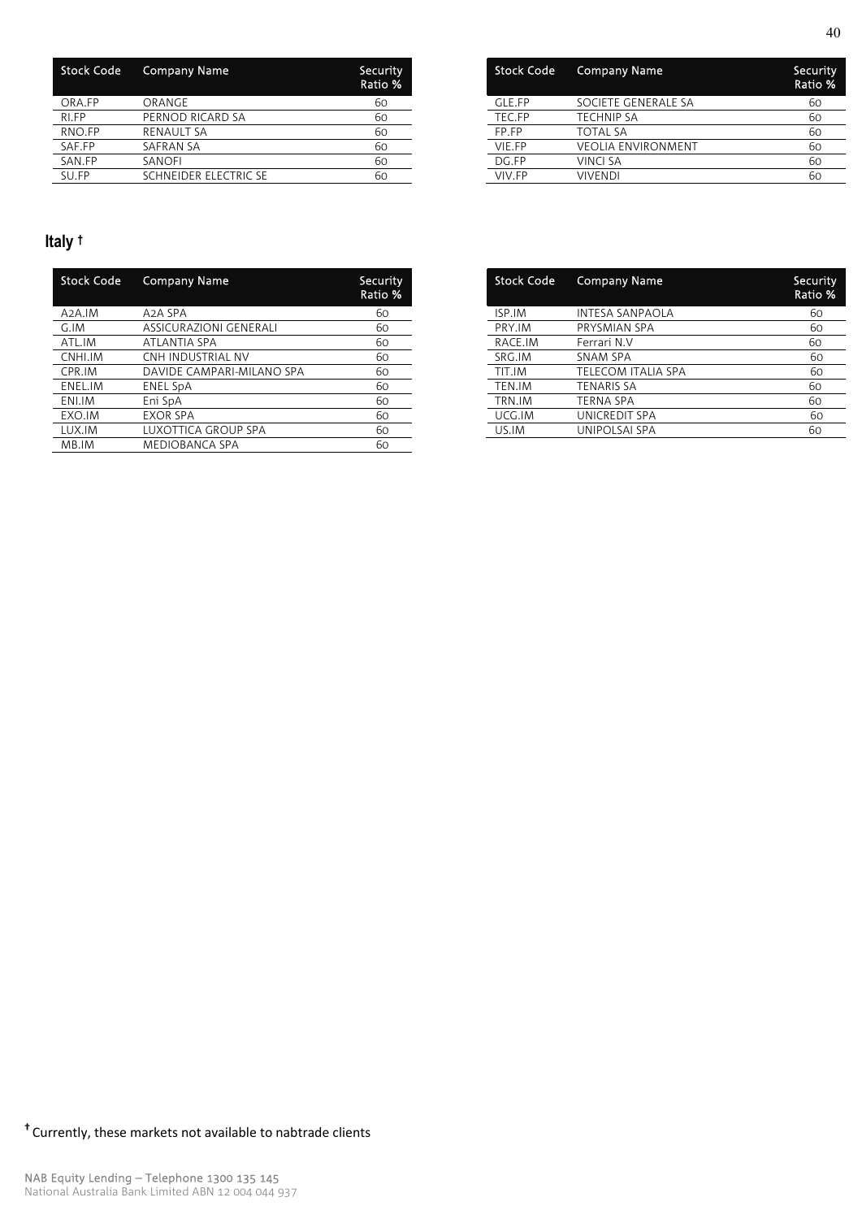| <b>Stock Code</b> | <b>Company Name</b>   | Security<br>Ratio % |
|-------------------|-----------------------|---------------------|
| ORA.FP            | ORANGE                | 60                  |
| RI.FP             | PERNOD RICARD SA      | 60                  |
| RNO.FP            | <b>RENAULT SA</b>     | 60                  |
| SAF.FP            | <b>SAFRAN SA</b>      | 60                  |
| SAN.FP            | SANOFI                | 60                  |
| SU.FP             | SCHNEIDER ELECTRIC SE | 60                  |

| <b>Stock Code</b> | <b>Company Name</b>       | Security<br>Ratio % |
|-------------------|---------------------------|---------------------|
| GLE.FP            | SOCIETE GENERALE SA       | 60                  |
| TEC.FP            | <b>TECHNIP SA</b>         | 60                  |
| FP FP             | <b>TOTAL SA</b>           | 60                  |
| VIE.FP            | <b>VEOLIA ENVIRONMENT</b> | 60                  |
| DG.FP             | VINCI SA                  | 60                  |
| VIV FP            | VIVENDI                   | 60                  |

## **Italy †**

| Stock Code          | <b>Company Name</b>       | Security<br>Ratio % |
|---------------------|---------------------------|---------------------|
| A <sub>2</sub> A.IM | A <sub>2</sub> A SPA      | 60                  |
| G.IM                | ASSICURAZIONI GENERALI    | 60                  |
| ATL.IM              | ATLANTIA SPA              | 60                  |
| CNHI.IM             | CNH INDUSTRIAL NV         | 60                  |
| CPR.IM              | DAVIDE CAMPARI-MILANO SPA | 60                  |
| ENEL.IM             | ENEL SpA                  | 60                  |
| ENI.IM              | Eni SpA                   | 60                  |
| EXO.IM              | <b>EXOR SPA</b>           | 60                  |
| LUX.IM              | LUXOTTICA GROUP SPA       | 60                  |
| MB.IM               | <b>MEDIOBANCA SPA</b>     | 60                  |

| <b>Stock Code</b> | <b>Company Name</b>       | Security<br>Ratio % |
|-------------------|---------------------------|---------------------|
| ISP.IM            | <b>INTESA SANPAOLA</b>    | 60                  |
| PRY.IM            | PRYSMIAN SPA              | 60                  |
| RACE.IM           | Ferrari N.V               | 60                  |
| SRG.IM            | <b>SNAM SPA</b>           | 60                  |
| TIT.IM            | <b>TELECOM ITALIA SPA</b> | 60                  |
| TEN.IM            | <b>TENARIS SA</b>         | 60                  |
| TRN.IM            | <b>TERNA SPA</b>          | 60                  |
| UCG.IM            | UNICREDIT SPA             | 60                  |
| US.IM             | UNIPOLSAI SPA             | 60                  |
|                   |                           |                     |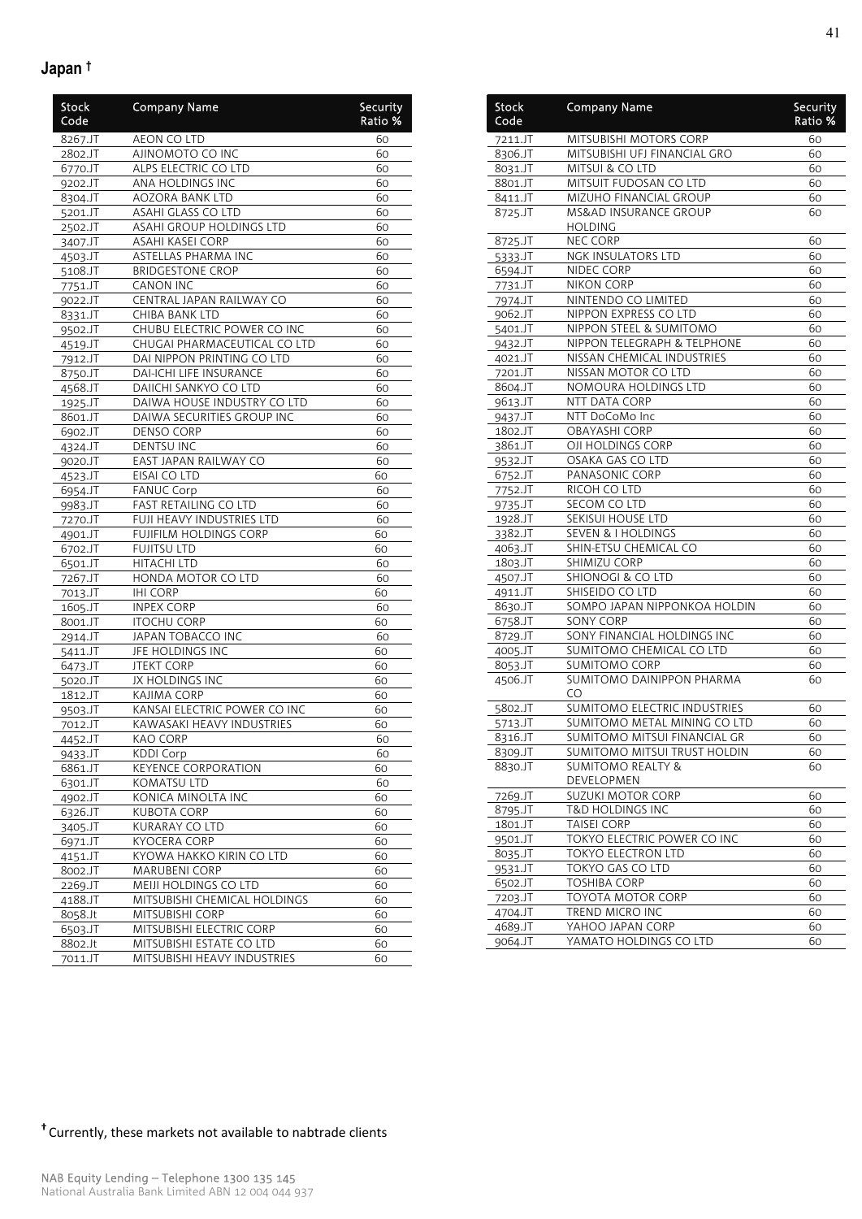### **Japan †**

| <b>Stock</b><br>Code | <b>Company Name</b>          | Security<br>Ratio % |
|----------------------|------------------------------|---------------------|
| 8267.JT              | AEON CO LTD                  | 60                  |
| 2802.JT              | AJINOMOTO CO INC             | 60                  |
| 6770.JT              | ALPS ELECTRIC CO LTD         | 60                  |
| 9202.JT              | ANA HOLDINGS INC             | 60                  |
| 8304.JT              | AOZORA BANK LTD              | 60                  |
| 5201.JT              | ASAHI GLASS CO LTD           | 60                  |
| 2502.JT              | ASAHI GROUP HOLDINGS LTD     | 60                  |
| 3407.JT              | <b>ASAHI KASEI CORP</b>      | 60                  |
| 4503.JT              | <b>ASTELLAS PHARMA INC</b>   | 60                  |
| 5108.JT              | <b>BRIDGESTONE CROP</b>      | 60                  |
| 7751.JT              | <b>CANON INC</b>             | 60                  |
| 9022.JT              | CENTRAL JAPAN RAILWAY CO     | 60                  |
| 8331.JT              | <b>CHIBA BANK LTD</b>        | 60                  |
| 9502.JT              | CHUBU ELECTRIC POWER CO INC  | 60                  |
| 4519.JT              | CHUGAI PHARMACEUTICAL CO LTD | 60                  |
| 7912.JT              | DAI NIPPON PRINTING CO LTD   | 60                  |
| 8750.JT              | DAI-ICHI LIFE INSURANCE      | 60                  |
| 4568.JT              | DAIICHI SANKYO CO LTD        | 60                  |
| 1925.JT              | DAIWA HOUSE INDUSTRY CO LTD  | 60                  |
| 8601.JT              | DAIWA SECURITIES GROUP INC   | 60                  |
| 6902.JT              | DENSO CORP                   | 60                  |
| 4324.JT              | <b>DENTSU INC</b>            | 60                  |
| 9020.JT              | EAST JAPAN RAILWAY CO        | 60                  |
| 4523.JT              | EISAI CO LTD                 | 60                  |
| 6954.JT              | <b>FANUC Corp</b>            | 60                  |
| 9983.JT              | FAST RETAILING CO LTD        | 60                  |
| 7270.JT              | FUJI HEAVY INDUSTRIES LTD    | 60                  |
| 4901.JT              | FUJIFILM HOLDINGS CORP       | 60                  |
| 6702.JT              | <b>FUJITSU LTD</b>           | 60                  |
| 6501.JT              | <b>HITACHI LTD</b>           | 60                  |
| 7267.JT              | HONDA MOTOR CO LTD           | 60                  |
| 7013.JT              | <b>IHI CORP</b>              | 60                  |
| 1605.JT              | <b>INPEX CORP</b>            | 60                  |
| 8001.JT              | <b>ITOCHU CORP</b>           | 60                  |
| 2914.JT              | JAPAN TOBACCO INC            | 60                  |
| 5411.JT              | JFE HOLDINGS INC             | 60                  |
| 6473.JT              | <b>JTEKT CORP</b>            | 60                  |
| 5020.JT              | <b>JX HOLDINGS INC</b>       | 60                  |
| 1812.JT              | KAJIMA CORP                  | 60                  |
| 9503.JT              | KANSAI ELECTRIC POWER CO INC | 60                  |
| 7012.JT              | KAWASAKI HEAVY INDUSTRIES    | 60                  |
| 4452.JT              | KAO CORP                     | 60                  |
| 9433.JT              | <b>KDDI Corp</b>             | 60                  |
| 6861.JT              | <b>KEYENCE CORPORATION</b>   | 60                  |
| 6301.JT              | KOMATSU LTD                  | 60                  |
| 4902.JT              | KONICA MINOLTA INC           | 60                  |
| 6326.JT              | <b>KUBOTA CORP</b>           | 60                  |
| 3405.JT              | KURARAY CO LTD               | 60                  |
| 6971.JT              | KYOCERA CORP                 | 60                  |
| 4151.JT              | KYOWA HAKKO KIRIN CO LTD     | 60                  |
| 8002.JT              | <b>MARUBENI CORP</b>         | 60                  |
| 2269.JT              | MEIJI HOLDINGS CO LTD        | 60                  |
| 4188.JT              | MITSUBISHI CHEMICAL HOLDINGS | 60                  |
| 8058.Jt              | MITSUBISHI CORP              | 60                  |
| 6503.JT              | MITSUBISHI ELECTRIC CORP     | 60                  |
| 8802.Jt              | MITSUBISHI ESTATE CO LTD     | 60                  |
| 7011.JT              | MITSUBISHI HEAVY INDUSTRIES  | 60                  |
|                      |                              |                     |

| Stock<br>Code      | <b>Company Name</b>                               | Security<br>Ratio % |
|--------------------|---------------------------------------------------|---------------------|
| 7211.JT            | MITSUBISHI MOTORS CORP                            | 60                  |
| 8306.JT            | MITSUBISHI UFJ FINANCIAL GRO                      | 60                  |
| 8031.JT            | MITSUI & CO LTD                                   | 60                  |
| 8801.JT            | MITSUIT FUDOSAN CO LTD                            | 60                  |
| 8411.JT            | MIZUHO FINANCIAL GROUP                            | 60                  |
| 8725.JT            | <b>MS&amp;AD INSURANCE GROUP</b>                  | 60                  |
|                    | HOLDING                                           |                     |
| 8725.JT            | NEC CORP                                          | 60                  |
| 5333.JT            | NGK INSULATORS LTD                                | 60                  |
| 6594.JT            | <b>NIDEC CORP</b>                                 | 60                  |
| 7731.JT            | NIKON CORP                                        | 60                  |
| 7974.JT            | NINTENDO CO LIMITED<br>NIPPON EXPRESS CO LTD      | 60                  |
| 9062.JT            | NIPPON STEEL & SUMITOMO                           | 60<br>60            |
| 5401.JT            | NIPPON TELEGRAPH & TELPHONE                       | 60                  |
| 9432.JT<br>4021.JT | NISSAN CHEMICAL INDUSTRIES                        | 60                  |
| 7201.JT            | NISSAN MOTOR CO LTD                               | 60                  |
| 8604.JT            | NOMOURA HOLDINGS LTD                              | 60                  |
| 9613.JT            | NTT DATA CORP                                     | 60                  |
| 9437.JT            | NTT DoCoMo Inc                                    | 60                  |
| 1802.JT            | <b>OBAYASHI CORP</b>                              | 60                  |
| 3861.JT            | OJI HOLDINGS CORP                                 | 60                  |
| 9532.JT            | OSAKA GAS CO LTD                                  | 60                  |
| 6752.JT            | PANASONIC CORP                                    | 60                  |
| 7752.JT            | RICOH CO LTD                                      | 60                  |
| 9735.JT            | SECOM CO LTD                                      | 60                  |
| 1928.JT            | SEKISUI HOUSE LTD                                 | 60                  |
| 3382.JT            | <b>SEVEN &amp; I HOLDINGS</b>                     | 60                  |
| 4063.JT            | SHIN-ETSU CHEMICAL CO                             | 60                  |
| 1803.JT            | SHIMIZU CORP                                      | 60                  |
| 4507.JT            | SHIONOGI & CO LTD                                 | 60                  |
| 4911.JT            | SHISEIDO CO LTD                                   | 60                  |
| 8630.JT            | SOMPO JAPAN NIPPONKOA HOLDIN                      | 60                  |
| 6758.JT            | <b>SONY CORP</b>                                  | 60                  |
| 8729.JT            | SONY FINANCIAL HOLDINGS INC                       | 60                  |
| 4005.JT            | SUMITOMO CHEMICAL CO LTD                          | 60                  |
| 8053.JT            | <b>SUMITOMO CORP</b>                              | 60                  |
| 4506.JT            | <b>SUMITOMO DAINIPPON PHARMA</b><br>CO            | 60                  |
| 5802.JT            | SUMITOMO ELECTRIC INDUSTRIES                      | 60                  |
| 5713.JT            | SUMITOMO METAL MINING CO LTD                      | 60                  |
| 8316.JT            | SUMITOMO MITSUI FINANCIAL GR                      | 60                  |
| 8309.JT            | SUMITOMO MITSUI TRUST HOLDIN                      | 60                  |
| 8830.JT            | <b>SUMITOMO REALTY &amp;</b>                      | 60                  |
|                    | DEVELOPMEN                                        |                     |
| 7269.JT            | SUZUKI MOTOR CORP                                 | 60                  |
| 8795.JT            | <b>T&amp;D HOLDINGS INC</b>                       | 60                  |
| 1801.JT            | <b>TAISEI CORP</b><br>TOKYO ELECTRIC POWER CO INC | 60                  |
| 9501.JT            |                                                   | 60                  |
| 8035.JT<br>9531.JT | TOKYO ELECTRON LTD<br>TOKYO GAS CO LTD            | 60<br>60            |
|                    | TOSHIBA CORP                                      | 60                  |
| 6502.JT            | TOYOTA MOTOR CORP                                 | 60                  |
| 7203.JT<br>4704.JT | TREND MICRO INC                                   | 60                  |
| 4689.JT            | YAHOO JAPAN CORP                                  | 60                  |
| 9064.JT            | YAMATO HOLDINGS CO LTD                            | 60                  |

## **†** Currently, these markets not available to nabtrade clients